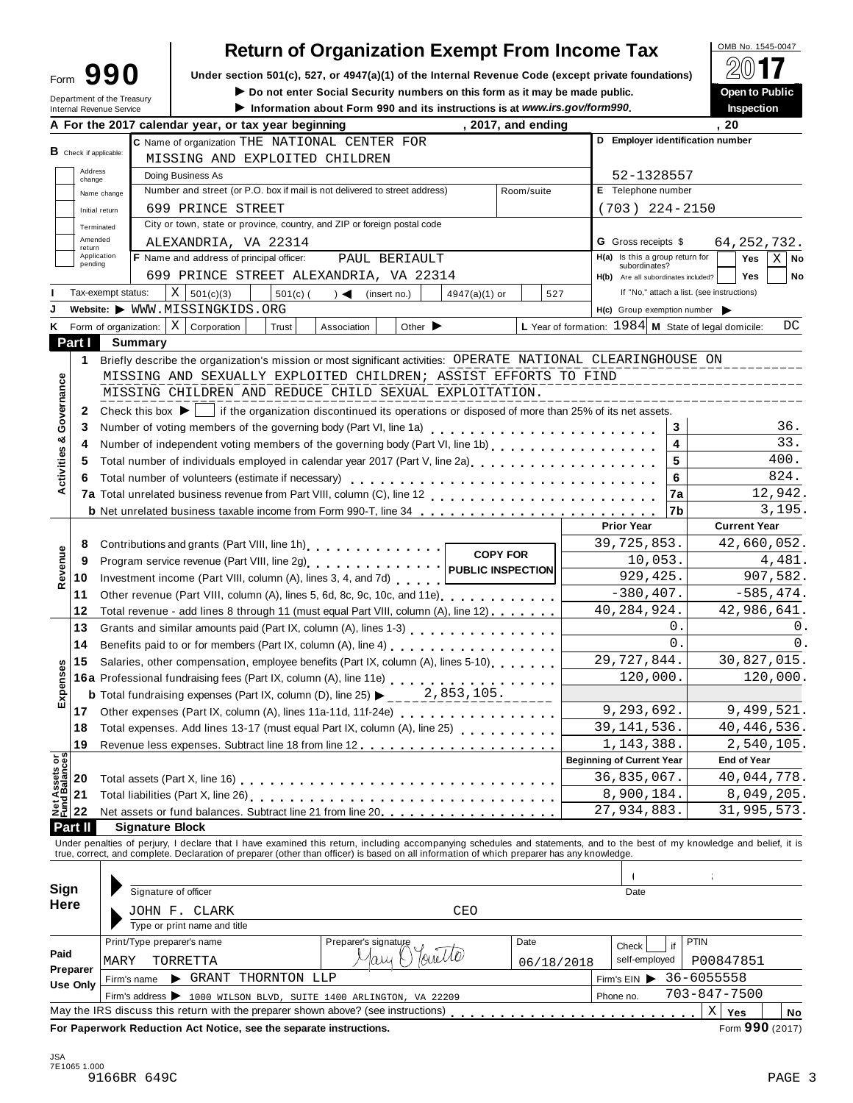## **Return of Organization Exempt From Income Tax**<br>section 501(c), 527, or 4947(a)(1) of the Internal Revenue Code (except private foundations)

Form  $\mathbf{990}$  Under section 501(c), 527, or 4947(a)(1) of the Internal Revenue Code (except private foundations)  $\Box$  **CUII** 

**a b b not enter Social Security** numbers on this form as it may be made public. **Open to Public Conduction Conduction Conduction Conduction Conduction Conduction Conduction Conduction Conduct** 

|                         |                 | Department of the Treasury<br>Internal Revenue Service                   |                                                                                                                                                                                                                                | $\blacktriangleright$ Do not enter Social Security numbers on this form as it may be made public.<br>Information about Form 990 and its instructions is at www.irs.gov/form990. |               |                    |                                                        |                                                                        | <b>Open to Public</b><br>Inspection                            |  |  |  |
|-------------------------|-----------------|--------------------------------------------------------------------------|--------------------------------------------------------------------------------------------------------------------------------------------------------------------------------------------------------------------------------|---------------------------------------------------------------------------------------------------------------------------------------------------------------------------------|---------------|--------------------|--------------------------------------------------------|------------------------------------------------------------------------|----------------------------------------------------------------|--|--|--|
|                         |                 |                                                                          | A For the 2017 calendar year, or tax year beginning                                                                                                                                                                            |                                                                                                                                                                                 |               | , 2017, and ending |                                                        |                                                                        | . 20                                                           |  |  |  |
|                         |                 |                                                                          | C Name of organization THE NATIONAL CENTER FOR                                                                                                                                                                                 |                                                                                                                                                                                 |               |                    |                                                        | D Employer identification number                                       |                                                                |  |  |  |
|                         |                 | B Check if applicable:                                                   | MISSING AND EXPLOITED CHILDREN                                                                                                                                                                                                 |                                                                                                                                                                                 |               |                    |                                                        |                                                                        |                                                                |  |  |  |
|                         | Address         |                                                                          | Doing Business As                                                                                                                                                                                                              |                                                                                                                                                                                 |               |                    |                                                        | 52-1328557                                                             |                                                                |  |  |  |
|                         | change          |                                                                          | Number and street (or P.O. box if mail is not delivered to street address)                                                                                                                                                     | E Telephone number                                                                                                                                                              |               |                    |                                                        |                                                                        |                                                                |  |  |  |
|                         |                 | Name change                                                              | 699 PRINCE STREET                                                                                                                                                                                                              |                                                                                                                                                                                 |               | Room/suite         | $(703)$ 224-2150                                       |                                                                        |                                                                |  |  |  |
|                         |                 | Initial return                                                           | City or town, state or province, country, and ZIP or foreign postal code                                                                                                                                                       |                                                                                                                                                                                 |               |                    |                                                        |                                                                        |                                                                |  |  |  |
|                         | Amended         | Terminated                                                               | ALEXANDRIA, VA 22314                                                                                                                                                                                                           |                                                                                                                                                                                 |               |                    |                                                        |                                                                        | 64, 252, 732.                                                  |  |  |  |
|                         | return          | Application                                                              | F Name and address of principal officer:                                                                                                                                                                                       | PAUL BERIAULT                                                                                                                                                                   |               |                    |                                                        | <b>G</b> Gross receipts \$<br>$H(a)$ Is this a group return for<br>Yes |                                                                |  |  |  |
|                         | pending         |                                                                          | 699 PRINCE STREET ALEXANDRIA, VA 22314                                                                                                                                                                                         |                                                                                                                                                                                 |               |                    | subordinates?                                          |                                                                        | $X \mid$ No                                                    |  |  |  |
|                         |                 |                                                                          |                                                                                                                                                                                                                                |                                                                                                                                                                                 |               |                    | H(b) Are all subordinates included?                    |                                                                        | <b>Yes</b><br>No<br>If "No," attach a list. (see instructions) |  |  |  |
|                         |                 | Tax-exempt status:                                                       | $X \mid$<br>501(c)(3)<br>$501(c)$ (<br>Website: $\blacktriangleright$ WWW.MISSINGKIDS.ORG                                                                                                                                      | $\rightarrow$<br>(insert no.)                                                                                                                                                   | 4947(a)(1) or | 527                |                                                        |                                                                        |                                                                |  |  |  |
|                         |                 |                                                                          |                                                                                                                                                                                                                                |                                                                                                                                                                                 |               |                    | $H(c)$ Group exemption number $\blacktriangleright$    |                                                                        |                                                                |  |  |  |
| Κ                       |                 |                                                                          | Form of organization: $\mid X \mid$ Corporation<br>Trust                                                                                                                                                                       | Association<br>Other $\blacktriangleright$                                                                                                                                      |               |                    | L Year of formation: $1984$ M State of legal domicile: |                                                                        | DC                                                             |  |  |  |
|                         | Part I          |                                                                          | Summary                                                                                                                                                                                                                        |                                                                                                                                                                                 |               |                    |                                                        |                                                                        |                                                                |  |  |  |
|                         | 1               |                                                                          | Briefly describe the organization's mission or most significant activities: OPERATE NATIONAL CLEARINGHOUSE ON                                                                                                                  |                                                                                                                                                                                 |               |                    |                                                        |                                                                        |                                                                |  |  |  |
| Activities & Governance |                 |                                                                          | MISSING AND SEXUALLY EXPLOITED CHILDREN; ASSIST EFFORTS TO FIND                                                                                                                                                                |                                                                                                                                                                                 |               |                    |                                                        |                                                                        |                                                                |  |  |  |
|                         |                 |                                                                          | MISSING CHILDREN AND REDUCE CHILD SEXUAL EXPLOITATION.                                                                                                                                                                         |                                                                                                                                                                                 |               |                    |                                                        |                                                                        | ________________________                                       |  |  |  |
|                         | 2               |                                                                          | Check this box $\blacktriangleright$   if the organization discontinued its operations or disposed of more than 25% of its net assets.                                                                                         |                                                                                                                                                                                 |               |                    |                                                        |                                                                        |                                                                |  |  |  |
|                         | 3               |                                                                          | Number of voting members of the governing body (Part VI, line 1a)<br>                                                                                                                                                          |                                                                                                                                                                                 |               |                    |                                                        | 3                                                                      | 36.                                                            |  |  |  |
|                         | 4               |                                                                          | Number of independent voting members of the governing body (Part VI, line 1b)                                                                                                                                                  |                                                                                                                                                                                 |               |                    |                                                        | 4                                                                      | 33.                                                            |  |  |  |
|                         | 5               |                                                                          | Total number of individuals employed in calendar year 2017 (Part V, line 2a)<br>The 2a)                                                                                                                                        |                                                                                                                                                                                 |               |                    |                                                        | 5                                                                      | 400.                                                           |  |  |  |
|                         | 6               |                                                                          | Total number of volunteers (estimate if necessary)                                                                                                                                                                             |                                                                                                                                                                                 |               |                    |                                                        | 6                                                                      | 824.                                                           |  |  |  |
|                         |                 |                                                                          |                                                                                                                                                                                                                                |                                                                                                                                                                                 |               |                    |                                                        | 7a                                                                     | 12,942.                                                        |  |  |  |
|                         |                 | <b>b</b> Net unrelated business taxable income from Form 990-T, line 34  | 7b                                                                                                                                                                                                                             | 3,195.                                                                                                                                                                          |               |                    |                                                        |                                                                        |                                                                |  |  |  |
|                         |                 |                                                                          |                                                                                                                                                                                                                                |                                                                                                                                                                                 |               |                    | <b>Prior Year</b>                                      |                                                                        | <b>Current Year</b>                                            |  |  |  |
|                         | 8               |                                                                          | Contributions and grants (Part VIII, line 1h). [                                                                                                                                                                               |                                                                                                                                                                                 |               |                    | 39,725,853.                                            |                                                                        | 42,660,052.                                                    |  |  |  |
| Revenue                 | 9               | <b>COPY FOR</b><br>10,053.                                               |                                                                                                                                                                                                                                |                                                                                                                                                                                 |               |                    |                                                        |                                                                        | 4,481.                                                         |  |  |  |
|                         | 10              |                                                                          | Investment income (Part VIII, column (A), lines 3, 4, and 7d)                                                                                                                                                                  | 929, 425.                                                                                                                                                                       | 907,582.      |                    |                                                        |                                                                        |                                                                |  |  |  |
|                         | 11              | Other revenue (Part VIII, column (A), lines 5, 6d, 8c, 9c, 10c, and 11e) | $-380, 407.$                                                                                                                                                                                                                   | $-585,474.$                                                                                                                                                                     |               |                    |                                                        |                                                                        |                                                                |  |  |  |
|                         | 12              |                                                                          | Total revenue - add lines 8 through 11 (must equal Part VIII, column (A), line 12)                                                                                                                                             |                                                                                                                                                                                 |               |                    | 40, 284, 924.                                          |                                                                        | 42,986,641.                                                    |  |  |  |
|                         | 13              |                                                                          | Grants and similar amounts paid (Part IX, column (A), lines 1-3) [10] Canada and similar amounts and similar and the SC and SC and SC and SC and SC and SC and SC and SC and SC and SC and SC and SC and SC and SC and SC and  |                                                                                                                                                                                 |               |                    |                                                        | $\mathbf 0$ .                                                          | 0.                                                             |  |  |  |
|                         | 14              |                                                                          | Benefits paid to or for members (Part IX, column (A), line 4)                                                                                                                                                                  |                                                                                                                                                                                 |               |                    |                                                        | $\Omega$ .                                                             | 0.                                                             |  |  |  |
|                         | 15              |                                                                          | Salaries, other compensation, employee benefits (Part IX, column (A), lines 5-10)                                                                                                                                              |                                                                                                                                                                                 |               |                    | 29,727,844.                                            |                                                                        | 30,827,015.                                                    |  |  |  |
| Expenses                |                 |                                                                          | 16a Professional fundraising fees (Part IX, column (A), line 11e)                                                                                                                                                              |                                                                                                                                                                                 |               |                    | 120,000.                                               |                                                                        | 120,000.                                                       |  |  |  |
|                         |                 |                                                                          |                                                                                                                                                                                                                                |                                                                                                                                                                                 |               |                    |                                                        |                                                                        |                                                                |  |  |  |
|                         | 17 <sup>1</sup> |                                                                          | Other expenses (Part IX, column (A), lines 11a-11d, 11f-24e) [14, 14]                                                                                                                                                          |                                                                                                                                                                                 |               |                    | 9,293,692.                                             |                                                                        | 9,499,521.                                                     |  |  |  |
|                         | 18              |                                                                          | Total expenses. Add lines 13-17 (must equal Part IX, column (A), line 25)                                                                                                                                                      |                                                                                                                                                                                 |               |                    | 39, 141, 536.                                          |                                                                        | 40, 446, 536.                                                  |  |  |  |
|                         | 19              |                                                                          |                                                                                                                                                                                                                                |                                                                                                                                                                                 |               |                    | 1,143,388.                                             |                                                                        | 2,540,105.                                                     |  |  |  |
|                         |                 |                                                                          |                                                                                                                                                                                                                                |                                                                                                                                                                                 |               |                    | <b>Beginning of Current Year</b>                       |                                                                        | <b>End of Year</b>                                             |  |  |  |
| Net Assets or           | 20              |                                                                          |                                                                                                                                                                                                                                |                                                                                                                                                                                 |               |                    | 36,835,067.                                            |                                                                        | 40,044,778.                                                    |  |  |  |
|                         | 21              |                                                                          |                                                                                                                                                                                                                                |                                                                                                                                                                                 |               |                    | 8,900,184.                                             |                                                                        | 8,049,205.                                                     |  |  |  |
|                         | 22              |                                                                          | Net assets or fund balances. Subtract line 21 from line 20 [11, 11, 11, 11, 11, 11, 11]                                                                                                                                        |                                                                                                                                                                                 |               |                    | 27,934,883.                                            |                                                                        | 31,995,573.                                                    |  |  |  |
|                         | Part II         |                                                                          | <b>Signature Block</b>                                                                                                                                                                                                         |                                                                                                                                                                                 |               |                    |                                                        |                                                                        |                                                                |  |  |  |
|                         |                 |                                                                          |                                                                                                                                                                                                                                |                                                                                                                                                                                 |               |                    |                                                        |                                                                        |                                                                |  |  |  |
|                         |                 |                                                                          | Under penalties of perjury, I declare that I have examined this return, including accompanying schedules and statements, and to the best of my knowledge and belief, it is true, correct, and complete. Declaration of prepare |                                                                                                                                                                                 |               |                    |                                                        |                                                                        |                                                                |  |  |  |
|                         |                 |                                                                          |                                                                                                                                                                                                                                |                                                                                                                                                                                 |               |                    |                                                        |                                                                        |                                                                |  |  |  |
|                         |                 |                                                                          | Signature of officer                                                                                                                                                                                                           |                                                                                                                                                                                 |               |                    | Date                                                   |                                                                        |                                                                |  |  |  |
| Sign<br><b>Here</b>     |                 |                                                                          |                                                                                                                                                                                                                                |                                                                                                                                                                                 |               |                    |                                                        |                                                                        |                                                                |  |  |  |
|                         |                 |                                                                          | JOHN F. CLARK                                                                                                                                                                                                                  |                                                                                                                                                                                 | CEO           |                    |                                                        |                                                                        |                                                                |  |  |  |
|                         |                 |                                                                          | Type or print name and title                                                                                                                                                                                                   |                                                                                                                                                                                 |               |                    |                                                        |                                                                        |                                                                |  |  |  |
| Paid                    |                 |                                                                          | Print/Type preparer's name                                                                                                                                                                                                     | Preparer's signature                                                                                                                                                            |               | Date               | Check                                                  | if                                                                     | <b>PTIN</b>                                                    |  |  |  |
|                         | Preparer        | MARY                                                                     | TORRETTA                                                                                                                                                                                                                       |                                                                                                                                                                                 |               | 06/18/2018         | self-employed                                          |                                                                        | P00847851                                                      |  |  |  |
|                         | Use Only        | Firm's name                                                              | GRANT THORNTON LLP                                                                                                                                                                                                             |                                                                                                                                                                                 |               |                    | Firm's $EIN$                                           |                                                                        | 36-6055558                                                     |  |  |  |
|                         |                 |                                                                          | Firm's address > 1000 WILSON BLVD, SUITE 1400 ARLINGTON, VA 22209                                                                                                                                                              |                                                                                                                                                                                 |               |                    | Phone no.                                              |                                                                        | $703 - 847 - 7500$                                             |  |  |  |
|                         |                 |                                                                          | May the IRS discuss this return with the preparer shown above? (see instructions)                                                                                                                                              |                                                                                                                                                                                 |               |                    |                                                        |                                                                        | $\mathbf{X}$<br>Yes<br>No                                      |  |  |  |

**For Paperwork Reduction Act Notice, see the separate instructions.** Form  $\frac{990}{2017}$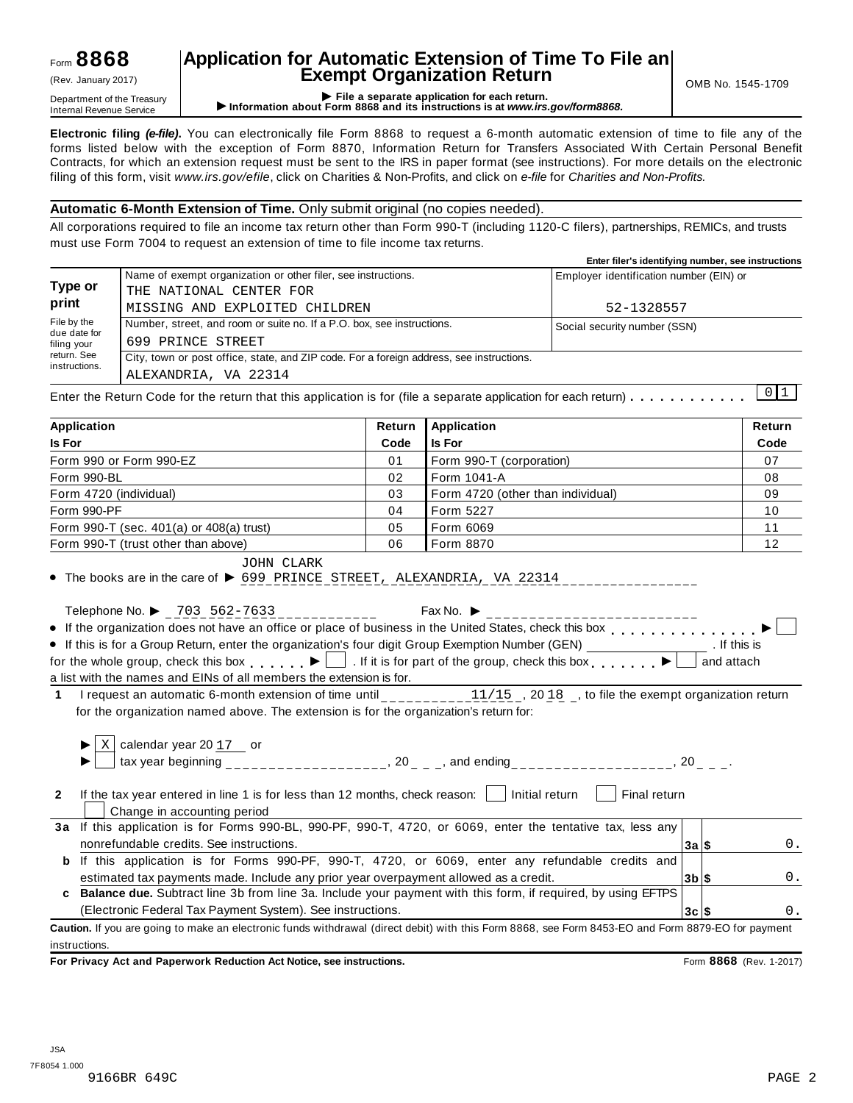## Form **8868**

## **Application for Automatic Extension of Time To File an Exempt Organization Return COMB No. 1545-1709**

Department of the Treasury<br>Department of the Treasury<br>Internal Revenue Service **CONFICE 1999 File a separate application for each return.**<br>Internal Revenue Service **CONFICE 1999 File a separate application for each return.** 

**Electronic filing** *(e-file)***.** You can electronically file Form 8868 to request a 6-month automatic extension of time to file any of the forms listed below with the exception of Form 8870, Information Return for Transfers Associated With Certain Personal Benefit Contracts, for which an extension request must be sent to the IRS in paper format (see instructions). For more details on the electronic filing of this form, visit *www.irs.gov/efile*, click on Charities & Non-Profits, and click on *e-file* for *Charities and Non-Profits.*

#### **Automatic 6-Month Extension of Time.** Only submit original (no copies needed).

All corporations required to file an income tax return other than Form 990-T (including 1120-C filers), partnerships, REMICs, and trusts must use Form 7004 to request an extension of time to file income tax returns.

|                             |                                                                                          | Enter filer's identifying number, see instructions        |  |  |  |
|-----------------------------|------------------------------------------------------------------------------------------|-----------------------------------------------------------|--|--|--|
|                             | Name of exempt organization or other filer, see instructions.                            | Employer identification number (EIN) or                   |  |  |  |
| Type or                     | THE NATIONAL CENTER FOR                                                                  |                                                           |  |  |  |
| print                       | MISSING AND EXPLOITED CHILDREN                                                           | 52-1328557                                                |  |  |  |
| File by the                 | Number, street, and room or suite no. If a P.O. box, see instructions.                   | Social security number (SSN)                              |  |  |  |
| due date for<br>filing your | 699 PRINCE STREET                                                                        |                                                           |  |  |  |
| return. See                 | City, town or post office, state, and ZIP code. For a foreign address, see instructions. |                                                           |  |  |  |
| instructions.               | ALEXANDRIA, VA 22314                                                                     |                                                           |  |  |  |
|                             |                                                                                          | 1.011<br>$\sim$ $\sim$ $\sim$ $\sim$ $\sim$ $\sim$ $\sim$ |  |  |  |

Enter the Return Code for the return that this application is for (file a separate application for each return)  $\dots \dots \dots$  $\overline{\mathsf{L}}$ 

| <b>Application</b>                                                                                                                                                                                                                                                                                                                                                                                                                                                                                                                                                                                                                                                                                                                                                                                             | Return                |                                                                                              |    |  |  |  |  |  |  |
|----------------------------------------------------------------------------------------------------------------------------------------------------------------------------------------------------------------------------------------------------------------------------------------------------------------------------------------------------------------------------------------------------------------------------------------------------------------------------------------------------------------------------------------------------------------------------------------------------------------------------------------------------------------------------------------------------------------------------------------------------------------------------------------------------------------|-----------------------|----------------------------------------------------------------------------------------------|----|--|--|--|--|--|--|
| <b>Is For</b>                                                                                                                                                                                                                                                                                                                                                                                                                                                                                                                                                                                                                                                                                                                                                                                                  | Code<br><b>Is For</b> |                                                                                              |    |  |  |  |  |  |  |
| Form 990 or Form 990-EZ                                                                                                                                                                                                                                                                                                                                                                                                                                                                                                                                                                                                                                                                                                                                                                                        | 0 <sub>1</sub>        | Form 990-T (corporation)                                                                     | 07 |  |  |  |  |  |  |
| Form 990-BL                                                                                                                                                                                                                                                                                                                                                                                                                                                                                                                                                                                                                                                                                                                                                                                                    | 02                    | Form 1041-A                                                                                  | 08 |  |  |  |  |  |  |
| Form 4720 (individual)                                                                                                                                                                                                                                                                                                                                                                                                                                                                                                                                                                                                                                                                                                                                                                                         | 03                    | Form 4720 (other than individual)                                                            | 09 |  |  |  |  |  |  |
| Form 990-PF                                                                                                                                                                                                                                                                                                                                                                                                                                                                                                                                                                                                                                                                                                                                                                                                    | 04                    | Form 5227                                                                                    | 10 |  |  |  |  |  |  |
| Form 990-T (sec. 401(a) or 408(a) trust)                                                                                                                                                                                                                                                                                                                                                                                                                                                                                                                                                                                                                                                                                                                                                                       | 05                    | Form 6069                                                                                    | 11 |  |  |  |  |  |  |
| Form 990-T (trust other than above)                                                                                                                                                                                                                                                                                                                                                                                                                                                                                                                                                                                                                                                                                                                                                                            | 06                    | Form 8870                                                                                    | 12 |  |  |  |  |  |  |
| • The books are in the care of $\triangleright$ 699 PRINCE STREET, ALEXANDRIA, VA 22314<br>Fax No. $\blacktriangleright$<br>Telephone No. ▶ 703 562-7633<br>• If the organization does not have an office or place of business in the United States, check this box<br>• If this is for a Group Return, enter the organization's four digit Group Exemption Number (GEN) __________________. If this is<br>for the whole group, check this box $\begin{array}{c} \bullet \end{array}$ . If it is for part of the group, check this box $\begin{array}{ccc} \bullet \end{array}$<br>and attach<br>a list with the names and EINs of all members the extension is for.<br>I request an automatic 6-month extension of time until ___________11/15_, 2018_, to file the exempt organization return<br>$\mathbf 1$ |                       |                                                                                              |    |  |  |  |  |  |  |
| for the organization named above. The extension is for the organization's return for:<br>calendar year 20 17 or<br>ΧI                                                                                                                                                                                                                                                                                                                                                                                                                                                                                                                                                                                                                                                                                          |                       | tax year beginning ____________________, 20 _ _ _, and ending ___________________, 20 _ _ _. |    |  |  |  |  |  |  |
| $\mathbf{2}$                                                                                                                                                                                                                                                                                                                                                                                                                                                                                                                                                                                                                                                                                                                                                                                                   |                       | Final return                                                                                 |    |  |  |  |  |  |  |
| Change in accounting period<br>3a If this application is for Forms 990-BL, 990-PF, 990-T, 4720, or 6069, enter the tentative tax, less any<br>nonrefundable credits. See instructions.<br>3a S<br>0.<br><b>b</b> If this application is for Forms 990-PF, 990-T, 4720, or 6069, enter any refundable credits and<br>estimated tax payments made. Include any prior year overpayment allowed as a credit.<br>0.<br>$3b$ \$<br>c Balance due. Subtract line 3b from line 3a. Include your payment with this form, if required, by using EFTPS<br>(Electronic Federal Tax Payment System). See instructions.<br>0.<br>3c S                                                                                                                                                                                        |                       |                                                                                              |    |  |  |  |  |  |  |
| Caution. If you are going to make an electronic funds withdrawal (direct debit) with this Form 8868, see Form 8453-EO and Form 8879-EO for payment                                                                                                                                                                                                                                                                                                                                                                                                                                                                                                                                                                                                                                                             |                       |                                                                                              |    |  |  |  |  |  |  |
| instructions.                                                                                                                                                                                                                                                                                                                                                                                                                                                                                                                                                                                                                                                                                                                                                                                                  |                       |                                                                                              |    |  |  |  |  |  |  |

**For Privacy Act and Paperwork Reduction Act Notice, see instructions.** Form **8868** (Rev. 1-2017)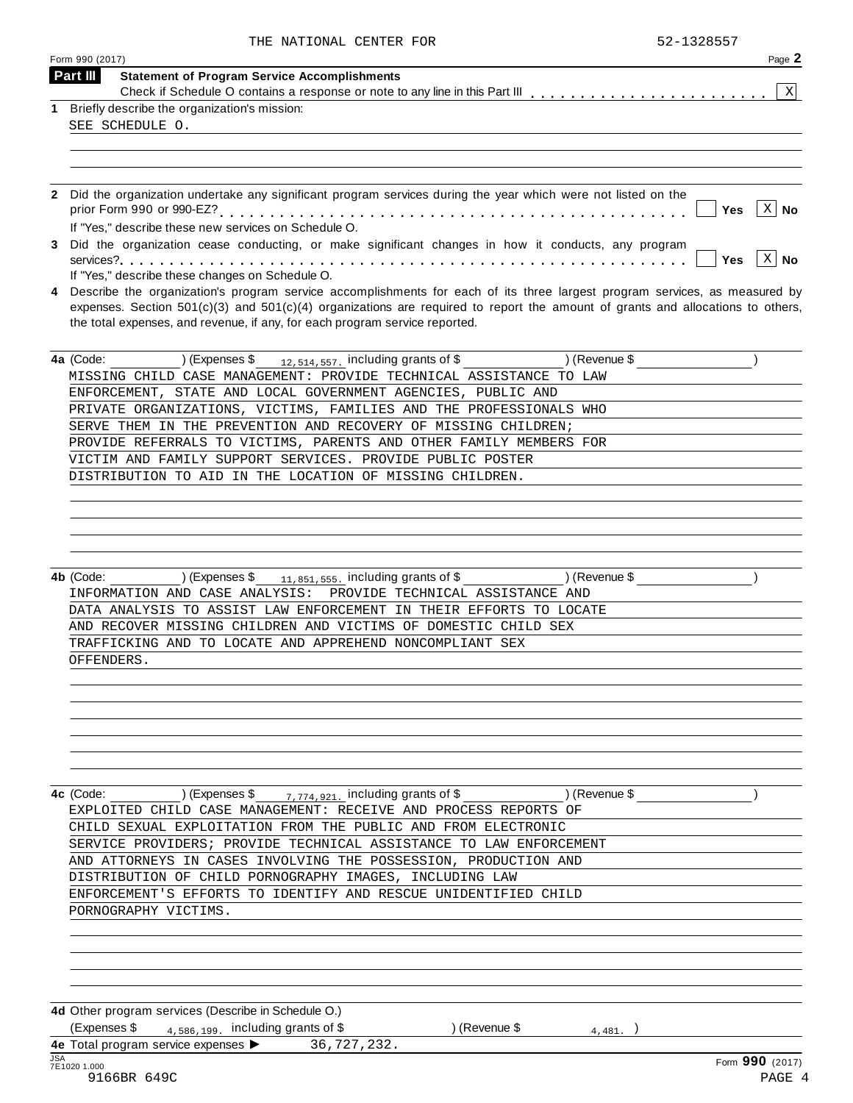| THE NATIONAL CENTER FOR |  | 52-1328557 |
|-------------------------|--|------------|
|                         |  |            |

|              | Form 990 (2017)                                                                                                                                                                                                                                                                                                                                 | Page 2          |
|--------------|-------------------------------------------------------------------------------------------------------------------------------------------------------------------------------------------------------------------------------------------------------------------------------------------------------------------------------------------------|-----------------|
|              | Part III<br><b>Statement of Program Service Accomplishments</b>                                                                                                                                                                                                                                                                                 |                 |
| 1            | Briefly describe the organization's mission:                                                                                                                                                                                                                                                                                                    | $\mathbf{X}$    |
|              | SEE SCHEDULE O.                                                                                                                                                                                                                                                                                                                                 |                 |
|              |                                                                                                                                                                                                                                                                                                                                                 |                 |
|              |                                                                                                                                                                                                                                                                                                                                                 |                 |
|              |                                                                                                                                                                                                                                                                                                                                                 |                 |
| $\mathbf{2}$ | Did the organization undertake any significant program services during the year which were not listed on the                                                                                                                                                                                                                                    | ∣ X   No<br>Yes |
| 3            | If "Yes," describe these new services on Schedule O.                                                                                                                                                                                                                                                                                            |                 |
|              | Did the organization cease conducting, or make significant changes in how it conducts, any program                                                                                                                                                                                                                                              | $ X $ No<br>Yes |
|              | If "Yes," describe these changes on Schedule O.                                                                                                                                                                                                                                                                                                 |                 |
| 4            | Describe the organization's program service accomplishments for each of its three largest program services, as measured by<br>expenses. Section $501(c)(3)$ and $501(c)(4)$ organizations are required to report the amount of grants and allocations to others,<br>the total expenses, and revenue, if any, for each program service reported. |                 |
|              | $\frac{12,514,557}{ }$ including grants of \$<br>$($ Revenue \$<br>4a (Code:<br>) (Expenses \$                                                                                                                                                                                                                                                  |                 |
|              | MISSING CHILD CASE MANAGEMENT: PROVIDE TECHNICAL ASSISTANCE TO LAW<br>ENFORCEMENT, STATE AND LOCAL GOVERNMENT AGENCIES, PUBLIC AND                                                                                                                                                                                                              |                 |
|              | PRIVATE ORGANIZATIONS, VICTIMS, FAMILIES AND THE PROFESSIONALS WHO                                                                                                                                                                                                                                                                              |                 |
|              | SERVE THEM IN THE PREVENTION AND RECOVERY OF MISSING CHILDREN;                                                                                                                                                                                                                                                                                  |                 |
|              | PROVIDE REFERRALS TO VICTIMS, PARENTS AND OTHER FAMILY MEMBERS FOR                                                                                                                                                                                                                                                                              |                 |
|              | VICTIM AND FAMILY SUPPORT SERVICES. PROVIDE PUBLIC POSTER                                                                                                                                                                                                                                                                                       |                 |
|              | DISTRIBUTION TO AID IN THE LOCATION OF MISSING CHILDREN.                                                                                                                                                                                                                                                                                        |                 |
|              |                                                                                                                                                                                                                                                                                                                                                 |                 |
|              |                                                                                                                                                                                                                                                                                                                                                 |                 |
|              |                                                                                                                                                                                                                                                                                                                                                 |                 |
|              |                                                                                                                                                                                                                                                                                                                                                 |                 |
|              |                                                                                                                                                                                                                                                                                                                                                 |                 |
|              | 11,851,555. including grants of \$<br>$($ Revenue \$<br>4b (Code:<br>) (Expenses \$<br>INFORMATION AND CASE ANALYSIS: PROVIDE TECHNICAL ASSISTANCE AND                                                                                                                                                                                          |                 |
|              | DATA ANALYSIS TO ASSIST LAW ENFORCEMENT IN THEIR EFFORTS TO LOCATE                                                                                                                                                                                                                                                                              |                 |
|              | AND RECOVER MISSING CHILDREN AND VICTIMS OF DOMESTIC CHILD SEX                                                                                                                                                                                                                                                                                  |                 |
|              | TRAFFICKING AND TO LOCATE AND APPREHEND NONCOMPLIANT SEX                                                                                                                                                                                                                                                                                        |                 |
|              |                                                                                                                                                                                                                                                                                                                                                 |                 |
|              | OFFENDERS.                                                                                                                                                                                                                                                                                                                                      |                 |
|              |                                                                                                                                                                                                                                                                                                                                                 |                 |
|              |                                                                                                                                                                                                                                                                                                                                                 |                 |
|              |                                                                                                                                                                                                                                                                                                                                                 |                 |
|              |                                                                                                                                                                                                                                                                                                                                                 |                 |
|              |                                                                                                                                                                                                                                                                                                                                                 |                 |
|              |                                                                                                                                                                                                                                                                                                                                                 |                 |
|              |                                                                                                                                                                                                                                                                                                                                                 |                 |
|              | ) (Expenses $\$\,\,7.774.921$ , including grants of \$<br>) (Revenue \$<br>4c (Code:                                                                                                                                                                                                                                                            |                 |
|              | EXPLOITED CHILD CASE MANAGEMENT: RECEIVE AND PROCESS REPORTS OF                                                                                                                                                                                                                                                                                 |                 |
|              | CHILD SEXUAL EXPLOITATION FROM THE PUBLIC AND FROM ELECTRONIC                                                                                                                                                                                                                                                                                   |                 |
|              | SERVICE PROVIDERS; PROVIDE TECHNICAL ASSISTANCE TO LAW ENFORCEMENT                                                                                                                                                                                                                                                                              |                 |
|              | AND ATTORNEYS IN CASES INVOLVING THE POSSESSION, PRODUCTION AND                                                                                                                                                                                                                                                                                 |                 |
|              | DISTRIBUTION OF CHILD PORNOGRAPHY IMAGES, INCLUDING LAW                                                                                                                                                                                                                                                                                         |                 |
|              | ENFORCEMENT'S EFFORTS TO IDENTIFY AND RESCUE UNIDENTIFIED CHILD                                                                                                                                                                                                                                                                                 |                 |
|              | PORNOGRAPHY VICTIMS.                                                                                                                                                                                                                                                                                                                            |                 |
|              |                                                                                                                                                                                                                                                                                                                                                 |                 |
|              |                                                                                                                                                                                                                                                                                                                                                 |                 |
|              |                                                                                                                                                                                                                                                                                                                                                 |                 |
|              |                                                                                                                                                                                                                                                                                                                                                 |                 |
|              |                                                                                                                                                                                                                                                                                                                                                 |                 |
|              | 4d Other program services (Describe in Schedule O.)<br>(Expenses \$<br>$4,586,199$ . including grants of \$<br>) (Revenue \$<br>4,481.                                                                                                                                                                                                          |                 |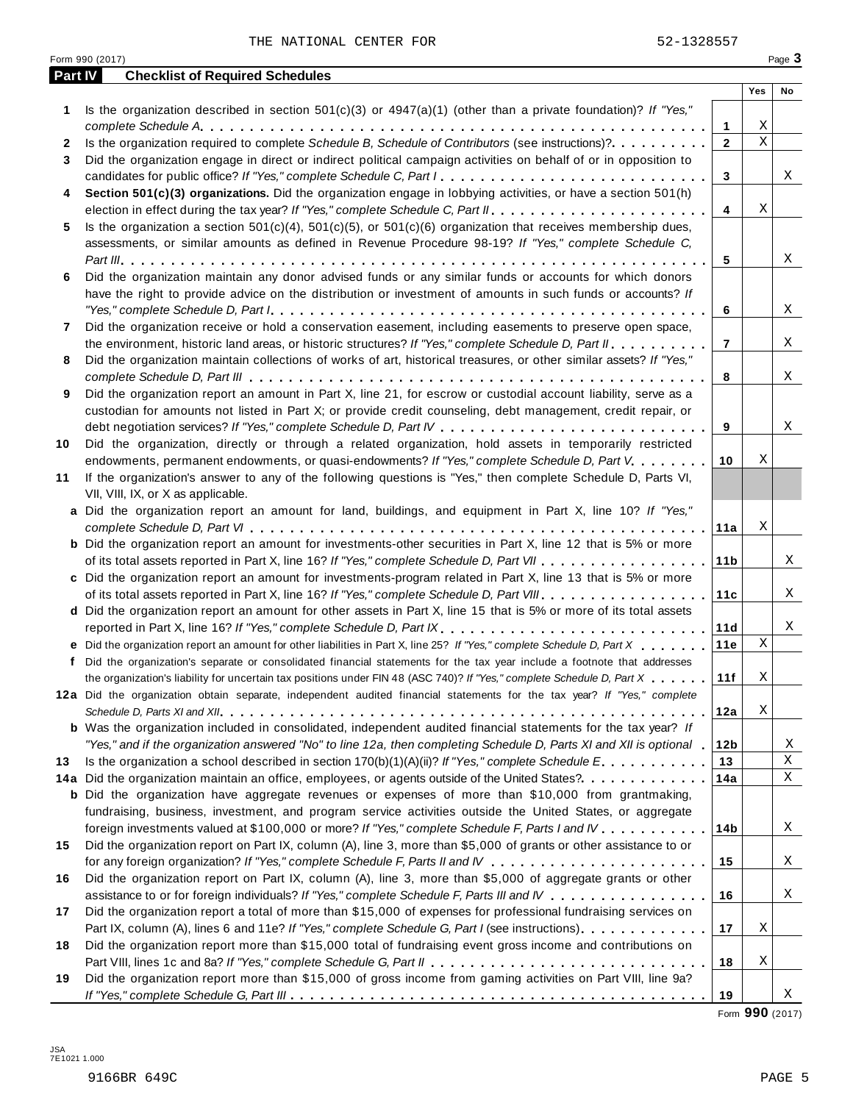|         | Form 990 (2017)                                                                                                                                                                                                                                                                                                                                                                               |                 |             | Page 3 |
|---------|-----------------------------------------------------------------------------------------------------------------------------------------------------------------------------------------------------------------------------------------------------------------------------------------------------------------------------------------------------------------------------------------------|-----------------|-------------|--------|
| Part IV | <b>Checklist of Required Schedules</b>                                                                                                                                                                                                                                                                                                                                                        |                 |             |        |
|         |                                                                                                                                                                                                                                                                                                                                                                                               |                 | Yes         | No     |
| 1.      | Is the organization described in section $501(c)(3)$ or $4947(a)(1)$ (other than a private foundation)? If "Yes,"                                                                                                                                                                                                                                                                             | 1               | Χ           |        |
| 2       | Is the organization required to complete Schedule B, Schedule of Contributors (see instructions)?.                                                                                                                                                                                                                                                                                            | $\mathbf{2}$    | $\mathbf X$ |        |
| 3       | Did the organization engage in direct or indirect political campaign activities on behalf of or in opposition to                                                                                                                                                                                                                                                                              |                 |             |        |
|         | candidates for public office? If "Yes," complete Schedule C, Part I.                                                                                                                                                                                                                                                                                                                          | 3               |             | X      |
| 4       | Section 501(c)(3) organizations. Did the organization engage in lobbying activities, or have a section 501(h)                                                                                                                                                                                                                                                                                 |                 |             |        |
|         |                                                                                                                                                                                                                                                                                                                                                                                               | 4               | Χ           |        |
| 5       | Is the organization a section $501(c)(4)$ , $501(c)(5)$ , or $501(c)(6)$ organization that receives membership dues,                                                                                                                                                                                                                                                                          |                 |             |        |
|         | assessments, or similar amounts as defined in Revenue Procedure 98-19? If "Yes," complete Schedule C,                                                                                                                                                                                                                                                                                         |                 |             |        |
|         |                                                                                                                                                                                                                                                                                                                                                                                               | 5               |             | Χ      |
| 6       | Did the organization maintain any donor advised funds or any similar funds or accounts for which donors                                                                                                                                                                                                                                                                                       |                 |             |        |
|         | have the right to provide advice on the distribution or investment of amounts in such funds or accounts? If                                                                                                                                                                                                                                                                                   |                 |             |        |
|         | "Yes," complete Schedule D, Part $l_1, \ldots, l_k, \ldots, l_k, \ldots, l_k, \ldots, l_k, \ldots, l_k, \ldots, l_k, \ldots, l_k, \ldots, l_k, \ldots, l_k, \ldots, l_k, \ldots, l_k, \ldots, l_k, \ldots, l_k, \ldots, l_k, \ldots, l_k, \ldots, l_k, \ldots, l_k, \ldots, l_k, \ldots, l_k, \ldots, l_k, \ldots, l_k, \ldots, l_k, \ldots, l_k, \ldots, l_k, \ldots, l_k, \ldots, l_k, \ld$ | 6               |             | X      |
| 7       | Did the organization receive or hold a conservation easement, including easements to preserve open space,                                                                                                                                                                                                                                                                                     |                 |             |        |
|         | the environment, historic land areas, or historic structures? If "Yes," complete Schedule D, Part II.                                                                                                                                                                                                                                                                                         | $\overline{7}$  |             | X      |
| 8       | Did the organization maintain collections of works of art, historical treasures, or other similar assets? If "Yes,"                                                                                                                                                                                                                                                                           |                 |             |        |
|         |                                                                                                                                                                                                                                                                                                                                                                                               |                 |             | X      |
|         | Did the organization report an amount in Part X, line 21, for escrow or custodial account liability, serve as a                                                                                                                                                                                                                                                                               | 8               |             |        |
| 9       |                                                                                                                                                                                                                                                                                                                                                                                               |                 |             |        |
|         | custodian for amounts not listed in Part X; or provide credit counseling, debt management, credit repair, or                                                                                                                                                                                                                                                                                  |                 |             |        |
|         |                                                                                                                                                                                                                                                                                                                                                                                               | 9               |             | Χ      |
| 10      | Did the organization, directly or through a related organization, hold assets in temporarily restricted                                                                                                                                                                                                                                                                                       |                 | Χ           |        |
|         | endowments, permanent endowments, or quasi-endowments? If "Yes," complete Schedule D, Part V.                                                                                                                                                                                                                                                                                                 | 10              |             |        |
| 11      | If the organization's answer to any of the following questions is "Yes," then complete Schedule D, Parts VI,                                                                                                                                                                                                                                                                                  |                 |             |        |
|         | VII, VIII, IX, or X as applicable.                                                                                                                                                                                                                                                                                                                                                            |                 |             |        |
|         | a Did the organization report an amount for land, buildings, and equipment in Part X, line 10? If "Yes,"                                                                                                                                                                                                                                                                                      |                 |             |        |
|         |                                                                                                                                                                                                                                                                                                                                                                                               | 11a             | Χ           |        |
|         | <b>b</b> Did the organization report an amount for investments-other securities in Part X, line 12 that is 5% or more                                                                                                                                                                                                                                                                         |                 |             |        |
|         |                                                                                                                                                                                                                                                                                                                                                                                               | 11 <sub>b</sub> |             | Χ      |
|         | c Did the organization report an amount for investments-program related in Part X, line 13 that is 5% or more                                                                                                                                                                                                                                                                                 |                 |             |        |
|         |                                                                                                                                                                                                                                                                                                                                                                                               | 11c             |             | X      |
|         | d Did the organization report an amount for other assets in Part X, line 15 that is 5% or more of its total assets                                                                                                                                                                                                                                                                            |                 |             |        |
|         | reported in Part X, line 16? If "Yes," complete Schedule D, Part IX.                                                                                                                                                                                                                                                                                                                          | 11d             |             | X      |
|         | e Did the organization report an amount for other liabilities in Part X, line 25? If "Yes," complete Schedule D, Part X                                                                                                                                                                                                                                                                       | 11e             | Χ           |        |
|         | f Did the organization's separate or consolidated financial statements for the tax year include a footnote that addresses                                                                                                                                                                                                                                                                     |                 |             |        |
|         | the organization's liability for uncertain tax positions under FIN 48 (ASC 740)? If "Yes," complete Schedule D, Part X                                                                                                                                                                                                                                                                        | 11f             | Χ           |        |
|         | 12a Did the organization obtain separate, independent audited financial statements for the tax year? If "Yes," complete                                                                                                                                                                                                                                                                       |                 |             |        |
|         |                                                                                                                                                                                                                                                                                                                                                                                               | 12a             | Χ           |        |
|         | <b>b</b> Was the organization included in consolidated, independent audited financial statements for the tax year? If                                                                                                                                                                                                                                                                         |                 |             |        |
|         | "Yes," and if the organization answered "No" to line 12a, then completing Schedule D, Parts XI and XII is optional .                                                                                                                                                                                                                                                                          | 12b             |             | Χ      |
| 13      | Is the organization a school described in section 170(b)(1)(A)(ii)? If "Yes," complete Schedule E.                                                                                                                                                                                                                                                                                            | 13              |             | Χ      |
|         | 14a Did the organization maintain an office, employees, or agents outside of the United States?.                                                                                                                                                                                                                                                                                              | 14a             |             | Χ      |
|         | <b>b</b> Did the organization have aggregate revenues or expenses of more than \$10,000 from grantmaking,                                                                                                                                                                                                                                                                                     |                 |             |        |
|         | fundraising, business, investment, and program service activities outside the United States, or aggregate                                                                                                                                                                                                                                                                                     |                 |             |        |
|         | foreign investments valued at \$100,000 or more? If "Yes," complete Schedule F, Parts I and IV                                                                                                                                                                                                                                                                                                | 14 <sub>b</sub> |             | X      |
| 15      | Did the organization report on Part IX, column (A), line 3, more than \$5,000 of grants or other assistance to or                                                                                                                                                                                                                                                                             |                 |             |        |
|         |                                                                                                                                                                                                                                                                                                                                                                                               | 15              |             | Χ      |
| 16      | Did the organization report on Part IX, column (A), line 3, more than \$5,000 of aggregate grants or other                                                                                                                                                                                                                                                                                    |                 |             |        |
|         | assistance to or for foreign individuals? If "Yes," complete Schedule F, Parts III and IV                                                                                                                                                                                                                                                                                                     | 16              |             | Χ      |
| 17      | Did the organization report a total of more than \$15,000 of expenses for professional fundraising services on                                                                                                                                                                                                                                                                                |                 |             |        |
|         | Part IX, column (A), lines 6 and 11e? If "Yes," complete Schedule G, Part I (see instructions)                                                                                                                                                                                                                                                                                                | 17              | Χ           |        |
| 18      | Did the organization report more than \$15,000 total of fundraising event gross income and contributions on                                                                                                                                                                                                                                                                                   |                 |             |        |
|         |                                                                                                                                                                                                                                                                                                                                                                                               | 18              | Χ           |        |
| 19      | Did the organization report more than \$15,000 of gross income from gaming activities on Part VIII, line 9a?                                                                                                                                                                                                                                                                                  |                 |             |        |
|         |                                                                                                                                                                                                                                                                                                                                                                                               | 19              |             | X      |

Form **990** (2017)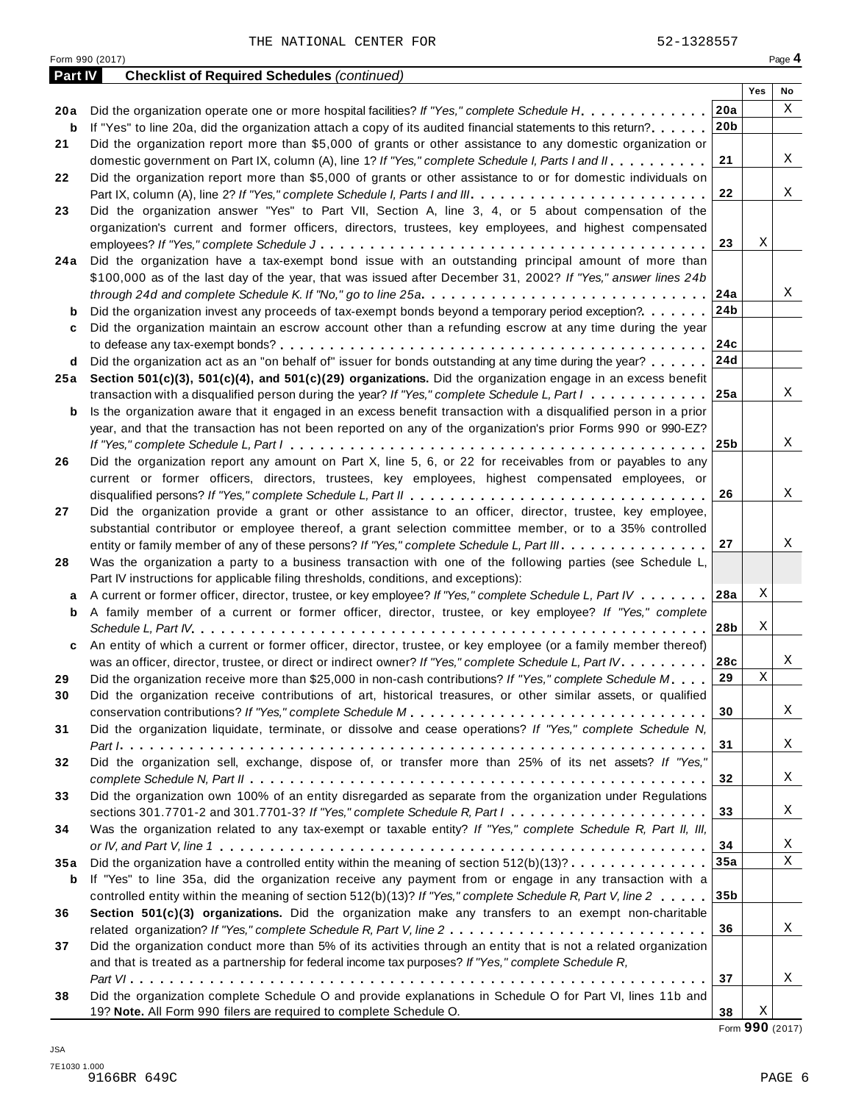|         | Form 990 (2017)                                                                                                                              |                 |     | Page 4 |
|---------|----------------------------------------------------------------------------------------------------------------------------------------------|-----------------|-----|--------|
| Part IV | <b>Checklist of Required Schedules (continued)</b>                                                                                           |                 |     |        |
|         |                                                                                                                                              |                 | Yes | No     |
| 20 a    | Did the organization operate one or more hospital facilities? If "Yes," complete Schedule H.                                                 | 20a             |     | Χ      |
| b       | If "Yes" to line 20a, did the organization attach a copy of its audited financial statements to this return?                                 | 20b             |     |        |
| 21      | Did the organization report more than \$5,000 of grants or other assistance to any domestic organization or                                  |                 |     |        |
|         | domestic government on Part IX, column (A), line 1? If "Yes," complete Schedule I, Parts I and II.                                           | 21              |     | Χ      |
| 22      | Did the organization report more than \$5,000 of grants or other assistance to or for domestic individuals on                                |                 |     |        |
|         |                                                                                                                                              | 22              |     | X      |
| 23      | Did the organization answer "Yes" to Part VII, Section A, line 3, 4, or 5 about compensation of the                                          |                 |     |        |
|         | organization's current and former officers, directors, trustees, key employees, and highest compensated                                      |                 |     |        |
|         |                                                                                                                                              | 23              | Χ   |        |
| 24 a    | Did the organization have a tax-exempt bond issue with an outstanding principal amount of more than                                          |                 |     |        |
|         | \$100,000 as of the last day of the year, that was issued after December 31, 2002? If "Yes," answer lines 24b                                |                 |     |        |
|         | through 24d and complete Schedule K. If "No," go to line 25a. $\ldots \ldots \ldots \ldots \ldots \ldots \ldots \ldots \ldots \ldots \ldots$ | 24a             |     | Χ      |
| b       | Did the organization invest any proceeds of tax-exempt bonds beyond a temporary period exception?                                            | 24b             |     |        |
| c       | Did the organization maintain an escrow account other than a refunding escrow at any time during the year                                    |                 |     |        |
|         |                                                                                                                                              | 24с             |     |        |
|         |                                                                                                                                              | 24d             |     |        |
| d       | Did the organization act as an "on behalf of" issuer for bonds outstanding at any time during the year?                                      |                 |     |        |
|         | 25a Section 501(c)(3), 501(c)(4), and 501(c)(29) organizations. Did the organization engage in an excess benefit                             |                 |     |        |
|         | transaction with a disqualified person during the year? If "Yes," complete Schedule L, Part $1, \ldots, \ldots, \ldots$                      | 25a             |     | X      |
| b       | Is the organization aware that it engaged in an excess benefit transaction with a disqualified person in a prior                             |                 |     |        |
|         | year, and that the transaction has not been reported on any of the organization's prior Forms 990 or 990-EZ?                                 |                 |     |        |
|         |                                                                                                                                              | 25 <sub>b</sub> |     | X      |
| 26      | Did the organization report any amount on Part X, line 5, 6, or 22 for receivables from or payables to any                                   |                 |     |        |
|         | current or former officers, directors, trustees, key employees, highest compensated employees, or                                            |                 |     |        |
|         |                                                                                                                                              | 26              |     | X      |
| 27      | Did the organization provide a grant or other assistance to an officer, director, trustee, key employee,                                     |                 |     |        |
|         | substantial contributor or employee thereof, a grant selection committee member, or to a 35% controlled                                      |                 |     |        |
|         | entity or family member of any of these persons? If "Yes," complete Schedule L, Part III.                                                    | 27              |     | Χ      |
| 28      | Was the organization a party to a business transaction with one of the following parties (see Schedule L,                                    |                 |     |        |
|         | Part IV instructions for applicable filing thresholds, conditions, and exceptions):                                                          |                 |     |        |
| a       | A current or former officer, director, trustee, or key employee? If "Yes," complete Schedule L, Part IV                                      | 28a             | Χ   |        |
| b       | A family member of a current or former officer, director, trustee, or key employee? If "Yes," complete                                       |                 |     |        |
|         |                                                                                                                                              | 28b             | Χ   |        |
| c       | An entity of which a current or former officer, director, trustee, or key employee (or a family member thereof)                              |                 |     |        |
|         | was an officer, director, trustee, or direct or indirect owner? If "Yes," complete Schedule L, Part IV.                                      | 28c             |     | X      |
| 29      | Did the organization receive more than \$25,000 in non-cash contributions? If "Yes," complete Schedule M                                     | 29              | Χ   |        |
| 30      | Did the organization receive contributions of art, historical treasures, or other similar assets, or qualified                               |                 |     |        |
|         |                                                                                                                                              | 30              |     | X      |
|         | Did the organization liquidate, terminate, or dissolve and cease operations? If "Yes," complete Schedule N,                                  |                 |     |        |
| 31      |                                                                                                                                              |                 |     | X      |
|         |                                                                                                                                              | 31              |     |        |
| 32      | Did the organization sell, exchange, dispose of, or transfer more than 25% of its net assets? If "Yes,"                                      |                 |     |        |
|         |                                                                                                                                              | 32              |     | X      |
| 33      | Did the organization own 100% of an entity disregarded as separate from the organization under Regulations                                   |                 |     |        |
|         | sections 301.7701-2 and 301.7701-3? If "Yes," complete Schedule R, Part $1, \ldots, \ldots, \ldots, \ldots, \ldots, \ldots$                  | 33              |     | Χ      |
| 34      | Was the organization related to any tax-exempt or taxable entity? If "Yes," complete Schedule R, Part II, III,                               |                 |     |        |
|         |                                                                                                                                              | 34              |     | Χ      |
| 35a     | Did the organization have a controlled entity within the meaning of section $512(b)(13)? \ldots \ldots \ldots \ldots$                        | 35a             |     | Χ      |
| b       | If "Yes" to line 35a, did the organization receive any payment from or engage in any transaction with a                                      |                 |     |        |
|         | controlled entity within the meaning of section 512(b)(13)? If "Yes," complete Schedule R, Part V, line 2                                    | 35 <sub>b</sub> |     |        |
| 36      | Section 501(c)(3) organizations. Did the organization make any transfers to an exempt non-charitable                                         |                 |     |        |
|         |                                                                                                                                              | 36              |     | Χ      |
| 37      | Did the organization conduct more than 5% of its activities through an entity that is not a related organization                             |                 |     |        |
|         | and that is treated as a partnership for federal income tax purposes? If "Yes," complete Schedule R,                                         |                 |     |        |
|         |                                                                                                                                              | 37              |     | Χ      |
| 38      | Did the organization complete Schedule O and provide explanations in Schedule O for Part VI, lines 11b and                                   |                 |     |        |
|         | 19? Note. All Form 990 filers are required to complete Schedule O.                                                                           | 38              | Χ   |        |

Form **990** (2017)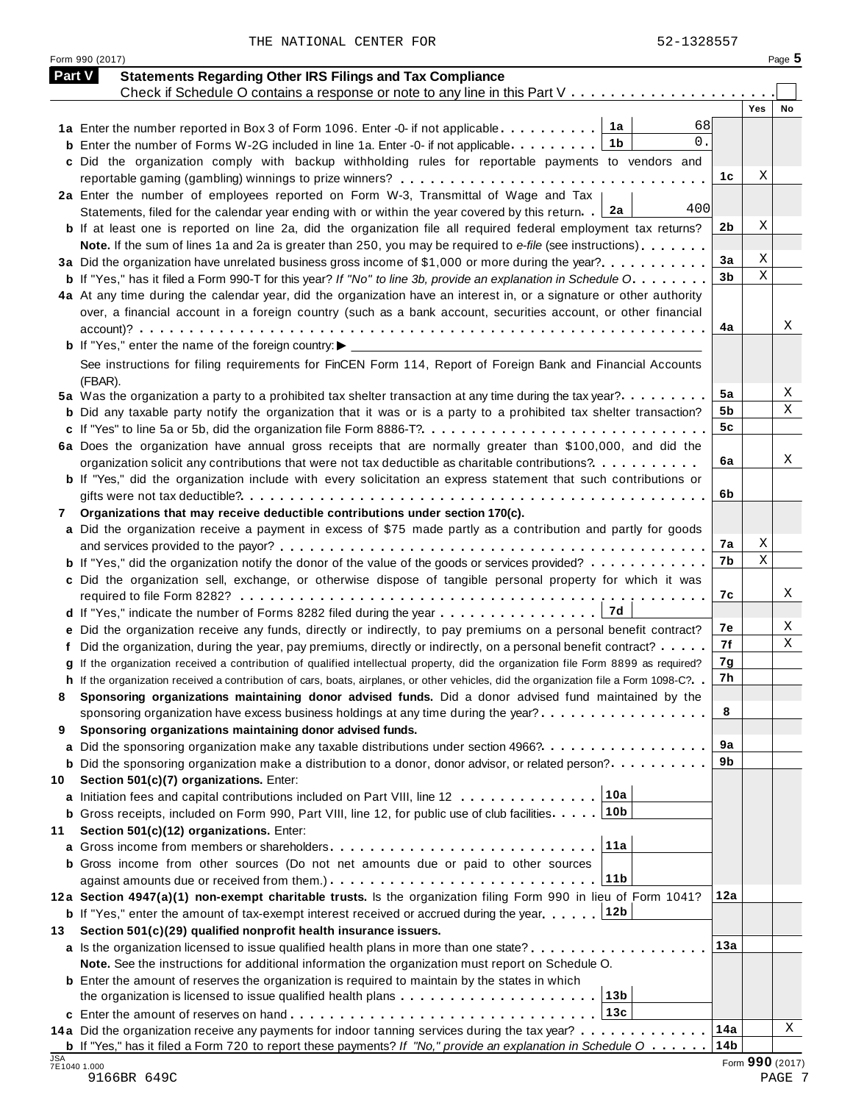Form <sup>990</sup> (2017) Page **5**

|     | <b>Part V</b><br><b>Statements Regarding Other IRS Filings and Tax Compliance</b>                                                       |                 |     |    |
|-----|-----------------------------------------------------------------------------------------------------------------------------------------|-----------------|-----|----|
|     | Check if Schedule O contains a response or note to any line in this Part V                                                              |                 | Yes | No |
|     | 68<br>1a<br>1a Enter the number reported in Box 3 of Form 1096. Enter -0- if not applicable                                             |                 |     |    |
|     | 0.<br>1b<br><b>b</b> Enter the number of Forms W-2G included in line 1a. Enter -0- if not applicable                                    |                 |     |    |
|     | c Did the organization comply with backup withholding rules for reportable payments to vendors and                                      |                 |     |    |
|     |                                                                                                                                         | 1с              | Χ   |    |
|     | 2a Enter the number of employees reported on Form W-3, Transmittal of Wage and Tax                                                      |                 |     |    |
|     | 400<br>2a<br>Statements, filed for the calendar year ending with or within the year covered by this return.                             |                 |     |    |
|     | <b>b</b> If at least one is reported on line 2a, did the organization file all required federal employment tax returns?                 | 2b              | Χ   |    |
|     | Note. If the sum of lines 1a and 2a is greater than 250, you may be required to e-file (see instructions)                               |                 |     |    |
|     | 3a Did the organization have unrelated business gross income of \$1,000 or more during the year?                                        | 3a              | Χ   |    |
|     | <b>b</b> If "Yes," has it filed a Form 990-T for this year? If "No" to line 3b, provide an explanation in Schedule O                    | 3 <sub>b</sub>  | Χ   |    |
|     | 4a At any time during the calendar year, did the organization have an interest in, or a signature or other authority                    |                 |     |    |
|     | over, a financial account in a foreign country (such as a bank account, securities account, or other financial                          |                 |     |    |
|     |                                                                                                                                         | 4a              |     | Χ  |
|     |                                                                                                                                         |                 |     |    |
|     | See instructions for filing requirements for FinCEN Form 114, Report of Foreign Bank and Financial Accounts                             |                 |     |    |
|     | (FBAR).                                                                                                                                 |                 |     |    |
|     | 5a Was the organization a party to a prohibited tax shelter transaction at any time during the tax year?                                | 5a              |     | Χ  |
|     | <b>b</b> Did any taxable party notify the organization that it was or is a party to a prohibited tax shelter transaction?               | 5b              |     | Χ  |
|     |                                                                                                                                         | 5 <sub>c</sub>  |     |    |
|     | 6a Does the organization have annual gross receipts that are normally greater than \$100,000, and did the                               |                 |     |    |
|     | organization solicit any contributions that were not tax deductible as charitable contributions?                                        | 6а              |     | X  |
|     | <b>b</b> If "Yes," did the organization include with every solicitation an express statement that such contributions or                 |                 |     |    |
|     |                                                                                                                                         | 6b              |     |    |
| 7   | Organizations that may receive deductible contributions under section 170(c).                                                           |                 |     |    |
|     | a Did the organization receive a payment in excess of \$75 made partly as a contribution and partly for goods                           |                 |     |    |
|     |                                                                                                                                         | 7а              | Χ   |    |
|     | <b>b</b> If "Yes," did the organization notify the donor of the value of the goods or services provided?                                | 7b              | Χ   |    |
|     | c Did the organization sell, exchange, or otherwise dispose of tangible personal property for which it was                              |                 |     |    |
|     |                                                                                                                                         | 7с              |     | Χ  |
|     |                                                                                                                                         |                 |     |    |
|     | e Did the organization receive any funds, directly or indirectly, to pay premiums on a personal benefit contract?                       | 7е              |     | Χ  |
|     | f Did the organization, during the year, pay premiums, directly or indirectly, on a personal benefit contract?                          | 7f              |     | X  |
|     | g If the organization received a contribution of qualified intellectual property, did the organization file Form 8899 as required?      | 7g              |     |    |
|     | h If the organization received a contribution of cars, boats, airplanes, or other vehicles, did the organization file a Form 1098-C?. . | 7h              |     |    |
|     | Sponsoring organizations maintaining donor advised funds. Did a donor advised fund maintained by the                                    |                 |     |    |
|     | sponsoring organization have excess business holdings at any time during the year?                                                      | 8               |     |    |
| 9   | Sponsoring organizations maintaining donor advised funds.                                                                               |                 |     |    |
|     | a Did the sponsoring organization make any taxable distributions under section 4966?                                                    | 9а              |     |    |
|     | <b>b</b> Did the sponsoring organization make a distribution to a donor, donor advisor, or related person?                              | 9b              |     |    |
| 10  | Section 501(c)(7) organizations. Enter:                                                                                                 |                 |     |    |
|     | 10a<br>a Initiation fees and capital contributions included on Part VIII, line 12                                                       |                 |     |    |
|     | 10b<br><b>b</b> Gross receipts, included on Form 990, Part VIII, line 12, for public use of club facilities                             |                 |     |    |
| 11  | Section 501(c)(12) organizations. Enter:                                                                                                |                 |     |    |
|     | 11a                                                                                                                                     |                 |     |    |
|     | <b>b</b> Gross income from other sources (Do not net amounts due or paid to other sources                                               |                 |     |    |
|     | 11b                                                                                                                                     |                 |     |    |
|     | 12a Section 4947(a)(1) non-exempt charitable trusts. Is the organization filing Form 990 in lieu of Form 1041?                          | 12a             |     |    |
|     | 12b<br><b>b</b> If "Yes," enter the amount of tax-exempt interest received or accrued during the year                                   |                 |     |    |
| 13  | Section 501(c)(29) qualified nonprofit health insurance issuers.                                                                        |                 |     |    |
|     | a Is the organization licensed to issue qualified health plans in more than one state?                                                  | 13a             |     |    |
|     | Note. See the instructions for additional information the organization must report on Schedule O.                                       |                 |     |    |
|     | <b>b</b> Enter the amount of reserves the organization is required to maintain by the states in which                                   |                 |     |    |
|     | 13 <sub>b</sub><br>the organization is licensed to issue qualified health plans $\ldots \ldots \ldots \ldots \ldots \ldots \ldots$      |                 |     |    |
|     | 13c                                                                                                                                     |                 |     |    |
|     |                                                                                                                                         | 14a             |     | Χ  |
|     | 14a Did the organization receive any payments for indoor tanning services during the tax year?                                          |                 |     |    |
| JSA | <b>b</b> If "Yes," has it filed a Form 720 to report these payments? If "No," provide an explanation in Schedule O                      | 14 <sub>b</sub> |     |    |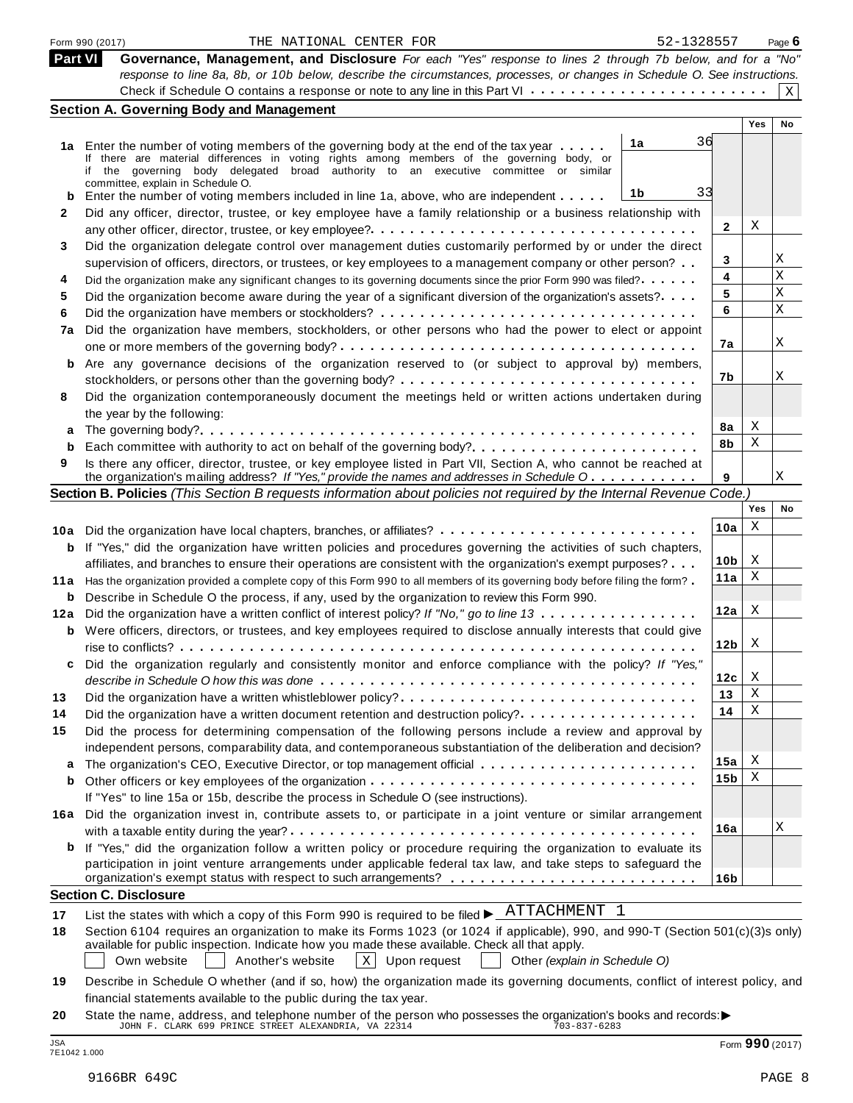|                | Form 990 (2017)<br>THE NATIONAL CENTER FOR                                                                                                                                                                      | 52-1328557 |                 |        | Page 6 |
|----------------|-----------------------------------------------------------------------------------------------------------------------------------------------------------------------------------------------------------------|------------|-----------------|--------|--------|
| <b>Part VI</b> | Governance, Management, and Disclosure For each "Yes" response to lines 2 through 7b below, and for a "No"                                                                                                      |            |                 |        |        |
|                | response to line 8a, 8b, or 10b below, describe the circumstances, processes, or changes in Schedule O. See instructions.                                                                                       |            |                 |        | X      |
|                | <b>Section A. Governing Body and Management</b>                                                                                                                                                                 |            |                 |        |        |
|                |                                                                                                                                                                                                                 |            |                 | Yes    | No     |
|                | 1a<br>1a Enter the number of voting members of the governing body at the end of the tax year                                                                                                                    | 36         |                 |        |        |
|                | If there are material differences in voting rights among members of the governing body, or                                                                                                                      |            |                 |        |        |
|                | if the governing body delegated broad authority to an executive committee or similar                                                                                                                            |            |                 |        |        |
| b              | committee, explain in Schedule O.<br>1b<br>Enter the number of voting members included in line 1a, above, who are independent                                                                                   | 33         |                 |        |        |
| 2              | Did any officer, director, trustee, or key employee have a family relationship or a business relationship with                                                                                                  |            |                 |        |        |
|                |                                                                                                                                                                                                                 |            | 2               | X      |        |
| 3              | Did the organization delegate control over management duties customarily performed by or under the direct                                                                                                       |            |                 |        |        |
|                | supervision of officers, directors, or trustees, or key employees to a management company or other person?                                                                                                      |            | 3               |        | Χ      |
| 4              | Did the organization make any significant changes to its governing documents since the prior Form 990 was filed?                                                                                                |            | 4               |        | Χ      |
| 5              | Did the organization become aware during the year of a significant diversion of the organization's assets?                                                                                                      |            | 5               |        | Χ      |
| 6              |                                                                                                                                                                                                                 |            | 6               |        | X      |
| 7a             | Did the organization have members, stockholders, or other persons who had the power to elect or appoint                                                                                                         |            |                 |        |        |
|                |                                                                                                                                                                                                                 |            | 7a              |        | Χ      |
| b              | Are any governance decisions of the organization reserved to (or subject to approval by) members,                                                                                                               |            |                 |        |        |
|                |                                                                                                                                                                                                                 |            | 7b              |        | Χ      |
| 8              | Did the organization contemporaneously document the meetings held or written actions undertaken during                                                                                                          |            |                 |        |        |
|                | the year by the following:                                                                                                                                                                                      |            |                 |        |        |
| a              |                                                                                                                                                                                                                 |            | 8а              | X      |        |
| b              | Each committee with authority to act on behalf of the governing body?                                                                                                                                           |            | 8b              | Χ      |        |
| 9              | Is there any officer, director, trustee, or key employee listed in Part VII, Section A, who cannot be reached at<br>the organization's mailing address? If "Yes," provide the names and addresses in Schedule O |            | 9               |        | Χ      |
|                | Section B. Policies (This Section B requests information about policies not required by the Internal Revenue Code.)                                                                                             |            |                 |        |        |
|                |                                                                                                                                                                                                                 |            |                 | Yes    | No     |
|                | 10a Did the organization have local chapters, branches, or affiliates?                                                                                                                                          |            | 10a             | Χ      |        |
|                | <b>b</b> If "Yes," did the organization have written policies and procedures governing the activities of such chapters,                                                                                         |            |                 |        |        |
|                | affiliates, and branches to ensure their operations are consistent with the organization's exempt purposes?                                                                                                     |            | 10 <sub>b</sub> | X      |        |
| 11 a           | Has the organization provided a complete copy of this Form 990 to all members of its governing body before filing the form?                                                                                     |            | 11a             | X      |        |
| b              | Describe in Schedule O the process, if any, used by the organization to review this Form 990.                                                                                                                   |            |                 |        |        |
| 12a            | Did the organization have a written conflict of interest policy? If "No," go to line 13                                                                                                                         |            | 12a             | X      |        |
| b              | Were officers, directors, or trustees, and key employees required to disclose annually interests that could give                                                                                                |            |                 |        |        |
|                |                                                                                                                                                                                                                 |            | 12 <sub>b</sub> | X      |        |
|                | Did the organization regularly and consistently monitor and enforce compliance with the policy? If "Yes,                                                                                                        |            |                 |        |        |
|                |                                                                                                                                                                                                                 |            | 12c             | X      |        |
| 13             | Did the organization have a written whistleblower policy?                                                                                                                                                       |            | 13              | X      |        |
| 14             | Did the organization have a written document retention and destruction policy?                                                                                                                                  |            | 14              | Χ      |        |
| 15             | Did the process for determining compensation of the following persons include a review and approval by                                                                                                          |            |                 |        |        |
|                | independent persons, comparability data, and contemporaneous substantiation of the deliberation and decision?                                                                                                   |            |                 |        |        |
| a              |                                                                                                                                                                                                                 |            | 15a             | X<br>X |        |
| b              |                                                                                                                                                                                                                 |            | 15b             |        |        |
|                | If "Yes" to line 15a or 15b, describe the process in Schedule O (see instructions).                                                                                                                             |            |                 |        |        |
|                | 16a Did the organization invest in, contribute assets to, or participate in a joint venture or similar arrangement                                                                                              |            | 16a             |        | Χ      |
|                | If "Yes," did the organization follow a written policy or procedure requiring the organization to evaluate its                                                                                                  |            |                 |        |        |
| b              | participation in joint venture arrangements under applicable federal tax law, and take steps to safeguard the                                                                                                   |            |                 |        |        |
|                |                                                                                                                                                                                                                 |            | 16 <sub>b</sub> |        |        |
|                | <b>Section C. Disclosure</b>                                                                                                                                                                                    |            |                 |        |        |
|                | List the states with which a copy of this Form 990 is required to be filed $\blacktriangleright$ $\frac{\text{ATTAC}}{\text{HMENT}}$ 1                                                                          |            |                 |        |        |
| 17<br>18       | Section 6104 requires an organization to make its Forms 1023 (or 1024 if applicable), 990, and 990-T (Section 501(c)(3)s only)                                                                                  |            |                 |        |        |
|                | available for public inspection. Indicate how you made these available. Check all that apply.                                                                                                                   |            |                 |        |        |
|                | $X$ Upon request<br>Own website<br>Another's website<br>Other (explain in Schedule O)                                                                                                                           |            |                 |        |        |
| 19             | Describe in Schedule O whether (and if so, how) the organization made its governing documents, conflict of interest policy, and                                                                                 |            |                 |        |        |
|                | financial statements available to the public during the tax year.                                                                                                                                               |            |                 |        |        |

**20** Imancial statements available to the public during the tax year.<br>State the name, address, and telephone number of the person who possesses the organization's books and records:<br><sup>JOHN F. CLARK 699 PRINCE STREET ALEXANDRIA, </sup>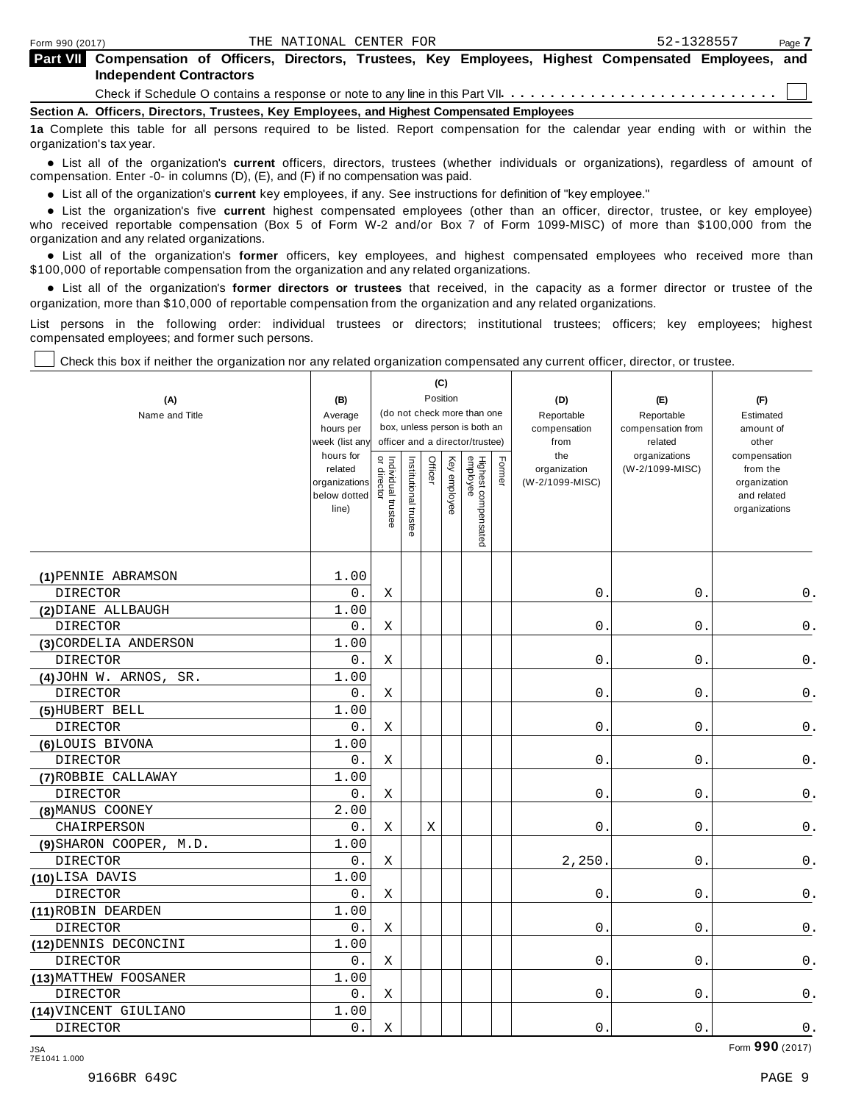|  | <b>Independent Contractors</b> |  |  |  | <b>Part VII</b> Compensation of Officers, Directors, Trustees, Key Employees, Highest Compensated Employees, and |  |
|--|--------------------------------|--|--|--|------------------------------------------------------------------------------------------------------------------|--|
|  |                                |  |  |  |                                                                                                                  |  |
|  | - - - - -                      |  |  |  |                                                                                                                  |  |

**Section A. Officers, Directors, Trustees, Key Employees, and Highest Compensated Employees**

**1a** Complete this table for all persons required to be listed. Report compensation for the calendar year ending with or within the organization's tax year.

anization's lax year.<br>● List all of the organization's **current** officers, directors, trustees (whether individuals or organizations), regardless of amount of<br>nnensation Enter -0- in columns (D) (E) and (E) if no compensa compensation. Enter -0- in columns (D), (E), and (F) if no compensation was paid.

• List all of the organization's **current** key employees, if any. See instructions for definition of "key employee."<br>● List the experientials five expect highest expressed explores (other than an efficer director of

**Example in the organization's current** key employees, if any. See instructions for definition of key employee.<br>• List the organization's five **current** highest compensated employees (other than an officer, director, trust who received reportable compensation (Box 5 of Form W-2 and/or Box 7 of Form 1099-MISC) of more than \$100,000 from the

organization and any related organizations.<br>• List all of the organization's **former** officers, key employees, and highest compensated employees who received more than<br>\$1.00.000 of reportable componention from the erganiza \$100,000 of reportable compensation from the organization and any related organizations.

% List all of the organization's **former directors or trustees** that received, in the capacity as a former director or trustee of the organization, more than \$10,000 of reportable compensation from the organization and any related organizations.

List persons in the following order: individual trustees or directors; institutional trustees; officers; key employees; highest compensated employees; and former such persons.

Check this box if neither the organization nor any related organization compensated any current officer, director, or trustee.

| (A)<br>Name and Title   | (B)<br>Average<br>hours per<br>week (list any<br>hours for<br>related<br>organizations<br>below dotted<br>line) | or directo<br>Individual trustee | Institutional trustee | Officer | (C)<br>Position<br>Key employee | (do not check more than one<br>box, unless person is both an<br>officer and a director/trustee)<br>Highest compensated<br>employee | Former | (D)<br>Reportable<br>compensation<br>from<br>the<br>organization<br>(W-2/1099-MISC) | (E)<br>Reportable<br>compensation from<br>related<br>organizations<br>(W-2/1099-MISC) | (F)<br>Estimated<br>amount of<br>other<br>compensation<br>from the<br>organization<br>and related<br>organizations |
|-------------------------|-----------------------------------------------------------------------------------------------------------------|----------------------------------|-----------------------|---------|---------------------------------|------------------------------------------------------------------------------------------------------------------------------------|--------|-------------------------------------------------------------------------------------|---------------------------------------------------------------------------------------|--------------------------------------------------------------------------------------------------------------------|
| (1) PENNIE ABRAMSON     | 1.00                                                                                                            |                                  |                       |         |                                 |                                                                                                                                    |        |                                                                                     |                                                                                       |                                                                                                                    |
| <b>DIRECTOR</b>         | 0.                                                                                                              | Χ                                |                       |         |                                 |                                                                                                                                    |        | $0$ .                                                                               | 0.                                                                                    | 0.                                                                                                                 |
| (2) DIANE ALLBAUGH      | 1.00                                                                                                            |                                  |                       |         |                                 |                                                                                                                                    |        |                                                                                     |                                                                                       |                                                                                                                    |
| <b>DIRECTOR</b>         | 0.                                                                                                              | Χ                                |                       |         |                                 |                                                                                                                                    |        | 0.                                                                                  | $\boldsymbol{0}$ .                                                                    | 0.                                                                                                                 |
| (3) CORDELIA ANDERSON   | 1.00                                                                                                            |                                  |                       |         |                                 |                                                                                                                                    |        |                                                                                     |                                                                                       |                                                                                                                    |
| DIRECTOR                | 0.                                                                                                              | X                                |                       |         |                                 |                                                                                                                                    |        | $0$ .                                                                               | $\mathsf 0$ .                                                                         | $\mathsf 0$ .                                                                                                      |
| (4) JOHN W. ARNOS, SR.  | 1.00                                                                                                            |                                  |                       |         |                                 |                                                                                                                                    |        |                                                                                     |                                                                                       |                                                                                                                    |
| <b>DIRECTOR</b>         | 0.                                                                                                              | Χ                                |                       |         |                                 |                                                                                                                                    |        | $0$ .                                                                               | $0$ .                                                                                 | $\mathsf 0$ .                                                                                                      |
| (5)HUBERT BELL          | 1.00                                                                                                            |                                  |                       |         |                                 |                                                                                                                                    |        |                                                                                     |                                                                                       |                                                                                                                    |
| DIRECTOR                | 0.                                                                                                              | Х                                |                       |         |                                 |                                                                                                                                    |        | 0.                                                                                  | $0$ .                                                                                 | $\mathsf 0$ .                                                                                                      |
| (6) LOUIS BIVONA        | 1.00                                                                                                            |                                  |                       |         |                                 |                                                                                                                                    |        |                                                                                     |                                                                                       |                                                                                                                    |
| <b>DIRECTOR</b>         | 0.                                                                                                              | Χ                                |                       |         |                                 |                                                                                                                                    |        | 0.                                                                                  | 0.                                                                                    | 0.                                                                                                                 |
| (7) ROBBIE CALLAWAY     | 1.00                                                                                                            |                                  |                       |         |                                 |                                                                                                                                    |        |                                                                                     |                                                                                       |                                                                                                                    |
| DIRECTOR                | 0.                                                                                                              | Χ                                |                       |         |                                 |                                                                                                                                    |        | 0.                                                                                  | 0.                                                                                    | $\mathsf 0$ .                                                                                                      |
| (8) MANUS COONEY        | 2.00                                                                                                            |                                  |                       |         |                                 |                                                                                                                                    |        |                                                                                     |                                                                                       |                                                                                                                    |
| CHAIRPERSON             | $0$ .                                                                                                           | Χ                                |                       | Χ       |                                 |                                                                                                                                    |        | $\mathsf{O}$ .                                                                      | 0.                                                                                    | $\mathsf 0$ .                                                                                                      |
| (9) SHARON COOPER, M.D. | 1.00                                                                                                            |                                  |                       |         |                                 |                                                                                                                                    |        |                                                                                     |                                                                                       |                                                                                                                    |
| <b>DIRECTOR</b>         | 0.                                                                                                              | Χ                                |                       |         |                                 |                                                                                                                                    |        | 2,250                                                                               | $0$ .                                                                                 | 0.                                                                                                                 |
| (10)LISA DAVIS          | 1.00                                                                                                            |                                  |                       |         |                                 |                                                                                                                                    |        |                                                                                     |                                                                                       |                                                                                                                    |
| DIRECTOR                | 0.                                                                                                              | Χ                                |                       |         |                                 |                                                                                                                                    |        | $\mathbf 0$ .                                                                       | 0.                                                                                    | 0.                                                                                                                 |
| (11) ROBIN DEARDEN      | 1.00                                                                                                            |                                  |                       |         |                                 |                                                                                                                                    |        |                                                                                     |                                                                                       |                                                                                                                    |
| <b>DIRECTOR</b>         | 0.                                                                                                              | Χ                                |                       |         |                                 |                                                                                                                                    |        | 0.                                                                                  | 0.                                                                                    | 0.                                                                                                                 |
| (12) DENNIS DECONCINI   | 1.00                                                                                                            |                                  |                       |         |                                 |                                                                                                                                    |        |                                                                                     |                                                                                       |                                                                                                                    |
| <b>DIRECTOR</b>         | 0.                                                                                                              | Χ                                |                       |         |                                 |                                                                                                                                    |        | 0.                                                                                  | 0.                                                                                    | $0$ .                                                                                                              |
| (13) MATTHEW FOOSANER   | 1.00                                                                                                            |                                  |                       |         |                                 |                                                                                                                                    |        |                                                                                     |                                                                                       |                                                                                                                    |
| <b>DIRECTOR</b>         | 0.                                                                                                              | Χ                                |                       |         |                                 |                                                                                                                                    |        | 0.                                                                                  | $0$ .                                                                                 | $0$ .                                                                                                              |
| (14) VINCENT GIULIANO   | 1.00                                                                                                            |                                  |                       |         |                                 |                                                                                                                                    |        |                                                                                     |                                                                                       |                                                                                                                    |
| <b>DIRECTOR</b>         | 0.                                                                                                              | Χ                                |                       |         |                                 |                                                                                                                                    |        | 0.                                                                                  | 0.                                                                                    | $0$ .                                                                                                              |

Form **990** (2017) JSA 7E1041 1.000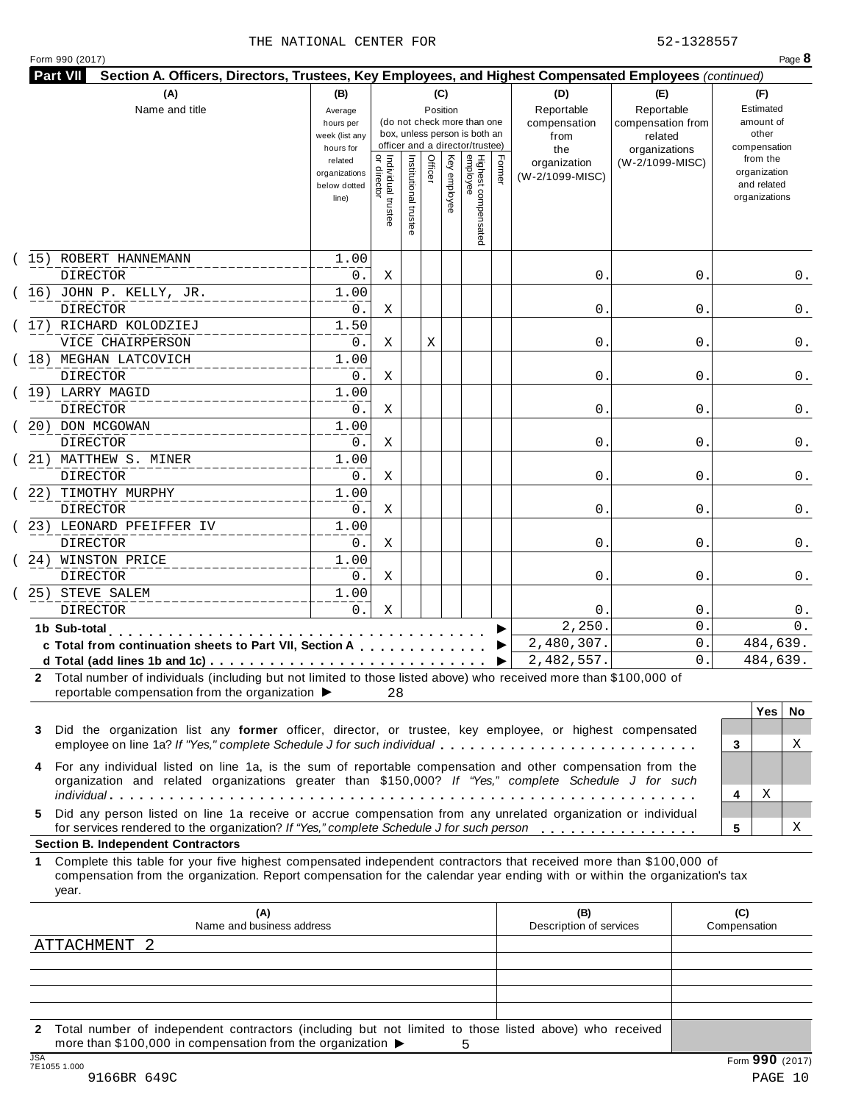| (A)<br>Name and title                                                                                                                                                                                                                                                                                    | (B)<br>Average<br>hours per<br>week (list any<br>hours for |                                     |                      | (C)<br>Position |              | (do not check more than one<br>box, unless person is both an<br>officer and a director/trustee) |        | (D)<br>Reportable<br>compensation<br>from<br>the | (E)<br>Reportable<br>compensation from<br>related<br>organizations | (F)<br>Estimated<br>amount of<br>other<br>compensation   |
|----------------------------------------------------------------------------------------------------------------------------------------------------------------------------------------------------------------------------------------------------------------------------------------------------------|------------------------------------------------------------|-------------------------------------|----------------------|-----------------|--------------|-------------------------------------------------------------------------------------------------|--------|--------------------------------------------------|--------------------------------------------------------------------|----------------------------------------------------------|
|                                                                                                                                                                                                                                                                                                          | related<br>organizations<br>below dotted<br>line)          | Individual trustee<br>  or director | Institutional truste | Officer         | Key employee | Highest compensated<br>employee                                                                 | Former | organization<br>(W-2/1099-MISC)                  | (W-2/1099-MISC)                                                    | from the<br>organization<br>and related<br>organizations |
| 15) ROBERT HANNEMANN                                                                                                                                                                                                                                                                                     | 1.00                                                       |                                     |                      |                 |              |                                                                                                 |        |                                                  |                                                                    |                                                          |
| DIRECTOR                                                                                                                                                                                                                                                                                                 | 0.                                                         | Χ                                   |                      |                 |              |                                                                                                 |        | $\mathsf{0}$ .                                   | 0                                                                  | 0.                                                       |
| (16) JOHN P. KELLY, JR.                                                                                                                                                                                                                                                                                  | 1.00                                                       |                                     |                      |                 |              |                                                                                                 |        |                                                  |                                                                    |                                                          |
| <b>DIRECTOR</b><br>(17) RICHARD KOLODZIEJ                                                                                                                                                                                                                                                                | 0.<br>1.50                                                 | Χ                                   |                      |                 |              |                                                                                                 |        | $\mathsf{0}$ .                                   | 0                                                                  | 0.                                                       |
| VICE CHAIRPERSON                                                                                                                                                                                                                                                                                         | 0.                                                         | Χ                                   |                      | Χ               |              |                                                                                                 |        | $\mathsf{0}$ .                                   | 0                                                                  | 0.                                                       |
| (18) MEGHAN LATCOVICH                                                                                                                                                                                                                                                                                    | 1.00                                                       |                                     |                      |                 |              |                                                                                                 |        |                                                  |                                                                    |                                                          |
| <b>DIRECTOR</b>                                                                                                                                                                                                                                                                                          | 0.                                                         | Χ                                   |                      |                 |              |                                                                                                 |        | $\mathsf{0}$ .                                   | 0                                                                  | 0.                                                       |
| (19) LARRY MAGID                                                                                                                                                                                                                                                                                         | 1.00                                                       |                                     |                      |                 |              |                                                                                                 |        |                                                  |                                                                    |                                                          |
| <b>DIRECTOR</b>                                                                                                                                                                                                                                                                                          | 0.                                                         | Χ                                   |                      |                 |              |                                                                                                 |        | $\mathsf{0}$ .                                   | 0                                                                  | 0.                                                       |
| (20) DON MCGOWAN                                                                                                                                                                                                                                                                                         | 1.00                                                       |                                     |                      |                 |              |                                                                                                 |        |                                                  |                                                                    |                                                          |
| <b>DIRECTOR</b>                                                                                                                                                                                                                                                                                          | 0.                                                         | Χ                                   |                      |                 |              |                                                                                                 |        | $\mathsf{0}$ .                                   | 0                                                                  | 0.                                                       |
| (21) MATTHEW S. MINER                                                                                                                                                                                                                                                                                    | 1.00                                                       |                                     |                      |                 |              |                                                                                                 |        |                                                  |                                                                    |                                                          |
| <b>DIRECTOR</b>                                                                                                                                                                                                                                                                                          | 0.                                                         | Χ                                   |                      |                 |              |                                                                                                 |        | 0.                                               | 0                                                                  | 0.                                                       |
| (22) TIMOTHY MURPHY                                                                                                                                                                                                                                                                                      | 1.00                                                       |                                     |                      |                 |              |                                                                                                 |        |                                                  |                                                                    |                                                          |
| <b>DIRECTOR</b>                                                                                                                                                                                                                                                                                          | 0.                                                         | Χ                                   |                      |                 |              |                                                                                                 |        | 0.                                               | 0                                                                  | 0.                                                       |
| (23) LEONARD PFEIFFER IV                                                                                                                                                                                                                                                                                 | 1.00                                                       |                                     |                      |                 |              |                                                                                                 |        |                                                  |                                                                    |                                                          |
| <b>DIRECTOR</b>                                                                                                                                                                                                                                                                                          | 0.                                                         | Χ                                   |                      |                 |              |                                                                                                 |        | $\mathsf{0}$ .                                   | 0                                                                  | 0.                                                       |
| (24) WINSTON PRICE<br>DIRECTOR                                                                                                                                                                                                                                                                           | 1.00<br>0.                                                 | Χ                                   |                      |                 |              |                                                                                                 |        | 0.                                               | 0                                                                  | 0.                                                       |
| 25) STEVE SALEM                                                                                                                                                                                                                                                                                          | 1.00                                                       |                                     |                      |                 |              |                                                                                                 |        |                                                  |                                                                    |                                                          |
| <b>DIRECTOR</b>                                                                                                                                                                                                                                                                                          | 0.                                                         | Χ                                   |                      |                 |              |                                                                                                 |        | $\mathsf{0}$ .                                   | 0                                                                  | 0.                                                       |
| 1b Sub-total                                                                                                                                                                                                                                                                                             |                                                            |                                     |                      |                 |              |                                                                                                 |        | 2,250                                            | 0                                                                  | $0$ .                                                    |
| c Total from continuation sheets to Part VII, Section A                                                                                                                                                                                                                                                  |                                                            |                                     |                      |                 |              |                                                                                                 |        | 2,480,307.                                       | 0                                                                  | 484,639.                                                 |
| d Total (add lines 1b and 1c) $\cdots$ $\cdots$ $\cdots$ $\cdots$ $\cdots$ $\cdots$ $\cdots$ $\cdots$ $\cdots$ $\cdots$ $\cdots$                                                                                                                                                                         |                                                            |                                     |                      |                 |              |                                                                                                 | ▶      | 2,482,557.                                       | 0                                                                  | 484,639.                                                 |
| 2 Total number of individuals (including but not limited to those listed above) who received more than \$100,000 of<br>reportable compensation from the organization ▶                                                                                                                                   |                                                            | 28                                  |                      |                 |              |                                                                                                 |        |                                                  |                                                                    | <b>Yes</b><br>No.                                        |
| Did the organization list any former officer, director, or trustee, key employee, or highest compensated<br>3<br>employee on line 1a? If "Yes," complete Schedule J for such individual                                                                                                                  |                                                            |                                     |                      |                 |              |                                                                                                 |        |                                                  |                                                                    | Χ<br>3                                                   |
| 4 For any individual listed on line 1a, is the sum of reportable compensation and other compensation from the<br>organization and related organizations greater than \$150,000? If "Yes," complete Schedule J for such                                                                                   |                                                            |                                     |                      |                 |              |                                                                                                 |        |                                                  |                                                                    | Χ<br>4                                                   |
| Did any person listed on line 1a receive or accrue compensation from any unrelated organization or individual<br>5.<br>for services rendered to the organization? If "Yes," complete Schedule J for such person                                                                                          |                                                            |                                     |                      |                 |              |                                                                                                 |        |                                                  |                                                                    | 5<br>Χ                                                   |
| <b>Section B. Independent Contractors</b><br>1 Complete this table for your five highest compensated independent contractors that received more than \$100,000 of<br>compensation from the organization. Report compensation for the calendar year ending with or within the organization's tax<br>year. |                                                            |                                     |                      |                 |              |                                                                                                 |        |                                                  |                                                                    |                                                          |
| (A)<br>Name and business address                                                                                                                                                                                                                                                                         |                                                            |                                     |                      |                 |              |                                                                                                 |        | (B)<br>Description of services                   |                                                                    | (C)<br>Compensation                                      |
| ATTACHMENT 2                                                                                                                                                                                                                                                                                             |                                                            |                                     |                      |                 |              |                                                                                                 |        |                                                  |                                                                    |                                                          |
|                                                                                                                                                                                                                                                                                                          |                                                            |                                     |                      |                 |              |                                                                                                 |        |                                                  |                                                                    |                                                          |
|                                                                                                                                                                                                                                                                                                          |                                                            |                                     |                      |                 |              |                                                                                                 |        |                                                  |                                                                    |                                                          |

**2** Total number of independent contractors (including but not limited to those listed above) who received<br>more than \$100,000 in compensation from the organization  $\rightarrow$  5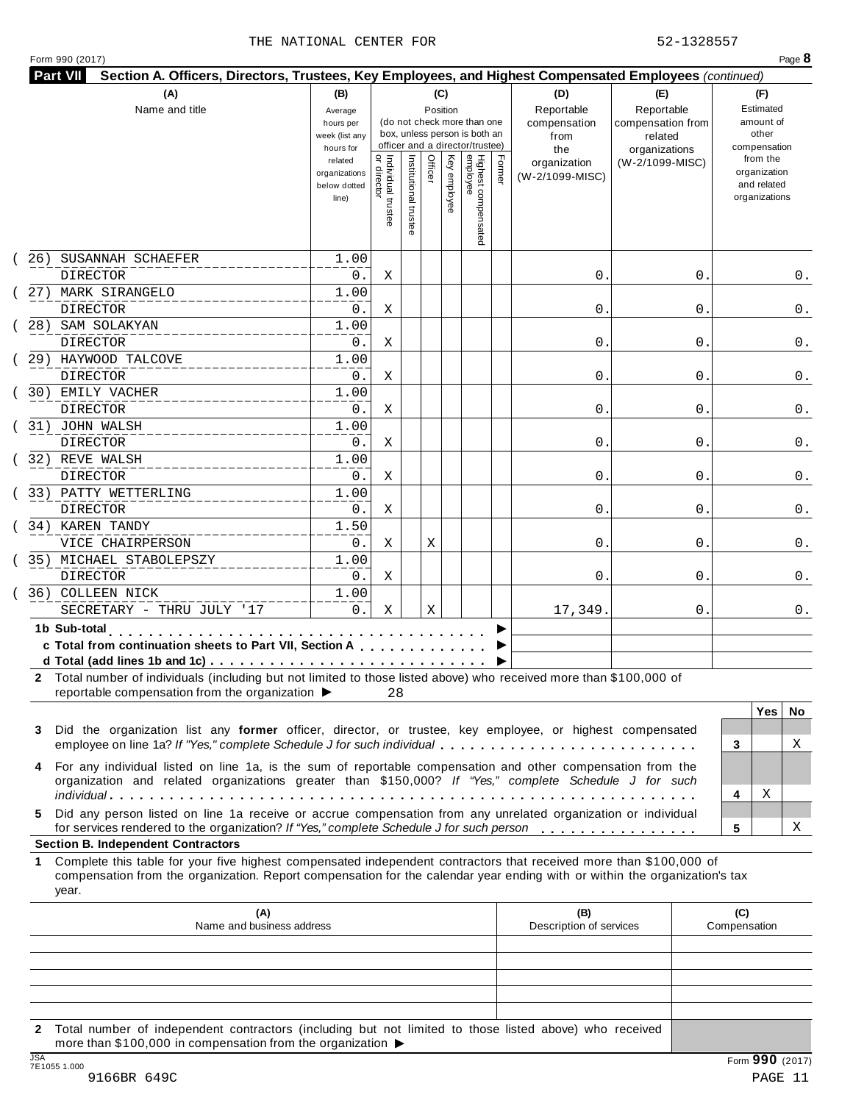|  | Form 990 (2017) |
|--|-----------------|
|  |                 |

|                        | (A)<br>Name and title                                                                                                                                                                                                                            |                                                   |                                     |                       | (C)<br>Position |              | (do not check more than one<br>box, unless person is both an<br>officer and a director/trustee) |        | (D)<br>Reportable<br>compensation<br>from<br>the | (E)<br>Reportable<br>compensation from<br>related<br>organizations | (F)<br>Estimated<br>amount of<br>other<br>compensation   |
|------------------------|--------------------------------------------------------------------------------------------------------------------------------------------------------------------------------------------------------------------------------------------------|---------------------------------------------------|-------------------------------------|-----------------------|-----------------|--------------|-------------------------------------------------------------------------------------------------|--------|--------------------------------------------------|--------------------------------------------------------------------|----------------------------------------------------------|
|                        |                                                                                                                                                                                                                                                  | related<br>organizations<br>below dotted<br>line) | Individual trustee<br>  or director | Institutional trustee | Officer         | Key employee | Highest compensated<br>employee                                                                 | Former | organization<br>(W-2/1099-MISC)                  | (W-2/1099-MISC)                                                    | from the<br>organization<br>and related<br>organizations |
| 26)<br><b>DIRECTOR</b> | SUSANNAH SCHAEFER                                                                                                                                                                                                                                | 1.00<br>0.                                        | Χ                                   |                       |                 |              |                                                                                                 |        | 0.                                               | 0                                                                  | 0.                                                       |
|                        | 27) MARK SIRANGELO                                                                                                                                                                                                                               | 1.00                                              |                                     |                       |                 |              |                                                                                                 |        |                                                  |                                                                    |                                                          |
| <b>DIRECTOR</b>        |                                                                                                                                                                                                                                                  | 0.                                                | Χ                                   |                       |                 |              |                                                                                                 |        | 0.                                               | 0                                                                  | $0$ .                                                    |
| 28) SAM SOLAKYAN       |                                                                                                                                                                                                                                                  | 1.00                                              |                                     |                       |                 |              |                                                                                                 |        |                                                  |                                                                    |                                                          |
| <b>DIRECTOR</b>        |                                                                                                                                                                                                                                                  | 0.                                                | Χ                                   |                       |                 |              |                                                                                                 |        | 0.                                               | 0                                                                  | $0$ .                                                    |
|                        | 29) HAYWOOD TALCOVE                                                                                                                                                                                                                              | 1.00                                              |                                     |                       |                 |              |                                                                                                 |        |                                                  |                                                                    |                                                          |
| <b>DIRECTOR</b>        |                                                                                                                                                                                                                                                  | 0.                                                | Χ                                   |                       |                 |              |                                                                                                 |        | 0.                                               | 0                                                                  | 0.                                                       |
| 30) EMILY VACHER       |                                                                                                                                                                                                                                                  | 1.00                                              |                                     |                       |                 |              |                                                                                                 |        |                                                  |                                                                    |                                                          |
| <b>DIRECTOR</b>        |                                                                                                                                                                                                                                                  | 0.                                                | Χ                                   |                       |                 |              |                                                                                                 |        | 0.                                               | 0                                                                  | 0.                                                       |
| 31) JOHN WALSH         |                                                                                                                                                                                                                                                  | 1.00                                              |                                     |                       |                 |              |                                                                                                 |        |                                                  |                                                                    |                                                          |
| <b>DIRECTOR</b>        |                                                                                                                                                                                                                                                  | 0.                                                | Χ                                   |                       |                 |              |                                                                                                 |        | 0.                                               | 0                                                                  | 0.                                                       |
| 32) REVE WALSH         |                                                                                                                                                                                                                                                  | 1.00                                              |                                     |                       |                 |              |                                                                                                 |        |                                                  |                                                                    |                                                          |
| <b>DIRECTOR</b>        |                                                                                                                                                                                                                                                  | 0.                                                | Χ                                   |                       |                 |              |                                                                                                 |        | 0.                                               | 0                                                                  | 0.                                                       |
|                        | 33) PATTY WETTERLING                                                                                                                                                                                                                             | 1.00                                              |                                     |                       |                 |              |                                                                                                 |        |                                                  |                                                                    |                                                          |
| <b>DIRECTOR</b>        |                                                                                                                                                                                                                                                  | 0.                                                | Χ                                   |                       |                 |              |                                                                                                 |        | $\mathsf{0}$ .                                   | 0                                                                  | 0.                                                       |
| 34) KAREN TANDY        |                                                                                                                                                                                                                                                  | 1.50                                              |                                     |                       |                 |              |                                                                                                 |        |                                                  |                                                                    |                                                          |
|                        | VICE CHAIRPERSON                                                                                                                                                                                                                                 | 0.                                                | Χ                                   |                       | Χ               |              |                                                                                                 |        | 0.                                               | 0                                                                  | 0.                                                       |
|                        | 35) MICHAEL STABOLEPSZY                                                                                                                                                                                                                          | 1.00                                              |                                     |                       |                 |              |                                                                                                 |        |                                                  |                                                                    |                                                          |
| <b>DIRECTOR</b>        |                                                                                                                                                                                                                                                  | 0.                                                | Χ                                   |                       |                 |              |                                                                                                 |        | 0.                                               | 0                                                                  | 0.                                                       |
| 36) COLLEEN NICK       |                                                                                                                                                                                                                                                  | 1.00                                              |                                     |                       |                 |              |                                                                                                 |        |                                                  |                                                                    |                                                          |
|                        | SECRETARY - THRU JULY '17                                                                                                                                                                                                                        | 0.                                                | Χ                                   |                       | Χ               |              |                                                                                                 |        | 17,349.                                          | 0                                                                  | 0.                                                       |
| 1b Sub-total           | c Total from continuation sheets to Part VII, Section A<br>2 Total number of individuals (including but not limited to those listed above) who received more than \$100,000 of<br>reportable compensation from the organization ▶                |                                                   | 28                                  |                       |                 |              |                                                                                                 |        |                                                  |                                                                    | <b>Yes</b><br>No.                                        |
| 3                      | Did the organization list any former officer, director, or trustee, key employee, or highest compensated<br>employee on line 1a? If "Yes," complete Schedule J for such individual                                                               |                                                   |                                     |                       |                 |              |                                                                                                 |        |                                                  |                                                                    | Χ<br>3                                                   |
| 4                      | For any individual listed on line 1a, is the sum of reportable compensation and other compensation from the<br>organization and related organizations greater than \$150,000? If "Yes," complete Schedule J for such                             |                                                   |                                     |                       |                 |              |                                                                                                 |        |                                                  |                                                                    | Χ<br>4                                                   |
| 5.                     | Did any person listed on line 1a receive or accrue compensation from any unrelated organization or individual<br>for services rendered to the organization? If "Yes," complete Schedule J for such person                                        |                                                   |                                     |                       |                 |              |                                                                                                 |        |                                                  |                                                                    | Χ<br>5                                                   |
|                        | <b>Section B. Independent Contractors</b>                                                                                                                                                                                                        |                                                   |                                     |                       |                 |              |                                                                                                 |        |                                                  |                                                                    |                                                          |
| 1<br>year.             | Complete this table for your five highest compensated independent contractors that received more than \$100,000 of<br>compensation from the organization. Report compensation for the calendar year ending with or within the organization's tax |                                                   |                                     |                       |                 |              |                                                                                                 |        |                                                  |                                                                    |                                                          |
|                        | (A)<br>Name and business address                                                                                                                                                                                                                 |                                                   |                                     |                       |                 |              |                                                                                                 |        | (B)<br>Description of services                   |                                                                    | (C)<br>Compensation                                      |
|                        |                                                                                                                                                                                                                                                  |                                                   |                                     |                       |                 |              |                                                                                                 |        |                                                  |                                                                    |                                                          |
|                        |                                                                                                                                                                                                                                                  |                                                   |                                     |                       |                 |              |                                                                                                 |        |                                                  |                                                                    |                                                          |

**2** Total number of independent contractors (including but not limited to those listed above) who received more than \$100,000 in compensation from the organization  $\blacktriangleright$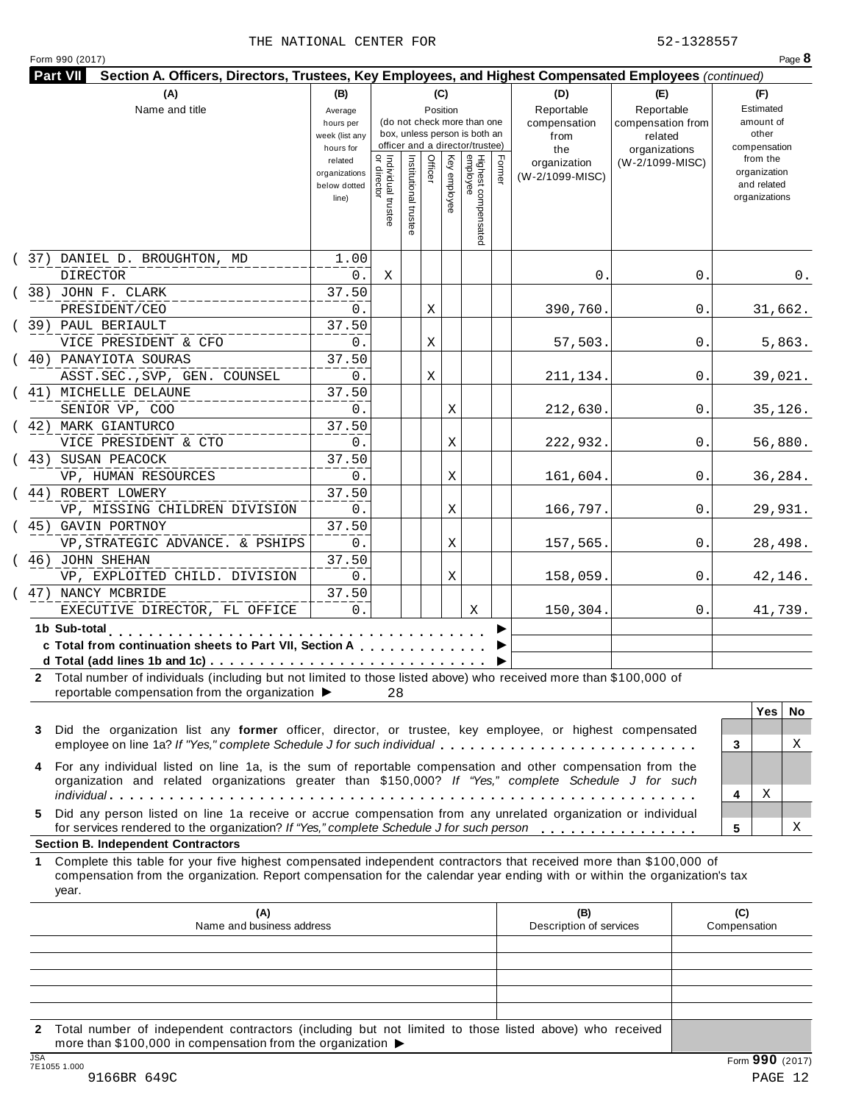| (C)<br>Name and title<br>Reportable<br>Reportable<br>Position<br>Average<br>(do not check more than one<br>compensation<br>compensation from<br>hours per<br>box, unless person is both an<br>week (list any<br>from<br>related<br>officer and a director/trustee)<br>hours for<br>the<br>organizations<br> <br>  Individual trustee<br>  or director<br>Highest compensated<br>employee<br>Institutional trustee<br>Officer<br>Key employee<br>Former<br>related<br>organization<br>(W-2/1099-MISC)<br>organizations<br>(W-2/1099-MISC)<br>below dotted<br>line)<br>(37) DANIEL D. BROUGHTON, MD<br>1.00<br><b>DIRECTOR</b><br>$\mathbf 0$ .<br>0.<br>Χ<br>0.<br>(38) JOHN F. CLARK<br>37.50<br>PRESIDENT/CEO<br>390,760.<br>0.<br>0.<br>Χ<br>(39) PAUL BERIAULT<br>37.50<br>0.<br>57,503.<br>0.<br>VICE PRESIDENT & CFO<br>Χ<br>(40) PANAYIOTA SOURAS<br>37.50<br>ASST.SEC., SVP, GEN. COUNSEL<br>0.<br>211,134.<br>0.<br>Χ<br>( 41) MICHELLE DELAUNE<br>37.50<br>SENIOR VP, COO<br>0.<br>Χ<br>212,630.<br>0.<br>( 42) MARK GIANTURCO<br>37.50<br>0.<br>222,932.<br>VICE PRESIDENT & CTO<br>Χ<br>0.<br>(43) SUSAN PEACOCK<br>37.50<br>0.<br>161,604.<br>VP, HUMAN RESOURCES<br>Χ<br>0.<br>(44) ROBERT LOWERY<br>37.50<br>0.<br>166,797.<br>VP, MISSING CHILDREN DIVISION<br>Χ<br>0.<br>(45) GAVIN PORTNOY<br>37.50<br>VP, STRATEGIC ADVANCE. & PSHIPS<br>0.<br>Χ<br>157,565.<br>0.<br>(46) JOHN SHEHAN<br>37.50<br>0.<br>158,059.<br>VP, EXPLOITED CHILD. DIVISION<br>Χ<br>0.<br>(47) NANCY MCBRIDE<br>37.50<br>0.<br>150,304.<br>EXECUTIVE DIRECTOR, FL OFFICE<br>0.<br>Χ<br>1b Sub-total<br>.<br>c Total from continuation sheets to Part VII, Section A<br>2 Total number of individuals (including but not limited to those listed above) who received more than \$100,000 of<br>reportable compensation from the organization ▶<br>28<br>Did the organization list any former officer, director, or trustee, key employee, or highest compensated<br>3<br>employee on line 1a? If "Yes," complete Schedule J for such individual<br>3<br>For any individual listed on line 1a, is the sum of reportable compensation and other compensation from the<br>4<br>organization and related organizations greater than \$150,000? If "Yes," complete Schedule J for such<br>4<br>Did any person listed on line 1a receive or accrue compensation from any unrelated organization or individual<br>5.<br>for services rendered to the organization? If "Yes," complete Schedule J for such person<br>5<br><b>Section B. Independent Contractors</b><br>Complete this table for your five highest compensated independent contractors that received more than \$100,000 of<br>1.<br>compensation from the organization. Report compensation for the calendar year ending with or within the organization's tax<br>year. | Section A. Officers, Directors, Trustees, Key Employees, and Highest Compensated Employees (continued) |  |  |  |     | <b>Part VII</b> |  |
|------------------------------------------------------------------------------------------------------------------------------------------------------------------------------------------------------------------------------------------------------------------------------------------------------------------------------------------------------------------------------------------------------------------------------------------------------------------------------------------------------------------------------------------------------------------------------------------------------------------------------------------------------------------------------------------------------------------------------------------------------------------------------------------------------------------------------------------------------------------------------------------------------------------------------------------------------------------------------------------------------------------------------------------------------------------------------------------------------------------------------------------------------------------------------------------------------------------------------------------------------------------------------------------------------------------------------------------------------------------------------------------------------------------------------------------------------------------------------------------------------------------------------------------------------------------------------------------------------------------------------------------------------------------------------------------------------------------------------------------------------------------------------------------------------------------------------------------------------------------------------------------------------------------------------------------------------------------------------------------------------------------------------------------------------------------------------------------------------------------------------------------------------------------------------------------------------------------------------------------------------------------------------------------------------------------------------------------------------------------------------------------------------------------------------------------------------------------------------------------------------------------------------------------------------------------------------------------------------------------------------------------------------------------------------------------------------------------------------------------------------------------------------------------------------------------------|--------------------------------------------------------------------------------------------------------|--|--|--|-----|-----------------|--|
|                                                                                                                                                                                                                                                                                                                                                                                                                                                                                                                                                                                                                                                                                                                                                                                                                                                                                                                                                                                                                                                                                                                                                                                                                                                                                                                                                                                                                                                                                                                                                                                                                                                                                                                                                                                                                                                                                                                                                                                                                                                                                                                                                                                                                                                                                                                                                                                                                                                                                                                                                                                                                                                                                                                                                                                                                        | (D)<br>(E)<br>(F)<br>Estimated<br>amount of<br>other                                                   |  |  |  | (B) | (A)             |  |
|                                                                                                                                                                                                                                                                                                                                                                                                                                                                                                                                                                                                                                                                                                                                                                                                                                                                                                                                                                                                                                                                                                                                                                                                                                                                                                                                                                                                                                                                                                                                                                                                                                                                                                                                                                                                                                                                                                                                                                                                                                                                                                                                                                                                                                                                                                                                                                                                                                                                                                                                                                                                                                                                                                                                                                                                                        | compensation<br>from the<br>organization<br>and related<br>organizations                               |  |  |  |     |                 |  |
|                                                                                                                                                                                                                                                                                                                                                                                                                                                                                                                                                                                                                                                                                                                                                                                                                                                                                                                                                                                                                                                                                                                                                                                                                                                                                                                                                                                                                                                                                                                                                                                                                                                                                                                                                                                                                                                                                                                                                                                                                                                                                                                                                                                                                                                                                                                                                                                                                                                                                                                                                                                                                                                                                                                                                                                                                        | 0.                                                                                                     |  |  |  |     |                 |  |
|                                                                                                                                                                                                                                                                                                                                                                                                                                                                                                                                                                                                                                                                                                                                                                                                                                                                                                                                                                                                                                                                                                                                                                                                                                                                                                                                                                                                                                                                                                                                                                                                                                                                                                                                                                                                                                                                                                                                                                                                                                                                                                                                                                                                                                                                                                                                                                                                                                                                                                                                                                                                                                                                                                                                                                                                                        | 31,662.                                                                                                |  |  |  |     |                 |  |
|                                                                                                                                                                                                                                                                                                                                                                                                                                                                                                                                                                                                                                                                                                                                                                                                                                                                                                                                                                                                                                                                                                                                                                                                                                                                                                                                                                                                                                                                                                                                                                                                                                                                                                                                                                                                                                                                                                                                                                                                                                                                                                                                                                                                                                                                                                                                                                                                                                                                                                                                                                                                                                                                                                                                                                                                                        | 5,863.                                                                                                 |  |  |  |     |                 |  |
|                                                                                                                                                                                                                                                                                                                                                                                                                                                                                                                                                                                                                                                                                                                                                                                                                                                                                                                                                                                                                                                                                                                                                                                                                                                                                                                                                                                                                                                                                                                                                                                                                                                                                                                                                                                                                                                                                                                                                                                                                                                                                                                                                                                                                                                                                                                                                                                                                                                                                                                                                                                                                                                                                                                                                                                                                        | 39,021.                                                                                                |  |  |  |     |                 |  |
|                                                                                                                                                                                                                                                                                                                                                                                                                                                                                                                                                                                                                                                                                                                                                                                                                                                                                                                                                                                                                                                                                                                                                                                                                                                                                                                                                                                                                                                                                                                                                                                                                                                                                                                                                                                                                                                                                                                                                                                                                                                                                                                                                                                                                                                                                                                                                                                                                                                                                                                                                                                                                                                                                                                                                                                                                        | 35,126.                                                                                                |  |  |  |     |                 |  |
|                                                                                                                                                                                                                                                                                                                                                                                                                                                                                                                                                                                                                                                                                                                                                                                                                                                                                                                                                                                                                                                                                                                                                                                                                                                                                                                                                                                                                                                                                                                                                                                                                                                                                                                                                                                                                                                                                                                                                                                                                                                                                                                                                                                                                                                                                                                                                                                                                                                                                                                                                                                                                                                                                                                                                                                                                        | 56,880.                                                                                                |  |  |  |     |                 |  |
|                                                                                                                                                                                                                                                                                                                                                                                                                                                                                                                                                                                                                                                                                                                                                                                                                                                                                                                                                                                                                                                                                                                                                                                                                                                                                                                                                                                                                                                                                                                                                                                                                                                                                                                                                                                                                                                                                                                                                                                                                                                                                                                                                                                                                                                                                                                                                                                                                                                                                                                                                                                                                                                                                                                                                                                                                        | 36,284.                                                                                                |  |  |  |     |                 |  |
|                                                                                                                                                                                                                                                                                                                                                                                                                                                                                                                                                                                                                                                                                                                                                                                                                                                                                                                                                                                                                                                                                                                                                                                                                                                                                                                                                                                                                                                                                                                                                                                                                                                                                                                                                                                                                                                                                                                                                                                                                                                                                                                                                                                                                                                                                                                                                                                                                                                                                                                                                                                                                                                                                                                                                                                                                        | 29,931.                                                                                                |  |  |  |     |                 |  |
|                                                                                                                                                                                                                                                                                                                                                                                                                                                                                                                                                                                                                                                                                                                                                                                                                                                                                                                                                                                                                                                                                                                                                                                                                                                                                                                                                                                                                                                                                                                                                                                                                                                                                                                                                                                                                                                                                                                                                                                                                                                                                                                                                                                                                                                                                                                                                                                                                                                                                                                                                                                                                                                                                                                                                                                                                        | 28,498.                                                                                                |  |  |  |     |                 |  |
|                                                                                                                                                                                                                                                                                                                                                                                                                                                                                                                                                                                                                                                                                                                                                                                                                                                                                                                                                                                                                                                                                                                                                                                                                                                                                                                                                                                                                                                                                                                                                                                                                                                                                                                                                                                                                                                                                                                                                                                                                                                                                                                                                                                                                                                                                                                                                                                                                                                                                                                                                                                                                                                                                                                                                                                                                        | 42,146.                                                                                                |  |  |  |     |                 |  |
|                                                                                                                                                                                                                                                                                                                                                                                                                                                                                                                                                                                                                                                                                                                                                                                                                                                                                                                                                                                                                                                                                                                                                                                                                                                                                                                                                                                                                                                                                                                                                                                                                                                                                                                                                                                                                                                                                                                                                                                                                                                                                                                                                                                                                                                                                                                                                                                                                                                                                                                                                                                                                                                                                                                                                                                                                        | 41,739.                                                                                                |  |  |  |     |                 |  |
|                                                                                                                                                                                                                                                                                                                                                                                                                                                                                                                                                                                                                                                                                                                                                                                                                                                                                                                                                                                                                                                                                                                                                                                                                                                                                                                                                                                                                                                                                                                                                                                                                                                                                                                                                                                                                                                                                                                                                                                                                                                                                                                                                                                                                                                                                                                                                                                                                                                                                                                                                                                                                                                                                                                                                                                                                        | <b>Yes</b><br>No.                                                                                      |  |  |  |     |                 |  |
|                                                                                                                                                                                                                                                                                                                                                                                                                                                                                                                                                                                                                                                                                                                                                                                                                                                                                                                                                                                                                                                                                                                                                                                                                                                                                                                                                                                                                                                                                                                                                                                                                                                                                                                                                                                                                                                                                                                                                                                                                                                                                                                                                                                                                                                                                                                                                                                                                                                                                                                                                                                                                                                                                                                                                                                                                        | Χ                                                                                                      |  |  |  |     |                 |  |
|                                                                                                                                                                                                                                                                                                                                                                                                                                                                                                                                                                                                                                                                                                                                                                                                                                                                                                                                                                                                                                                                                                                                                                                                                                                                                                                                                                                                                                                                                                                                                                                                                                                                                                                                                                                                                                                                                                                                                                                                                                                                                                                                                                                                                                                                                                                                                                                                                                                                                                                                                                                                                                                                                                                                                                                                                        | Χ                                                                                                      |  |  |  |     |                 |  |
|                                                                                                                                                                                                                                                                                                                                                                                                                                                                                                                                                                                                                                                                                                                                                                                                                                                                                                                                                                                                                                                                                                                                                                                                                                                                                                                                                                                                                                                                                                                                                                                                                                                                                                                                                                                                                                                                                                                                                                                                                                                                                                                                                                                                                                                                                                                                                                                                                                                                                                                                                                                                                                                                                                                                                                                                                        | Χ                                                                                                      |  |  |  |     |                 |  |
|                                                                                                                                                                                                                                                                                                                                                                                                                                                                                                                                                                                                                                                                                                                                                                                                                                                                                                                                                                                                                                                                                                                                                                                                                                                                                                                                                                                                                                                                                                                                                                                                                                                                                                                                                                                                                                                                                                                                                                                                                                                                                                                                                                                                                                                                                                                                                                                                                                                                                                                                                                                                                                                                                                                                                                                                                        |                                                                                                        |  |  |  |     |                 |  |
| (A)<br>(B)<br>(C)<br>Name and business address<br>Description of services                                                                                                                                                                                                                                                                                                                                                                                                                                                                                                                                                                                                                                                                                                                                                                                                                                                                                                                                                                                                                                                                                                                                                                                                                                                                                                                                                                                                                                                                                                                                                                                                                                                                                                                                                                                                                                                                                                                                                                                                                                                                                                                                                                                                                                                                                                                                                                                                                                                                                                                                                                                                                                                                                                                                              | Compensation                                                                                           |  |  |  |     |                 |  |
|                                                                                                                                                                                                                                                                                                                                                                                                                                                                                                                                                                                                                                                                                                                                                                                                                                                                                                                                                                                                                                                                                                                                                                                                                                                                                                                                                                                                                                                                                                                                                                                                                                                                                                                                                                                                                                                                                                                                                                                                                                                                                                                                                                                                                                                                                                                                                                                                                                                                                                                                                                                                                                                                                                                                                                                                                        |                                                                                                        |  |  |  |     |                 |  |

**2** Total number of independent contractors (including but not limited to those listed above) who received more than \$100,000 in compensation from the organization  $\blacktriangleright$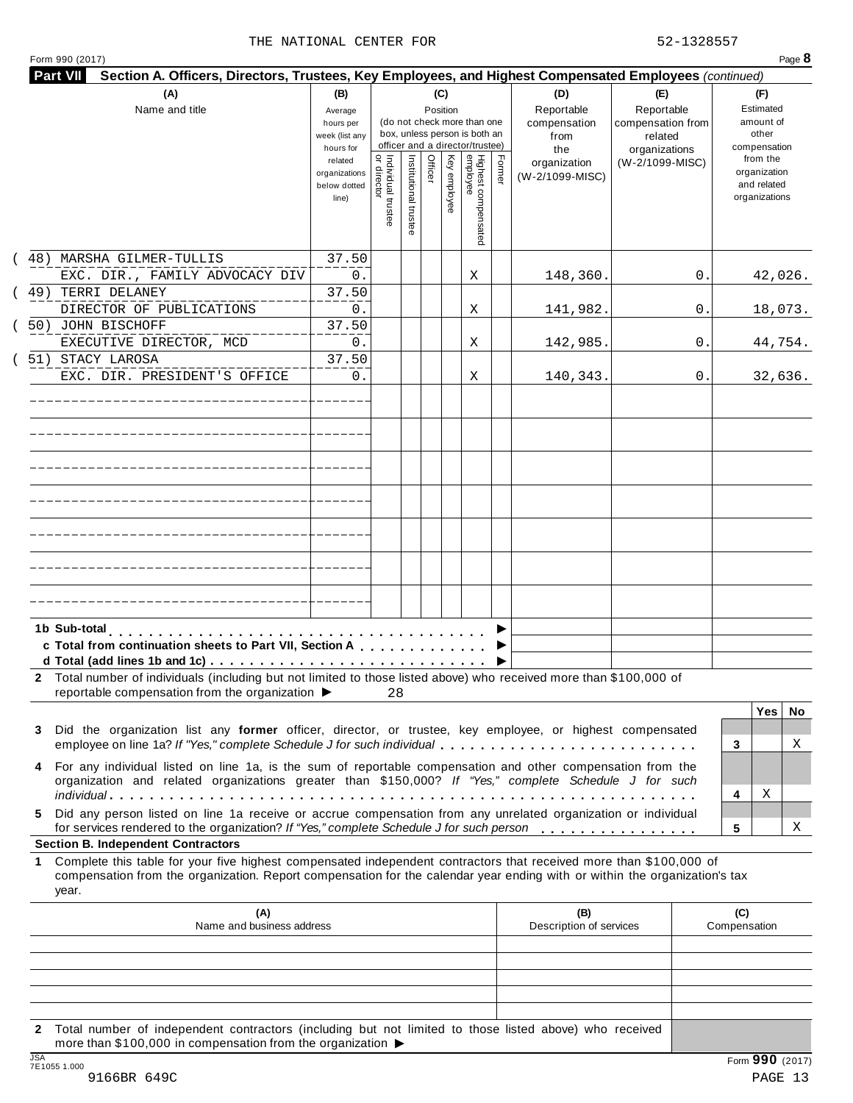|  | Form 990 (2017) |
|--|-----------------|
|  |                 |

| Name and title                                                                                                                                                                                                                                            |                                  | (B)<br>Average<br>hours per<br>week (list any<br>hours for |                                           |                       | (C)<br>Position |              | (do not check more than one<br>box, unless person is both an<br>officer and a director/trustee) |        | (D)<br>Reportable<br>compensation<br>from<br>the | (E)<br>Reportable<br>compensation from<br>related<br>organizations | (F)<br>Estimated<br>amount of<br>other<br>compensation   |
|-----------------------------------------------------------------------------------------------------------------------------------------------------------------------------------------------------------------------------------------------------------|----------------------------------|------------------------------------------------------------|-------------------------------------------|-----------------------|-----------------|--------------|-------------------------------------------------------------------------------------------------|--------|--------------------------------------------------|--------------------------------------------------------------------|----------------------------------------------------------|
|                                                                                                                                                                                                                                                           |                                  | related<br>organizations<br>below dotted<br>line)          | <br>  Individual trustee<br>  or director | Institutional trustee | Officer         | Key employee | Highest compensated<br>employee                                                                 | Former | organization<br>(W-2/1099-MISC)                  | (W-2/1099-MISC)                                                    | from the<br>organization<br>and related<br>organizations |
| 48) MARSHA GILMER-TULLIS<br>EXC. DIR., FAMILY ADVOCACY DIV                                                                                                                                                                                                |                                  | 37.50<br>0.                                                |                                           |                       |                 |              | Χ                                                                                               |        | 148,360.                                         | 0                                                                  | 42,026.                                                  |
| 49) TERRI DELANEY<br>DIRECTOR OF PUBLICATIONS                                                                                                                                                                                                             |                                  | 37.50<br>0.                                                |                                           |                       |                 |              | Χ                                                                                               |        | 141,982.                                         | 0.                                                                 | 18,073.                                                  |
| 50) JOHN BISCHOFF<br>EXECUTIVE DIRECTOR, MCD                                                                                                                                                                                                              |                                  | 37.50<br>0.                                                |                                           |                       |                 |              | Χ                                                                                               |        | 142,985.                                         | 0.                                                                 | 44,754.                                                  |
| 51) STACY LAROSA<br>EXC. DIR. PRESIDENT'S OFFICE                                                                                                                                                                                                          |                                  | 37.50<br>0.                                                |                                           |                       |                 |              | Χ                                                                                               |        | 140,343.                                         | 0.                                                                 | 32,636.                                                  |
|                                                                                                                                                                                                                                                           |                                  |                                                            |                                           |                       |                 |              |                                                                                                 |        |                                                  |                                                                    |                                                          |
|                                                                                                                                                                                                                                                           |                                  |                                                            |                                           |                       |                 |              |                                                                                                 |        |                                                  |                                                                    |                                                          |
|                                                                                                                                                                                                                                                           |                                  |                                                            |                                           |                       |                 |              |                                                                                                 |        |                                                  |                                                                    |                                                          |
|                                                                                                                                                                                                                                                           |                                  |                                                            |                                           |                       |                 |              |                                                                                                 |        |                                                  |                                                                    |                                                          |
|                                                                                                                                                                                                                                                           |                                  |                                                            |                                           |                       |                 |              |                                                                                                 |        |                                                  |                                                                    |                                                          |
|                                                                                                                                                                                                                                                           |                                  |                                                            |                                           |                       |                 |              |                                                                                                 |        |                                                  |                                                                    |                                                          |
| 1b Sub-total<br>c Total from continuation sheets to Part VII, Section A                                                                                                                                                                                   |                                  | .                                                          |                                           |                       |                 |              |                                                                                                 |        |                                                  |                                                                    |                                                          |
| 2 Total number of individuals (including but not limited to those listed above) who received more than \$100,000 of<br>reportable compensation from the organization ▶                                                                                    |                                  |                                                            | 28                                        |                       |                 |              |                                                                                                 |        |                                                  |                                                                    |                                                          |
| Did the organization list any former officer, director, or trustee, key employee, or highest compensated<br>3<br>employee on line 1a? If "Yes," complete Schedule J for such individual                                                                   |                                  |                                                            |                                           |                       |                 |              |                                                                                                 |        |                                                  |                                                                    | <b>Yes</b><br>No.<br>Χ<br>3                              |
| For any individual listed on line 1a, is the sum of reportable compensation and other compensation from the<br>4                                                                                                                                          |                                  |                                                            |                                           |                       |                 |              |                                                                                                 |        |                                                  |                                                                    | Χ<br>4                                                   |
| organization and related organizations greater than \$150,000? If "Yes," complete Schedule J for such                                                                                                                                                     |                                  |                                                            |                                           |                       |                 |              |                                                                                                 |        |                                                  |                                                                    |                                                          |
| Did any person listed on line 1a receive or accrue compensation from any unrelated organization or individual<br>5.<br>for services rendered to the organization? If "Yes," complete Schedule J for such person                                           |                                  |                                                            |                                           |                       |                 |              |                                                                                                 |        |                                                  |                                                                    | Χ<br>5                                                   |
| Complete this table for your five highest compensated independent contractors that received more than \$100,000 of<br>compensation from the organization. Report compensation for the calendar year ending with or within the organization's tax<br>year. |                                  |                                                            |                                           |                       |                 |              |                                                                                                 |        |                                                  |                                                                    |                                                          |
|                                                                                                                                                                                                                                                           | (A)<br>Name and business address |                                                            |                                           |                       |                 |              |                                                                                                 |        | (B)<br>Description of services                   |                                                                    | (C)<br>Compensation                                      |
| <b>Section B. Independent Contractors</b><br>1                                                                                                                                                                                                            |                                  |                                                            |                                           |                       |                 |              |                                                                                                 |        |                                                  |                                                                    |                                                          |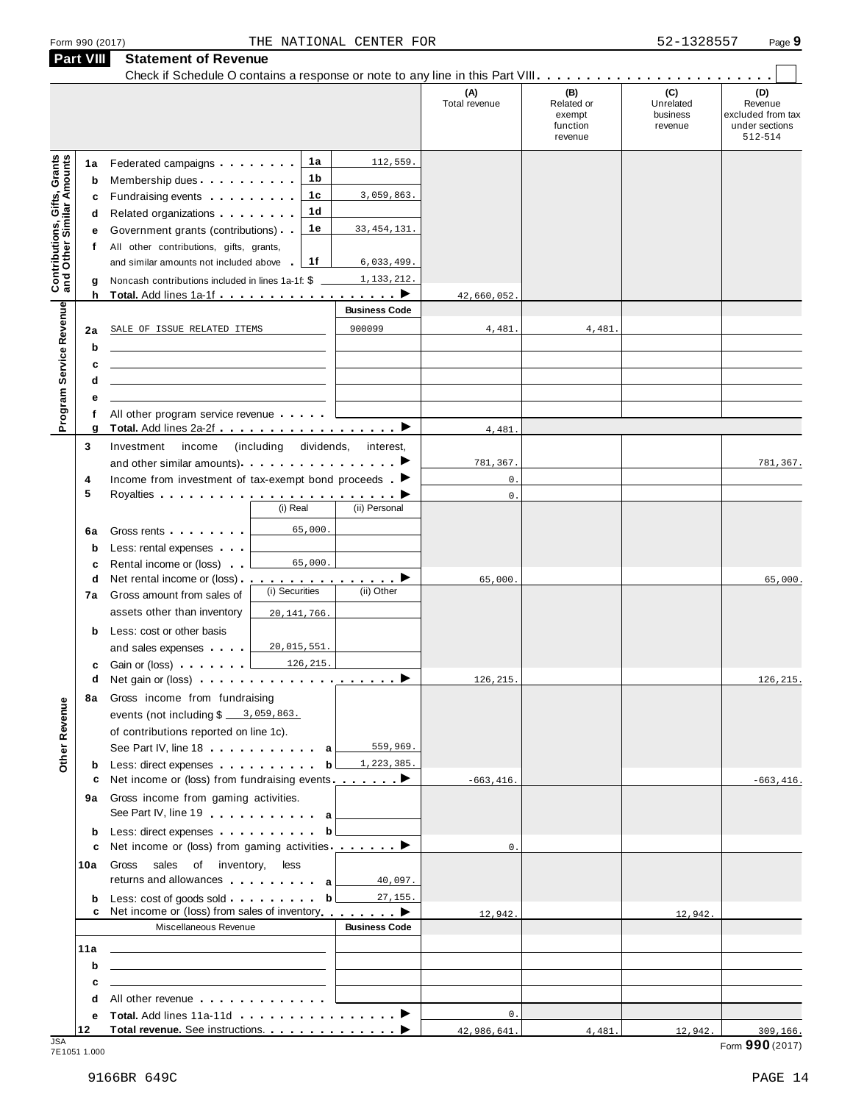|                                                                       |                                                                                                                                                                                                                                                        | (A)<br>Total revenue | (B)<br>Related or             | (C)<br>Unrelated    | (D)<br>Revenue                                 |
|-----------------------------------------------------------------------|--------------------------------------------------------------------------------------------------------------------------------------------------------------------------------------------------------------------------------------------------------|----------------------|-------------------------------|---------------------|------------------------------------------------|
|                                                                       |                                                                                                                                                                                                                                                        |                      | exempt<br>function<br>revenue | business<br>revenue | excluded from tax<br>under sections<br>512-514 |
| 1a                                                                    | 1a<br>112,559.<br>Federated campaigns <b>Federated</b>                                                                                                                                                                                                 |                      |                               |                     |                                                |
| b                                                                     | 1b<br>Membership dues                                                                                                                                                                                                                                  |                      |                               |                     |                                                |
| c                                                                     | 1c<br>3,059,863.<br>Fundraising events <b>Fundraising</b> events                                                                                                                                                                                       |                      |                               |                     |                                                |
| d                                                                     | 1 <sub>d</sub><br>Related organizations <b>and the set of the set of the set of the set of the set of the set of the set of the set of the set of the set of the set of the set of the set of the set of the set of the set of the set of the set </b> |                      |                               |                     |                                                |
| е                                                                     | 1е<br>33, 454, 131.<br>Government grants (contributions)                                                                                                                                                                                               |                      |                               |                     |                                                |
| <b>Contributions, Gifts, Grants</b><br>and Other Similar Amounts<br>f | All other contributions, gifts, grants,<br>1f<br>and similar amounts not included above<br>6,033,499.                                                                                                                                                  |                      |                               |                     |                                                |
| g                                                                     | 1,133,212.<br>Noncash contributions included in lines 1a-1f: \$                                                                                                                                                                                        |                      |                               |                     |                                                |
| h                                                                     | . <b>. &gt;</b>                                                                                                                                                                                                                                        | 42,660,052           |                               |                     |                                                |
|                                                                       | <b>Business Code</b>                                                                                                                                                                                                                                   |                      |                               |                     |                                                |
| Program Service Revenue<br>2a<br>b                                    | SALE OF ISSUE RELATED ITEMS<br>900099                                                                                                                                                                                                                  | 4,481.               | 4,481                         |                     |                                                |
| c                                                                     | the contract of the contract of the contract of the contract of the contract of                                                                                                                                                                        |                      |                               |                     |                                                |
| d                                                                     | the control of the control of the control of the control of the control of the control of                                                                                                                                                              |                      |                               |                     |                                                |
| е                                                                     |                                                                                                                                                                                                                                                        |                      |                               |                     |                                                |
|                                                                       | All other program service revenue                                                                                                                                                                                                                      |                      |                               |                     |                                                |
| g                                                                     |                                                                                                                                                                                                                                                        | 4,481                |                               |                     |                                                |
| 3                                                                     | income<br>Investment<br>(including dividends,<br>interest,                                                                                                                                                                                             |                      |                               |                     |                                                |
|                                                                       | and other similar amounts) $\cdots$ $\cdots$ $\cdots$ $\cdots$                                                                                                                                                                                         | 781,367.             |                               |                     | 781,367.                                       |
| 4                                                                     | Income from investment of tax-exempt bond proceeds $\blacksquare$                                                                                                                                                                                      | $\mathbf{0}$ .       |                               |                     |                                                |
| 5                                                                     |                                                                                                                                                                                                                                                        | $\mathsf{0}$ .       |                               |                     |                                                |
|                                                                       | (ii) Personal<br>(i) Real                                                                                                                                                                                                                              |                      |                               |                     |                                                |
| 6a                                                                    | 65,000.<br>Gross rents <b>contains the container</b>                                                                                                                                                                                                   |                      |                               |                     |                                                |
| $\mathbf b$                                                           | Less: rental expenses                                                                                                                                                                                                                                  |                      |                               |                     |                                                |
| c                                                                     | 65,000.<br>Rental income or (loss)                                                                                                                                                                                                                     |                      |                               |                     |                                                |
| d                                                                     | <u>.</u> <b>&gt;</b><br>Net rental income or (loss)<br>(ii) Other<br>(i) Securities                                                                                                                                                                    | 65,000               |                               |                     | 65,000.                                        |
| 7a                                                                    | Gross amount from sales of                                                                                                                                                                                                                             |                      |                               |                     |                                                |
|                                                                       | assets other than inventory<br>20, 141, 766.                                                                                                                                                                                                           |                      |                               |                     |                                                |
| b                                                                     | Less: cost or other basis                                                                                                                                                                                                                              |                      |                               |                     |                                                |
|                                                                       | 20,015,551.<br>and sales expenses                                                                                                                                                                                                                      |                      |                               |                     |                                                |
| c                                                                     | 126,215.<br>Gain or (loss)                                                                                                                                                                                                                             |                      |                               |                     |                                                |
|                                                                       | Net gain or (loss) $\cdots$ $\cdots$ $\cdots$ $\cdots$ $\cdots$ $\cdots$                                                                                                                                                                               | 126,215.             |                               |                     | 126,215                                        |
|                                                                       | 8a Gross income from fundraising                                                                                                                                                                                                                       |                      |                               |                     |                                                |
|                                                                       | events (not including $$3,059,863.$                                                                                                                                                                                                                    |                      |                               |                     |                                                |
|                                                                       | of contributions reported on line 1c).<br>559,969.<br>See Part IV, line 18 <b>a</b>                                                                                                                                                                    |                      |                               |                     |                                                |
| Other Revenue<br>b                                                    | Less: direct expenses<br>1,223,385.<br>b                                                                                                                                                                                                               |                      |                               |                     |                                                |
| c                                                                     | Net income or (loss) from fundraising events <b></b> ▶                                                                                                                                                                                                 | $-663, 416.$         |                               |                     | $-663, 416.$                                   |
| 9а                                                                    | Gross income from gaming activities.                                                                                                                                                                                                                   |                      |                               |                     |                                                |
|                                                                       | See Part IV, line 19 expansion and a                                                                                                                                                                                                                   |                      |                               |                     |                                                |
| b<br>c                                                                | Less: direct expenses b<br>Net income or (loss) from gaming activities ________                                                                                                                                                                        | $\mathbf{0}$ .       |                               |                     |                                                |
| 10a                                                                   | sales of inventory,<br>less<br>Gross<br>returns and allowances and allowances                                                                                                                                                                          | 40,097.              |                               |                     |                                                |
| b                                                                     | Less: cost of goods sold b                                                                                                                                                                                                                             | 27, 155.             |                               |                     |                                                |
|                                                                       | Net income or (loss) from sales of inventory entitled by Denian Denian Denian Denian Denian Denian Denian Denia                                                                                                                                        | 12,942.              |                               | 12,942.             |                                                |
|                                                                       | Miscellaneous Revenue<br><b>Business Code</b>                                                                                                                                                                                                          |                      |                               |                     |                                                |
| 11a                                                                   | <u> 1989 - Johann Barn, amerikansk politiker (d. 1989)</u>                                                                                                                                                                                             |                      |                               |                     |                                                |
| b                                                                     | <u> 1989 - Johann Barn, mars ann an t-Amhain an t-Amhain an t-Amhain an t-Amhain an t-Amhain an t-Amhain an t-A</u>                                                                                                                                    |                      |                               |                     |                                                |
| c                                                                     |                                                                                                                                                                                                                                                        |                      |                               |                     |                                                |
| d                                                                     | All other revenue entitled and a series and a series of the series of the series of the series of the series o                                                                                                                                         |                      |                               |                     |                                                |
| е                                                                     |                                                                                                                                                                                                                                                        | 0.                   |                               |                     |                                                |
| 12                                                                    | Total revenue. See instructions. ▶                                                                                                                                                                                                                     | 42,986,641.          | 4,481.                        | 12,942.             | 309,166.                                       |

Form <sup>990</sup> (2017) Page **9**

THE NATIONAL CENTER FOR 52-1328557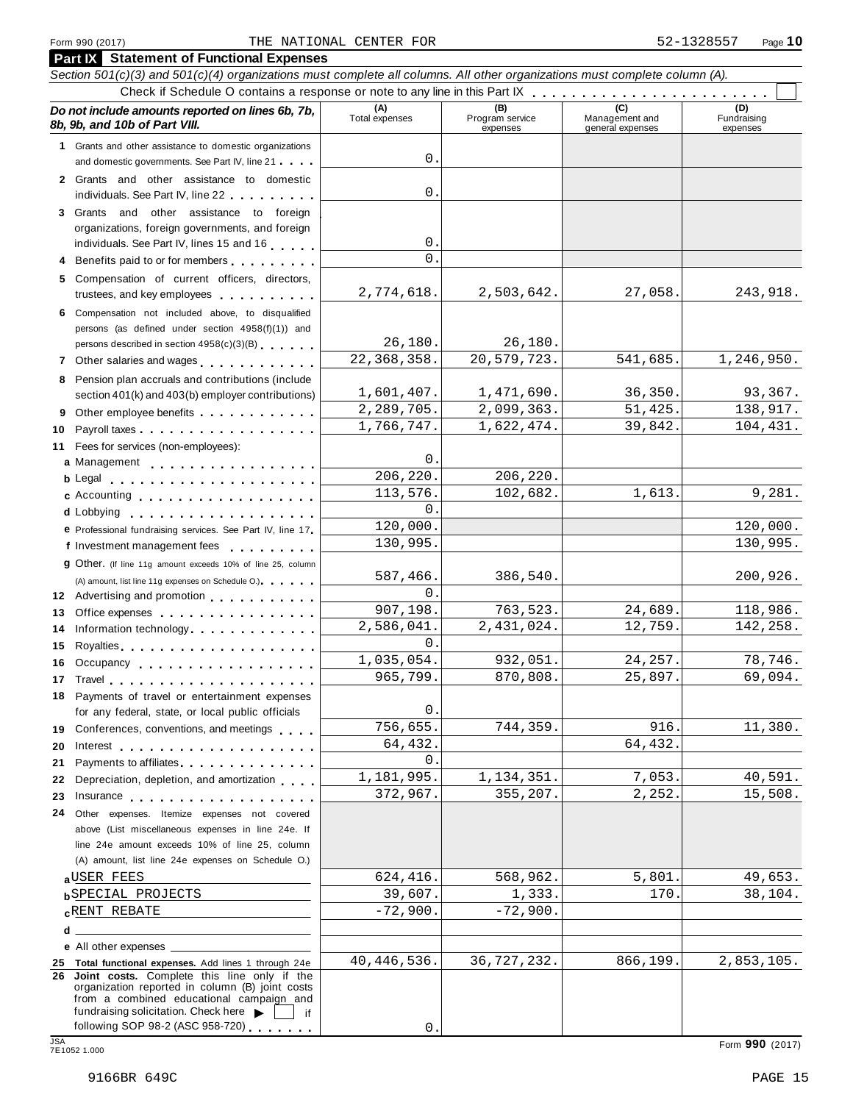#### Form <sup>990</sup> (2017) Page **10** THE NATIONAL CENTER FOR 52-1328557

| <b>Part IX</b> Statement of Functional Expenses                                                                                                                                                                                      |                       |                                    |                                           |                                |
|--------------------------------------------------------------------------------------------------------------------------------------------------------------------------------------------------------------------------------------|-----------------------|------------------------------------|-------------------------------------------|--------------------------------|
| Section 501(c)(3) and 501(c)(4) organizations must complete all columns. All other organizations must complete column (A).                                                                                                           |                       |                                    |                                           |                                |
|                                                                                                                                                                                                                                      |                       |                                    |                                           |                                |
| Do not include amounts reported on lines 6b, 7b,<br>8b, 9b, and 10b of Part VIII.                                                                                                                                                    | (A)<br>Total expenses | (B)<br>Program service<br>expenses | (C)<br>Management and<br>general expenses | (D)<br>Fundraising<br>expenses |
| 1 Grants and other assistance to domestic organizations<br>and domestic governments. See Part IV, line 21                                                                                                                            | 0                     |                                    |                                           |                                |
| 2 Grants and other assistance to domestic                                                                                                                                                                                            | $0$ .                 |                                    |                                           |                                |
| individuals. See Part IV, line 22<br>3 Grants and other assistance to foreign                                                                                                                                                        |                       |                                    |                                           |                                |
| organizations, foreign governments, and foreign                                                                                                                                                                                      |                       |                                    |                                           |                                |
| individuals. See Part IV, lines 15 and 16                                                                                                                                                                                            | 0                     |                                    |                                           |                                |
| 4 Benefits paid to or for members                                                                                                                                                                                                    | $\Omega$              |                                    |                                           |                                |
| Compensation of current officers, directors,                                                                                                                                                                                         |                       |                                    |                                           |                                |
| trustees, and key employees                                                                                                                                                                                                          | 2,774,618.            | 2,503,642.                         | 27,058.                                   | 243,918.                       |
| 6 Compensation not included above, to disqualified                                                                                                                                                                                   |                       |                                    |                                           |                                |
| persons (as defined under section 4958(f)(1)) and                                                                                                                                                                                    |                       |                                    |                                           |                                |
| persons described in section 4958(c)(3)(B)                                                                                                                                                                                           | 26,180.               | 26,180.                            |                                           |                                |
| 7 Other salaries and wages                                                                                                                                                                                                           | 22,368,358.           | 20,579,723.                        | 541,685.                                  | 1,246,950.                     |
| Pension plan accruals and contributions (include<br>8                                                                                                                                                                                |                       |                                    |                                           |                                |
| section 401(k) and 403(b) employer contributions)                                                                                                                                                                                    | 1,601,407.            | 1,471,690.                         | 36,350.                                   | 93,367.                        |
| Other employee benefits<br>9                                                                                                                                                                                                         | 2,289,705.            | 2,099,363.                         | 51,425.                                   | 138,917.                       |
| 10                                                                                                                                                                                                                                   | 1,766,747.            | 1,622,474.                         | 39,842.                                   | 104,431.                       |
| Fees for services (non-employees):<br>11                                                                                                                                                                                             |                       |                                    |                                           |                                |
| a Management                                                                                                                                                                                                                         | $\mathbf 0$ .         |                                    |                                           |                                |
| <b>b</b> Legal <b>contained contained contained contained <b>contained contained </b></b>                                                                                                                                            | 206,220.              | 206,220.                           |                                           |                                |
| c Accounting                                                                                                                                                                                                                         | 113,576.              | 102,682.                           | 1,613.                                    | 9,281.                         |
|                                                                                                                                                                                                                                      | 0.                    |                                    |                                           |                                |
| e Professional fundraising services. See Part IV, line 17                                                                                                                                                                            | 120,000.              |                                    |                                           | 120,000.                       |
| f Investment management fees                                                                                                                                                                                                         | 130,995.              |                                    |                                           | 130,995.                       |
| 9 Other. (If line 11g amount exceeds 10% of line 25, column                                                                                                                                                                          |                       |                                    |                                           |                                |
| (A) amount, list line 11g expenses on Schedule O.)                                                                                                                                                                                   | 587,466.<br>$0$ .     | 386,540.                           |                                           | 200,926.                       |
| 12 Advertising and promotion                                                                                                                                                                                                         | 907,198.              | 763,523.                           |                                           | 118,986.                       |
| 13<br>Office expenses example and the set of the set of the set of the set of the set of the set of the set of the set of the set of the set of the set of the set of the set of the set of the set of the set of the set of the set |                       |                                    | 24,689.                                   |                                |
| 14                                                                                                                                                                                                                                   | 2,586,041.<br>0.      | 2,431,024.                         | 12,759.                                   | 142,258.                       |
| Royalties<br>15                                                                                                                                                                                                                      | 1,035,054.            | 932,051.                           | 24, 257.                                  | 78,746.                        |
| 16<br>Occupancy                                                                                                                                                                                                                      | 965,799.              | 870,808.                           | 25,897.                                   | 69,094.                        |
| 17 Travel <b>18 Travel</b> 19 Travel 19 Travel 19 Travel 19 Travel 19 Travel 19 Travel 19 Travel 19 Travel 19 Travel 1                                                                                                               |                       |                                    |                                           |                                |
| 18 Payments of travel or entertainment expenses<br>for any federal, state, or local public officials                                                                                                                                 | 0                     |                                    |                                           |                                |
| Conferences, conventions, and meetings<br>19                                                                                                                                                                                         | 756,655.              | 744,359.                           | 916.                                      | 11,380.                        |
| Interest entering the series of the series of the series of the series of the series of the series of the series of the series of the series of the series of the series of the series of the series of the series of the seri<br>20 | 64,432.               |                                    | 64,432.                                   |                                |
| Payments to affiliates <b>Exercise Services</b><br>21                                                                                                                                                                                | 0.                    |                                    |                                           |                                |
| Depreciation, depletion, and amortization<br>22                                                                                                                                                                                      | 1,181,995.            | 1,134,351.                         | 7,053.                                    | 40,591.                        |
| 23<br>Insurance in the contract of the contract of the contract of the contract of the contract of the contract of the contract of the contract of the contract of the contract of the contract of the contract of the contract of t | 372,967.              | 355,207.                           | 2,252.                                    | 15,508.                        |
| Other expenses. Itemize expenses not covered<br>24                                                                                                                                                                                   |                       |                                    |                                           |                                |
| above (List miscellaneous expenses in line 24e. If                                                                                                                                                                                   |                       |                                    |                                           |                                |
| line 24e amount exceeds 10% of line 25, column                                                                                                                                                                                       |                       |                                    |                                           |                                |
| (A) amount, list line 24e expenses on Schedule O.)                                                                                                                                                                                   |                       |                                    |                                           |                                |
| aUSER FEES                                                                                                                                                                                                                           | 624,416.              | 568,962.                           | 5,801.                                    | 49,653.                        |
| <b>b</b> SPECIAL PROJECTS                                                                                                                                                                                                            | 39,607.               | 1,333.                             | 170.                                      | 38,104.                        |
| <b>CRENT REBATE</b>                                                                                                                                                                                                                  | $-72,900.$            | $-72,900.$                         |                                           |                                |
| d                                                                                                                                                                                                                                    |                       |                                    |                                           |                                |
| e All other expenses _____________                                                                                                                                                                                                   |                       |                                    |                                           |                                |
| 25 Total functional expenses. Add lines 1 through 24e                                                                                                                                                                                | 40, 446, 536.         | 36,727,232.                        | 866,199.                                  | 2,853,105.                     |
| 26 Joint costs. Complete this line only if the<br>organization reported in column (B) joint costs<br>from a combined educational campaign and                                                                                        |                       |                                    |                                           |                                |
| fundraising solicitation. Check here<br>if<br>following SOP 98-2 (ASC 958-720)                                                                                                                                                       | 0                     |                                    |                                           |                                |
| <b>JSA</b>                                                                                                                                                                                                                           |                       |                                    |                                           | Form 990 (2017)                |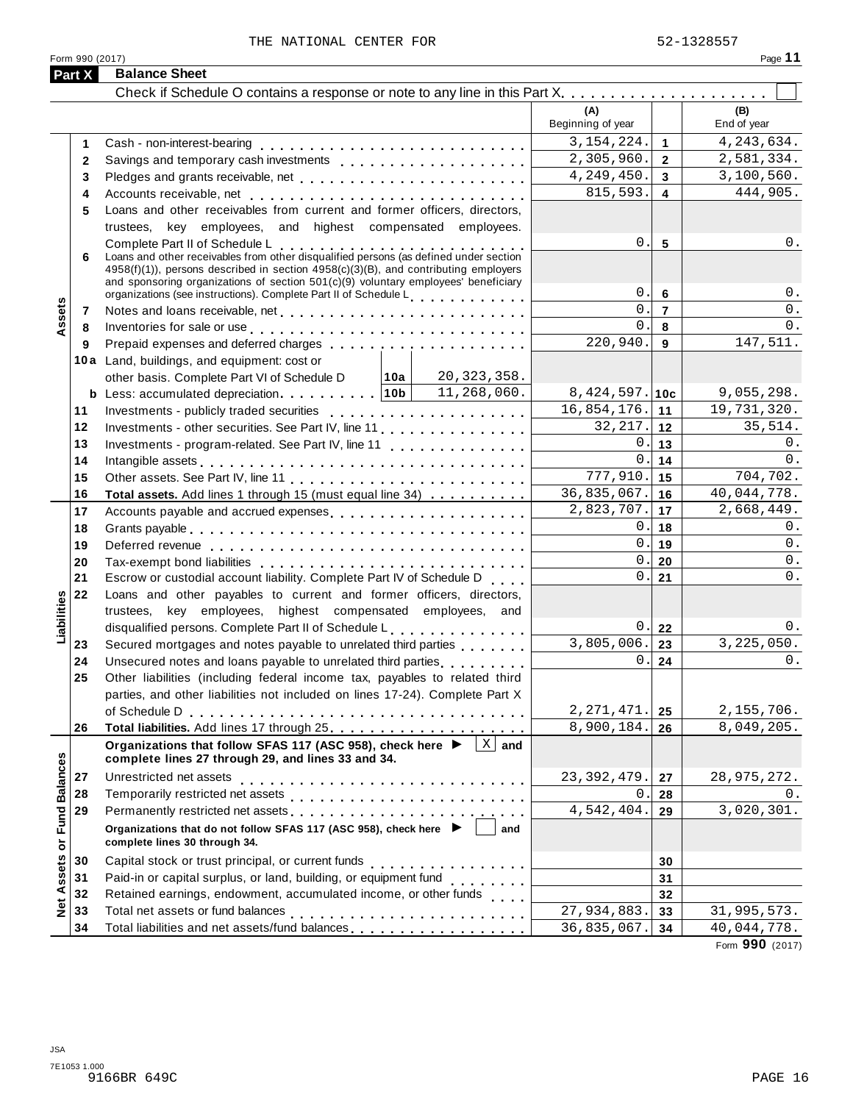|                             | Form 990 (2017) |                                                                                                                                                                                                                                                                                                        |                          |                         | Page 11            |
|-----------------------------|-----------------|--------------------------------------------------------------------------------------------------------------------------------------------------------------------------------------------------------------------------------------------------------------------------------------------------------|--------------------------|-------------------------|--------------------|
|                             | Part X          | <b>Balance Sheet</b>                                                                                                                                                                                                                                                                                   |                          |                         |                    |
|                             |                 |                                                                                                                                                                                                                                                                                                        |                          |                         |                    |
|                             |                 |                                                                                                                                                                                                                                                                                                        | (A)<br>Beginning of year |                         | (B)<br>End of year |
|                             | 1               |                                                                                                                                                                                                                                                                                                        | 3, 154, 224.             | $\mathbf 1$             | 4, 243, 634.       |
|                             | $\mathbf{2}$    | Savings and temporary cash investments                                                                                                                                                                                                                                                                 | 2,305,960.               | $\mathbf{2}$            | 2,581,334.         |
|                             | 3               |                                                                                                                                                                                                                                                                                                        | 4,249,450.               | 3                       | 3,100,560.         |
|                             | 4               |                                                                                                                                                                                                                                                                                                        | 815,593.                 | $\overline{\mathbf{4}}$ | 444,905.           |
|                             | 5               | Loans and other receivables from current and former officers, directors,                                                                                                                                                                                                                               |                          |                         |                    |
|                             |                 | trustees, key employees, and highest compensated employees.                                                                                                                                                                                                                                            |                          |                         |                    |
|                             | 6               | Complete Part II of Schedule L<br>Loans and other receivables from other disqualified persons (as defined under section<br>4958(f)(1)), persons described in section 4958(c)(3)(B), and contributing employers<br>and sponsoring organizations of section $501(c)(9)$ voluntary employees' beneficiary | 0.<br>0.                 | 5                       | $0$ .              |
|                             |                 | organizations (see instructions). Complete Part II of Schedule Letter entries networks                                                                                                                                                                                                                 |                          | 6                       | 0.                 |
| Assets                      | 7               |                                                                                                                                                                                                                                                                                                        | 0.<br>0.                 | $\overline{7}$          | 0.                 |
|                             | 8               | Inventories for sale or use enterpreteral and the contract of the contract of the contract of the contract of                                                                                                                                                                                          | 220,940.                 | 8                       | 0.<br>147,511.     |
|                             | 9               |                                                                                                                                                                                                                                                                                                        |                          | 9                       |                    |
|                             |                 | 10a Land, buildings, and equipment: cost or<br>20, 323, 358.<br>│ 10a │                                                                                                                                                                                                                                |                          |                         |                    |
|                             |                 | other basis. Complete Part VI of Schedule D<br><b>b</b> Less: accumulated depreciation $\cdots \cdots \cdots \left  10b \right $ 11, 268, 060.                                                                                                                                                         | $8,424,597.$ 10c         |                         | 9,055,298.         |
|                             | 11              | Investments - publicly traded securities                                                                                                                                                                                                                                                               | 16,854,176.              | 11                      | 19,731,320.        |
|                             | 12              | Investments - other securities. See Part IV, line 11                                                                                                                                                                                                                                                   | 32, 217.                 | 12                      | 35,514.            |
|                             | 13              | Investments - program-related. See Part IV, line 11                                                                                                                                                                                                                                                    | 0.                       | 13                      | 0.                 |
|                             | 14              |                                                                                                                                                                                                                                                                                                        | 0.                       | 14                      | 0.                 |
|                             | 15              |                                                                                                                                                                                                                                                                                                        | 777,910.                 | 15                      | 704,702.           |
|                             | 16              | Total assets. Add lines 1 through 15 (must equal line 34)                                                                                                                                                                                                                                              | 36,835,067.              | 16                      | 40,044,778.        |
|                             | 17              | Accounts payable and accrued expenses extensive and accrue and accrued expenses                                                                                                                                                                                                                        | 2,823,707.               | 17                      | 2,668,449.         |
|                             | 18              |                                                                                                                                                                                                                                                                                                        | 0.                       | 18                      | 0.                 |
|                             | 19              |                                                                                                                                                                                                                                                                                                        | 0.                       | 19                      | 0.                 |
|                             | 20              |                                                                                                                                                                                                                                                                                                        | $\mathbf 0$ .            | 20                      | 0.                 |
|                             | 21              | Escrow or custodial account liability. Complete Part IV of Schedule D.                                                                                                                                                                                                                                 | 0.                       | 21                      | $0$ .              |
|                             | 22              | Loans and other payables to current and former officers, directors,                                                                                                                                                                                                                                    |                          |                         |                    |
|                             |                 | trustees, key employees, highest compensated employees, and                                                                                                                                                                                                                                            |                          |                         |                    |
| Liabilities                 |                 | disqualified persons. Complete Part II of Schedule L.                                                                                                                                                                                                                                                  | 0.1                      | 22                      | 0.                 |
|                             | 23              | Secured mortgages and notes payable to unrelated third parties                                                                                                                                                                                                                                         | 3,805,006.               | 23                      | 3, 225, 050.       |
|                             | 24              | Unsecured notes and loans payable to unrelated third parties                                                                                                                                                                                                                                           | 0.                       | 24                      | 0.                 |
|                             | 25              | Other liabilities (including federal income tax, payables to related third                                                                                                                                                                                                                             |                          |                         |                    |
|                             |                 | parties, and other liabilities not included on lines 17-24). Complete Part X                                                                                                                                                                                                                           |                          |                         |                    |
|                             |                 |                                                                                                                                                                                                                                                                                                        | 2, 271, 471.             | 25                      | 2,155,706.         |
|                             | 26              |                                                                                                                                                                                                                                                                                                        | 8,900,184.               | 26                      | 8,049,205.         |
|                             |                 | Organizations that follow SFAS 117 (ASC 958), check here $\blacktriangleright \begin{array}{c} \boxed{\mathbf{X}} \end{array}$ and<br>complete lines 27 through 29, and lines 33 and 34.                                                                                                               |                          |                         |                    |
|                             | 27              | Unrestricted net assets                                                                                                                                                                                                                                                                                | 23, 392, 479.            | 27                      | 28,975,272.        |
|                             | 28              |                                                                                                                                                                                                                                                                                                        | 0.                       | 28                      | 0.                 |
|                             | 29              | Permanently restricted net assets<br>intervals and intervals are not restricted to the set of assets are not restricted to the set of the set of the set of the set of the set of the set of the set of the set of the set of th                                                                       | 4,542,404.               | 29                      | 3,020,301.         |
| Net Assets or Fund Balances |                 | Organizations that do not follow SFAS 117 (ASC 958), check here $\blacktriangleright$<br>and<br>complete lines 30 through 34.                                                                                                                                                                          |                          |                         |                    |
|                             | 30              |                                                                                                                                                                                                                                                                                                        |                          | 30                      |                    |
|                             | 31              |                                                                                                                                                                                                                                                                                                        |                          | 31                      |                    |
|                             | 32              | Retained earnings, endowment, accumulated income, or other funds                                                                                                                                                                                                                                       |                          | 32                      |                    |
|                             | 33              |                                                                                                                                                                                                                                                                                                        | 27,934,883.              | 33                      | 31,995,573.        |
|                             | 34              |                                                                                                                                                                                                                                                                                                        | 36,835,067.              | 34                      | 40,044,778.        |

Form **990** (2017)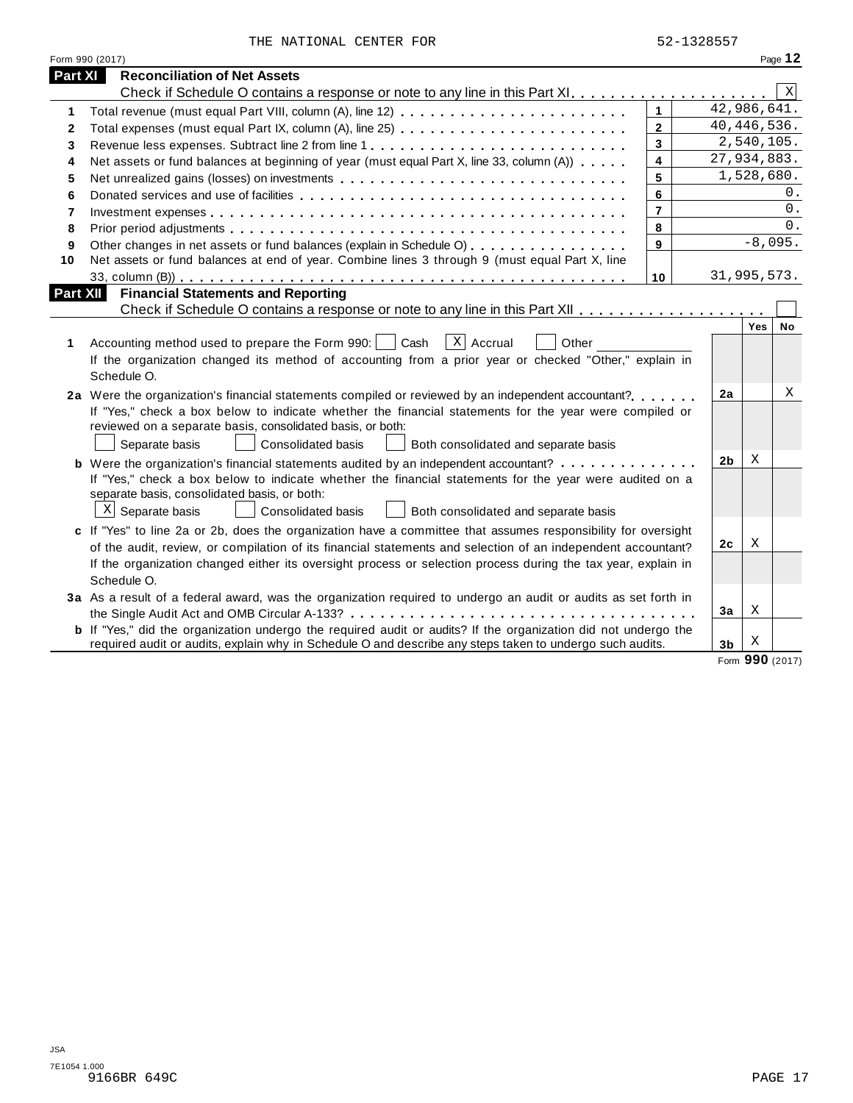| THE NATIONAL CENTER FOR |  | 75555−2-132 |
|-------------------------|--|-------------|
|                         |  |             |

|                | Form 990 (2017)                                                                                                                                                                                                                                                                                                                                            |                |                |            | Page 12 |
|----------------|------------------------------------------------------------------------------------------------------------------------------------------------------------------------------------------------------------------------------------------------------------------------------------------------------------------------------------------------------------|----------------|----------------|------------|---------|
| <b>Part XI</b> | <b>Reconciliation of Net Assets</b>                                                                                                                                                                                                                                                                                                                        |                |                |            |         |
|                |                                                                                                                                                                                                                                                                                                                                                            |                |                |            | X       |
| 1              | Total revenue (must equal Part VIII, column (A), line 12)                                                                                                                                                                                                                                                                                                  | $\mathbf{1}$   | 42,986,641.    |            |         |
| 2              | Total expenses (must equal Part IX, column (A), line 25)                                                                                                                                                                                                                                                                                                   | $\mathbf{2}$   | 40, 446, 536.  |            |         |
| 3              |                                                                                                                                                                                                                                                                                                                                                            | 3              |                | 2,540,105. |         |
| 4              | Net assets or fund balances at beginning of year (must equal Part X, line 33, column (A))                                                                                                                                                                                                                                                                  | 4              | 27,934,883.    |            |         |
| 5              | Net unrealized gains (losses) on investments                                                                                                                                                                                                                                                                                                               | 5              |                | 1,528,680. |         |
| 6              |                                                                                                                                                                                                                                                                                                                                                            | 6              |                |            | 0.      |
| 7              |                                                                                                                                                                                                                                                                                                                                                            | $\overline{7}$ |                |            | 0.      |
| 8              |                                                                                                                                                                                                                                                                                                                                                            | 8              |                |            | 0.      |
| 9              | Other changes in net assets or fund balances (explain in Schedule O)                                                                                                                                                                                                                                                                                       | 9              |                | $-8,095.$  |         |
| 10             | Net assets or fund balances at end of year. Combine lines 3 through 9 (must equal Part X, line                                                                                                                                                                                                                                                             |                |                |            |         |
|                |                                                                                                                                                                                                                                                                                                                                                            | 10             | 31,995,573.    |            |         |
| Part XII       | <b>Financial Statements and Reporting</b>                                                                                                                                                                                                                                                                                                                  |                |                |            |         |
|                |                                                                                                                                                                                                                                                                                                                                                            |                |                |            |         |
| 1              | $X$ Accrual<br>Accounting method used to prepare the Form 990:     Cash<br>Other<br>If the organization changed its method of accounting from a prior year or checked "Other," explain in<br>Schedule O.                                                                                                                                                   |                |                |            |         |
|                | 2a Were the organization's financial statements compiled or reviewed by an independent accountant?<br>If "Yes," check a box below to indicate whether the financial statements for the year were compiled or<br>reviewed on a separate basis, consolidated basis, or both:<br>Separate basis<br>Consolidated basis<br>Both consolidated and separate basis |                | 2a             |            | Χ       |
|                | <b>b</b> Were the organization's financial statements audited by an independent accountant?                                                                                                                                                                                                                                                                |                | 2 <sub>b</sub> | X          |         |
|                | If "Yes," check a box below to indicate whether the financial statements for the year were audited on a<br>separate basis, consolidated basis, or both:<br>$X$ Separate basis<br><b>Consolidated basis</b><br>Both consolidated and separate basis                                                                                                         |                |                |            |         |
|                | c If "Yes" to line 2a or 2b, does the organization have a committee that assumes responsibility for oversight                                                                                                                                                                                                                                              |                |                |            |         |
|                | of the audit, review, or compilation of its financial statements and selection of an independent accountant?                                                                                                                                                                                                                                               |                | 2c             | Χ          |         |
|                | If the organization changed either its oversight process or selection process during the tax year, explain in<br>Schedule O.                                                                                                                                                                                                                               |                |                |            |         |
|                | 3a As a result of a federal award, was the organization required to undergo an audit or audits as set forth in                                                                                                                                                                                                                                             |                |                |            |         |
|                |                                                                                                                                                                                                                                                                                                                                                            |                | 3a             | Χ          |         |
|                | <b>b</b> If "Yes," did the organization undergo the required audit or audits? If the organization did not undergo the<br>required audit or audits, explain why in Schedule O and describe any steps taken to undergo such audits.                                                                                                                          |                | 3 <sub>b</sub> | Χ          |         |

Form **990** (2017)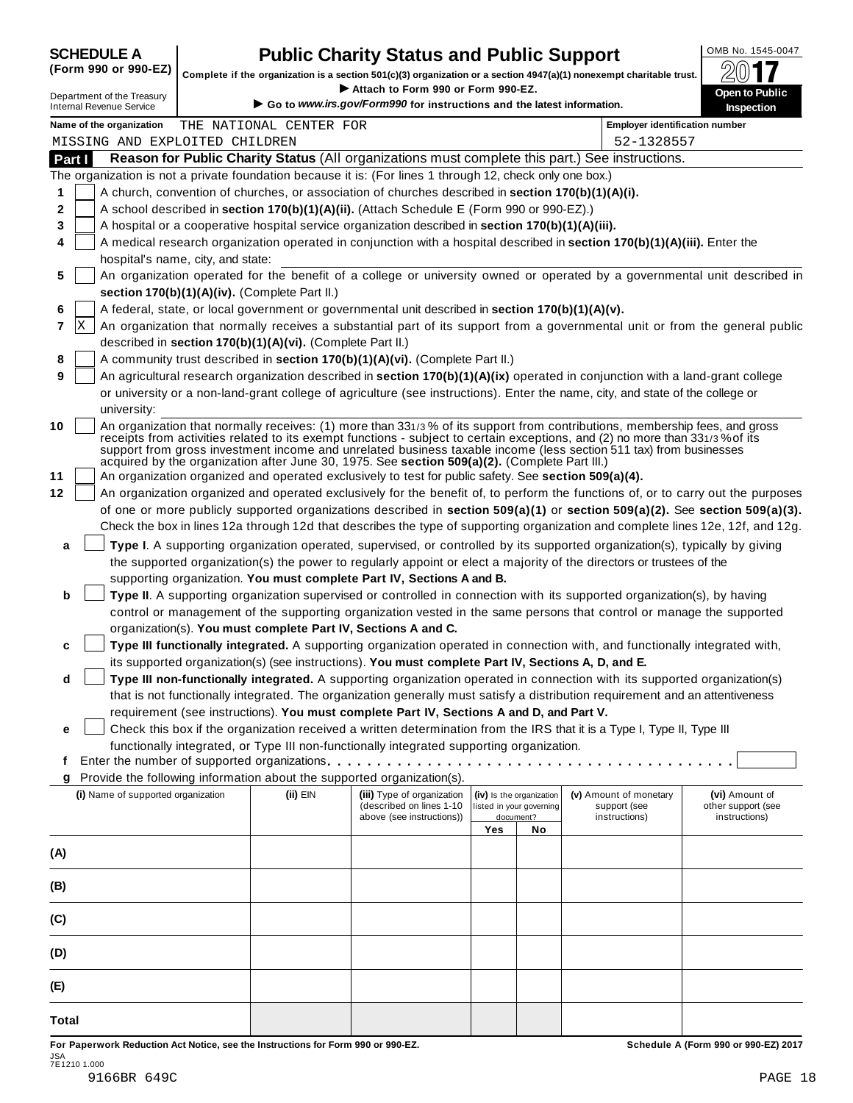| <b>SCHEDULE A</b> |  |  |
|-------------------|--|--|
|                   |  |  |

## **OMB No. 1545-0047 Public Charity Status and Public Support**  $\frac{\text{OMB No. 1545-0047}}{\text{OMB}}$

(Form 990 or 990-EZ) complete if the organization is a section 501(c)(3) organization or a section 4947(a)(1) nonexempt charitable trust.  $2017$ 

|        |   |                                                               |                                                            |                                                                                                                                                                                                       |     |                                                      | Complete if the organization is a section 501(c)(3) organization or a section 4947(a)(1) nonexempt charitable trust.             | ZV I I                                                                                                                       |
|--------|---|---------------------------------------------------------------|------------------------------------------------------------|-------------------------------------------------------------------------------------------------------------------------------------------------------------------------------------------------------|-----|------------------------------------------------------|----------------------------------------------------------------------------------------------------------------------------------|------------------------------------------------------------------------------------------------------------------------------|
|        |   | Department of the Treasury<br><b>Internal Revenue Service</b> |                                                            | Attach to Form 990 or Form 990-EZ.<br>Go to www.irs.gov/Form990 for instructions and the latest information.                                                                                          |     |                                                      |                                                                                                                                  | <b>Open to Public</b><br>Inspection                                                                                          |
|        |   | Name of the organization                                      | THE NATIONAL CENTER FOR                                    |                                                                                                                                                                                                       |     |                                                      | <b>Employer identification number</b>                                                                                            |                                                                                                                              |
|        |   | MISSING AND EXPLOITED CHILDREN                                |                                                            |                                                                                                                                                                                                       |     |                                                      | 52-1328557                                                                                                                       |                                                                                                                              |
| Part I |   |                                                               |                                                            |                                                                                                                                                                                                       |     |                                                      | Reason for Public Charity Status (All organizations must complete this part.) See instructions.                                  |                                                                                                                              |
|        |   |                                                               |                                                            | The organization is not a private foundation because it is: (For lines 1 through 12, check only one box.)                                                                                             |     |                                                      |                                                                                                                                  |                                                                                                                              |
| 1      |   |                                                               |                                                            | A church, convention of churches, or association of churches described in section 170(b)(1)(A)(i).                                                                                                    |     |                                                      |                                                                                                                                  |                                                                                                                              |
| 2      |   |                                                               |                                                            | A school described in section 170(b)(1)(A)(ii). (Attach Schedule E (Form 990 or 990-EZ).)                                                                                                             |     |                                                      |                                                                                                                                  |                                                                                                                              |
| 3      |   |                                                               |                                                            | A hospital or a cooperative hospital service organization described in section 170(b)(1)(A)(iii).                                                                                                     |     |                                                      |                                                                                                                                  |                                                                                                                              |
| 4      |   |                                                               |                                                            |                                                                                                                                                                                                       |     |                                                      | A medical research organization operated in conjunction with a hospital described in section 170(b)(1)(A)(iii). Enter the        |                                                                                                                              |
|        |   | hospital's name, city, and state:                             |                                                            |                                                                                                                                                                                                       |     |                                                      |                                                                                                                                  |                                                                                                                              |
| 5      |   |                                                               |                                                            |                                                                                                                                                                                                       |     |                                                      | An organization operated for the benefit of a college or university owned or operated by a governmental unit described in        |                                                                                                                              |
|        |   |                                                               | section 170(b)(1)(A)(iv). (Complete Part II.)              |                                                                                                                                                                                                       |     |                                                      |                                                                                                                                  |                                                                                                                              |
| 6      |   |                                                               |                                                            | A federal, state, or local government or governmental unit described in section 170(b)(1)(A)(v).                                                                                                      |     |                                                      |                                                                                                                                  |                                                                                                                              |
| 7      | X |                                                               |                                                            |                                                                                                                                                                                                       |     |                                                      |                                                                                                                                  | An organization that normally receives a substantial part of its support from a governmental unit or from the general public |
|        |   |                                                               | described in section 170(b)(1)(A)(vi). (Complete Part II.) |                                                                                                                                                                                                       |     |                                                      |                                                                                                                                  |                                                                                                                              |
| 8      |   |                                                               |                                                            | A community trust described in section 170(b)(1)(A)(vi). (Complete Part II.)                                                                                                                          |     |                                                      |                                                                                                                                  |                                                                                                                              |
| 9      |   |                                                               |                                                            |                                                                                                                                                                                                       |     |                                                      | An agricultural research organization described in section 170(b)(1)(A)(ix) operated in conjunction with a land-grant college    |                                                                                                                              |
|        |   |                                                               |                                                            |                                                                                                                                                                                                       |     |                                                      | or university or a non-land-grant college of agriculture (see instructions). Enter the name, city, and state of the college or   |                                                                                                                              |
|        |   | university:                                                   |                                                            |                                                                                                                                                                                                       |     |                                                      |                                                                                                                                  |                                                                                                                              |
| 10     |   |                                                               |                                                            |                                                                                                                                                                                                       |     |                                                      | An organization that normally receives: (1) more than 331/3% of its support from contributions, membership fees, and gross       |                                                                                                                              |
|        |   |                                                               |                                                            |                                                                                                                                                                                                       |     |                                                      | receipts from activities related to its exempt functions - subject to certain exceptions, and (2) no more than 331/3% of its     |                                                                                                                              |
|        |   |                                                               |                                                            |                                                                                                                                                                                                       |     |                                                      | support from gross investment income and unrelated business taxable income (less section 511 tax) from businesses                |                                                                                                                              |
| 11     |   |                                                               |                                                            | acquired by the organization after June 30, 1975. See section 509(a)(2). (Complete Part III.)<br>An organization organized and operated exclusively to test for public safety. See section 509(a)(4). |     |                                                      |                                                                                                                                  |                                                                                                                              |
| 12     |   |                                                               |                                                            |                                                                                                                                                                                                       |     |                                                      | An organization organized and operated exclusively for the benefit of, to perform the functions of, or to carry out the purposes |                                                                                                                              |
|        |   |                                                               |                                                            |                                                                                                                                                                                                       |     |                                                      | of one or more publicly supported organizations described in section 509(a)(1) or section 509(a)(2). See section 509(a)(3).      |                                                                                                                              |
|        |   |                                                               |                                                            |                                                                                                                                                                                                       |     |                                                      | Check the box in lines 12a through 12d that describes the type of supporting organization and complete lines 12e, 12f, and 12g.  |                                                                                                                              |
|        |   |                                                               |                                                            |                                                                                                                                                                                                       |     |                                                      |                                                                                                                                  |                                                                                                                              |
| a      |   |                                                               |                                                            |                                                                                                                                                                                                       |     |                                                      | Type I. A supporting organization operated, supervised, or controlled by its supported organization(s), typically by giving      |                                                                                                                              |
|        |   |                                                               |                                                            |                                                                                                                                                                                                       |     |                                                      | the supported organization(s) the power to regularly appoint or elect a majority of the directors or trustees of the             |                                                                                                                              |
|        |   |                                                               |                                                            | supporting organization. You must complete Part IV, Sections A and B.                                                                                                                                 |     |                                                      |                                                                                                                                  |                                                                                                                              |
| b      |   |                                                               |                                                            |                                                                                                                                                                                                       |     |                                                      | Type II. A supporting organization supervised or controlled in connection with its supported organization(s), by having          |                                                                                                                              |
|        |   |                                                               |                                                            |                                                                                                                                                                                                       |     |                                                      | control or management of the supporting organization vested in the same persons that control or manage the supported             |                                                                                                                              |
|        |   |                                                               |                                                            | organization(s). You must complete Part IV, Sections A and C.                                                                                                                                         |     |                                                      |                                                                                                                                  |                                                                                                                              |
| c      |   |                                                               |                                                            |                                                                                                                                                                                                       |     |                                                      | Type III functionally integrated. A supporting organization operated in connection with, and functionally integrated with,       |                                                                                                                              |
|        |   |                                                               |                                                            | its supported organization(s) (see instructions). You must complete Part IV, Sections A, D, and E.                                                                                                    |     |                                                      |                                                                                                                                  |                                                                                                                              |
| d      |   |                                                               |                                                            |                                                                                                                                                                                                       |     |                                                      | Type III non-functionally integrated. A supporting organization operated in connection with its supported organization(s)        |                                                                                                                              |
|        |   |                                                               |                                                            |                                                                                                                                                                                                       |     |                                                      | that is not functionally integrated. The organization generally must satisfy a distribution requirement and an attentiveness     |                                                                                                                              |
|        |   |                                                               |                                                            | requirement (see instructions). You must complete Part IV, Sections A and D, and Part V.                                                                                                              |     |                                                      |                                                                                                                                  |                                                                                                                              |
| е      |   |                                                               |                                                            |                                                                                                                                                                                                       |     |                                                      | Check this box if the organization received a written determination from the IRS that it is a Type I, Type II, Type III          |                                                                                                                              |
|        |   |                                                               |                                                            | functionally integrated, or Type III non-functionally integrated supporting organization.                                                                                                             |     |                                                      |                                                                                                                                  |                                                                                                                              |
| t      |   |                                                               |                                                            |                                                                                                                                                                                                       |     |                                                      |                                                                                                                                  |                                                                                                                              |
| g      |   |                                                               |                                                            | Provide the following information about the supported organization(s).                                                                                                                                |     |                                                      |                                                                                                                                  |                                                                                                                              |
|        |   | (i) Name of supported organization                            | (ii) EIN                                                   | (iii) Type of organization<br>(described on lines 1-10                                                                                                                                                |     | (iv) Is the organization<br>listed in your governing | (v) Amount of monetary<br>support (see                                                                                           | (vi) Amount of<br>other support (see                                                                                         |
|        |   |                                                               |                                                            | above (see instructions))                                                                                                                                                                             |     | document?                                            | instructions)                                                                                                                    | instructions)                                                                                                                |
|        |   |                                                               |                                                            |                                                                                                                                                                                                       | Yes | No                                                   |                                                                                                                                  |                                                                                                                              |
| (A)    |   |                                                               |                                                            |                                                                                                                                                                                                       |     |                                                      |                                                                                                                                  |                                                                                                                              |
|        |   |                                                               |                                                            |                                                                                                                                                                                                       |     |                                                      |                                                                                                                                  |                                                                                                                              |
| (B)    |   |                                                               |                                                            |                                                                                                                                                                                                       |     |                                                      |                                                                                                                                  |                                                                                                                              |
|        |   |                                                               |                                                            |                                                                                                                                                                                                       |     |                                                      |                                                                                                                                  |                                                                                                                              |
| (C)    |   |                                                               |                                                            |                                                                                                                                                                                                       |     |                                                      |                                                                                                                                  |                                                                                                                              |
|        |   |                                                               |                                                            |                                                                                                                                                                                                       |     |                                                      |                                                                                                                                  |                                                                                                                              |
| (D)    |   |                                                               |                                                            |                                                                                                                                                                                                       |     |                                                      |                                                                                                                                  |                                                                                                                              |
|        |   |                                                               |                                                            |                                                                                                                                                                                                       |     |                                                      |                                                                                                                                  |                                                                                                                              |
| (E)    |   |                                                               |                                                            |                                                                                                                                                                                                       |     |                                                      |                                                                                                                                  |                                                                                                                              |
|        |   |                                                               |                                                            |                                                                                                                                                                                                       |     |                                                      |                                                                                                                                  |                                                                                                                              |
|        |   |                                                               |                                                            |                                                                                                                                                                                                       |     |                                                      |                                                                                                                                  |                                                                                                                              |

For Paperwork Reduction Act Notice, see the Instructions for Form 990 or 990-EZ. Schedule A (Form 990 or 990-EZ) 2017 JSA 7E1210 1.000

**Total**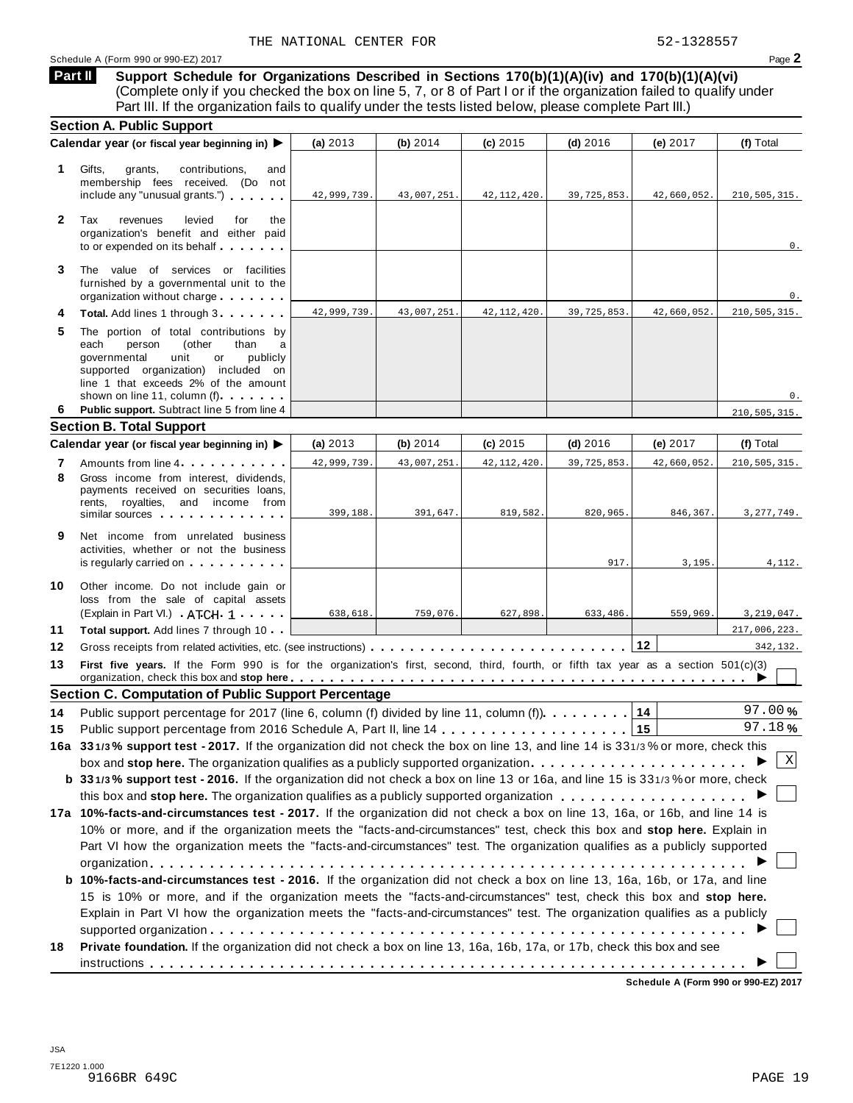Schedule <sup>A</sup> (Form <sup>990</sup> or 990-EZ) <sup>2017</sup> Page **2**

**Support Schedule for Organizations Described in Sections 170(b)(1)(A)(iv) and 170(b)(1)(A)(vi)** (Complete only if you checked the box on line 5, 7, or 8 of Part I or if the organization failed to qualify under Part III. If the organization fails to qualify under the tests listed below, please complete Part III.) **Part II**

|              | <b>Section A. Public Support</b>                                                                                                                                                                                                                                                                                |             |             |               |               |             |                |
|--------------|-----------------------------------------------------------------------------------------------------------------------------------------------------------------------------------------------------------------------------------------------------------------------------------------------------------------|-------------|-------------|---------------|---------------|-------------|----------------|
|              | Calendar year (or fiscal year beginning in) $\blacktriangleright$                                                                                                                                                                                                                                               | (a) 2013    | (b) 2014    | (c) 2015      | $(d)$ 2016    | (e) 2017    | (f) Total      |
| 1.           | Gifts,<br>grants,<br>contributions.<br>and<br>membership fees received. (Do not<br>include any "unusual grants.")                                                                                                                                                                                               | 42,999,739. | 43,007,251. | 42, 112, 420. | 39, 725, 853. | 42,660,052. | 210,505,315.   |
| $\mathbf{2}$ | Tax<br>revenues<br>levied<br>for<br>the<br>organization's benefit and either paid<br>to or expended on its behalf                                                                                                                                                                                               |             |             |               |               |             | 0.             |
| 3            | The value of services or facilities<br>furnished by a governmental unit to the<br>organization without charge                                                                                                                                                                                                   |             |             |               |               |             | 0.             |
|              | Total. Add lines 1 through 3                                                                                                                                                                                                                                                                                    | 42,999,739. | 43,007,251. | 42, 112, 420. | 39,725,853.   | 42,660,052. | 210,505,315.   |
| 5            | The portion of total contributions by<br>each<br>person<br>(other<br>than<br>a<br>governmental<br>unit<br>publicly<br>or<br>supported organization) included on<br>line 1 that exceeds 2% of the amount<br>shown on line 11, column (f)                                                                         |             |             |               |               |             | 0.             |
| 6            | Public support. Subtract line 5 from line 4                                                                                                                                                                                                                                                                     |             |             |               |               |             | 210, 505, 315. |
|              | <b>Section B. Total Support</b>                                                                                                                                                                                                                                                                                 |             |             |               |               |             |                |
|              | Calendar year (or fiscal year beginning in) ▶                                                                                                                                                                                                                                                                   | (a) $2013$  | (b) $2014$  | (c) 2015      | $(d)$ 2016    | (e) 2017    | (f) Total      |
| 7            | Amounts from line 4                                                                                                                                                                                                                                                                                             | 42,999,739. | 43,007,251. | 42, 112, 420. | 39,725,853.   | 42,660,052. | 210,505,315.   |
| 8            | Gross income from interest. dividends.<br>payments received on securities loans,<br>rents, royalties, and income from<br>similar sources experiences                                                                                                                                                            | 399,188.    | 391,647.    | 819,582.      | 820,965.      | 846, 367.   | 3, 277, 749.   |
| 9            | Net income from unrelated business<br>activities, whether or not the business<br>is regularly carried on the control of the control of the control of the control of the control of the control of the control of the control of the control of the control of the control of the control of the control of the |             |             |               | 917.          | 3,195.      | 4,112.         |
| 10           | Other income. Do not include gain or<br>loss from the sale of capital assets<br>(Explain in Part VI.) ATCH 1                                                                                                                                                                                                    | 638,618.    | 759,076.    | 627,898.      | 633,486.      | 559,969.    | 3,219,047.     |
| 11           | Total support. Add lines 7 through 10                                                                                                                                                                                                                                                                           |             |             |               |               |             | 217,006,223.   |
| 12           |                                                                                                                                                                                                                                                                                                                 |             |             |               |               |             | 342,132.       |
| 13           | First five years. If the Form 990 is for the organization's first, second, third, fourth, or fifth tax year as a section 501(c)(3)                                                                                                                                                                              |             |             |               |               |             |                |
|              | <b>Section C. Computation of Public Support Percentage</b>                                                                                                                                                                                                                                                      |             |             |               |               |             |                |
| 14           | Public support percentage for 2017 (line 6, column (f) divided by line 11, column (f).                                                                                                                                                                                                                          |             |             |               |               | 14          | 97.00%         |
| 15           |                                                                                                                                                                                                                                                                                                                 |             |             |               |               |             | 97.18%         |
|              | 16a 331/3% support test - 2017. If the organization did not check the box on line 13, and line 14 is 331/3% or more, check this                                                                                                                                                                                 |             |             |               |               |             |                |
|              | box and stop here. The organization qualifies as a publicly supported organization $\ldots \ldots \ldots \ldots \ldots \ldots \ldots$                                                                                                                                                                           |             |             |               |               |             | Χ              |
|              | b 331/3% support test - 2016. If the organization did not check a box on line 13 or 16a, and line 15 is 331/3% or more, check                                                                                                                                                                                   |             |             |               |               |             |                |
|              |                                                                                                                                                                                                                                                                                                                 |             |             |               |               |             |                |
|              | 17a 10%-facts-and-circumstances test - 2017. If the organization did not check a box on line 13, 16a, or 16b, and line 14 is                                                                                                                                                                                    |             |             |               |               |             |                |
|              | 10% or more, and if the organization meets the "facts-and-circumstances" test, check this box and stop here. Explain in                                                                                                                                                                                         |             |             |               |               |             |                |
|              | Part VI how the organization meets the "facts-and-circumstances" test. The organization qualifies as a publicly supported                                                                                                                                                                                       |             |             |               |               |             |                |
|              |                                                                                                                                                                                                                                                                                                                 |             |             |               |               |             |                |
|              | <b>b 10%-facts-and-circumstances test - 2016.</b> If the organization did not check a box on line 13, 16a, 16b, or 17a, and line                                                                                                                                                                                |             |             |               |               |             |                |
|              | 15 is 10% or more, and if the organization meets the "facts-and-circumstances" test, check this box and stop here.                                                                                                                                                                                              |             |             |               |               |             |                |
|              | Explain in Part VI how the organization meets the "facts-and-circumstances" test. The organization qualifies as a publicly                                                                                                                                                                                      |             |             |               |               |             |                |
|              | Private foundation. If the organization did not check a box on line 13, 16a, 16b, 17a, or 17b, check this box and see                                                                                                                                                                                           |             |             |               |               |             |                |
| 18           |                                                                                                                                                                                                                                                                                                                 |             |             |               |               |             |                |
|              |                                                                                                                                                                                                                                                                                                                 |             |             |               |               |             |                |

**Schedule A (Form 990 or 990-EZ) 2017**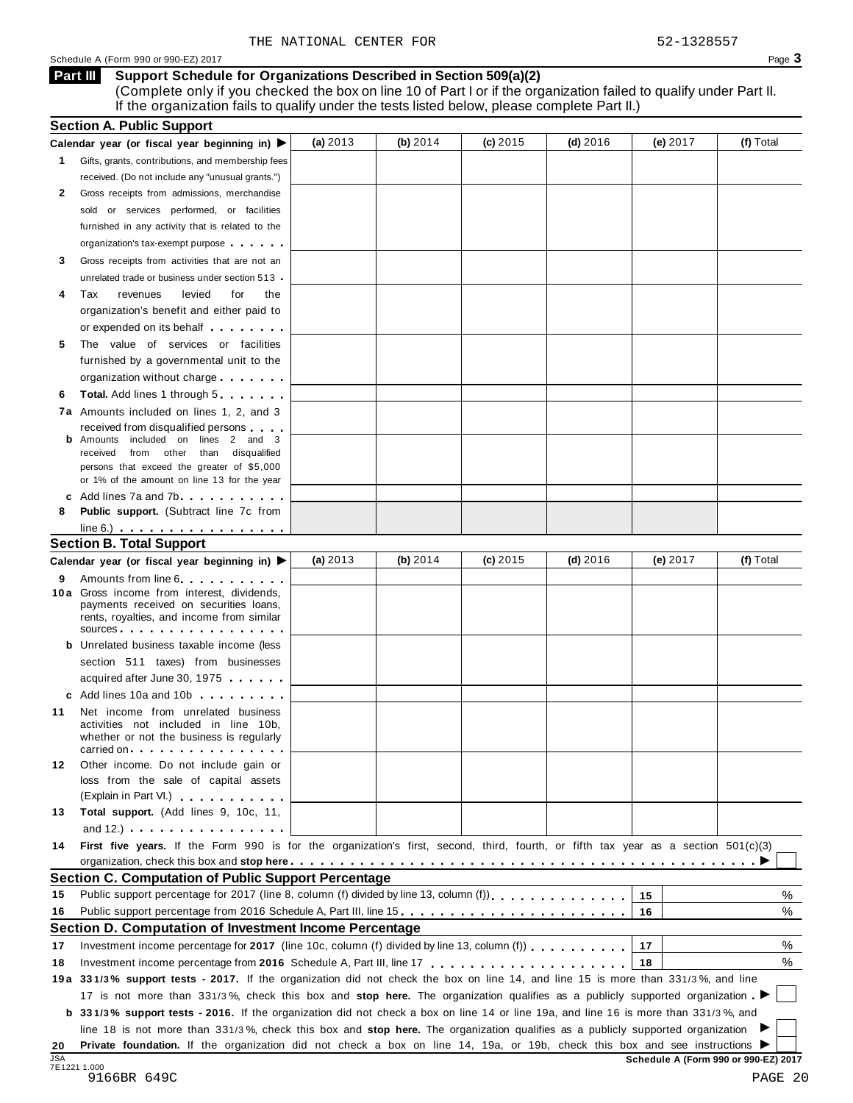Schedule <sup>A</sup> (Form <sup>990</sup> or 990-EZ) <sup>2017</sup> Page **3**

#### **Support Schedule for Organizations Described in Section 509(a)(2) Part III**

(Complete only if you checked the box on line 10 of Part I or if the organization failed to qualify under Part II. If the organization fails to qualify under the tests listed below, please complete Part II.)

|    | <b>Section A. Public Support</b>                                                                                                                                                                                                                             |            |            |            |            |          |           |
|----|--------------------------------------------------------------------------------------------------------------------------------------------------------------------------------------------------------------------------------------------------------------|------------|------------|------------|------------|----------|-----------|
|    | Calendar year (or fiscal year beginning in) ▶                                                                                                                                                                                                                | (a) $2013$ | (b) $2014$ | $(c)$ 2015 | (d) $2016$ | (e) 2017 | (f) Total |
| 1. | Gifts, grants, contributions, and membership fees                                                                                                                                                                                                            |            |            |            |            |          |           |
|    | received. (Do not include any "unusual grants.")                                                                                                                                                                                                             |            |            |            |            |          |           |
| 2  | Gross receipts from admissions, merchandise                                                                                                                                                                                                                  |            |            |            |            |          |           |
|    | sold or services performed, or facilities                                                                                                                                                                                                                    |            |            |            |            |          |           |
|    | furnished in any activity that is related to the                                                                                                                                                                                                             |            |            |            |            |          |           |
|    | organization's tax-exempt purpose                                                                                                                                                                                                                            |            |            |            |            |          |           |
| 3  | Gross receipts from activities that are not an                                                                                                                                                                                                               |            |            |            |            |          |           |
|    | unrelated trade or business under section 513                                                                                                                                                                                                                |            |            |            |            |          |           |
| 4  | Tax<br>revenues<br>levied<br>for<br>the                                                                                                                                                                                                                      |            |            |            |            |          |           |
|    | organization's benefit and either paid to                                                                                                                                                                                                                    |            |            |            |            |          |           |
|    | or expended on its behalf                                                                                                                                                                                                                                    |            |            |            |            |          |           |
| 5  | The value of services or facilities                                                                                                                                                                                                                          |            |            |            |            |          |           |
|    | furnished by a governmental unit to the                                                                                                                                                                                                                      |            |            |            |            |          |           |
|    | organization without charge                                                                                                                                                                                                                                  |            |            |            |            |          |           |
| 6  | <b>Total.</b> Add lines 1 through 5                                                                                                                                                                                                                          |            |            |            |            |          |           |
|    | 7a Amounts included on lines 1, 2, and 3                                                                                                                                                                                                                     |            |            |            |            |          |           |
|    | received from disqualified persons                                                                                                                                                                                                                           |            |            |            |            |          |           |
|    | Amounts included on lines 2 and 3                                                                                                                                                                                                                            |            |            |            |            |          |           |
|    | from other than disqualified<br>received                                                                                                                                                                                                                     |            |            |            |            |          |           |
|    | persons that exceed the greater of \$5,000                                                                                                                                                                                                                   |            |            |            |            |          |           |
|    | or 1% of the amount on line 13 for the year                                                                                                                                                                                                                  |            |            |            |            |          |           |
|    | c Add lines 7a and 7b<br>Public support. (Subtract line 7c from                                                                                                                                                                                              |            |            |            |            |          |           |
| 8  |                                                                                                                                                                                                                                                              |            |            |            |            |          |           |
|    | $line 6.)$<br><b>Section B. Total Support</b>                                                                                                                                                                                                                |            |            |            |            |          |           |
|    |                                                                                                                                                                                                                                                              | (a) $2013$ | (b) $2014$ | $(c)$ 2015 | (d) $2016$ | (e) 2017 | (f) Total |
|    | Calendar year (or fiscal year beginning in) ▶                                                                                                                                                                                                                |            |            |            |            |          |           |
| 9  | Amounts from line 6<br>10 a Gross income from interest, dividends,                                                                                                                                                                                           |            |            |            |            |          |           |
|    | payments received on securities loans,                                                                                                                                                                                                                       |            |            |            |            |          |           |
|    | rents, royalties, and income from similar                                                                                                                                                                                                                    |            |            |            |            |          |           |
|    | sources <b>contracts</b>                                                                                                                                                                                                                                     |            |            |            |            |          |           |
|    | <b>b</b> Unrelated business taxable income (less                                                                                                                                                                                                             |            |            |            |            |          |           |
|    | section 511 taxes) from businesses                                                                                                                                                                                                                           |            |            |            |            |          |           |
|    | acquired after June 30, 1975                                                                                                                                                                                                                                 |            |            |            |            |          |           |
|    | c Add lines 10a and 10b and the control of the control of the control of the control of the control of the control of the control of the control of the control of the control of the control of the control of the control of                               |            |            |            |            |          |           |
| 11 | Net income from unrelated business                                                                                                                                                                                                                           |            |            |            |            |          |           |
|    | activities not included in line 10b,<br>whether or not the business is regularly                                                                                                                                                                             |            |            |            |            |          |           |
|    | carried on the carried on the care and the care of the care of the care of the care of the care of the care of                                                                                                                                               |            |            |            |            |          |           |
| 12 | Other income. Do not include gain or                                                                                                                                                                                                                         |            |            |            |            |          |           |
|    | loss from the sale of capital assets                                                                                                                                                                                                                         |            |            |            |            |          |           |
|    | (Explain in Part VI.) <b>All and Strategies</b>                                                                                                                                                                                                              |            |            |            |            |          |           |
| 13 | Total support. (Add lines 9, 10c, 11,                                                                                                                                                                                                                        |            |            |            |            |          |           |
|    | and 12.) $\cdots$ $\cdots$ $\cdots$ $\cdots$ $\cdots$                                                                                                                                                                                                        |            |            |            |            |          |           |
| 14 | First five years. If the Form 990 is for the organization's first, second, third, fourth, or fifth tax year as a section 501(c)(3)                                                                                                                           |            |            |            |            |          |           |
|    |                                                                                                                                                                                                                                                              |            |            |            |            |          |           |
|    | <b>Section C. Computation of Public Support Percentage</b>                                                                                                                                                                                                   |            |            |            |            |          |           |
| 15 | Public support percentage for 2017 (line 8, column (f) divided by line 13, column (f)).                                                                                                                                                                      |            |            |            |            | 15       | ℅         |
| 16 | Public support percentage from 2016 Schedule A, Part III, line 15.                                                                                                                                                                                           |            |            |            |            | 16       | %         |
|    | Section D. Computation of Investment Income Percentage                                                                                                                                                                                                       |            |            |            |            |          |           |
| 17 | Investment income percentage for 2017 (line 10c, column (f) divided by line 13, column (f))                                                                                                                                                                  |            |            |            |            | 17       | %         |
| 18 |                                                                                                                                                                                                                                                              |            |            |            |            | 18       | %         |
|    | 19a 331/3% support tests - 2017. If the organization did not check the box on line 14, and line 15 is more than 331/3%, and line                                                                                                                             |            |            |            |            |          |           |
|    | 17 is not more than 331/3%, check this box and stop here. The organization qualifies as a publicly supported organization                                                                                                                                    |            |            |            |            |          |           |
|    |                                                                                                                                                                                                                                                              |            |            |            |            |          |           |
|    |                                                                                                                                                                                                                                                              |            |            |            |            |          |           |
|    | <b>b</b> 331/3% support tests - 2016. If the organization did not check a box on line 14 or line 19a, and line 16 is more than 331/3%, and                                                                                                                   |            |            |            |            |          |           |
| 20 | line 18 is not more than 331/3%, check this box and stop here. The organization qualifies as a publicly supported organization<br>Private foundation. If the organization did not check a box on line 14, 19a, or 19b, check this box and see instructions ▶ |            |            |            |            |          |           |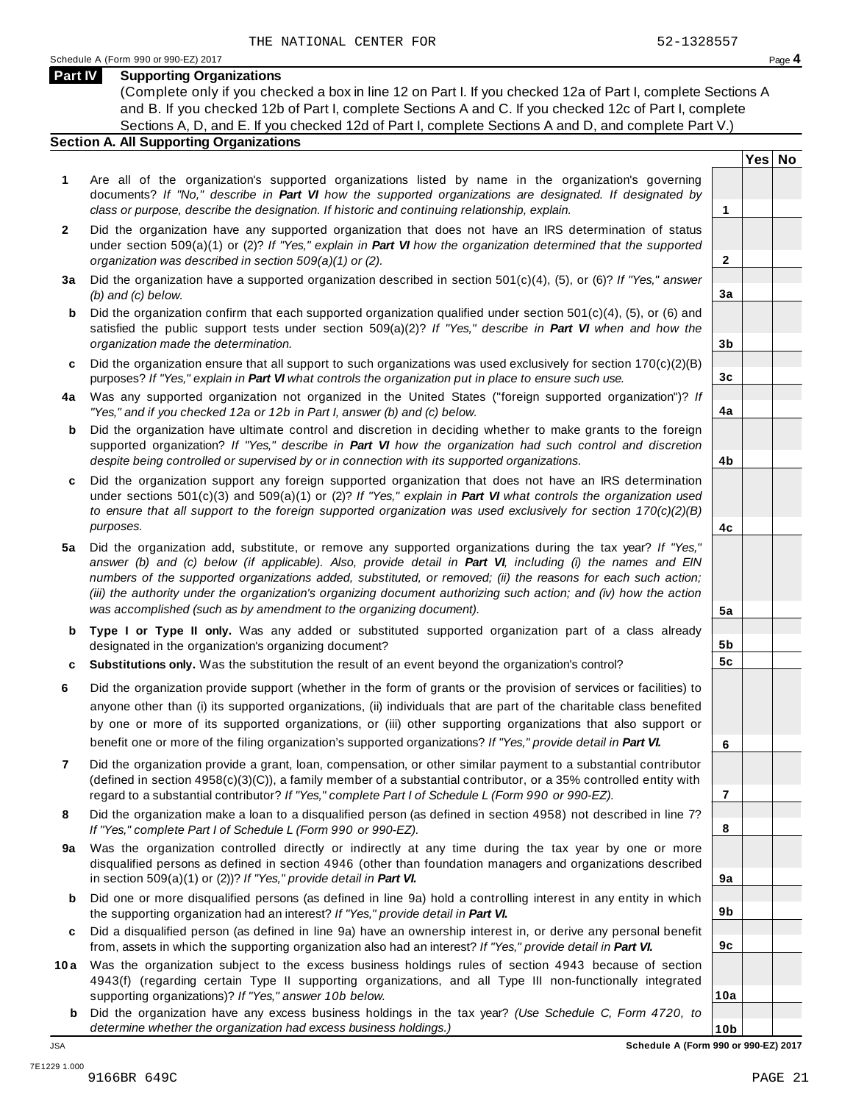**2**

**3a**

**3b**

**3c**

**4a**

**4b**

**4c**

**5a**

**5b 5c**

**6**

**7**

**8**

**9a**

**9b**

**9c**

**10a**

#### **Part IV Supporting Organizations**

(Complete only if you checked a box in line 12 on Part I. If you checked 12a of Part I, complete Sections A and B. If you checked 12b of Part I, complete Sections A and C. If you checked 12c of Part I, complete Sections A, D, and E. If you checked 12d of Part I, complete Sections A and D, and complete Part V.)

#### **Section A. All Supporting Organizations**

- **1** Are all of the organization's supported organizations listed by name in the organization's governing documents? *If "No," describe in Part VI how the supported organizations are designated. If designated by class or purpose, describe the designation. If historic and continuing relationship, explain.* **1**
- **2** Did the organization have any supported organization that does not have an IRS determination of status under section 509(a)(1) or (2)? *If"Yes," explain in Part VI how the organization determined that the supported organization was described in section 509(a)(1) or (2).*
- **3 a** Did the organization have a supported organization described in section 501(c)(4), (5), or (6)? *If "Yes," answer (b) and (c) below.*
- **b** Did the organization confirm that each supported organization qualified under section 501(c)(4), (5), or (6) and | satisfied the public support tests under section 509(a)(2)? *If "Yes," describe in Part VI when and how the organization made the determination.*
- **c** Did the organization ensure that all support to such organizations was used exclusively for section 170(c)(2)(B) purposes? *If"Yes," explain in Part VI what controls the organization put in place to ensure such use.*
- **4 a** Was any supported organization not organized in the United States ("foreign supported organization")? *If "Yes," and if you checked 12a or 12b in Part I, answer (b) and (c) below.*
- **b** Did the organization have ultimate control and discretion in deciding whether to make grants to the foreign | supported organization? *If "Yes," describe in Part VI how the organization had such control and discretion despite being controlled or supervised by or in connection with its supported organizations.*
- **c** Did the organization support any foreign supported organization that does not have an IRS determination | under sections 501(c)(3) and 509(a)(1) or (2)? *If "Yes," explain in Part VI what controls the organization used to ensure that all support to the foreign supported organization was used exclusively for section 170(c)(2)(B) purposes.*
- **5 a** Did the organization add, substitute, or remove any supported organizations during the tax year? *If "Yes,"* answer (b) and (c) below (if applicable). Also, provide detail in Part VI, including (i) the names and EIN *numbers of the supported organizations added, substituted, or removed; (ii) the reasons for each such action;* (iii) the authority under the organization's organizing document authorizing such action; and (iv) how the action *was accomplished (such as by amendment to the organizing document).*
- **b** Type I or Type II only. Was any added or substituted supported organization part of a class already | designated in the organization's organizing document?
- **c Substitutions only.** Was the substitution the result of an event beyond the organization's control?
- **6** Did the organization provide support (whether in the form of grants or the provision of services or facilities) to anyone other than (i) its supported organizations, (ii) individuals that are part of the charitable class benefited by one or more of its supported organizations, or (iii) other supporting organizations that also support or benefit one or more of the filing organization's supported organizations? *If"Yes," provide detail in Part VI.*
- **7** Did the organization provide a grant, loan, compensation, or other similar payment to a substantial contributor (defined in section 4958(c)(3)(C)), a family member of a substantial contributor, or a 35% controlled entity with regard to a substantial contributor? *If"Yes," complete Part I of Schedule L (Form 990 or 990-EZ).*
- **8** Did the organization make a loan to a disqualified person (as defined in section 4958) not described in line 7? *If "Yes," complete Part I of Schedule L (Form 990 or 990-EZ).*
- **a** Was the organization controlled directly or indirectly at any time during the tax year by one or more | **9** disqualified persons as defined in section 4946 (other than foundation managers and organizations described in section 509(a)(1) or (2))? *If"Yes," provide detail in Part VI.*
- **b** Did one or more disqualified persons (as defined in line 9a) hold a controlling interest in any entity in which | the supporting organization had an interest? *If"Yes," provide detail in Part VI.*
- **c** Did a disqualified person (as defined in line 9a) have an ownership interest in, or derive any personal benefit from, assets in which the supporting organization also had an interest? *If"Yes," provide detail in Part VI.*
- **10a** Was the organization subject to the excess business holdings rules of section 4943 because of section | 4943(f) (regarding certain Type II supporting organizations, and all Type III non-functionally integrated supporting organizations)? *If"Yes," answer 10b below.*
	- **b** Did the organization have any excess business holdings in the tax year? *(Use Schedule C, Form 4720, to determine whether the organization had excess business holdings.)*

**Yes No**

**10b** JSA **Schedule A (Form 990 or 990-EZ) 2017**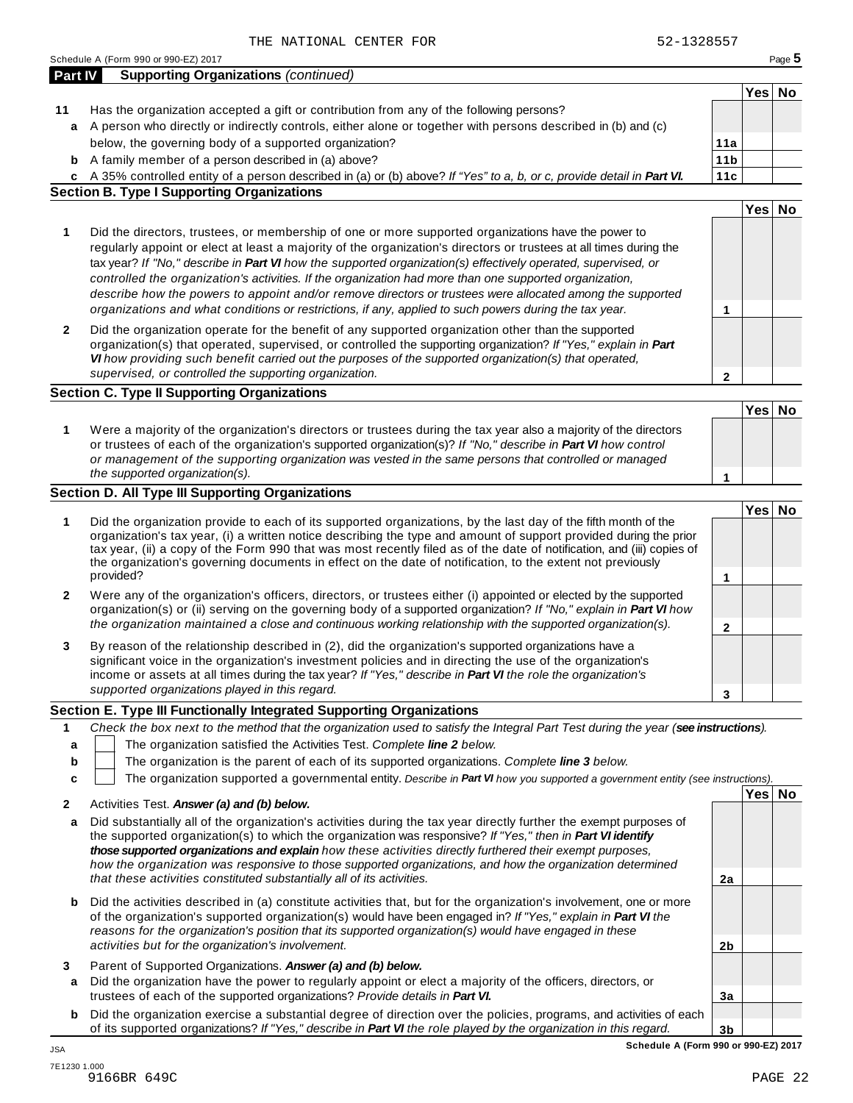|         | Schedule A (Form 990 or 990-EZ) 2017                                                                                                                                                                                                                                                                                                                                                                                                                                                                                                                                                                                                                                         |                 |        | Page 5 |
|---------|------------------------------------------------------------------------------------------------------------------------------------------------------------------------------------------------------------------------------------------------------------------------------------------------------------------------------------------------------------------------------------------------------------------------------------------------------------------------------------------------------------------------------------------------------------------------------------------------------------------------------------------------------------------------------|-----------------|--------|--------|
| Part IV | <b>Supporting Organizations (continued)</b>                                                                                                                                                                                                                                                                                                                                                                                                                                                                                                                                                                                                                                  |                 |        |        |
|         |                                                                                                                                                                                                                                                                                                                                                                                                                                                                                                                                                                                                                                                                              |                 | Yes No |        |
| 11      | Has the organization accepted a gift or contribution from any of the following persons?                                                                                                                                                                                                                                                                                                                                                                                                                                                                                                                                                                                      |                 |        |        |
| a       | A person who directly or indirectly controls, either alone or together with persons described in (b) and (c)                                                                                                                                                                                                                                                                                                                                                                                                                                                                                                                                                                 |                 |        |        |
|         | below, the governing body of a supported organization?                                                                                                                                                                                                                                                                                                                                                                                                                                                                                                                                                                                                                       | 11a             |        |        |
| b       | A family member of a person described in (a) above?                                                                                                                                                                                                                                                                                                                                                                                                                                                                                                                                                                                                                          | 11 <sub>b</sub> |        |        |
|         | c A 35% controlled entity of a person described in (a) or (b) above? If "Yes" to a, b, or c, provide detail in Part VI.                                                                                                                                                                                                                                                                                                                                                                                                                                                                                                                                                      | 11c             |        |        |
|         | <b>Section B. Type I Supporting Organizations</b>                                                                                                                                                                                                                                                                                                                                                                                                                                                                                                                                                                                                                            |                 |        |        |
|         |                                                                                                                                                                                                                                                                                                                                                                                                                                                                                                                                                                                                                                                                              |                 | Yes No |        |
| 1       | Did the directors, trustees, or membership of one or more supported organizations have the power to<br>regularly appoint or elect at least a majority of the organization's directors or trustees at all times during the<br>tax year? If "No," describe in Part VI how the supported organization(s) effectively operated, supervised, or<br>controlled the organization's activities. If the organization had more than one supported organization,<br>describe how the powers to appoint and/or remove directors or trustees were allocated among the supported<br>organizations and what conditions or restrictions, if any, applied to such powers during the tax year. | 1               |        |        |
| 2       | Did the organization operate for the benefit of any supported organization other than the supported<br>organization(s) that operated, supervised, or controlled the supporting organization? If "Yes," explain in Part<br>VI how providing such benefit carried out the purposes of the supported organization(s) that operated,<br>supervised, or controlled the supporting organization.                                                                                                                                                                                                                                                                                   | $\mathbf{2}$    |        |        |
|         | <b>Section C. Type II Supporting Organizations</b>                                                                                                                                                                                                                                                                                                                                                                                                                                                                                                                                                                                                                           |                 |        |        |
|         |                                                                                                                                                                                                                                                                                                                                                                                                                                                                                                                                                                                                                                                                              |                 | Yes No |        |
| 1       | Were a majority of the organization's directors or trustees during the tax year also a majority of the directors<br>or trustees of each of the organization's supported organization(s)? If "No," describe in Part VI how control<br>or management of the supporting organization was vested in the same persons that controlled or managed                                                                                                                                                                                                                                                                                                                                  |                 |        |        |
|         | the supported organization(s).                                                                                                                                                                                                                                                                                                                                                                                                                                                                                                                                                                                                                                               | 1               |        |        |
|         | Section D. All Type III Supporting Organizations                                                                                                                                                                                                                                                                                                                                                                                                                                                                                                                                                                                                                             |                 |        |        |
| 1       | Did the organization provide to each of its supported organizations, by the last day of the fifth month of the<br>organization's tax year, (i) a written notice describing the type and amount of support provided during the prior<br>tax year, (ii) a copy of the Form 990 that was most recently filed as of the date of notification, and (iii) copies of<br>the organization's governing documents in effect on the date of notification, to the extent not previously<br>provided?                                                                                                                                                                                     | 1               | Yes No |        |
|         |                                                                                                                                                                                                                                                                                                                                                                                                                                                                                                                                                                                                                                                                              |                 |        |        |
| 2       | Were any of the organization's officers, directors, or trustees either (i) appointed or elected by the supported<br>organization(s) or (ii) serving on the governing body of a supported organization? If "No," explain in Part VI how<br>the organization maintained a close and continuous working relationship with the supported organization(s).                                                                                                                                                                                                                                                                                                                        | $\mathbf{2}$    |        |        |
| 3       | By reason of the relationship described in (2), did the organization's supported organizations have a<br>significant voice in the organization's investment policies and in directing the use of the organization's<br>income or assets at all times during the tax year? If "Yes," describe in Part VI the role the organization's<br>supported organizations played in this regard.                                                                                                                                                                                                                                                                                        | 3               |        |        |
|         | Section E. Type III Functionally Integrated Supporting Organizations                                                                                                                                                                                                                                                                                                                                                                                                                                                                                                                                                                                                         |                 |        |        |
| 1       | Check the box next to the method that the organization used to satisfy the Integral Part Test during the year (see instructions).                                                                                                                                                                                                                                                                                                                                                                                                                                                                                                                                            |                 |        |        |
| a       | The organization satisfied the Activities Test. Complete line 2 below.                                                                                                                                                                                                                                                                                                                                                                                                                                                                                                                                                                                                       |                 |        |        |
| b       | The organization is the parent of each of its supported organizations. Complete line 3 below.                                                                                                                                                                                                                                                                                                                                                                                                                                                                                                                                                                                |                 |        |        |
| C       | The organization supported a governmental entity. Describe in Part VI how you supported a government entity (see instructions).                                                                                                                                                                                                                                                                                                                                                                                                                                                                                                                                              |                 |        |        |
|         |                                                                                                                                                                                                                                                                                                                                                                                                                                                                                                                                                                                                                                                                              |                 | Yes No |        |
| 2       | Activities Test. Answer (a) and (b) below.                                                                                                                                                                                                                                                                                                                                                                                                                                                                                                                                                                                                                                   |                 |        |        |
| a       | Did substantially all of the organization's activities during the tax year directly further the exempt purposes of<br>the supported organization(s) to which the organization was responsive? If "Yes," then in Part VI identify<br>those supported organizations and explain how these activities directly furthered their exempt purposes,                                                                                                                                                                                                                                                                                                                                 |                 |        |        |
|         | how the organization was responsive to those supported organizations, and how the organization determined<br>that these activities constituted substantially all of its activities.                                                                                                                                                                                                                                                                                                                                                                                                                                                                                          | 2a              |        |        |
| b       | Did the activities described in (a) constitute activities that, but for the organization's involvement, one or more<br>of the organization's supported organization(s) would have been engaged in? If "Yes," explain in Part VI the<br>reasons for the organization's position that its supported organization(s) would have engaged in these<br>activities but for the organization's involvement.                                                                                                                                                                                                                                                                          | 2b              |        |        |
| 3       | Parent of Supported Organizations. Answer (a) and (b) below.                                                                                                                                                                                                                                                                                                                                                                                                                                                                                                                                                                                                                 |                 |        |        |
| a       | Did the organization have the power to regularly appoint or elect a majority of the officers, directors, or<br>trustees of each of the supported organizations? Provide details in Part VI.                                                                                                                                                                                                                                                                                                                                                                                                                                                                                  | 3a              |        |        |
|         |                                                                                                                                                                                                                                                                                                                                                                                                                                                                                                                                                                                                                                                                              |                 |        |        |

**b** Did the organization exercise a substantial degree of direction over the policies, programs, and activities of each of its supported organizations? *If"Yes," describe in Part VI the role played by the organization in this regard.*

**3b Schedule A (Form 990 or 990-EZ) 2017**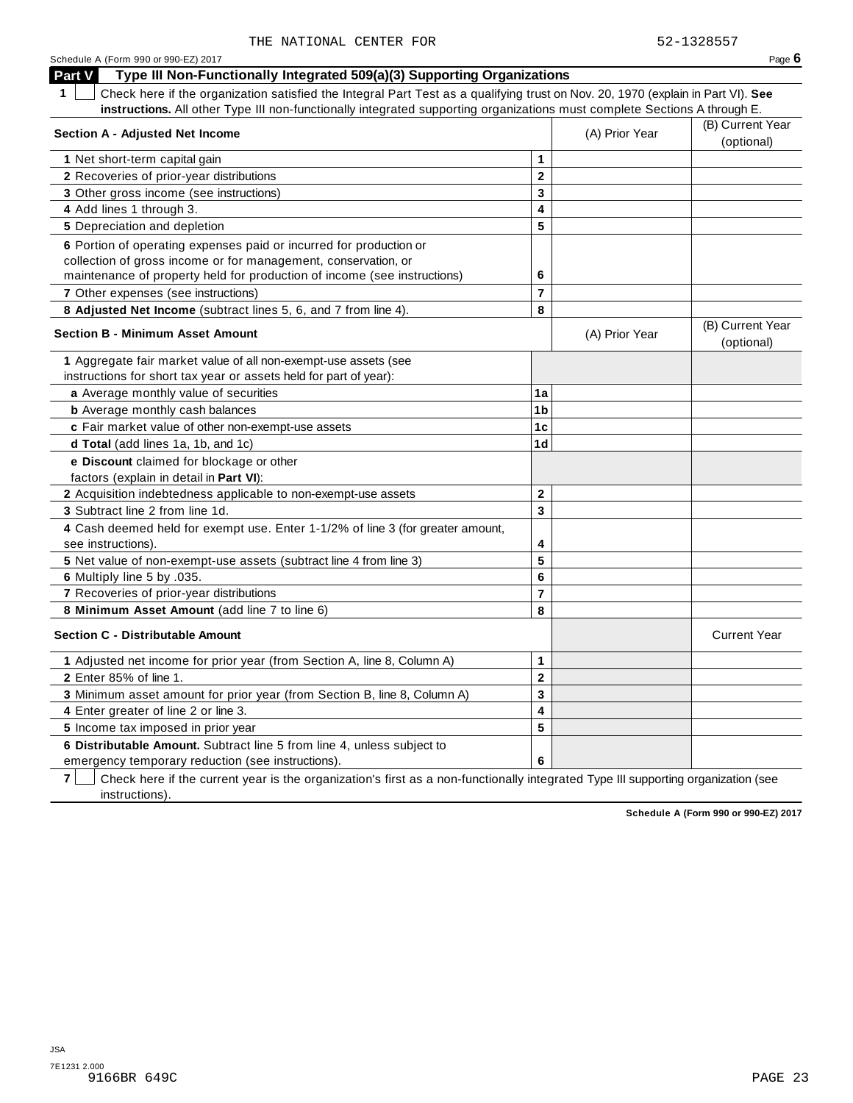| Schedule A (Form 990 or 990-EZ) 2017 | Page 6 |
|--------------------------------------|--------|
|                                      |        |

**Part V Type III Non-Functionally Integrated 509(a)(3) Supporting Organizations 1** Check here if the organization satisfied the Integral Part Test as a qualifying trust on Nov. 20, 1970 (explain in Part VI). **See instructions.** All other Type III non-functionally integrated supporting organizations must complete Sections A through E. (B) Current Year **Section <sup>A</sup> - Adjusted Net Income** (A) Prior Year (optional) **1** Net short-term capital gain **1 1 2 3 4 5 2** Recoveries of prior-year distributions **3** Other gross income (see instructions) **4** Add lines 1 through 3. **5** Depreciation and depletion **6** Portion of operating expenses paid or incurred for production or collection of gross income or for management, conservation, or maintenance of property held for production of income (see instructions) **6 7** Other expenses (see instructions) **7 8 Adjusted Net Income** (subtract lines 5, 6, and 7 from line 4). **8** (B) Current Year **Section <sup>B</sup> - Minimum Asset Amount** (A) Prior Year (optional) **1** Aggregate fair market value of all non-exempt-use assets (see instructions for short tax year or assets held for part of year): **a** Average monthly value of securities **1a 1a 1b 1c 1d b** Average monthly cash balances **c** Fair market value of other non-exempt-use assets **d Total** (add lines 1a, 1b, and 1c) **e Discount** claimed for blockage or other factors (explain in detail in **Part VI**): **2** Acquisition indebtedness applicable to non-exempt-use assets **2 3 4 5 6 7 8 3** Subtract line 2 from line 1d. **4** Cash deemed held for exempt use. Enter 1-1/2% of line 3 (for greater amount, see instructions). **5** Net value of non-exempt-use assets (subtract line 4 from line 3) **6** Multiply line 5 by .035. **7** Recoveries of prior-year distributions **8 Minimum Asset Amount** (add line 7 to line 6) **Section C -** Distributable Amount **Current Year Current Year Amount** Current Year **Current Year 1** Adjusted net income for prior year (from Section A, line 8, Column A) **1 2 3 4 5 2** Enter 85% of line 1. **3** Minimum asset amount for prior year (from Section B, line 8, Column A) **4** Enter greater of line 2 or line 3. **5** Income tax imposed in prior year **6 Distributable Amount.** Subtract line 5 from line 4, unless subject to

emergency temporary reduction (see instructions).

**7** Check here if the current year is the organization's first as a non-functionally integrated Type III supporting organization (see instructions).

**6**

**Schedule A (Form 990 or 990-EZ) 2017**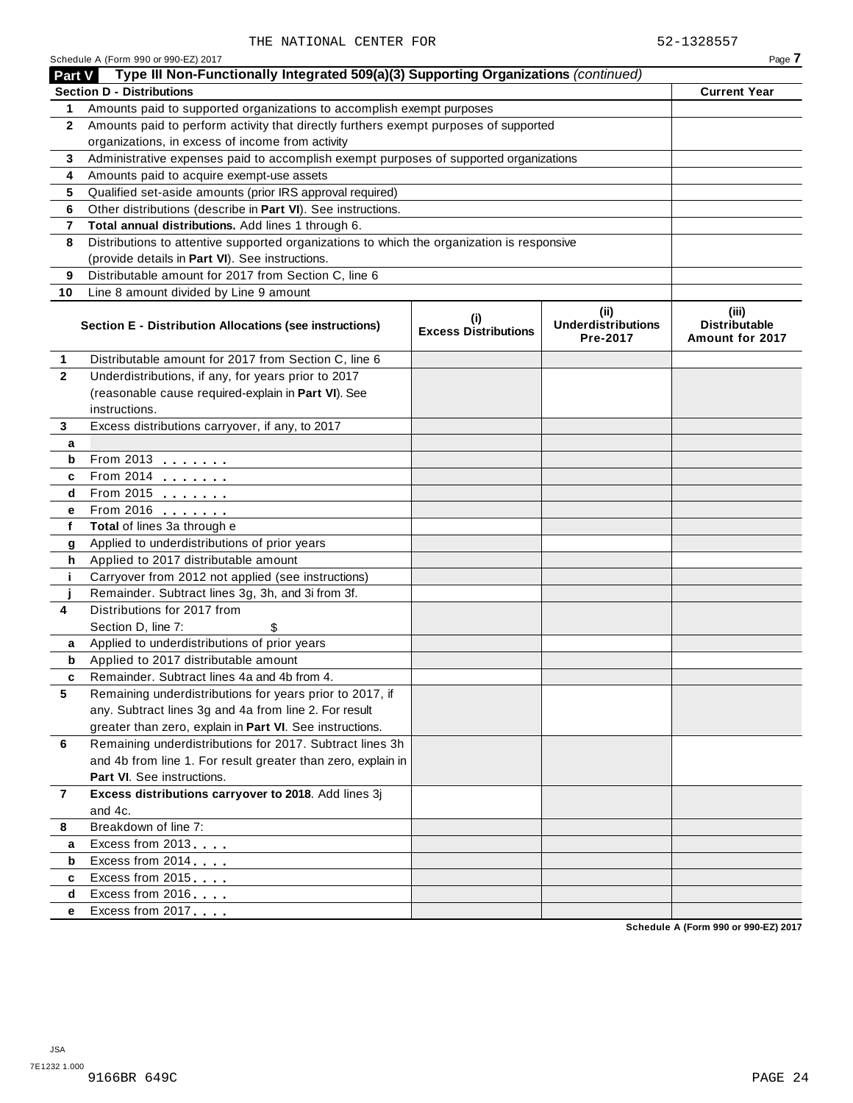Schedule <sup>A</sup> (Form <sup>990</sup> or 990-EZ) <sup>2017</sup> Page **7**

| <b>Part V</b>  | Type III Non-Functionally Integrated 509(a)(3) Supporting Organizations (continued)        |                                    |                                               |                                                  |
|----------------|--------------------------------------------------------------------------------------------|------------------------------------|-----------------------------------------------|--------------------------------------------------|
|                | <b>Section D - Distributions</b>                                                           |                                    |                                               | <b>Current Year</b>                              |
| 1              | Amounts paid to supported organizations to accomplish exempt purposes                      |                                    |                                               |                                                  |
| $\mathbf{2}$   | Amounts paid to perform activity that directly furthers exempt purposes of supported       |                                    |                                               |                                                  |
|                | organizations, in excess of income from activity                                           |                                    |                                               |                                                  |
| 3              | Administrative expenses paid to accomplish exempt purposes of supported organizations      |                                    |                                               |                                                  |
| 4              | Amounts paid to acquire exempt-use assets                                                  |                                    |                                               |                                                  |
| 5              | Qualified set-aside amounts (prior IRS approval required)                                  |                                    |                                               |                                                  |
| 6              | Other distributions (describe in Part VI). See instructions.                               |                                    |                                               |                                                  |
| $\mathbf{7}$   | Total annual distributions. Add lines 1 through 6.                                         |                                    |                                               |                                                  |
| 8              | Distributions to attentive supported organizations to which the organization is responsive |                                    |                                               |                                                  |
|                | (provide details in Part VI). See instructions.                                            |                                    |                                               |                                                  |
| 9              | Distributable amount for 2017 from Section C, line 6                                       |                                    |                                               |                                                  |
| 10             | Line 8 amount divided by Line 9 amount                                                     |                                    |                                               |                                                  |
|                | Section E - Distribution Allocations (see instructions)                                    | (i)<br><b>Excess Distributions</b> | (ii)<br><b>Underdistributions</b><br>Pre-2017 | (iii)<br><b>Distributable</b><br>Amount for 2017 |
| $\mathbf{1}$   | Distributable amount for 2017 from Section C, line 6                                       |                                    |                                               |                                                  |
| $\mathbf{2}$   | Underdistributions, if any, for years prior to 2017                                        |                                    |                                               |                                                  |
|                | (reasonable cause required-explain in Part VI). See                                        |                                    |                                               |                                                  |
|                | instructions.                                                                              |                                    |                                               |                                                  |
| 3              | Excess distributions carryover, if any, to 2017                                            |                                    |                                               |                                                  |
| а              |                                                                                            |                                    |                                               |                                                  |
| b              | $From 2013$ . The set of $1.1$                                                             |                                    |                                               |                                                  |
| c              | From 2014 $\frac{1}{\sqrt{2}}$                                                             |                                    |                                               |                                                  |
| d              | From 2015                                                                                  |                                    |                                               |                                                  |
| е              | From 2016                                                                                  |                                    |                                               |                                                  |
| f              | Total of lines 3a through e                                                                |                                    |                                               |                                                  |
| g              | Applied to underdistributions of prior years                                               |                                    |                                               |                                                  |
| h              | Applied to 2017 distributable amount                                                       |                                    |                                               |                                                  |
| j.             | Carryover from 2012 not applied (see instructions)                                         |                                    |                                               |                                                  |
|                | Remainder. Subtract lines 3g, 3h, and 3i from 3f.<br>Distributions for 2017 from           |                                    |                                               |                                                  |
| 4              |                                                                                            |                                    |                                               |                                                  |
|                | Section D, line 7:<br>\$<br>Applied to underdistributions of prior years                   |                                    |                                               |                                                  |
| a<br>b         | Applied to 2017 distributable amount                                                       |                                    |                                               |                                                  |
| c              | Remainder. Subtract lines 4a and 4b from 4.                                                |                                    |                                               |                                                  |
| 5              | Remaining underdistributions for years prior to 2017, if                                   |                                    |                                               |                                                  |
|                | any. Subtract lines 3g and 4a from line 2. For result                                      |                                    |                                               |                                                  |
|                | greater than zero, explain in Part VI. See instructions.                                   |                                    |                                               |                                                  |
| 6              | Remaining underdistributions for 2017. Subtract lines 3h                                   |                                    |                                               |                                                  |
|                | and 4b from line 1. For result greater than zero, explain in                               |                                    |                                               |                                                  |
|                | Part VI. See instructions.                                                                 |                                    |                                               |                                                  |
| $\overline{7}$ | Excess distributions carryover to 2018. Add lines 3j                                       |                                    |                                               |                                                  |
|                | and 4c.                                                                                    |                                    |                                               |                                                  |
| 8              | Breakdown of line 7:                                                                       |                                    |                                               |                                                  |
| a              | Excess from 2013                                                                           |                                    |                                               |                                                  |
| b              | Excess from 2014                                                                           |                                    |                                               |                                                  |
| c              | Excess from 2015                                                                           |                                    |                                               |                                                  |
| d              | Excess from 2016                                                                           |                                    |                                               |                                                  |
| е              | Excess from 2017                                                                           |                                    |                                               |                                                  |
|                |                                                                                            |                                    |                                               |                                                  |

**Schedule A (Form 990 or 990-EZ) 2017**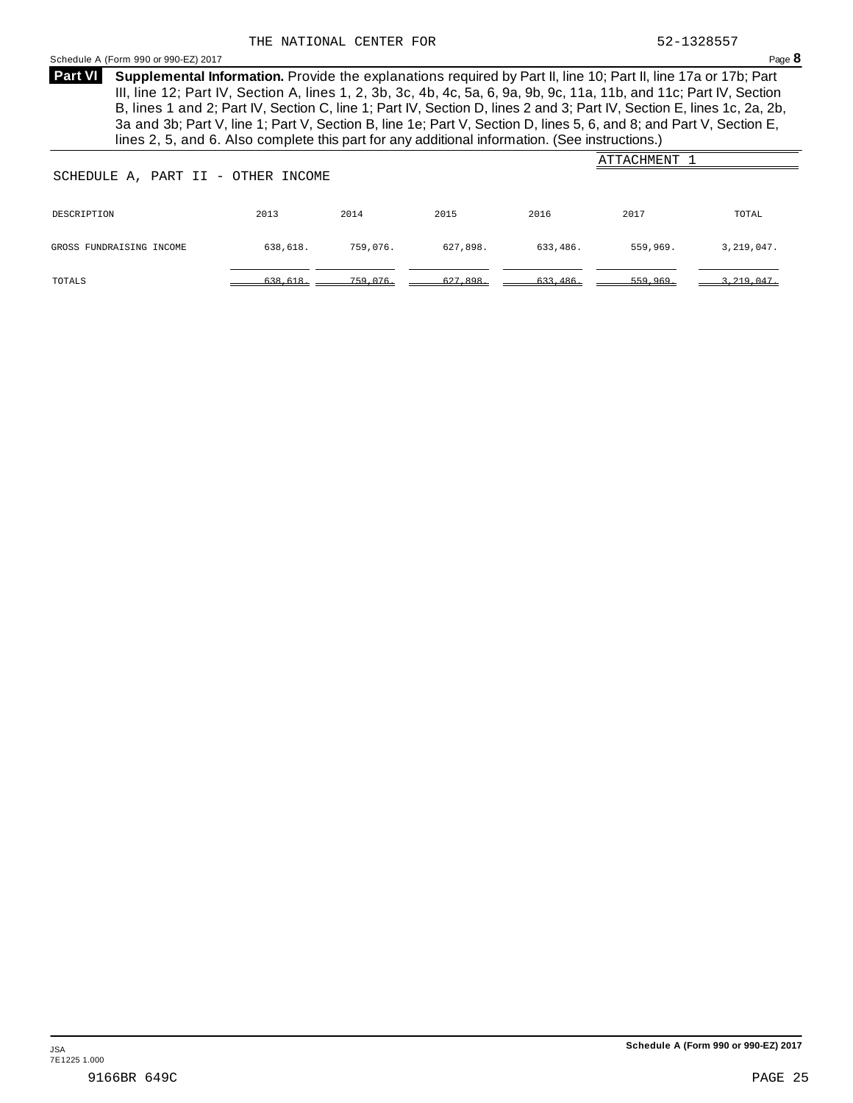<span id="page-23-0"></span>Schedule <sup>A</sup> (Form <sup>990</sup> or 990-EZ) <sup>2017</sup> Page **8**

**Supplemental Information.** Provide the explanations required by Part II, line 10; Part II, line 17a or 17b; Part **Part VI** III, line 12; Part IV, Section A, lines 1, 2, 3b, 3c, 4b, 4c, 5a, 6, 9a, 9b, 9c, 11a, 11b, and 11c; Part IV, Section B, lines 1 and 2; Part IV, Section C, line 1; Part IV, Section D, lines 2 and 3; Part IV, Section E, lines 1c, 2a, 2b, 3a and 3b; Part V, line 1; Part V, Section B, line 1e; Part V, Section D, lines 5, 6, and 8; and Part V, Section E, lines 2, 5, and 6. Also complete this part for any additional information. (See instructions.)

| SCHEDULE A, PART II - OTHER INCOME |          |          |          |          | ATTACHMENT |            |
|------------------------------------|----------|----------|----------|----------|------------|------------|
|                                    |          |          |          |          |            |            |
| DESCRIPTION                        | 2013     | 2014     | 2015     | 2016     | 2017       | TOTAL      |
| GROSS FUNDRAISING INCOME           | 638,618. | 759,076. | 627,898. | 633,486. | 559,969.   | 3,219,047. |
| TOTALS                             | 638,618. | 759,076. | 627,898. | 633,486. | 559,969.   | 3,219,047  |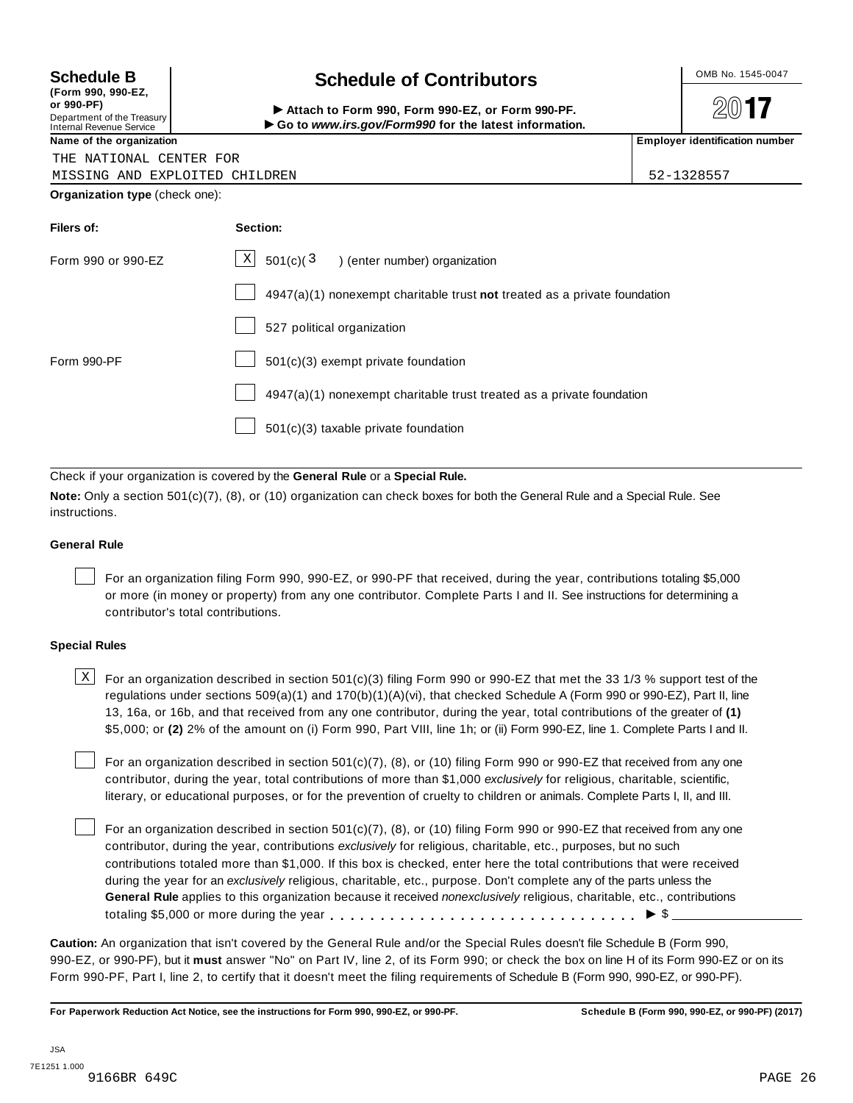**(Form 990, 990-EZ, or 990-PF)** Department of the Treasury<br>Internal Revenue Service

## **Schedule B chedule of Contributors**

(Point issue, sau-EZ,<br>Department of the Treasury internal Revenue Service<br>Department of the Treasury internal Revenue Service internal Revenue Service internal Revenue Service internal<br>Name of the organization

 $20$ **17** 

THE NATIONAL CENTER FOR

MISSING AND EXPLOITED CHILDREN 52-1328557

**Organization type** (check one):

| Filers of:         | Section:                                                                    |
|--------------------|-----------------------------------------------------------------------------|
| Form 990 or 990-EZ | $X$ 501(c)(3) (enter number) organization                                   |
|                    | $4947(a)(1)$ nonexempt charitable trust not treated as a private foundation |
|                    | 527 political organization                                                  |
| Form 990-PF        | $501(c)(3)$ exempt private foundation                                       |
|                    | 4947(a)(1) nonexempt charitable trust treated as a private foundation       |
|                    | 501(c)(3) taxable private foundation                                        |

Check if your organization is covered by the **General Rule** or a **Special Rule.**

**Note:** Only a section 501(c)(7), (8), or (10) organization can check boxes for both the General Rule and a Special Rule. See instructions.

#### **General Rule**

For an organization filing Form 990, 990-EZ, or 990-PF that received, during the year, contributions totaling \$5,000 or more (in money or property) from any one contributor. Complete Parts I and II. See instructions for determining a contributor's total contributions.

#### **Special Rules**

 $\text{X}$  For an organization described in section 501(c)(3) filing Form 990 or 990-EZ that met the 33 1/3 % support test of the regulations under sections 509(a)(1) and 170(b)(1)(A)(vi), that checked Schedule A (Form 990 or 990-EZ), Part II, line 13, 16a, or 16b, and that received from any one contributor, during the year, total contributions of the greater of **(1)** \$5,000; or **(2)** 2% of the amount on (i) Form 990, Part VIII, line 1h; or (ii) Form 990-EZ, line 1. Complete Parts I and II.

For an organization described in section 501(c)(7), (8), or (10) filing Form 990 or 990-EZ that received from any one contributor, during the year, total contributions of more than \$1,000 *exclusively* for religious, charitable, scientific, literary, or educational purposes, or for the prevention of cruelty to children or animals. Complete Parts I, II, and III.

For an organization described in section 501(c)(7), (8), or (10) filing Form 990 or 990-EZ that received from any one contributor, during the year, contributions *exclusively* for religious, charitable, etc., purposes, but no such contributions totaled more than \$1,000. If this box is checked, enter here the total contributions that were received during the year for an *exclusively* religious, charitable, etc., purpose. Don't complete any of the parts unless the **General Rule** applies to this organization because it received *nonexclusively* religious, charitable, etc., contributions totaling \$5,000 or more during the year m m m m m m m m m m m m m m m m m m m m m m m m m m m m m m m I \$

**Caution:** An organization that isn't covered by the General Rule and/or the Special Rules doesn't file Schedule B (Form 990, 990-EZ, or 990-PF), but it **must** answer "No" on Part IV, line 2, of its Form 990; or check the box on line H of its Form 990-EZ or on its Form 990-PF, Part I, line 2, to certify that it doesn't meet the filing requirements of Schedule B (Form 990, 990-EZ, or 990-PF).

For Paperwork Reduction Act Notice, see the instructions for Form 990, 990-EZ, or 990-PF. Schedule B (Form 990, 990-EZ, or 990-PF) (2017)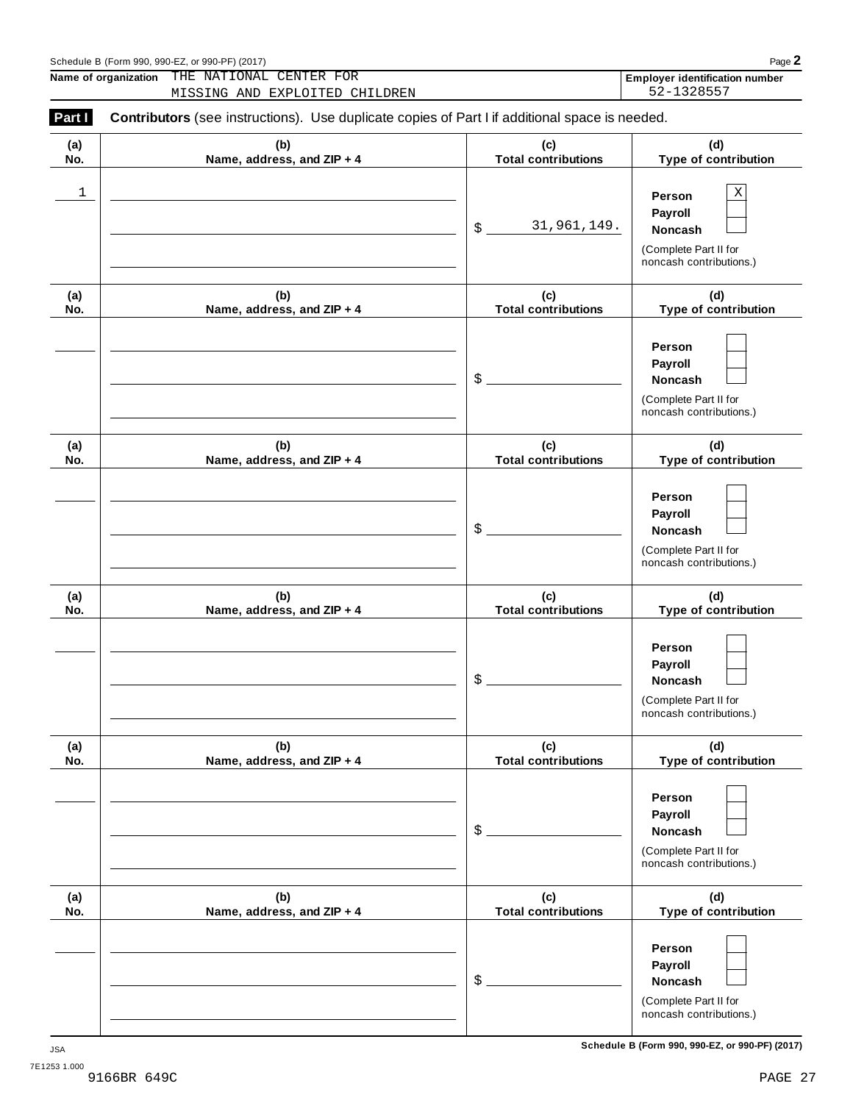| Schedule B (Form 990, 990-EZ, or 990-PF) (2017) | $P$ age $\triangle$ |
|-------------------------------------------------|---------------------|
|                                                 |                     |

**Name of organization Employer identification number** THE NATIONAL CENTER FOR MISSING AND EXPLOITED CHILDREN 52-1328557

| Part I     | Contributors (see instructions). Use duplicate copies of Part I if additional space is needed. |                                   |                                                                                       |
|------------|------------------------------------------------------------------------------------------------|-----------------------------------|---------------------------------------------------------------------------------------|
| (a)<br>No. | (b)<br>Name, address, and ZIP + 4                                                              | (c)<br><b>Total contributions</b> | (d)<br>Type of contribution                                                           |
| 1          |                                                                                                | 31, 961, 149.<br>$\frac{1}{2}$    | Χ<br>Person<br>Payroll<br>Noncash<br>(Complete Part II for<br>noncash contributions.) |
| (a)<br>No. | (b)<br>Name, address, and ZIP + 4                                                              | (c)<br><b>Total contributions</b> | (d)<br>Type of contribution                                                           |
|            |                                                                                                | \$                                | Person<br>Payroll<br>Noncash<br>(Complete Part II for<br>noncash contributions.)      |
| (a)<br>No. | (b)<br>Name, address, and ZIP + 4                                                              | (c)<br><b>Total contributions</b> | (d)<br>Type of contribution                                                           |
|            |                                                                                                | \$                                | Person<br>Payroll<br>Noncash<br>(Complete Part II for<br>noncash contributions.)      |
| (a)<br>No. | (b)<br>Name, address, and ZIP + 4                                                              | (c)<br><b>Total contributions</b> | (d)<br>Type of contribution                                                           |
|            |                                                                                                | \$                                | Person<br>Payroll<br>Noncash<br>(Complete Part II for<br>noncash contributions.)      |
| (a)<br>No. | (b)<br>Name, address, and ZIP + 4                                                              | (c)<br><b>Total contributions</b> | (d)<br>Type of contribution                                                           |
|            |                                                                                                | \$                                | Person<br>Payroll<br>Noncash<br>(Complete Part II for<br>noncash contributions.)      |
| (a)<br>No. | (b)<br>Name, address, and ZIP + 4                                                              | (c)<br><b>Total contributions</b> | (d)<br>Type of contribution                                                           |
|            |                                                                                                | \$                                | Person<br>Payroll<br>Noncash<br>(Complete Part II for<br>noncash contributions.)      |

**Schedule <sup>B</sup> (Form 990, 990-EZ, or 990-PF) (2017)** JSA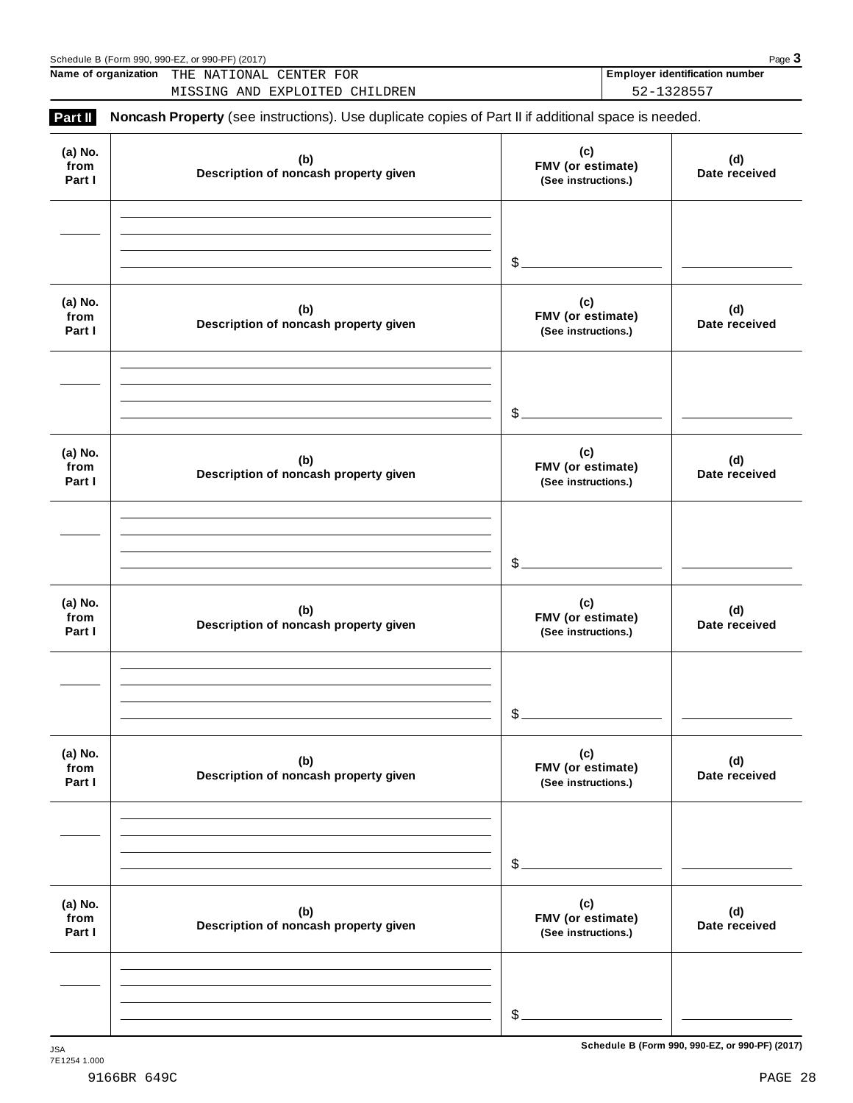| Name of organization<br>THE NATIONAL CENTER FOR<br>MISSING AND EXPLOITED CHILDREN |                                                 | <b>Employer identification number</b><br>52-1328557                                                 |
|-----------------------------------------------------------------------------------|-------------------------------------------------|-----------------------------------------------------------------------------------------------------|
|                                                                                   |                                                 |                                                                                                     |
| (b)<br>Description of noncash property given                                      | (c)<br>FMV (or estimate)<br>(See instructions.) | (d)<br>Date received                                                                                |
|                                                                                   | $\mathcal{S}_{-}$                               |                                                                                                     |
| (b)<br>Description of noncash property given                                      | (c)<br>FMV (or estimate)<br>(See instructions.) | (d)<br>Date received                                                                                |
|                                                                                   | $\mathcal{S}_{-}$                               |                                                                                                     |
| (b)<br>Description of noncash property given                                      | (c)<br>FMV (or estimate)<br>(See instructions.) | (d)<br>Date received                                                                                |
|                                                                                   | \$.                                             |                                                                                                     |
| (b)<br>Description of noncash property given                                      | (c)<br>FMV (or estimate)<br>(See instructions.) | (d)<br>Date received                                                                                |
|                                                                                   | \$                                              |                                                                                                     |
| (b)<br>Description of noncash property given                                      | (c)<br>FMV (or estimate)<br>(See instructions.) | (d)<br>Date received                                                                                |
|                                                                                   | \$                                              |                                                                                                     |
| (b)<br>Description of noncash property given                                      | (c)<br>FMV (or estimate)<br>(See instructions.) | (d)<br>Date received                                                                                |
|                                                                                   | \$                                              |                                                                                                     |
|                                                                                   |                                                 | Noncash Property (see instructions). Use duplicate copies of Part II if additional space is needed. |

Schedule B (Form 990, 990-EZ, or 990-PF) (2017)<br> **Name of organization** THE NATIONAL CENTER FOR **Proper Service CONSTITUTE IN A** Employer identification number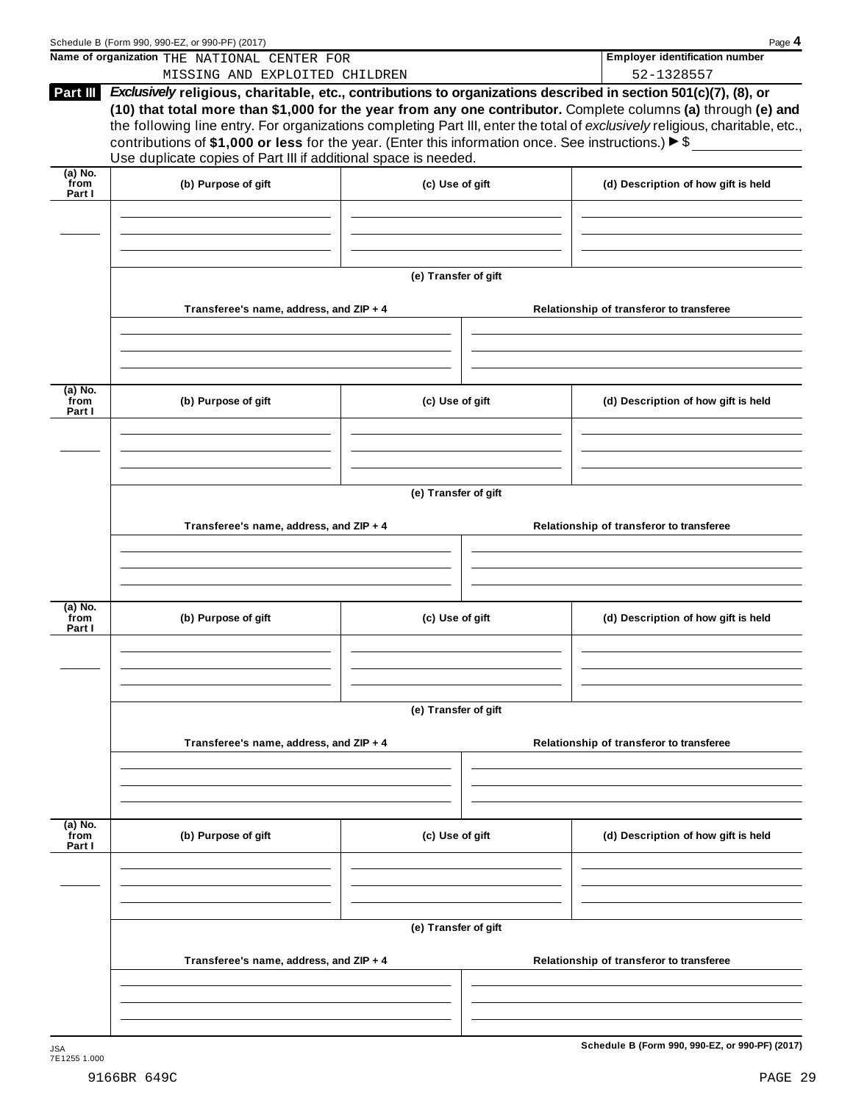|                           | Schedule B (Form 990, 990-EZ, or 990-PF) (2017)                                                                                                                                             |                      |                                          | Page 4                                                                                                                                                                                                                                        |  |  |
|---------------------------|---------------------------------------------------------------------------------------------------------------------------------------------------------------------------------------------|----------------------|------------------------------------------|-----------------------------------------------------------------------------------------------------------------------------------------------------------------------------------------------------------------------------------------------|--|--|
|                           | Name of organization THE NATIONAL CENTER FOR                                                                                                                                                |                      |                                          | <b>Employer identification number</b>                                                                                                                                                                                                         |  |  |
|                           | MISSING AND EXPLOITED CHILDREN<br>Exclusively religious, charitable, etc., contributions to organizations described in section 501(c)(7), (8), or                                           |                      |                                          | 52-1328557                                                                                                                                                                                                                                    |  |  |
| Part III                  | contributions of \$1,000 or less for the year. (Enter this information once. See instructions.) $\blacktriangleright$ \$<br>Use duplicate copies of Part III if additional space is needed. |                      |                                          | (10) that total more than \$1,000 for the year from any one contributor. Complete columns (a) through (e) and<br>the following line entry. For organizations completing Part III, enter the total of exclusively religious, charitable, etc., |  |  |
| (a) No.<br>from           |                                                                                                                                                                                             |                      |                                          |                                                                                                                                                                                                                                               |  |  |
| Part I                    | (b) Purpose of gift                                                                                                                                                                         | (c) Use of gift      |                                          | (d) Description of how gift is held                                                                                                                                                                                                           |  |  |
|                           |                                                                                                                                                                                             | (e) Transfer of gift |                                          |                                                                                                                                                                                                                                               |  |  |
|                           | Transferee's name, address, and ZIP + 4                                                                                                                                                     |                      |                                          | Relationship of transferor to transferee                                                                                                                                                                                                      |  |  |
| (a) No.<br>from           | (b) Purpose of gift                                                                                                                                                                         | (c) Use of gift      |                                          | (d) Description of how gift is held                                                                                                                                                                                                           |  |  |
| Part I                    |                                                                                                                                                                                             |                      |                                          |                                                                                                                                                                                                                                               |  |  |
|                           |                                                                                                                                                                                             |                      |                                          |                                                                                                                                                                                                                                               |  |  |
|                           | Transferee's name, address, and ZIP + 4                                                                                                                                                     | (e) Transfer of gift | Relationship of transferor to transferee |                                                                                                                                                                                                                                               |  |  |
|                           |                                                                                                                                                                                             |                      |                                          |                                                                                                                                                                                                                                               |  |  |
| (a) No.<br>from<br>Part I | (b) Purpose of gift<br>(c) Use of gift                                                                                                                                                      |                      |                                          | (d) Description of how gift is held                                                                                                                                                                                                           |  |  |
|                           |                                                                                                                                                                                             | (e) Transfer of gift |                                          |                                                                                                                                                                                                                                               |  |  |
|                           | Transferee's name, address, and ZIP + 4                                                                                                                                                     |                      | Relationship of transferor to transferee |                                                                                                                                                                                                                                               |  |  |
|                           |                                                                                                                                                                                             |                      |                                          |                                                                                                                                                                                                                                               |  |  |
| (a) No.<br>from<br>Part I | (b) Purpose of gift                                                                                                                                                                         | (c) Use of gift      |                                          | (d) Description of how gift is held                                                                                                                                                                                                           |  |  |
|                           |                                                                                                                                                                                             |                      |                                          |                                                                                                                                                                                                                                               |  |  |
|                           |                                                                                                                                                                                             | (e) Transfer of gift |                                          |                                                                                                                                                                                                                                               |  |  |
|                           | Transferee's name, address, and ZIP + 4                                                                                                                                                     |                      |                                          | Relationship of transferor to transferee                                                                                                                                                                                                      |  |  |
|                           |                                                                                                                                                                                             |                      |                                          |                                                                                                                                                                                                                                               |  |  |
|                           |                                                                                                                                                                                             |                      |                                          |                                                                                                                                                                                                                                               |  |  |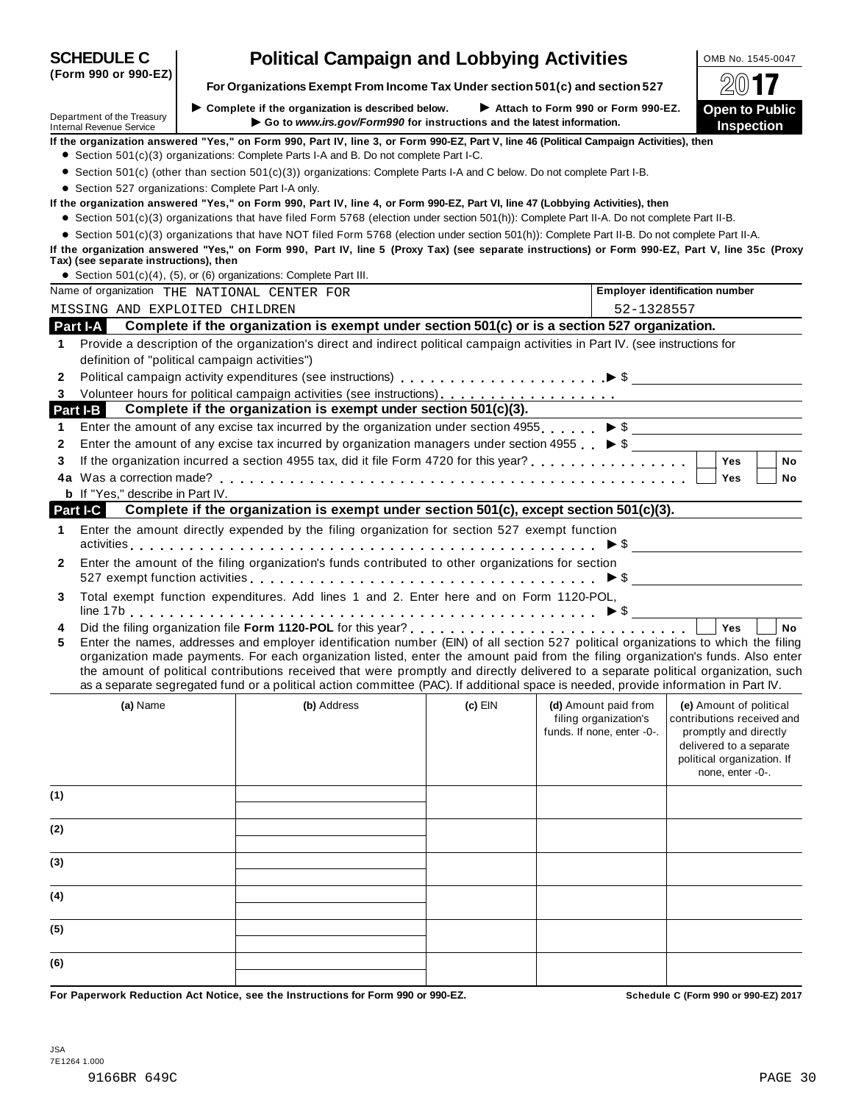|              |                                                                    | If the organization answered "Yes," on Form 990, Part IV, line 3, or Form 990-EZ, Part V, line 46 (Political Campaign Activities), then<br>• Section 501(c)(3) organizations: Complete Parts I-A and B. Do not complete Part I-C.                                                                                                                                                                                                                                                                                                                    |           |                                                     |                                                                                                                                  |
|--------------|--------------------------------------------------------------------|------------------------------------------------------------------------------------------------------------------------------------------------------------------------------------------------------------------------------------------------------------------------------------------------------------------------------------------------------------------------------------------------------------------------------------------------------------------------------------------------------------------------------------------------------|-----------|-----------------------------------------------------|----------------------------------------------------------------------------------------------------------------------------------|
|              |                                                                    | • Section 501(c) (other than section 501(c)(3)) organizations: Complete Parts I-A and C below. Do not complete Part I-B.                                                                                                                                                                                                                                                                                                                                                                                                                             |           |                                                     |                                                                                                                                  |
|              | • Section 527 organizations: Complete Part I-A only.               |                                                                                                                                                                                                                                                                                                                                                                                                                                                                                                                                                      |           |                                                     |                                                                                                                                  |
|              |                                                                    | If the organization answered "Yes," on Form 990, Part IV, line 4, or Form 990-EZ, Part VI, line 47 (Lobbying Activities), then                                                                                                                                                                                                                                                                                                                                                                                                                       |           |                                                     |                                                                                                                                  |
|              |                                                                    | • Section 501(c)(3) organizations that have filed Form 5768 (election under section 501(h)): Complete Part II-A. Do not complete Part II-B.                                                                                                                                                                                                                                                                                                                                                                                                          |           |                                                     |                                                                                                                                  |
|              |                                                                    | • Section 501(c)(3) organizations that have NOT filed Form 5768 (election under section 501(h)): Complete Part II-B. Do not complete Part II-A.                                                                                                                                                                                                                                                                                                                                                                                                      |           |                                                     |                                                                                                                                  |
|              | Tax) (see separate instructions), then                             | If the organization answered "Yes," on Form 990, Part IV, line 5 (Proxy Tax) (see separate instructions) or Form 990-EZ, Part V, line 35c (Proxy                                                                                                                                                                                                                                                                                                                                                                                                     |           |                                                     |                                                                                                                                  |
|              | • Section 501(c)(4), (5), or (6) organizations: Complete Part III. |                                                                                                                                                                                                                                                                                                                                                                                                                                                                                                                                                      |           |                                                     |                                                                                                                                  |
|              | Name of organization THE NATIONAL CENTER FOR                       |                                                                                                                                                                                                                                                                                                                                                                                                                                                                                                                                                      |           |                                                     | <b>Employer identification number</b>                                                                                            |
|              | MISSING AND EXPLOITED CHILDREN                                     |                                                                                                                                                                                                                                                                                                                                                                                                                                                                                                                                                      |           | 52-1328557                                          |                                                                                                                                  |
|              | Part I-A                                                           | Complete if the organization is exempt under section 501(c) or is a section 527 organization.                                                                                                                                                                                                                                                                                                                                                                                                                                                        |           |                                                     |                                                                                                                                  |
| 1            |                                                                    | Provide a description of the organization's direct and indirect political campaign activities in Part IV. (see instructions for                                                                                                                                                                                                                                                                                                                                                                                                                      |           |                                                     |                                                                                                                                  |
|              | definition of "political campaign activities")                     |                                                                                                                                                                                                                                                                                                                                                                                                                                                                                                                                                      |           |                                                     |                                                                                                                                  |
| $\mathbf{2}$ |                                                                    |                                                                                                                                                                                                                                                                                                                                                                                                                                                                                                                                                      |           |                                                     |                                                                                                                                  |
| 3            |                                                                    |                                                                                                                                                                                                                                                                                                                                                                                                                                                                                                                                                      |           |                                                     |                                                                                                                                  |
|              | Part I-B                                                           | Complete if the organization is exempt under section 501(c)(3).                                                                                                                                                                                                                                                                                                                                                                                                                                                                                      |           |                                                     |                                                                                                                                  |
| 1            |                                                                    | Enter the amount of any excise tax incurred by the organization under section 4955. $\triangleright$ \$                                                                                                                                                                                                                                                                                                                                                                                                                                              |           |                                                     |                                                                                                                                  |
| 2            |                                                                    | Enter the amount of any excise tax incurred by organization managers under section 4955 $\triangleright$ \$                                                                                                                                                                                                                                                                                                                                                                                                                                          |           |                                                     |                                                                                                                                  |
| 3            |                                                                    |                                                                                                                                                                                                                                                                                                                                                                                                                                                                                                                                                      |           |                                                     | <b>Yes</b><br>No                                                                                                                 |
|              |                                                                    |                                                                                                                                                                                                                                                                                                                                                                                                                                                                                                                                                      |           |                                                     | Yes<br>No                                                                                                                        |
|              | <b>b</b> If "Yes," describe in Part IV.                            |                                                                                                                                                                                                                                                                                                                                                                                                                                                                                                                                                      |           |                                                     |                                                                                                                                  |
|              | <b>Part I-C</b>                                                    | Complete if the organization is exempt under section 501(c), except section 501(c)(3).                                                                                                                                                                                                                                                                                                                                                                                                                                                               |           |                                                     |                                                                                                                                  |
| 1            |                                                                    | Enter the amount directly expended by the filing organization for section 527 exempt function                                                                                                                                                                                                                                                                                                                                                                                                                                                        |           |                                                     |                                                                                                                                  |
|              |                                                                    |                                                                                                                                                                                                                                                                                                                                                                                                                                                                                                                                                      |           |                                                     | $\triangleright$ \$                                                                                                              |
| 2            |                                                                    | Enter the amount of the filing organization's funds contributed to other organizations for section                                                                                                                                                                                                                                                                                                                                                                                                                                                   |           |                                                     |                                                                                                                                  |
| 3            |                                                                    | Total exempt function expenditures. Add lines 1 and 2. Enter here and on Form 1120-POL,                                                                                                                                                                                                                                                                                                                                                                                                                                                              |           |                                                     |                                                                                                                                  |
| 4<br>5       |                                                                    | Enter the names, addresses and employer identification number (EIN) of all section 527 political organizations to which the filing<br>organization made payments. For each organization listed, enter the amount paid from the filing organization's funds. Also enter<br>the amount of political contributions received that were promptly and directly delivered to a separate political organization, such<br>as a separate segregated fund or a political action committee (PAC). If additional space is needed, provide information in Part IV. |           |                                                     | <b>No</b><br>Yes                                                                                                                 |
|              | (a) Name                                                           | (b) Address                                                                                                                                                                                                                                                                                                                                                                                                                                                                                                                                          | $(c)$ EIN | (d) Amount paid from                                | (e) Amount of political                                                                                                          |
|              |                                                                    |                                                                                                                                                                                                                                                                                                                                                                                                                                                                                                                                                      |           | filing organization's<br>funds. If none, enter -0-. | contributions received and<br>promptly and directly<br>delivered to a separate<br>political organization. If<br>none, enter -0-. |
| (1)          |                                                                    |                                                                                                                                                                                                                                                                                                                                                                                                                                                                                                                                                      |           |                                                     |                                                                                                                                  |
| (2)          |                                                                    |                                                                                                                                                                                                                                                                                                                                                                                                                                                                                                                                                      |           |                                                     |                                                                                                                                  |
| (3)          |                                                                    |                                                                                                                                                                                                                                                                                                                                                                                                                                                                                                                                                      |           |                                                     |                                                                                                                                  |
| (4)          |                                                                    |                                                                                                                                                                                                                                                                                                                                                                                                                                                                                                                                                      |           |                                                     |                                                                                                                                  |
|              |                                                                    |                                                                                                                                                                                                                                                                                                                                                                                                                                                                                                                                                      |           |                                                     |                                                                                                                                  |
| (5)          |                                                                    |                                                                                                                                                                                                                                                                                                                                                                                                                                                                                                                                                      |           |                                                     |                                                                                                                                  |

### **SCHEDULE C Political Campaign and Lobbying Activities LOMB No. 1545-0047 (Form 990 or 990-EZ)**

**For Organizations Exempt From Income Tax Under section 501(c) and section 527 <br>Complete if the organization is described below. <br><b>Attach to Form 990 or Form 990-EZ.** Open to Pu

■ Complete if the organization is described below. ■ Attach to Form 990 or Form 990-EZ. ■ Open to Public<br>■ Go to www.irs.gov/Form990 for instructions and the latest information. Inspection Department of the Treasury ▶ Complete if the organization is described below. ▶ Attach to Form 990 or Form 990-EZ. **Open to Public**<br>Internal Revenue Service ▶ Co to *www.irs.gov/Form990* for instructions and the latest in

JSA 7E1264 1.000 9166BR 649C PAGE 30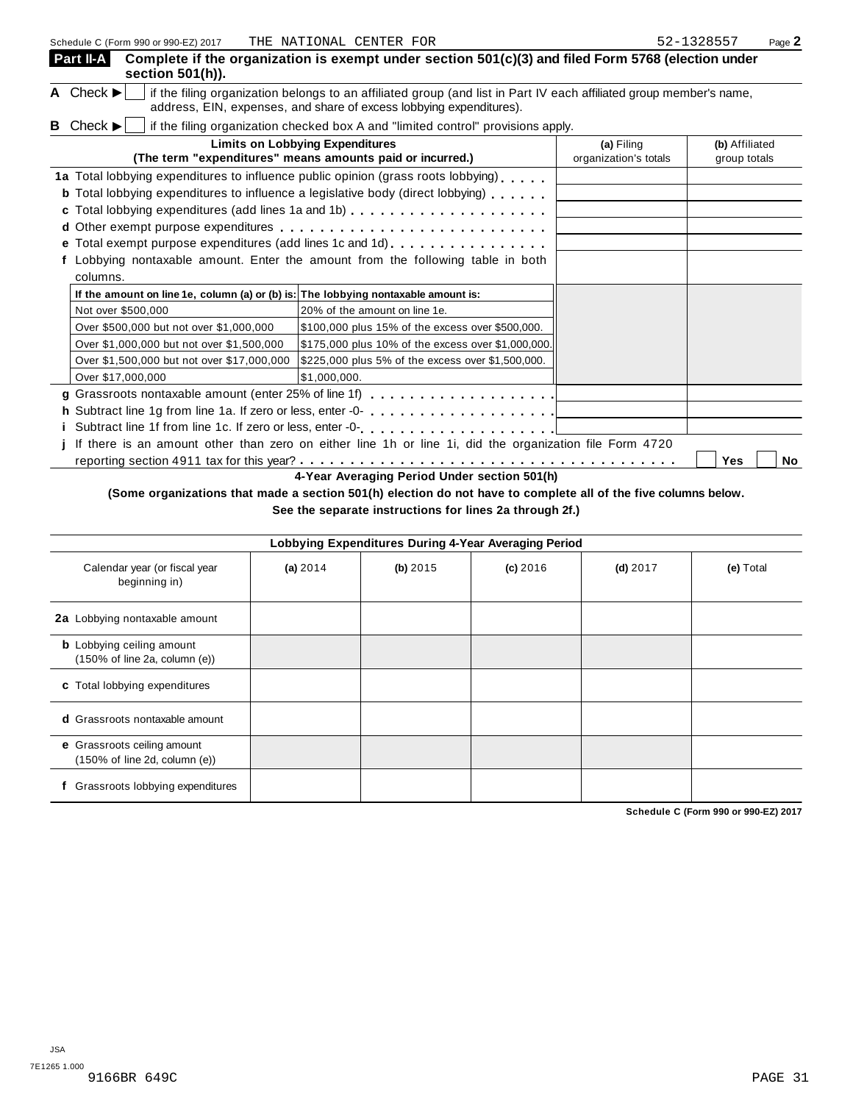| Part II-A<br>section 501(h)).                                                      | Complete if the organization is exempt under section 501(c)(3) and filed Form 5768 (election under                                                                                                                                                                                                                          |                                     | $u_y$ c $\equiv$               |
|------------------------------------------------------------------------------------|-----------------------------------------------------------------------------------------------------------------------------------------------------------------------------------------------------------------------------------------------------------------------------------------------------------------------------|-------------------------------------|--------------------------------|
| A Check $\blacktriangleright$                                                      | if the filing organization belongs to an affiliated group (and list in Part IV each affiliated group member's name,<br>address, EIN, expenses, and share of excess lobbying expenditures).                                                                                                                                  |                                     |                                |
| <b>B</b> Check $\blacktriangleright$                                               | if the filing organization checked box A and "limited control" provisions apply.                                                                                                                                                                                                                                            |                                     |                                |
|                                                                                    | <b>Limits on Lobbying Expenditures</b><br>(The term "expenditures" means amounts paid or incurred.)                                                                                                                                                                                                                         | (a) Filing<br>organization's totals | (b) Affiliated<br>group totals |
| columns.                                                                           | 1a Total lobbying expenditures to influence public opinion (grass roots lobbying)<br><b>b</b> Total lobbying expenditures to influence a legislative body (direct lobbying)<br>e Total exempt purpose expenditures (add lines 1c and 1d)<br>f Lobbying nontaxable amount. Enter the amount from the following table in both |                                     |                                |
| If the amount on line 1e, column (a) or (b) is: The lobbying nontaxable amount is: |                                                                                                                                                                                                                                                                                                                             |                                     |                                |
| Not over \$500,000                                                                 | 20% of the amount on line 1e.                                                                                                                                                                                                                                                                                               |                                     |                                |
| Over \$500,000 but not over \$1,000,000                                            | \$100,000 plus 15% of the excess over \$500,000.                                                                                                                                                                                                                                                                            |                                     |                                |
| Over \$1,000,000 but not over \$1,500,000                                          | \$175,000 plus 10% of the excess over \$1,000,000.                                                                                                                                                                                                                                                                          |                                     |                                |
| Over \$1,500,000 but not over \$17,000,000                                         | \$225,000 plus 5% of the excess over \$1,500,000.                                                                                                                                                                                                                                                                           |                                     |                                |
| Over \$17,000,000                                                                  | \$1.000.000.                                                                                                                                                                                                                                                                                                                |                                     |                                |
|                                                                                    | g Grassroots nontaxable amount (enter 25% of line 1f)                                                                                                                                                                                                                                                                       |                                     |                                |
|                                                                                    |                                                                                                                                                                                                                                                                                                                             |                                     |                                |
|                                                                                    |                                                                                                                                                                                                                                                                                                                             |                                     |                                |
|                                                                                    | If there is an amount other than zero on either line 1h or line 1i, did the organization file Form 4720                                                                                                                                                                                                                     |                                     |                                |
|                                                                                    |                                                                                                                                                                                                                                                                                                                             |                                     | Yes<br><b>No</b>               |

**4-Year Averaging Period Under section 501(h)**

(Some organizations that made a section 501(h) election do not have to complete all of the five columns below.

**See the separate instructions for lines 2a through 2f.)**

| Lobbying Expenditures During 4-Year Averaging Period              |            |            |            |            |           |  |  |  |  |
|-------------------------------------------------------------------|------------|------------|------------|------------|-----------|--|--|--|--|
| Calendar year (or fiscal year<br>beginning in)                    | (a) $2014$ | $(b)$ 2015 | $(c)$ 2016 | $(d)$ 2017 | (e) Total |  |  |  |  |
| 2a Lobbying nontaxable amount                                     |            |            |            |            |           |  |  |  |  |
| <b>b</b> Lobbying ceiling amount<br>(150% of line 2a, column (e)) |            |            |            |            |           |  |  |  |  |
| c Total lobbying expenditures                                     |            |            |            |            |           |  |  |  |  |
| <b>d</b> Grassroots nontaxable amount                             |            |            |            |            |           |  |  |  |  |
| e Grassroots ceiling amount<br>(150% of line 2d, column (e))      |            |            |            |            |           |  |  |  |  |
| Grassroots lobbying expenditures                                  |            |            |            |            |           |  |  |  |  |

**Schedule C (Form 990 or 990-EZ) 2017**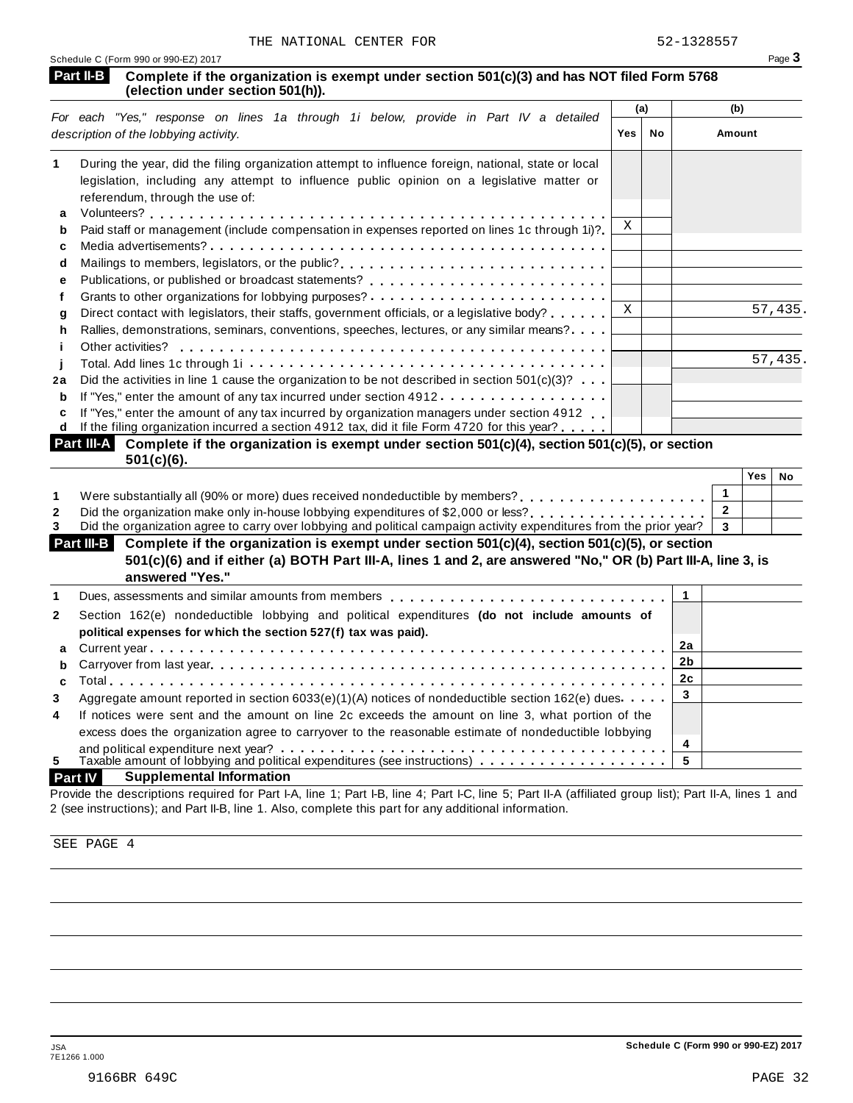| <b>Part II-B</b> Complete if the organization is exempt under section 501(c)(3) and has NOT filed Form 5768 |  |
|-------------------------------------------------------------------------------------------------------------|--|
| (election under section 501(h)).                                                                            |  |

| For each "Yes," response on lines 1a through 1i below, provide in Part IV a detailed |                                                                                                                            | (a) | (b) |         |
|--------------------------------------------------------------------------------------|----------------------------------------------------------------------------------------------------------------------------|-----|-----|---------|
| description of the lobbying activity.                                                |                                                                                                                            |     |     | Amount  |
|                                                                                      | During the year, did the filing organization attempt to influence foreign, national, state or local                        |     |     |         |
|                                                                                      | legislation, including any attempt to influence public opinion on a legislative matter or                                  |     |     |         |
|                                                                                      | referendum, through the use of:                                                                                            |     |     |         |
| a                                                                                    |                                                                                                                            |     |     |         |
| b                                                                                    | Paid staff or management (include compensation in expenses reported on lines 1c through 1i)?                               |     |     |         |
| c                                                                                    |                                                                                                                            |     |     |         |
| d                                                                                    | Mailings to members, legislators, or the public?                                                                           |     |     |         |
| е                                                                                    |                                                                                                                            |     |     |         |
|                                                                                      | Grants to other organizations for lobbying purposes?                                                                       |     |     |         |
| a                                                                                    | Direct contact with legislators, their staffs, government officials, or a legislative body?                                | X   |     | 57,435. |
| h                                                                                    | Rallies, demonstrations, seminars, conventions, speeches, lectures, or any similar means?                                  |     |     |         |
|                                                                                      | Other activities?                                                                                                          |     |     |         |
|                                                                                      | Total. Add lines 1c through 1i $\dots \dots \dots \dots \dots \dots \dots \dots \dots \dots \dots \dots \dots \dots \dots$ |     |     | 57,435. |
| 2a                                                                                   | Did the activities in line 1 cause the organization to be not described in section $501(c)(3)?$ .                          |     |     |         |
| b                                                                                    | If "Yes," enter the amount of any tax incurred under section 4912.                                                         |     |     |         |
| с                                                                                    | If "Yes," enter the amount of any tax incurred by organization managers under section 4912                                 |     |     |         |
| d                                                                                    | If the filing organization incurred a section 4912 tax, did it file Form 4720 for this year?                               |     |     |         |
|                                                                                      | Part III-A Complete if the organization is exempt under section 501(c)(4), section 501(c)(5), or section                   |     |     |         |

| <b>Part III-A</b><br>Complete if the organization is exempt under section 501(c)(4), section 501(c)(5), or section<br>$501(c)(6)$ . |              |     |    |
|-------------------------------------------------------------------------------------------------------------------------------------|--------------|-----|----|
|                                                                                                                                     |              | Yes | No |
|                                                                                                                                     |              |     |    |
|                                                                                                                                     | $\mathbf{2}$ |     |    |
| Did the organization agree to carry over lobbying and political campaign activity expenditures from the prior year?                 |              |     |    |

| 2 Did the organization make only in-house lobbying expenditures of \$2,000 or less?                                          |
|------------------------------------------------------------------------------------------------------------------------------|
| $\bullet$ . The final consistent consistent consistent that the constitution of the constant through the contract of $\circ$ |

|  | Did the organization agree to carry over lobbying and political campaign activity expenditures from |  |  |  |  |
|--|-----------------------------------------------------------------------------------------------------|--|--|--|--|
|  |                                                                                                     |  |  |  |  |

#### **Complete if the organization is exempt under section 501(c)(4), section 501(c)(5), or section Part III-B** 501(c)(6) and if either (a) BOTH Part III-A, lines 1 and 2, are answered "No," OR (b) Part III-A, line 3, is **answered "Yes."**

|                | answered res.                                                                                                                                                 |    |  |
|----------------|---------------------------------------------------------------------------------------------------------------------------------------------------------------|----|--|
| 1              | Dues, assessments and similar amounts from members entitled vinces of entitled vinces, assessments and similar                                                |    |  |
| $\overline{2}$ | Section 162(e) nondeductible lobbying and political expenditures (do not include amounts of<br>political expenses for which the section 527(f) tax was paid). |    |  |
|                |                                                                                                                                                               | 2a |  |
|                |                                                                                                                                                               |    |  |
|                |                                                                                                                                                               |    |  |
|                |                                                                                                                                                               | 2c |  |
| 3              | Aggregate amount reported in section 6033(e)(1)(A) notices of nondeductible section 162(e) dues $\cdots$                                                      | 3  |  |
| 4              | If notices were sent and the amount on line 2c exceeds the amount on line 3, what portion of the                                                              |    |  |
|                | excess does the organization agree to carryover to the reasonable estimate of nondeductible lobbying                                                          |    |  |
|                |                                                                                                                                                               | 4  |  |
|                | and political expenditure next year? $\ldots \ldots \ldots \ldots \ldots \ldots \ldots \ldots \ldots \ldots \ldots \ldots$                                    |    |  |
| 5              | Taxable amount of lobbying and political expenditures (see instructions) $\ldots \ldots \ldots \ldots$                                                        |    |  |
|                | Part IV<br><b>Supplemental Information</b>                                                                                                                    |    |  |

Provide the descriptions required for Part I-A, line 1; Part I-B, line 4; Part I-C, line 5; Part II-A (affiliated group list); Part II-A, lines 1 and 2 (see instructions); and Part II-B, line 1. Also, complete this part for any additional information.

SEE PAGE 4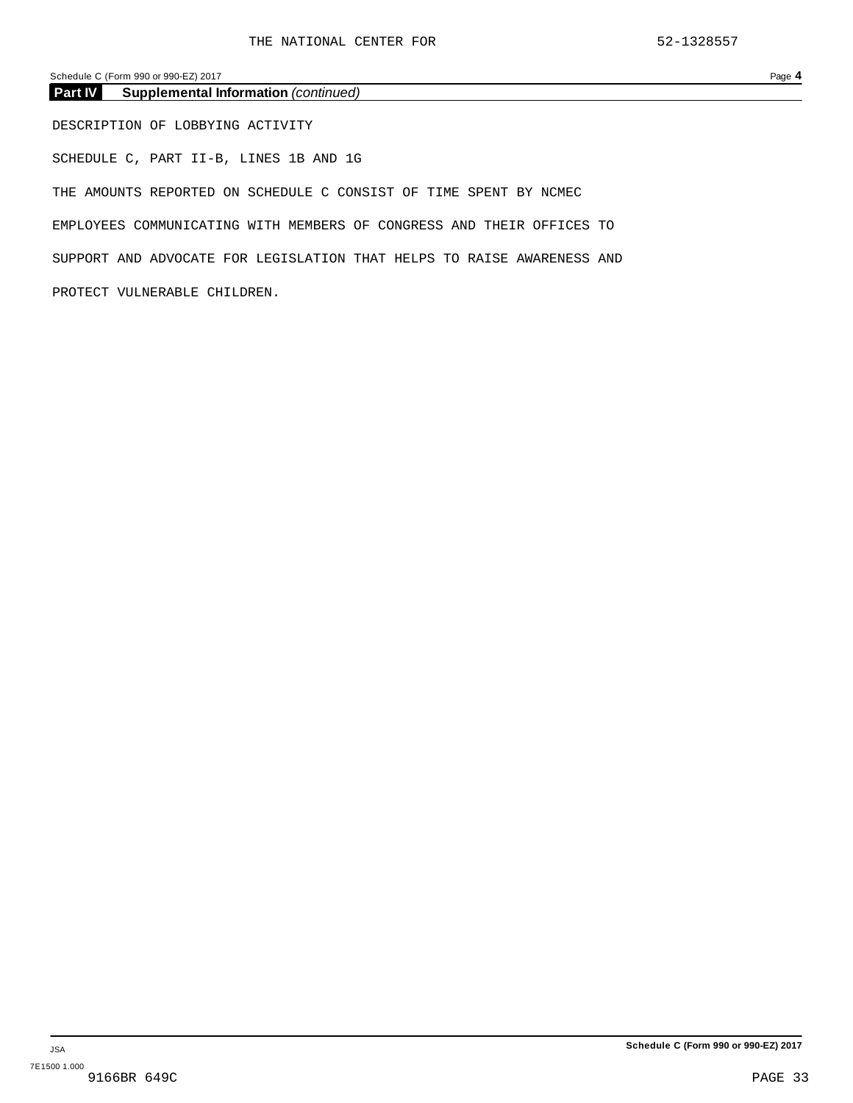Schedule C (Form 990 or 990-EZ) 2017 Page 4

| <b>Part IV</b> Supplemental Information (continued)                    |
|------------------------------------------------------------------------|
| DESCRIPTION OF LOBBYING ACTIVITY                                       |
| SCHEDULE C. PART II-B. LINES 1B AND 1G                                 |
| THE AMOUNTS REPORTED ON SCHEDULE C CONSIST OF TIME SPENT BY NCMEC      |
| EMPLOYEES COMMUNICATING WITH MEMBERS OF CONGRESS AND THEIR OFFICES TO  |
| SUPPORT AND ADVOCATE FOR LEGISLATION THAT HELPS TO RAISE AWARENESS AND |
| PROTECT VULNERABLE CHILDREN.                                           |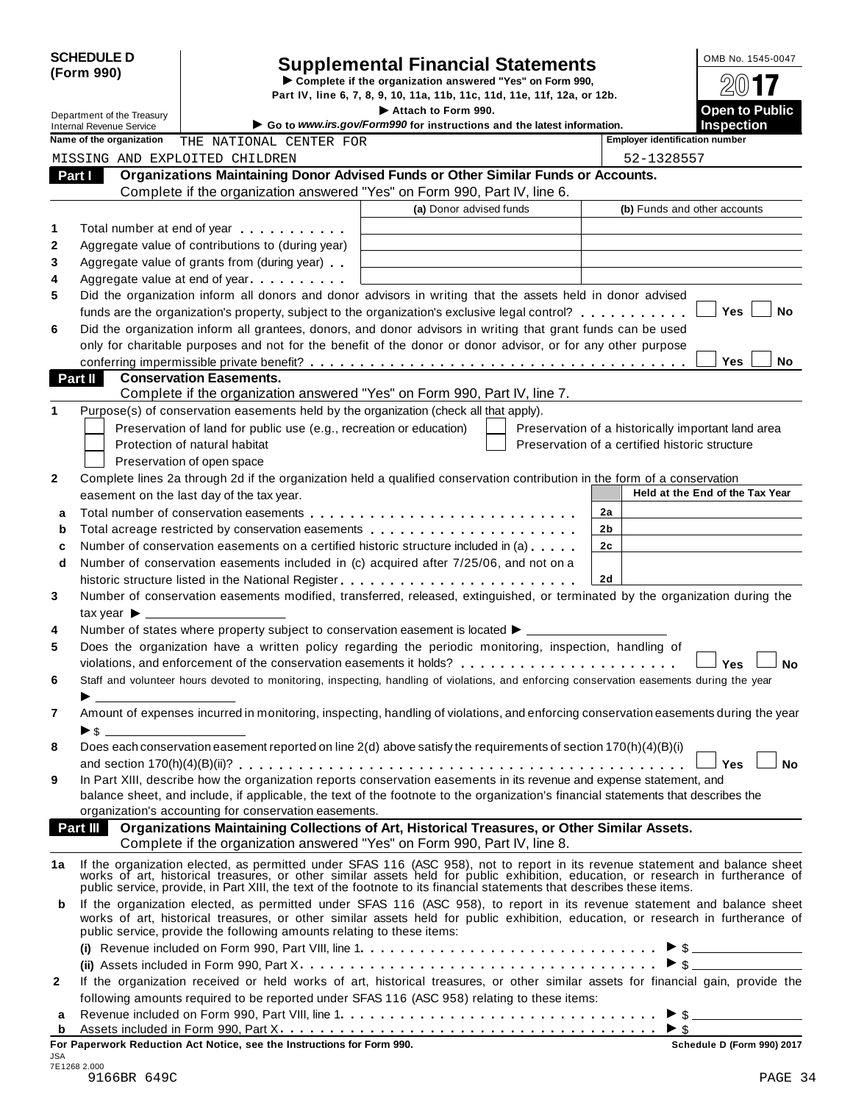| <b>SCHEDULE D</b><br>(Form 990)                             |                                                                                                                                                                                                                                                                                                                                        | <b>Supplemental Financial Statements</b><br>Complete if the organization answered "Yes" on Form 990, |                                                    | OMB No. 1545-0047                          |
|-------------------------------------------------------------|----------------------------------------------------------------------------------------------------------------------------------------------------------------------------------------------------------------------------------------------------------------------------------------------------------------------------------------|------------------------------------------------------------------------------------------------------|----------------------------------------------------|--------------------------------------------|
|                                                             |                                                                                                                                                                                                                                                                                                                                        | Part IV, line 6, 7, 8, 9, 10, 11a, 11b, 11c, 11d, 11e, 11f, 12a, or 12b.                             |                                                    |                                            |
| Department of the Treasury                                  |                                                                                                                                                                                                                                                                                                                                        | Attach to Form 990.<br>Go to www.irs.gov/Form990 for instructions and the latest information.        |                                                    | <b>Open to Public</b><br><b>Inspection</b> |
| <b>Internal Revenue Service</b><br>Name of the organization | THE NATIONAL CENTER FOR                                                                                                                                                                                                                                                                                                                |                                                                                                      | <b>Employer identification number</b>              |                                            |
|                                                             | MISSING AND EXPLOITED CHILDREN                                                                                                                                                                                                                                                                                                         |                                                                                                      | 52-1328557                                         |                                            |
| Part I                                                      | Organizations Maintaining Donor Advised Funds or Other Similar Funds or Accounts.                                                                                                                                                                                                                                                      |                                                                                                      |                                                    |                                            |
|                                                             | Complete if the organization answered "Yes" on Form 990, Part IV, line 6.                                                                                                                                                                                                                                                              |                                                                                                      |                                                    |                                            |
|                                                             |                                                                                                                                                                                                                                                                                                                                        | (a) Donor advised funds                                                                              | (b) Funds and other accounts                       |                                            |
| 1                                                           | Total number at end of year example.                                                                                                                                                                                                                                                                                                   |                                                                                                      |                                                    |                                            |
| 2                                                           | Aggregate value of contributions to (during year)                                                                                                                                                                                                                                                                                      |                                                                                                      |                                                    |                                            |
| 3                                                           | Aggregate value of grants from (during year)                                                                                                                                                                                                                                                                                           |                                                                                                      |                                                    |                                            |
| 4                                                           | Aggregate value at end of year                                                                                                                                                                                                                                                                                                         |                                                                                                      |                                                    |                                            |
| 5                                                           | Did the organization inform all donors and donor advisors in writing that the assets held in donor advised                                                                                                                                                                                                                             |                                                                                                      |                                                    | <b>Yes</b><br><b>No</b>                    |
| 6                                                           | funds are the organization's property, subject to the organization's exclusive legal control?<br>Did the organization inform all grantees, donors, and donor advisors in writing that grant funds can be used                                                                                                                          |                                                                                                      |                                                    |                                            |
|                                                             | only for charitable purposes and not for the benefit of the donor or donor advisor, or for any other purpose                                                                                                                                                                                                                           |                                                                                                      |                                                    |                                            |
|                                                             |                                                                                                                                                                                                                                                                                                                                        |                                                                                                      |                                                    | <b>Yes</b><br>No                           |
| <b>Part II</b>                                              | <b>Conservation Easements.</b>                                                                                                                                                                                                                                                                                                         |                                                                                                      |                                                    |                                            |
|                                                             | Complete if the organization answered "Yes" on Form 990, Part IV, line 7.                                                                                                                                                                                                                                                              |                                                                                                      |                                                    |                                            |
| 1                                                           | Purpose(s) of conservation easements held by the organization (check all that apply).                                                                                                                                                                                                                                                  |                                                                                                      |                                                    |                                            |
|                                                             | Preservation of land for public use (e.g., recreation or education)                                                                                                                                                                                                                                                                    |                                                                                                      | Preservation of a historically important land area |                                            |
|                                                             | Protection of natural habitat                                                                                                                                                                                                                                                                                                          |                                                                                                      | Preservation of a certified historic structure     |                                            |
|                                                             | Preservation of open space                                                                                                                                                                                                                                                                                                             |                                                                                                      |                                                    |                                            |
| 2                                                           | Complete lines 2a through 2d if the organization held a qualified conservation contribution in the form of a conservation                                                                                                                                                                                                              |                                                                                                      |                                                    | Held at the End of the Tax Year            |
|                                                             | easement on the last day of the tax year.                                                                                                                                                                                                                                                                                              |                                                                                                      |                                                    |                                            |
| a                                                           |                                                                                                                                                                                                                                                                                                                                        |                                                                                                      | 2a<br>2 <sub>b</sub>                               |                                            |
| b                                                           | Total acreage restricted by conservation easements<br>Number of conservation easements on a certified historic structure included in (a)                                                                                                                                                                                               |                                                                                                      | 2c                                                 |                                            |
| c<br>d                                                      | Number of conservation easements included in (c) acquired after 7/25/06, and not on a                                                                                                                                                                                                                                                  |                                                                                                      |                                                    |                                            |
|                                                             | historic structure listed in the National Register                                                                                                                                                                                                                                                                                     |                                                                                                      | 2d                                                 |                                            |
| 3                                                           | Number of conservation easements modified, transferred, released, extinguished, or terminated by the organization during the                                                                                                                                                                                                           |                                                                                                      |                                                    |                                            |
| $\mathsf{tax}$ year $\blacktriangleright$ __________        |                                                                                                                                                                                                                                                                                                                                        |                                                                                                      |                                                    |                                            |
| 4                                                           | Number of states where property subject to conservation easement is located ▶ _______                                                                                                                                                                                                                                                  |                                                                                                      |                                                    |                                            |
| 5                                                           | Does the organization have a written policy regarding the periodic monitoring, inspection, handling of                                                                                                                                                                                                                                 |                                                                                                      |                                                    |                                            |
|                                                             | violations, and enforcement of the conservation easements it holds?                                                                                                                                                                                                                                                                    |                                                                                                      |                                                    | <b>Yes</b><br>No                           |
| 6                                                           | Staff and volunteer hours devoted to monitoring, inspecting, handling of violations, and enforcing conservation easements during the year                                                                                                                                                                                              |                                                                                                      |                                                    |                                            |
|                                                             |                                                                                                                                                                                                                                                                                                                                        |                                                                                                      |                                                    |                                            |
| 7                                                           | Amount of expenses incurred in monitoring, inspecting, handling of violations, and enforcing conservation easements during the year                                                                                                                                                                                                    |                                                                                                      |                                                    |                                            |
| $\blacktriangleright$ \$                                    | Does each conservation easement reported on line 2(d) above satisfy the requirements of section 170(h)(4)(B)(i)                                                                                                                                                                                                                        |                                                                                                      |                                                    |                                            |
| 8                                                           |                                                                                                                                                                                                                                                                                                                                        |                                                                                                      |                                                    | <b>_l Yes</b> l<br><b>No</b>               |
| 9                                                           | In Part XIII, describe how the organization reports conservation easements in its revenue and expense statement, and                                                                                                                                                                                                                   |                                                                                                      |                                                    |                                            |
|                                                             | balance sheet, and include, if applicable, the text of the footnote to the organization's financial statements that describes the                                                                                                                                                                                                      |                                                                                                      |                                                    |                                            |
|                                                             | organization's accounting for conservation easements.                                                                                                                                                                                                                                                                                  |                                                                                                      |                                                    |                                            |
| Part III                                                    | Organizations Maintaining Collections of Art, Historical Treasures, or Other Similar Assets.                                                                                                                                                                                                                                           |                                                                                                      |                                                    |                                            |
|                                                             | Complete if the organization answered "Yes" on Form 990, Part IV, line 8.                                                                                                                                                                                                                                                              |                                                                                                      |                                                    |                                            |
| 1a                                                          |                                                                                                                                                                                                                                                                                                                                        |                                                                                                      |                                                    |                                            |
|                                                             | If the organization elected, as permitted under SFAS 116 (ASC 958), not to report in its revenue statement and balance sheet works of art, historical treasures, or other similar assets held for public exhibition, education                                                                                                         |                                                                                                      |                                                    |                                            |
| b                                                           | If the organization elected, as permitted under SFAS 116 (ASC 958), to report in its revenue statement and balance sheet<br>works of art, historical treasures, or other similar assets held for public exhibition, education, or research in furtherance of<br>public service, provide the following amounts relating to these items: |                                                                                                      |                                                    |                                            |
|                                                             |                                                                                                                                                                                                                                                                                                                                        |                                                                                                      |                                                    |                                            |
|                                                             |                                                                                                                                                                                                                                                                                                                                        |                                                                                                      |                                                    |                                            |
| 2                                                           | If the organization received or held works of art, historical treasures, or other similar assets for financial gain, provide the                                                                                                                                                                                                       |                                                                                                      |                                                    |                                            |
|                                                             | following amounts required to be reported under SFAS 116 (ASC 958) relating to these items:                                                                                                                                                                                                                                            |                                                                                                      |                                                    |                                            |
| a                                                           |                                                                                                                                                                                                                                                                                                                                        |                                                                                                      |                                                    | $\triangleright$ \$                        |
| b                                                           |                                                                                                                                                                                                                                                                                                                                        |                                                                                                      |                                                    |                                            |
|                                                             | For Paperwork Reduction Act Notice, see the Instructions for Form 990.                                                                                                                                                                                                                                                                 |                                                                                                      |                                                    |                                            |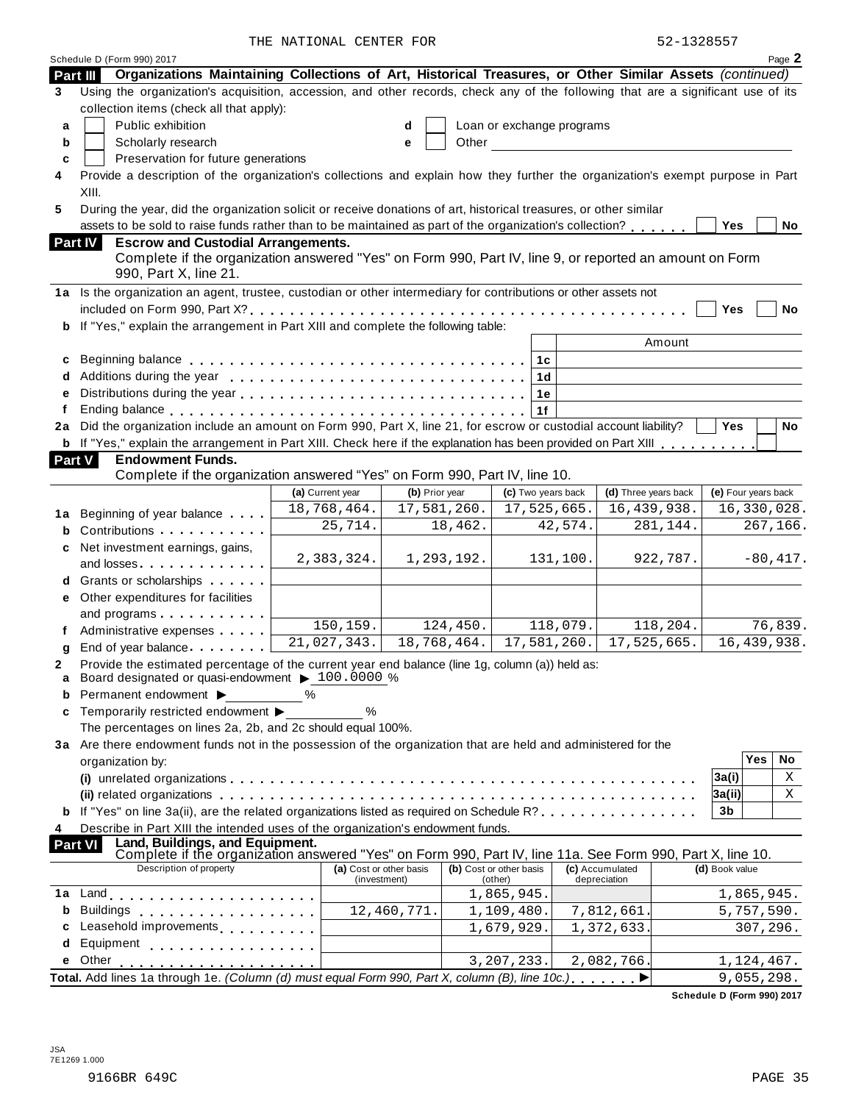|  | 2-132855 |  |
|--|----------|--|
|  |          |  |

|                | Schedule D (Form 990) 2017                                                                                                                                                                                                     |                                         |                |             |                                    |          |                                 |                     |              | Page 2                  |
|----------------|--------------------------------------------------------------------------------------------------------------------------------------------------------------------------------------------------------------------------------|-----------------------------------------|----------------|-------------|------------------------------------|----------|---------------------------------|---------------------|--------------|-------------------------|
| Part III       | Organizations Maintaining Collections of Art, Historical Treasures, or Other Similar Assets (continued)                                                                                                                        |                                         |                |             |                                    |          |                                 |                     |              |                         |
| 3              | Using the organization's acquisition, accession, and other records, check any of the following that are a significant use of its                                                                                               |                                         |                |             |                                    |          |                                 |                     |              |                         |
|                | collection items (check all that apply):                                                                                                                                                                                       |                                         |                |             |                                    |          |                                 |                     |              |                         |
| a              | Public exhibition                                                                                                                                                                                                              |                                         | d              |             | Loan or exchange programs          |          |                                 |                     |              |                         |
| b              | Scholarly research                                                                                                                                                                                                             |                                         | е              | Other       |                                    |          |                                 |                     |              |                         |
| C              | Preservation for future generations                                                                                                                                                                                            |                                         |                |             |                                    |          |                                 |                     |              |                         |
| 4              | Provide a description of the organization's collections and explain how they further the organization's exempt purpose in Part                                                                                                 |                                         |                |             |                                    |          |                                 |                     |              |                         |
|                | XIII.                                                                                                                                                                                                                          |                                         |                |             |                                    |          |                                 |                     |              |                         |
| 5              | During the year, did the organization solicit or receive donations of art, historical treasures, or other similar                                                                                                              |                                         |                |             |                                    |          |                                 |                     |              |                         |
|                | assets to be sold to raise funds rather than to be maintained as part of the organization's collection?                                                                                                                        |                                         |                |             |                                    |          |                                 | Yes                 |              | No                      |
|                | <b>Escrow and Custodial Arrangements.</b><br>Part IV                                                                                                                                                                           |                                         |                |             |                                    |          |                                 |                     |              |                         |
|                | Complete if the organization answered "Yes" on Form 990, Part IV, line 9, or reported an amount on Form                                                                                                                        |                                         |                |             |                                    |          |                                 |                     |              |                         |
|                | 990, Part X, line 21.                                                                                                                                                                                                          |                                         |                |             |                                    |          |                                 |                     |              |                         |
|                | 1a Is the organization an agent, trustee, custodian or other intermediary for contributions or other assets not                                                                                                                |                                         |                |             |                                    |          |                                 |                     |              |                         |
|                |                                                                                                                                                                                                                                |                                         |                |             |                                    |          |                                 | Yes                 |              | <b>No</b>               |
| b              | If "Yes," explain the arrangement in Part XIII and complete the following table:                                                                                                                                               |                                         |                |             |                                    |          |                                 |                     |              |                         |
|                |                                                                                                                                                                                                                                |                                         |                |             |                                    |          | Amount                          |                     |              |                         |
| c              |                                                                                                                                                                                                                                |                                         |                |             | 1c                                 |          |                                 |                     |              |                         |
| d              |                                                                                                                                                                                                                                |                                         |                |             | 1d                                 |          |                                 |                     |              |                         |
| e              |                                                                                                                                                                                                                                |                                         |                |             | 1e                                 |          |                                 |                     |              |                         |
| f              |                                                                                                                                                                                                                                |                                         |                |             | 1f                                 |          |                                 |                     |              |                         |
| 2a             | Did the organization include an amount on Form 990, Part X, line 21, for escrow or custodial account liability?                                                                                                                |                                         |                |             |                                    |          |                                 | <b>Yes</b>          |              | <b>No</b>               |
|                | <b>b</b> If "Yes," explain the arrangement in Part XIII. Check here if the explanation has been provided on Part XIII                                                                                                          |                                         |                |             |                                    |          |                                 |                     |              |                         |
| <b>Part V</b>  | <b>Endowment Funds.</b>                                                                                                                                                                                                        |                                         |                |             |                                    |          |                                 |                     |              |                         |
|                | Complete if the organization answered "Yes" on Form 990, Part IV, line 10.                                                                                                                                                     |                                         |                |             |                                    |          |                                 |                     |              |                         |
|                |                                                                                                                                                                                                                                | (a) Current year                        | (b) Prior year |             | (c) Two years back                 |          | (d) Three years back            | (e) Four years back |              |                         |
| 1a             | Beginning of year balance                                                                                                                                                                                                      | 18,768,464.                             |                | 17,581,260. | 17,525,665.                        |          | 16,439,938.                     |                     |              | 16,330,028.             |
| b              | Contributions                                                                                                                                                                                                                  | 25,714.                                 |                | 18,462.     |                                    | 42,574.  | 281,144.                        |                     |              | $\overline{267, 166}$ . |
| c              | Net investment earnings, gains,                                                                                                                                                                                                |                                         |                |             |                                    |          |                                 |                     |              |                         |
|                | and losses                                                                                                                                                                                                                     | 2,383,324.                              |                | 1,293,192.  |                                    | 131,100. | 922,787.                        |                     |              | $-80, 417.$             |
| d              | Grants or scholarships <b>State of State State</b>                                                                                                                                                                             |                                         |                |             |                                    |          |                                 |                     |              |                         |
| е              | Other expenditures for facilities                                                                                                                                                                                              |                                         |                |             |                                    |          |                                 |                     |              |                         |
|                | and programs expansion and programs                                                                                                                                                                                            | 150, 159.                               |                | 124,450.    |                                    | 118,079. | 118, 204.                       |                     |              | $\overline{76,839}$ .   |
| f              | Administrative expenses                                                                                                                                                                                                        | 21,027,343.                             |                |             | $18,768,464.$ 17,581,260.          |          | 17,525,665.                     |                     |              | 16,439,938.             |
| g              | End of year balance                                                                                                                                                                                                            |                                         |                |             |                                    |          |                                 |                     |              |                         |
| $\mathbf{2}$   | Provide the estimated percentage of the current year end balance (line 1g, column (a)) held as:<br>Board designated or quasi-endowment > 100.0000 %                                                                            |                                         |                |             |                                    |          |                                 |                     |              |                         |
| a              | Permanent endowment ▶                                                                                                                                                                                                          |                                         |                |             |                                    |          |                                 |                     |              |                         |
| b<br>C         | Temporarily restricted endowment >                                                                                                                                                                                             | %                                       |                |             |                                    |          |                                 |                     |              |                         |
|                | The percentages on lines 2a, 2b, and 2c should equal 100%.                                                                                                                                                                     |                                         |                |             |                                    |          |                                 |                     |              |                         |
|                | 3a Are there endowment funds not in the possession of the organization that are held and administered for the                                                                                                                  |                                         |                |             |                                    |          |                                 |                     |              |                         |
|                | organization by:                                                                                                                                                                                                               |                                         |                |             |                                    |          |                                 |                     | Yes          | No                      |
|                |                                                                                                                                                                                                                                |                                         |                |             |                                    |          |                                 | 3a(i)               |              | Χ                       |
|                |                                                                                                                                                                                                                                |                                         |                |             |                                    |          |                                 | 3a(ii)              |              | Χ                       |
| b              | If "Yes" on line 3a(ii), are the related organizations listed as required on Schedule R?                                                                                                                                       |                                         |                |             |                                    |          |                                 | 3b                  |              |                         |
| 4              | Describe in Part XIII the intended uses of the organization's endowment funds.                                                                                                                                                 |                                         |                |             |                                    |          |                                 |                     |              |                         |
| <b>Part VI</b> |                                                                                                                                                                                                                                |                                         |                |             |                                    |          |                                 |                     |              |                         |
|                | Land, Buildings, and Equipment.<br>Complete if the organization answered "Yes" on Form 990, Part IV, line 11a. See Form 990, Part X, line 10.                                                                                  |                                         |                |             |                                    |          |                                 |                     |              |                         |
|                | Description of property                                                                                                                                                                                                        | (a) Cost or other basis<br>(investment) |                |             | (b) Cost or other basis<br>(other) |          | (c) Accumulated<br>depreciation | (d) Book value      |              |                         |
| 1a             |                                                                                                                                                                                                                                |                                         |                |             | 1,865,945.                         |          |                                 |                     | 1,865,945.   |                         |
| b              | Buildings                                                                                                                                                                                                                      |                                         | 12,460,771.    |             | 1,109,480.                         |          | 7,812,661                       |                     | 5,757,590.   |                         |
| C              | Leasehold improvements [1, 1, 1, 1, 1, 1]                                                                                                                                                                                      |                                         |                |             | 1,679,929.                         |          | 1,372,633                       |                     | 307,296.     |                         |
| d              | Equipment entertainment and all the set of the set of the set of the set of the set of the set of the set of the set of the set of the set of the set of the set of the set of the set of the set of the set of the set of the |                                         |                |             |                                    |          |                                 |                     |              |                         |
| е              |                                                                                                                                                                                                                                |                                         |                |             | 3, 207, 233.                       |          | 2,082,766.                      |                     | 1, 124, 467. |                         |
|                | Total. Add lines 1a through 1e. (Column (d) must equal Form 990, Part X, column (B), line 10c.).                                                                                                                               |                                         |                |             |                                    |          |                                 |                     | 9,055,298.   |                         |
|                |                                                                                                                                                                                                                                |                                         |                |             |                                    |          |                                 |                     |              |                         |

**Schedule D (Form 990) 2017**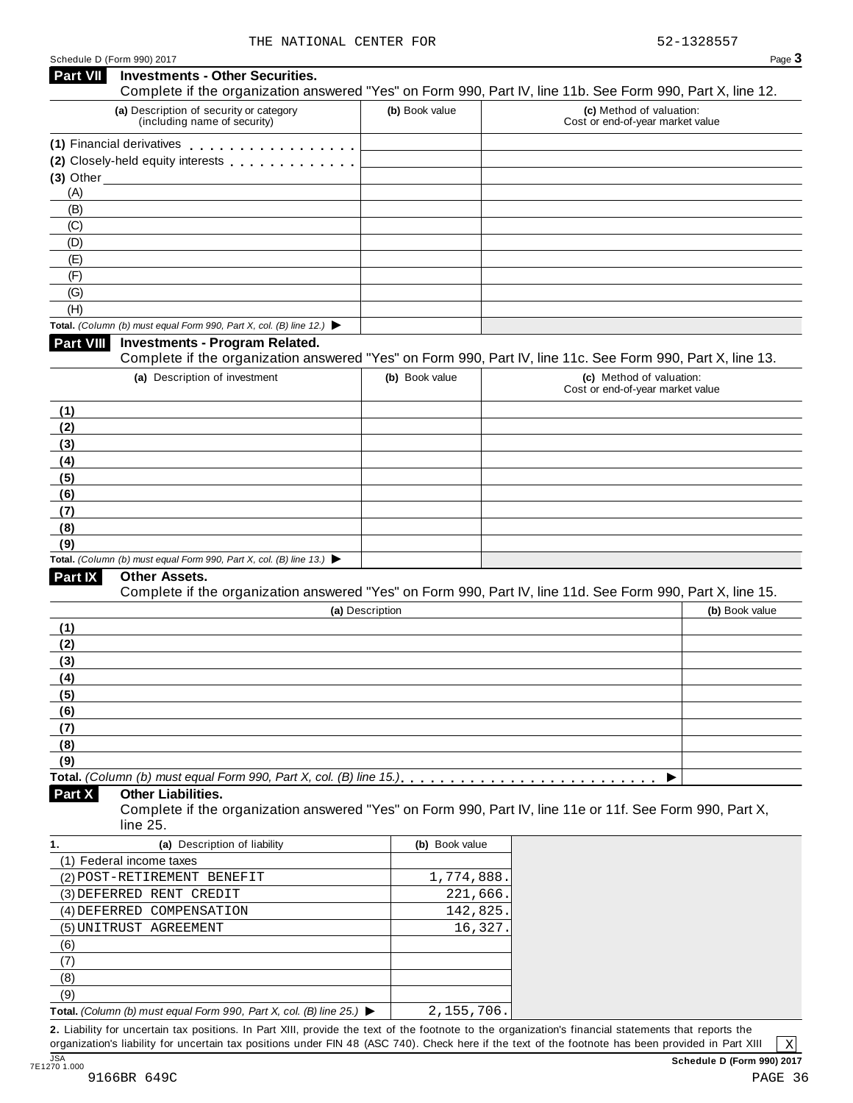| Schedule D (Form 990) 2017<br><b>Part VII</b><br><b>Investments - Other Securities.</b>  |                 |                |                                                                                                                                                      | Page 3         |
|------------------------------------------------------------------------------------------|-----------------|----------------|------------------------------------------------------------------------------------------------------------------------------------------------------|----------------|
|                                                                                          |                 |                | Complete if the organization answered "Yes" on Form 990, Part IV, line 11b. See Form 990, Part X, line 12.                                           |                |
| (a) Description of security or category<br>(including name of security)                  |                 | (b) Book value | (c) Method of valuation:<br>Cost or end-of-year market value                                                                                         |                |
| (1) Financial derivatives                                                                |                 |                |                                                                                                                                                      |                |
| (2) Closely-held equity interests [1] [1] Closely-held equity interests                  |                 |                |                                                                                                                                                      |                |
| $(3)$ Other                                                                              |                 |                |                                                                                                                                                      |                |
| (A)                                                                                      |                 |                |                                                                                                                                                      |                |
| (B)                                                                                      |                 |                |                                                                                                                                                      |                |
| (C)<br>(D)                                                                               |                 |                |                                                                                                                                                      |                |
| (E)                                                                                      |                 |                |                                                                                                                                                      |                |
| (F)                                                                                      |                 |                |                                                                                                                                                      |                |
| (G)                                                                                      |                 |                |                                                                                                                                                      |                |
| (H)                                                                                      |                 |                |                                                                                                                                                      |                |
| Total. (Column (b) must equal Form 990, Part X, col. (B) line 12.) $\blacktriangleright$ |                 |                |                                                                                                                                                      |                |
| Part VIII<br><b>Investments - Program Related.</b>                                       |                 |                | Complete if the organization answered "Yes" on Form 990, Part IV, line 11c. See Form 990, Part X, line 13.                                           |                |
| (a) Description of investment                                                            |                 | (b) Book value | (c) Method of valuation:                                                                                                                             |                |
|                                                                                          |                 |                | Cost or end-of-year market value                                                                                                                     |                |
| (1)                                                                                      |                 |                |                                                                                                                                                      |                |
| (2)                                                                                      |                 |                |                                                                                                                                                      |                |
| (3)                                                                                      |                 |                |                                                                                                                                                      |                |
| (4)                                                                                      |                 |                |                                                                                                                                                      |                |
| (5)                                                                                      |                 |                |                                                                                                                                                      |                |
| (6)<br>(7)                                                                               |                 |                |                                                                                                                                                      |                |
| (8)                                                                                      |                 |                |                                                                                                                                                      |                |
| (9)                                                                                      |                 |                |                                                                                                                                                      |                |
| Total. (Column (b) must equal Form 990, Part X, col. (B) line 13.) $\blacktriangleright$ |                 |                |                                                                                                                                                      |                |
| Part IX<br><b>Other Assets.</b>                                                          |                 |                |                                                                                                                                                      |                |
|                                                                                          |                 |                | Complete if the organization answered "Yes" on Form 990, Part IV, line 11d. See Form 990, Part X, line 15.                                           |                |
|                                                                                          | (a) Description |                |                                                                                                                                                      | (b) Book value |
| (1)                                                                                      |                 |                |                                                                                                                                                      |                |
| (2)                                                                                      |                 |                |                                                                                                                                                      |                |
| (3)                                                                                      |                 |                |                                                                                                                                                      |                |
| (4)                                                                                      |                 |                |                                                                                                                                                      |                |
| (5)                                                                                      |                 |                |                                                                                                                                                      |                |
| (6)                                                                                      |                 |                |                                                                                                                                                      |                |
| (7)<br>(8)                                                                               |                 |                |                                                                                                                                                      |                |
| (9)                                                                                      |                 |                |                                                                                                                                                      |                |
|                                                                                          |                 |                | ▶                                                                                                                                                    |                |
| <b>Other Liabilities.</b><br>Part X                                                      |                 |                | Complete if the organization answered "Yes" on Form 990, Part IV, line 11e or 11f. See Form 990, Part X,                                             |                |
| line 25.                                                                                 |                 |                |                                                                                                                                                      |                |
| (a) Description of liability                                                             |                 | (b) Book value |                                                                                                                                                      |                |
| (1) Federal income taxes                                                                 |                 |                |                                                                                                                                                      |                |
| (2) POST-RETIREMENT BENEFIT                                                              |                 | 1,774,888.     |                                                                                                                                                      |                |
| (3) DEFERRED RENT CREDIT                                                                 |                 | 221,666.       |                                                                                                                                                      |                |
| (4) DEFERRED COMPENSATION                                                                |                 | 142,825.       |                                                                                                                                                      |                |
| (5) UNITRUST AGREEMENT                                                                   |                 | 16,327.        |                                                                                                                                                      |                |
| (6)                                                                                      |                 |                |                                                                                                                                                      |                |
| (7)                                                                                      |                 |                |                                                                                                                                                      |                |
| (8)                                                                                      |                 |                |                                                                                                                                                      |                |
| (9)                                                                                      |                 |                |                                                                                                                                                      |                |
| Total. (Column (b) must equal Form 990, Part X, col. (B) line 25.) $\blacktriangleright$ |                 | 2, 155, 706.   | 2. Liability for uncertain tax positions. In Part XIII, provide the text of the footnote to the organization's financial statements that reports the |                |

organization's liability for uncertain tax positions under FIN 48 (ASC 740). Check here ifthe text of the footnote has been provided in Part XIII

 $\boxed{\text{X}}$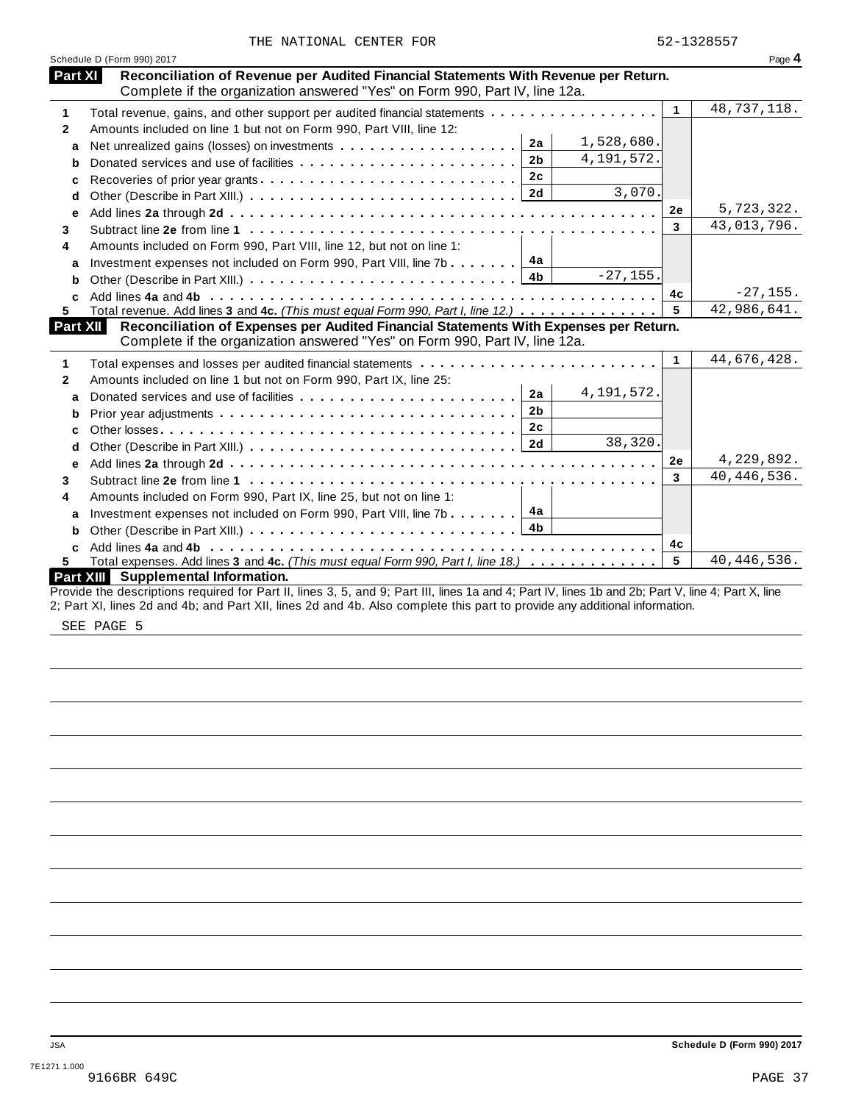| THE NATIONAL CENTER FOR |  | 52-1328557 |  |
|-------------------------|--|------------|--|
|                         |  |            |  |

|              | Schedule D (Form 990) 2017                                                                                                                                         |           | Page 4        |
|--------------|--------------------------------------------------------------------------------------------------------------------------------------------------------------------|-----------|---------------|
| Part XI      | Reconciliation of Revenue per Audited Financial Statements With Revenue per Return.<br>Complete if the organization answered "Yes" on Form 990, Part IV, line 12a. |           |               |
| 1            | Total revenue, gains, and other support per audited financial statements                                                                                           | 1         | 48,737,118.   |
| $\mathbf{2}$ | Amounts included on line 1 but not on Form 990, Part VIII, line 12:                                                                                                |           |               |
| a            | 1,528,680.<br>2a                                                                                                                                                   |           |               |
| b            | 2 <sub>b</sub><br>4,191,572.                                                                                                                                       |           |               |
| с            | 2c                                                                                                                                                                 |           |               |
| d            | 3,070.                                                                                                                                                             |           |               |
| е            |                                                                                                                                                                    | 2e        | 5,723,322.    |
| 3            |                                                                                                                                                                    | 3         | 43,013,796.   |
| 4            | Amounts included on Form 990, Part VIII, line 12, but not on line 1:                                                                                               |           |               |
| a            | Investment expenses not included on Form 990, Part VIII, line 7b $\boxed{4a}$                                                                                      |           |               |
| b            | $-27, 155.$<br>4 <sub>b</sub>                                                                                                                                      |           |               |
| C            |                                                                                                                                                                    | 4c        | $-27, 155.$   |
| 5.           | Total revenue. Add lines 3 and 4c. (This must equal Form 990, Part I, line 12.)                                                                                    |           | 42,986,641.   |
| Part XII     | Reconciliation of Expenses per Audited Financial Statements With Expenses per Return.                                                                              |           |               |
|              | Complete if the organization answered "Yes" on Form 990, Part IV, line 12a.                                                                                        |           |               |
| 1            |                                                                                                                                                                    | 1         | 44,676,428.   |
| $\mathbf{2}$ | Amounts included on line 1 but not on Form 990, Part IX, line 25:                                                                                                  |           |               |
| a            | 4,191,572.<br>2a                                                                                                                                                   |           |               |
| b            | 2 <sub>b</sub>                                                                                                                                                     |           |               |
| C            | 2c                                                                                                                                                                 |           |               |
| d            | 38,320.                                                                                                                                                            |           |               |
| е            |                                                                                                                                                                    | <b>2e</b> | 4,229,892.    |
| 3            |                                                                                                                                                                    | 3         | 40, 446, 536. |
| 4            | Amounts included on Form 990, Part IX, line 25, but not on line 1:                                                                                                 |           |               |
| a            | 4a<br>Investment expenses not included on Form 990, Part VIII, line 7b                                                                                             |           |               |
| b            | 4 <sub>b</sub>                                                                                                                                                     |           |               |
| C            |                                                                                                                                                                    | 4c        |               |
| 5.           | Total expenses. Add lines 3 and 4c. (This must equal Form 990, Part I, line 18.)                                                                                   | 5         | 40, 446, 536. |
|              | Part XIII Supplemental Information.                                                                                                                                |           |               |
|              | Provide the descriptions required for Part II, lines 3, 5, and 9; Part III, lines 1a and 4; Part IV, lines 1b and 2b; Part V, line 4; Part X, line                 |           |               |
|              | 2; Part XI, lines 2d and 4b; and Part XII, lines 2d and 4b. Also complete this part to provide any additional information.                                         |           |               |

SEE PAGE 5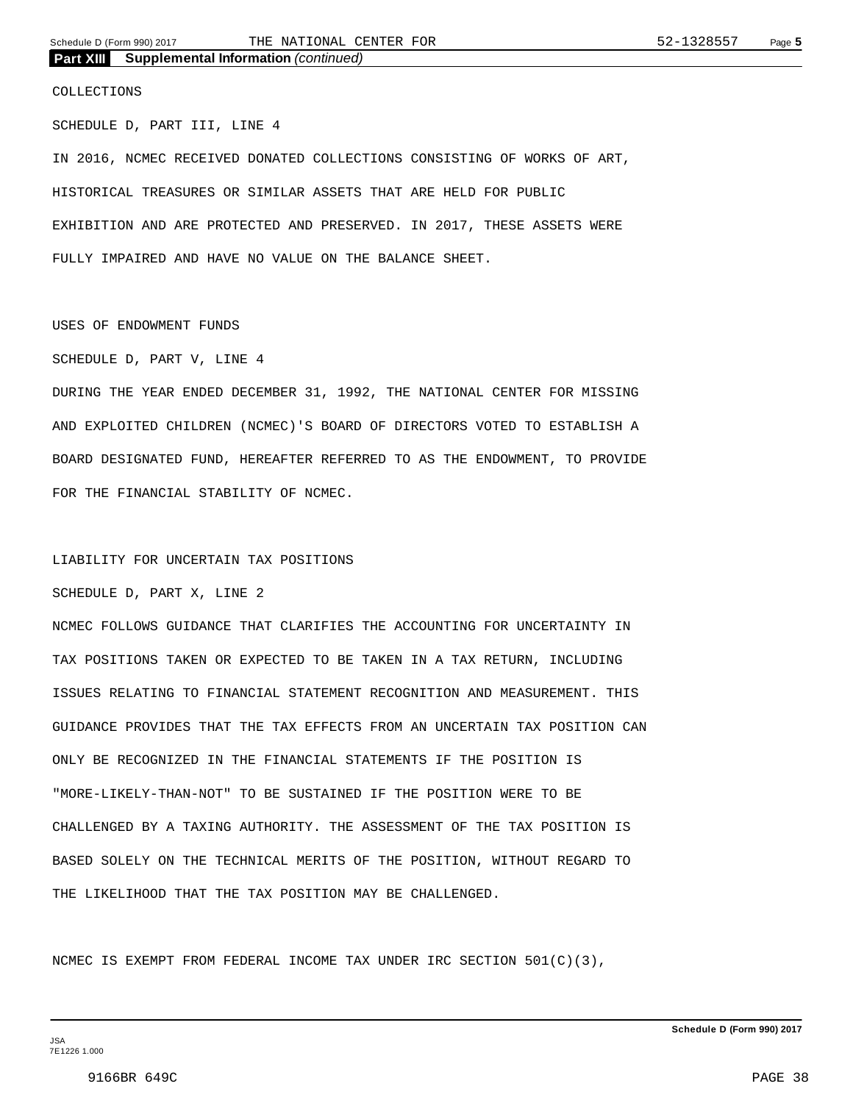#### COLLECTIONS

SCHEDULE D, PART III, LINE 4

IN 2016, NCMEC RECEIVED DONATED COLLECTIONS CONSISTING OF WORKS OF ART, HISTORICAL TREASURES OR SIMILAR ASSETS THAT ARE HELD FOR PUBLIC EXHIBITION AND ARE PROTECTED AND PRESERVED. IN 2017, THESE ASSETS WERE FULLY IMPAIRED AND HAVE NO VALUE ON THE BALANCE SHEET.

#### USES OF ENDOWMENT FUNDS

SCHEDULE D, PART V, LINE 4

DURING THE YEAR ENDED DECEMBER 31, 1992, THE NATIONAL CENTER FOR MISSING AND EXPLOITED CHILDREN (NCMEC)'S BOARD OF DIRECTORS VOTED TO ESTABLISH A BOARD DESIGNATED FUND, HEREAFTER REFERRED TO AS THE ENDOWMENT, TO PROVIDE FOR THE FINANCIAL STABILITY OF NCMEC.

#### LIABILITY FOR UNCERTAIN TAX POSITIONS

SCHEDULE D, PART X, LINE 2

NCMEC FOLLOWS GUIDANCE THAT CLARIFIES THE ACCOUNTING FOR UNCERTAINTY IN TAX POSITIONS TAKEN OR EXPECTED TO BE TAKEN IN A TAX RETURN, INCLUDING ISSUES RELATING TO FINANCIAL STATEMENT RECOGNITION AND MEASUREMENT. THIS GUIDANCE PROVIDES THAT THE TAX EFFECTS FROM AN UNCERTAIN TAX POSITION CAN ONLY BE RECOGNIZED IN THE FINANCIAL STATEMENTS IF THE POSITION IS "MORE-LIKELY-THAN-NOT" TO BE SUSTAINED IF THE POSITION WERE TO BE CHALLENGED BY A TAXING AUTHORITY. THE ASSESSMENT OF THE TAX POSITION IS BASED SOLELY ON THE TECHNICAL MERITS OF THE POSITION, WITHOUT REGARD TO THE LIKELIHOOD THAT THE TAX POSITION MAY BE CHALLENGED.

NCMEC IS EXEMPT FROM FEDERAL INCOME TAX UNDER IRC SECTION  $501(C)(3)$ ,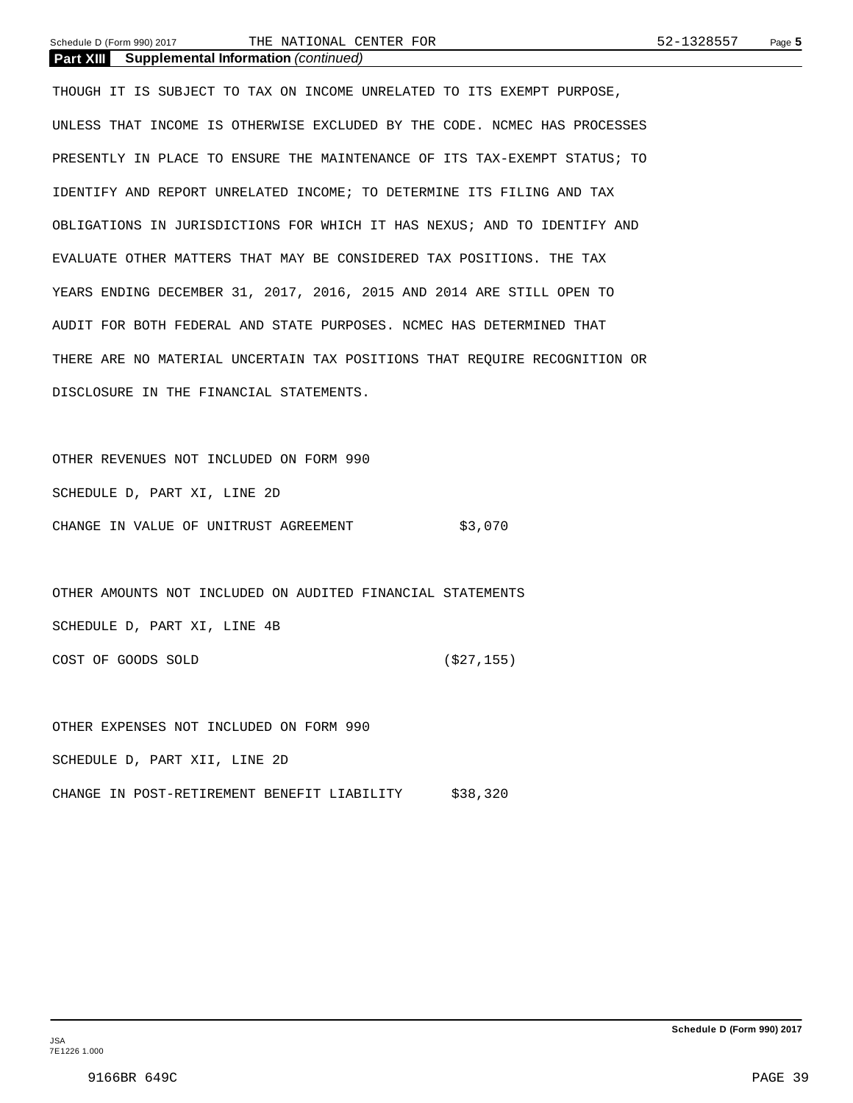Schedule D (Form 990) 2017 Page **5** THE NATIONAL CENTER FOR 52-1328557 **Part XIII Supplemental Information** *(continued)*

THOUGH IT IS SUBJECT TO TAX ON INCOME UNRELATED TO ITS EXEMPT PURPOSE, UNLESS THAT INCOME IS OTHERWISE EXCLUDED BY THE CODE. NCMEC HAS PROCESSES PRESENTLY IN PLACE TO ENSURE THE MAINTENANCE OF ITS TAX-EXEMPT STATUS; TO IDENTIFY AND REPORT UNRELATED INCOME; TO DETERMINE ITS FILING AND TAX OBLIGATIONS IN JURISDICTIONS FOR WHICH IT HAS NEXUS; AND TO IDENTIFY AND EVALUATE OTHER MATTERS THAT MAY BE CONSIDERED TAX POSITIONS. THE TAX YEARS ENDING DECEMBER 31, 2017, 2016, 2015 AND 2014 ARE STILL OPEN TO AUDIT FOR BOTH FEDERAL AND STATE PURPOSES. NCMEC HAS DETERMINED THAT THERE ARE NO MATERIAL UNCERTAIN TAX POSITIONS THAT REQUIRE RECOGNITION OR DISCLOSURE IN THE FINANCIAL STATEMENTS.

OTHER REVENUES NOT INCLUDED ON FORM 990 SCHEDULE D, PART XI, LINE 2D CHANGE IN VALUE OF UNITRUST AGREEMENT  $$3,070$ 

OTHER AMOUNTS NOT INCLUDED ON AUDITED FINANCIAL STATEMENTS SCHEDULE D, PART XI, LINE 4B COST OF GOODS SOLD (\$27,155)

OTHER EXPENSES NOT INCLUDED ON FORM 990 SCHEDULE D, PART XII, LINE 2D CHANGE IN POST-RETIREMENT BENEFIT LIABILITY \$38,320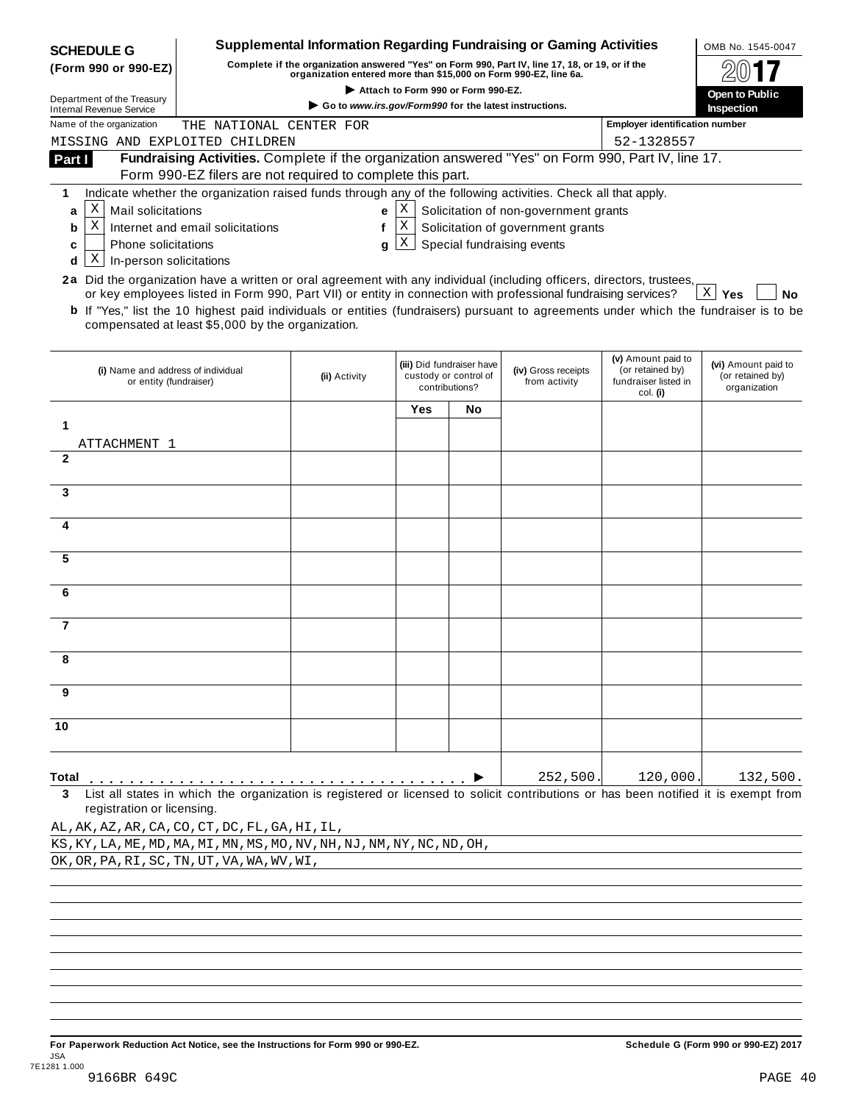| <b>SCHEDULE G</b>                                                                                                      |                                                                                                                                                                                                   | <b>Supplemental Information Regarding Fundraising or Gaming Activities</b> |                                    |                                                    |                                       |                                          | OMB No. 1545-0047                       |
|------------------------------------------------------------------------------------------------------------------------|---------------------------------------------------------------------------------------------------------------------------------------------------------------------------------------------------|----------------------------------------------------------------------------|------------------------------------|----------------------------------------------------|---------------------------------------|------------------------------------------|-----------------------------------------|
| (Form 990 or 990-EZ)                                                                                                   | Complete if the organization answered "Yes" on Form 990, Part IV, line 17, 18, or 19, or if the                                                                                                   |                                                                            |                                    |                                                    |                                       |                                          |                                         |
|                                                                                                                        |                                                                                                                                                                                                   | organization entered more than \$15,000 on Form 990-EZ, line 6a.           | Attach to Form 990 or Form 990-EZ. |                                                    |                                       |                                          | <b>Open to Public</b>                   |
| Department of the Treasury<br><b>Internal Revenue Service</b>                                                          |                                                                                                                                                                                                   | Go to www.irs.gov/Form990 for the latest instructions.                     |                                    |                                                    |                                       |                                          | Inspection                              |
| Name of the organization                                                                                               | THE NATIONAL CENTER FOR                                                                                                                                                                           |                                                                            |                                    |                                                    |                                       | <b>Employer identification number</b>    |                                         |
| MISSING AND EXPLOITED CHILDREN                                                                                         |                                                                                                                                                                                                   |                                                                            |                                    |                                                    |                                       | 52-1328557                               |                                         |
| Part I                                                                                                                 | Fundraising Activities. Complete if the organization answered "Yes" on Form 990, Part IV, line 17.                                                                                                |                                                                            |                                    |                                                    |                                       |                                          |                                         |
|                                                                                                                        | Form 990-EZ filers are not required to complete this part.                                                                                                                                        |                                                                            |                                    |                                                    |                                       |                                          |                                         |
| 1                                                                                                                      | Indicate whether the organization raised funds through any of the following activities. Check all that apply.                                                                                     |                                                                            |                                    |                                                    |                                       |                                          |                                         |
| Х<br>Mail solicitations<br>a                                                                                           |                                                                                                                                                                                                   | e                                                                          | $\mathbf{X}$                       |                                                    | Solicitation of non-government grants |                                          |                                         |
| X<br>b                                                                                                                 | Internet and email solicitations                                                                                                                                                                  | f                                                                          | X                                  |                                                    | Solicitation of government grants     |                                          |                                         |
| Phone solicitations<br>c<br>Χ<br>In-person solicitations<br>d                                                          |                                                                                                                                                                                                   | q                                                                          | $\mathbf{X}$                       |                                                    | Special fundraising events            |                                          |                                         |
| 2a Did the organization have a written or oral agreement with any individual (including officers, directors, trustees, |                                                                                                                                                                                                   |                                                                            |                                    |                                                    |                                       |                                          |                                         |
|                                                                                                                        | or key employees listed in Form 990, Part VII) or entity in connection with professional fundraising services?                                                                                    |                                                                            |                                    |                                                    |                                       |                                          | $ X $ Yes<br>No                         |
|                                                                                                                        | <b>b</b> If "Yes," list the 10 highest paid individuals or entities (fundraisers) pursuant to agreements under which the fundraiser is to be<br>compensated at least \$5,000 by the organization. |                                                                            |                                    |                                                    |                                       |                                          |                                         |
|                                                                                                                        |                                                                                                                                                                                                   |                                                                            |                                    |                                                    |                                       |                                          |                                         |
|                                                                                                                        |                                                                                                                                                                                                   |                                                                            |                                    |                                                    |                                       | (v) Amount paid to                       |                                         |
| (i) Name and address of individual                                                                                     |                                                                                                                                                                                                   | (ii) Activity                                                              |                                    | (iii) Did fundraiser have<br>custody or control of | (iv) Gross receipts                   | (or retained by)<br>fundraiser listed in | (vi) Amount paid to<br>(or retained by) |
| or entity (fundraiser)                                                                                                 |                                                                                                                                                                                                   |                                                                            | from activity<br>contributions?    |                                                    |                                       |                                          | organization                            |
|                                                                                                                        |                                                                                                                                                                                                   |                                                                            | Yes                                | No                                                 |                                       |                                          |                                         |
| 1                                                                                                                      |                                                                                                                                                                                                   |                                                                            |                                    |                                                    |                                       |                                          |                                         |
| ATTACHMENT 1                                                                                                           |                                                                                                                                                                                                   |                                                                            |                                    |                                                    |                                       |                                          |                                         |
| $\mathbf{2}$                                                                                                           |                                                                                                                                                                                                   |                                                                            |                                    |                                                    |                                       |                                          |                                         |
|                                                                                                                        |                                                                                                                                                                                                   |                                                                            |                                    |                                                    |                                       |                                          |                                         |
| 3                                                                                                                      |                                                                                                                                                                                                   |                                                                            |                                    |                                                    |                                       |                                          |                                         |
|                                                                                                                        |                                                                                                                                                                                                   |                                                                            |                                    |                                                    |                                       |                                          |                                         |
|                                                                                                                        |                                                                                                                                                                                                   |                                                                            |                                    |                                                    |                                       |                                          |                                         |
| 5                                                                                                                      |                                                                                                                                                                                                   |                                                                            |                                    |                                                    |                                       |                                          |                                         |
|                                                                                                                        |                                                                                                                                                                                                   |                                                                            |                                    |                                                    |                                       |                                          |                                         |
| 6                                                                                                                      |                                                                                                                                                                                                   |                                                                            |                                    |                                                    |                                       |                                          |                                         |
|                                                                                                                        |                                                                                                                                                                                                   |                                                                            |                                    |                                                    |                                       |                                          |                                         |
| 7                                                                                                                      |                                                                                                                                                                                                   |                                                                            |                                    |                                                    |                                       |                                          |                                         |
| 8                                                                                                                      |                                                                                                                                                                                                   |                                                                            |                                    |                                                    |                                       |                                          |                                         |
|                                                                                                                        |                                                                                                                                                                                                   |                                                                            |                                    |                                                    |                                       |                                          |                                         |
| 9                                                                                                                      |                                                                                                                                                                                                   |                                                                            |                                    |                                                    |                                       |                                          |                                         |
|                                                                                                                        |                                                                                                                                                                                                   |                                                                            |                                    |                                                    |                                       |                                          |                                         |
| 10                                                                                                                     |                                                                                                                                                                                                   |                                                                            |                                    |                                                    |                                       |                                          |                                         |
|                                                                                                                        |                                                                                                                                                                                                   |                                                                            |                                    |                                                    |                                       |                                          |                                         |
|                                                                                                                        |                                                                                                                                                                                                   |                                                                            |                                    |                                                    |                                       |                                          |                                         |
| Total                                                                                                                  |                                                                                                                                                                                                   |                                                                            |                                    |                                                    | 252,500.                              | 120,000.                                 | 132,500.                                |
| 3                                                                                                                      | List all states in which the organization is registered or licensed to solicit contributions or has been notified it is exempt from                                                               |                                                                            |                                    |                                                    |                                       |                                          |                                         |
| registration or licensing.                                                                                             |                                                                                                                                                                                                   |                                                                            |                                    |                                                    |                                       |                                          |                                         |
| AL, AK, AZ, AR, CA, CO, CT, DC, FL, GA, HI, IL,                                                                        |                                                                                                                                                                                                   |                                                                            |                                    |                                                    |                                       |                                          |                                         |
| KS, KY, LA, ME, MD, MA, MI, MN, MS, MO, NV, NH, NJ, NM, NY, NC, ND, OH,                                                |                                                                                                                                                                                                   |                                                                            |                                    |                                                    |                                       |                                          |                                         |

OK,OR,PA,RI,SC,TN,UT,VA,WA,WV,WI,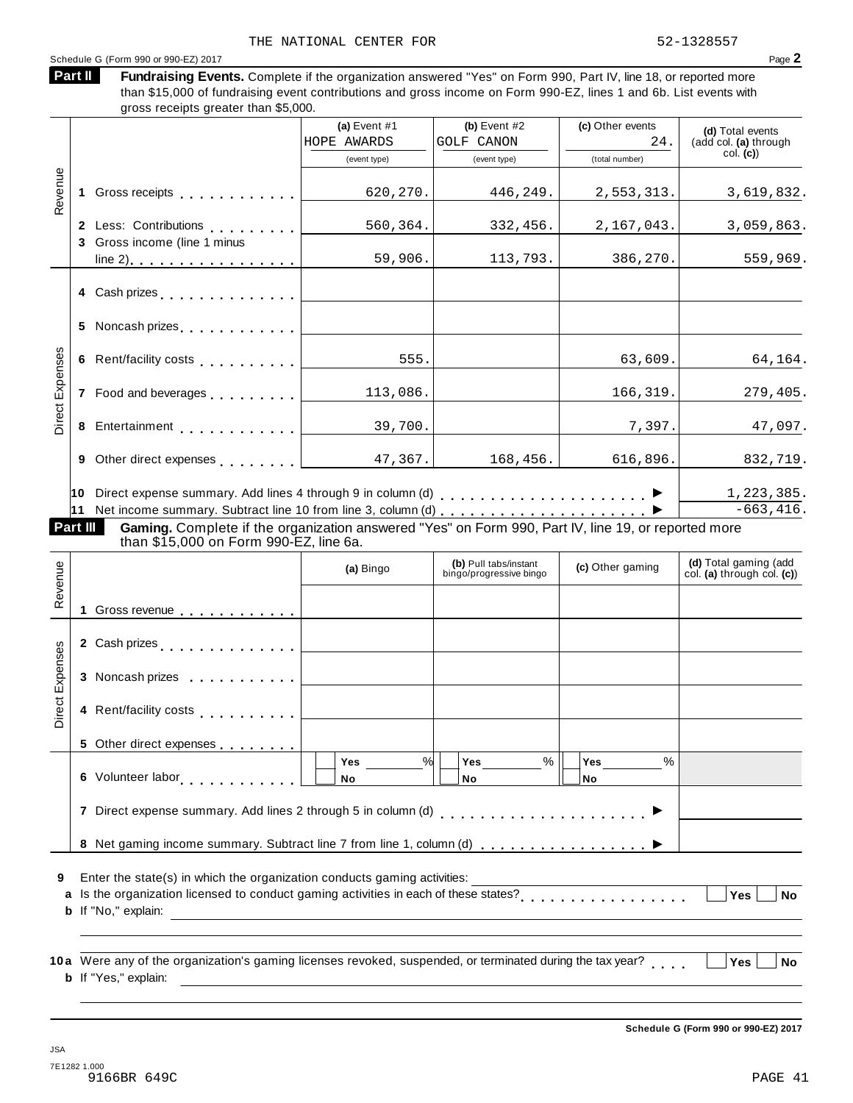#### Schedule <sup>G</sup> (Form <sup>990</sup> or 990-EZ) <sup>2017</sup> Page **2**

Fundraising Events. Complete if the organization answered "Yes" on Form 990, Part IV, line 18, or reported more than \$15,000 of fundraising event contributions and gross income on Form 990-EZ, lines 1 and 6b. List events with **Part II**

|                 |    |                                                                                                                                                                                                                                    | gross receipts greater than \$5,000. |                         |                    |                             |  |  |  |  |  |
|-----------------|----|------------------------------------------------------------------------------------------------------------------------------------------------------------------------------------------------------------------------------------|--------------------------------------|-------------------------|--------------------|-----------------------------|--|--|--|--|--|
|                 |    |                                                                                                                                                                                                                                    | (a) Event $#1$                       | $(b)$ Event #2          | (c) Other events   | (d) Total events            |  |  |  |  |  |
|                 |    |                                                                                                                                                                                                                                    | HOPE AWARDS                          | GOLF CANON              | 24.                | (add col. (a) through       |  |  |  |  |  |
|                 |    |                                                                                                                                                                                                                                    | (event type)                         | (event type)            | (total number)     | $col.$ (c))                 |  |  |  |  |  |
|                 |    |                                                                                                                                                                                                                                    |                                      |                         |                    |                             |  |  |  |  |  |
| Revenue         | 1. | Gross receipts <b>contained</b> and a series of the series of the series of the series of the series of the series of the series of the series of the series of the series of the series of the series of the series of the series | 620,270.                             | 446,249.                | 2,553,313.         | 3,619,832.                  |  |  |  |  |  |
|                 |    |                                                                                                                                                                                                                                    |                                      |                         |                    |                             |  |  |  |  |  |
|                 |    | 2 Less: Contributions                                                                                                                                                                                                              | 560,364.                             | 332,456.                | 2,167,043.         | 3,059,863.                  |  |  |  |  |  |
|                 | 3  | Gross income (line 1 minus                                                                                                                                                                                                         |                                      |                         |                    |                             |  |  |  |  |  |
|                 |    |                                                                                                                                                                                                                                    | 59,906.                              | 113,793.                | 386, 270.          | 559,969.                    |  |  |  |  |  |
|                 |    | $line 2)$ $\ldots$ $\ldots$ $\ldots$ $\ldots$ $\ldots$ $\ldots$                                                                                                                                                                    |                                      |                         |                    |                             |  |  |  |  |  |
|                 |    |                                                                                                                                                                                                                                    |                                      |                         |                    |                             |  |  |  |  |  |
|                 |    | 4 Cash prizes                                                                                                                                                                                                                      |                                      |                         |                    |                             |  |  |  |  |  |
|                 |    |                                                                                                                                                                                                                                    |                                      |                         |                    |                             |  |  |  |  |  |
|                 | 5. | Noncash prizes [                                                                                                                                                                                                                   |                                      |                         |                    |                             |  |  |  |  |  |
|                 |    |                                                                                                                                                                                                                                    |                                      |                         |                    |                             |  |  |  |  |  |
|                 |    | 6 Rent/facility costs [1994]                                                                                                                                                                                                       | 555.                                 |                         | 63,609.            | 64,164.                     |  |  |  |  |  |
| Expenses        |    |                                                                                                                                                                                                                                    |                                      |                         |                    |                             |  |  |  |  |  |
|                 |    | 7 Food and beverages entitled by the set of the set of the set of the set of the set of the set of the set of the set of the set of the set of the set of the set of the set of the set of the set of the set of the set of th     | 113,086.                             |                         | 166, 319.          | 279,405.                    |  |  |  |  |  |
| Direct I        |    |                                                                                                                                                                                                                                    |                                      |                         |                    |                             |  |  |  |  |  |
|                 |    | 8 Entertainment and a set of the set of the set of the set of the set of the set of the set of the set of the set of the set of the set of the set of the set of the set of the set of the set of the set of the set of the se     | 39,700.                              |                         | 7,397.             | 47,097.                     |  |  |  |  |  |
|                 |    |                                                                                                                                                                                                                                    |                                      |                         |                    |                             |  |  |  |  |  |
|                 | 9  | Other direct expenses example and the set of the set of the set of the set of the set of the set of the set of the set of the set of the set of the set of the set of the set of the set of the set of the set of the set of t     |                                      | 168,456.                | 616,896.           | 832,719.                    |  |  |  |  |  |
|                 |    |                                                                                                                                                                                                                                    |                                      |                         |                    |                             |  |  |  |  |  |
|                 |    | 1,223,385.                                                                                                                                                                                                                         |                                      |                         |                    |                             |  |  |  |  |  |
|                 |    | 10 Direct expense summary. Add lines 4 through 9 in column (d) $\ldots, \ldots, \ldots, \ldots, \ldots$                                                                                                                            |                                      |                         |                    | $-663, 416.$                |  |  |  |  |  |
| Part III        |    | Gaming. Complete if the organization answered "Yes" on Form 990, Part IV, line 19, or reported more                                                                                                                                |                                      |                         |                    |                             |  |  |  |  |  |
|                 |    | than \$15,000 on Form 990-EZ, line 6a.                                                                                                                                                                                             |                                      |                         |                    |                             |  |  |  |  |  |
|                 |    |                                                                                                                                                                                                                                    |                                      | (b) Pull tabs/instant   |                    | (d) Total gaming (add       |  |  |  |  |  |
| Revenue         |    |                                                                                                                                                                                                                                    | (a) Bingo                            | bingo/progressive bingo | (c) Other gaming   | col. (a) through col. $(c)$ |  |  |  |  |  |
|                 |    |                                                                                                                                                                                                                                    |                                      |                         |                    |                             |  |  |  |  |  |
|                 |    | 1 Gross revenue                                                                                                                                                                                                                    |                                      |                         |                    |                             |  |  |  |  |  |
|                 |    |                                                                                                                                                                                                                                    |                                      |                         |                    |                             |  |  |  |  |  |
|                 |    |                                                                                                                                                                                                                                    |                                      |                         |                    |                             |  |  |  |  |  |
|                 |    | 2 Cash prizes                                                                                                                                                                                                                      |                                      |                         |                    |                             |  |  |  |  |  |
| Direct Expenses |    |                                                                                                                                                                                                                                    |                                      |                         |                    |                             |  |  |  |  |  |
|                 |    | 3 Noncash prizes <b>1996</b>                                                                                                                                                                                                       |                                      |                         |                    |                             |  |  |  |  |  |
|                 |    |                                                                                                                                                                                                                                    |                                      |                         |                    |                             |  |  |  |  |  |
|                 |    | 4 Rent/facility costs                                                                                                                                                                                                              |                                      |                         |                    |                             |  |  |  |  |  |
|                 |    |                                                                                                                                                                                                                                    |                                      |                         |                    |                             |  |  |  |  |  |
|                 |    | 5 Other direct expenses                                                                                                                                                                                                            |                                      |                         |                    |                             |  |  |  |  |  |
|                 |    |                                                                                                                                                                                                                                    | %<br>Yes                             | $\%$<br>Yes             | $\%$<br><b>Yes</b> |                             |  |  |  |  |  |
|                 |    |                                                                                                                                                                                                                                    | No                                   | No                      | No                 |                             |  |  |  |  |  |
|                 |    |                                                                                                                                                                                                                                    |                                      |                         |                    |                             |  |  |  |  |  |
|                 |    | 7 Direct expense summary. Add lines 2 through 5 in column (d)                                                                                                                                                                      |                                      |                         |                    |                             |  |  |  |  |  |
|                 |    |                                                                                                                                                                                                                                    |                                      | .                       |                    |                             |  |  |  |  |  |
|                 |    |                                                                                                                                                                                                                                    |                                      |                         |                    |                             |  |  |  |  |  |
|                 |    | 8 Net gaming income summary. Subtract line 7 from line 1, column (d)                                                                                                                                                               |                                      |                         |                    |                             |  |  |  |  |  |
|                 |    |                                                                                                                                                                                                                                    |                                      |                         |                    |                             |  |  |  |  |  |

| 9 Effect the state(s) in which the organization conducts gaming activities.                          |            |  |
|------------------------------------------------------------------------------------------------------|------------|--|
| a Is the organization licensed to conduct gaming activities in each of these states?<br>exacts:<br>1 | $ Yes $ No |  |
| <b>b</b> If "No," explain:                                                                           |            |  |

**10a** Were any of the organization's gaming licenses revoked, suspended, or terminated during the tax year?<br> **a** *Were* **and** *a* **b** If "Yes," explain:

**Schedule G (Form 990 or 990-EZ) 2017**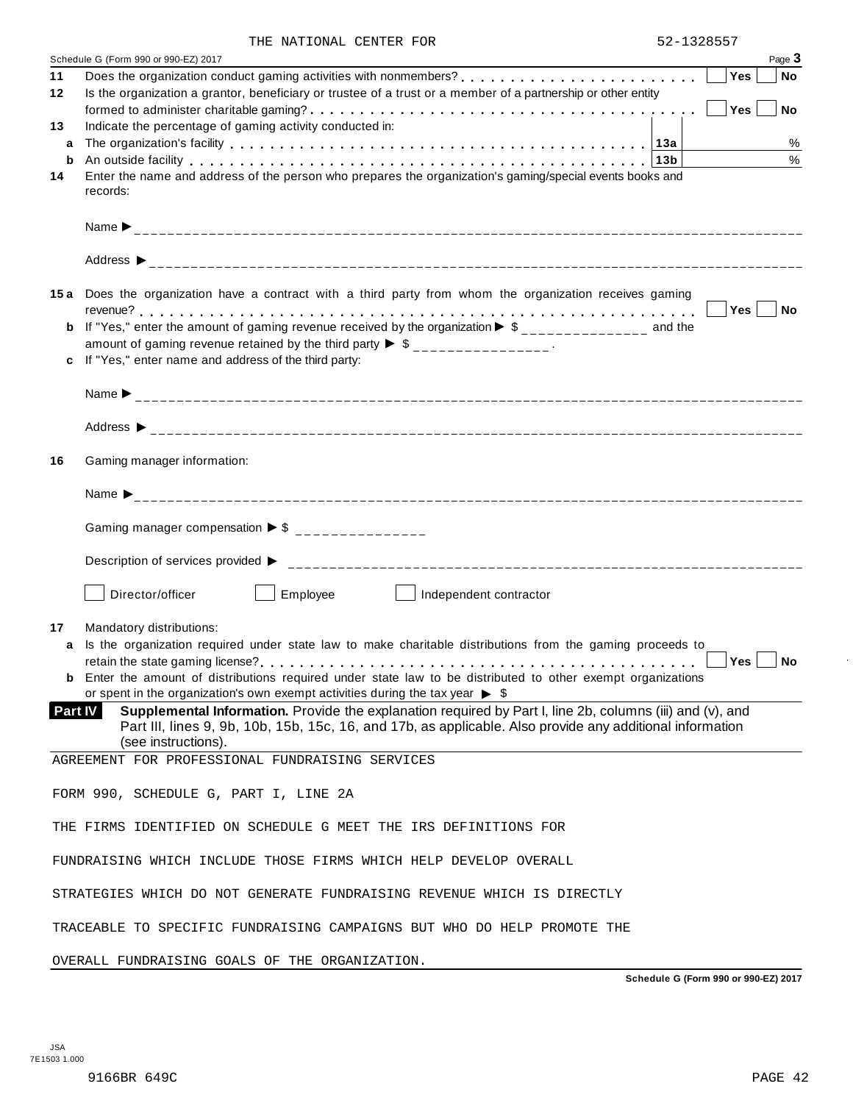|                | THE NATIONAL CENTER FOR                                                                                                                                                                                                                                                                                                                                                                      | 52-1328557 |             |
|----------------|----------------------------------------------------------------------------------------------------------------------------------------------------------------------------------------------------------------------------------------------------------------------------------------------------------------------------------------------------------------------------------------------|------------|-------------|
|                | Schedule G (Form 990 or 990-EZ) 2017                                                                                                                                                                                                                                                                                                                                                         |            | Page 3      |
| 11             |                                                                                                                                                                                                                                                                                                                                                                                              |            | Yes<br>  No |
| 12<br>13       | Is the organization a grantor, beneficiary or trustee of a trust or a member of a partnership or other entity<br>Indicate the percentage of gaming activity conducted in:                                                                                                                                                                                                                    |            | Yes<br>  No |
| a              |                                                                                                                                                                                                                                                                                                                                                                                              |            | $\%$        |
| b              | An outside facility enterpreteration of the control of the control of the control of the control of the control of the control of the control of the control of the control of the control of the control of the control of th                                                                                                                                                               |            | %           |
| 14             | Enter the name and address of the person who prepares the organization's gaming/special events books and                                                                                                                                                                                                                                                                                     |            |             |
|                | records:                                                                                                                                                                                                                                                                                                                                                                                     |            |             |
|                |                                                                                                                                                                                                                                                                                                                                                                                              |            |             |
|                | 15a Does the organization have a contract with a third party from whom the organization receives gaming<br><b>b</b> If "Yes," enter the amount of gaming revenue received by the organization $\triangleright$ \$______________ and the<br>amount of gaming revenue retained by the third party $\triangleright$ \$ _______________.<br>If "Yes," enter name and address of the third party: |            |             |
|                |                                                                                                                                                                                                                                                                                                                                                                                              |            |             |
|                |                                                                                                                                                                                                                                                                                                                                                                                              |            |             |
| 16             | Gaming manager information:                                                                                                                                                                                                                                                                                                                                                                  |            |             |
|                |                                                                                                                                                                                                                                                                                                                                                                                              |            |             |
|                | Gaming manager compensation $\triangleright$ \$ _______________                                                                                                                                                                                                                                                                                                                              |            |             |
|                | Description of services provided ▶                                                                                                                                                                                                                                                                                                                                                           |            |             |
|                | Director/officer<br>Employee                                                                                                                                                                                                                                                                                                                                                                 |            |             |
| 17             | Mandatory distributions:                                                                                                                                                                                                                                                                                                                                                                     |            |             |
| a              | Is the organization required under state law to make charitable distributions from the gaming proceeds to                                                                                                                                                                                                                                                                                    |            |             |
|                |                                                                                                                                                                                                                                                                                                                                                                                              |            |             |
|                | <b>b</b> Enter the amount of distributions required under state law to be distributed to other exempt organizations                                                                                                                                                                                                                                                                          |            |             |
|                | or spent in the organization's own exempt activities during the tax year $\triangleright$ \$                                                                                                                                                                                                                                                                                                 |            |             |
| <b>Part IV</b> | Supplemental Information. Provide the explanation required by Part I, line 2b, columns (iii) and (v), and<br>Part III, lines 9, 9b, 10b, 15b, 15c, 16, and 17b, as applicable. Also provide any additional information<br>(see instructions).                                                                                                                                                |            |             |
|                | AGREEMENT FOR PROFESSIONAL FUNDRAISING SERVICES                                                                                                                                                                                                                                                                                                                                              |            |             |
|                | FORM 990, SCHEDULE G, PART I, LINE 2A                                                                                                                                                                                                                                                                                                                                                        |            |             |
|                | THE FIRMS IDENTIFIED ON SCHEDULE G MEET THE IRS DEFINITIONS FOR                                                                                                                                                                                                                                                                                                                              |            |             |
|                | FUNDRAISING WHICH INCLUDE THOSE FIRMS WHICH HELP DEVELOP OVERALL                                                                                                                                                                                                                                                                                                                             |            |             |
|                | STRATEGIES WHICH DO NOT GENERATE FUNDRAISING REVENUE WHICH IS DIRECTLY                                                                                                                                                                                                                                                                                                                       |            |             |
|                | TRACEABLE TO SPECIFIC FUNDRAISING CAMPAIGNS BUT WHO DO HELP PROMOTE THE                                                                                                                                                                                                                                                                                                                      |            |             |

OVERALL FUNDRAISING GOALS OF THE ORGANIZATION.

**Schedule G (Form 990 or 990-EZ) 2017**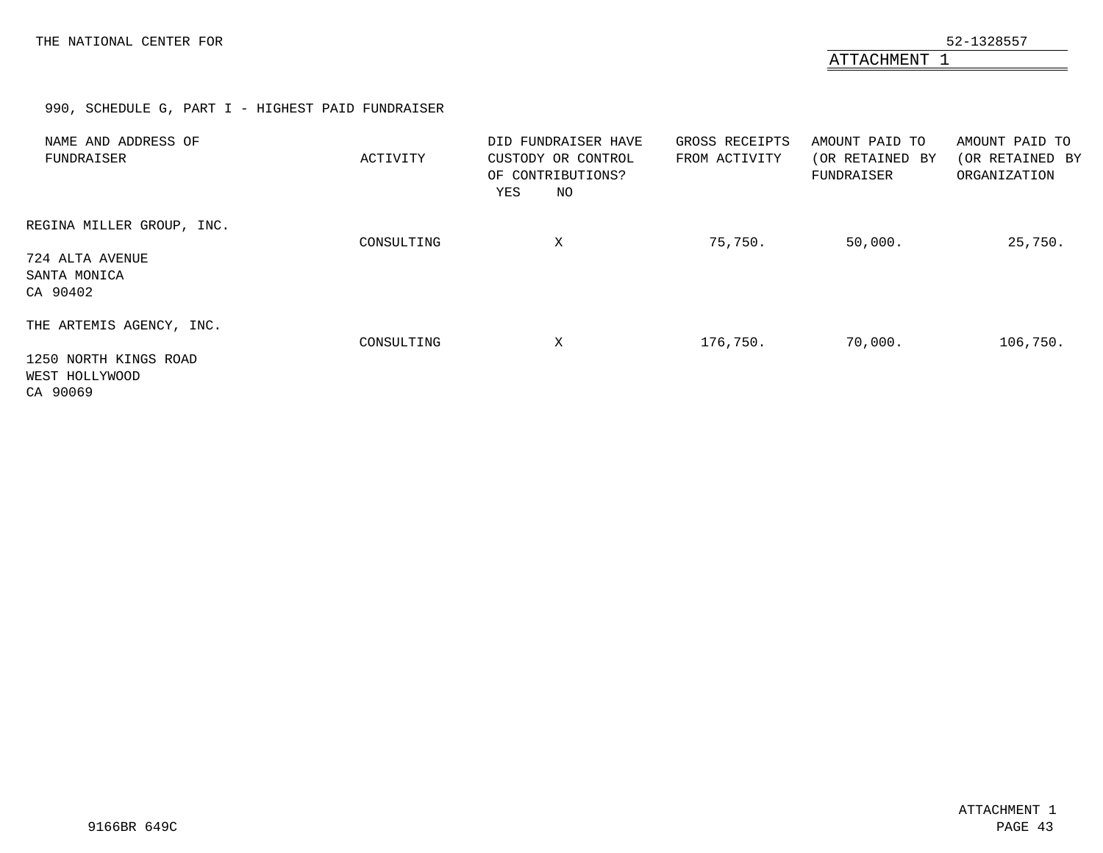ATTACHMENT 1

|  |  |  |  |  |  |  |  | 990, SCHEDULE G, PART I - HIGHEST PAID FUNDRAISER |
|--|--|--|--|--|--|--|--|---------------------------------------------------|
|--|--|--|--|--|--|--|--|---------------------------------------------------|

<span id="page-41-0"></span>

| NAME AND ADDRESS OF<br>FUNDRAISER                                               | ACTIVITY   | DID FUNDRAISER HAVE<br>CUSTODY OR CONTROL<br>OF CONTRIBUTIONS?<br>NO<br>YES | GROSS RECEIPTS<br>FROM ACTIVITY | AMOUNT PAID TO<br>(OR RETAINED BY<br>FUNDRAISER | AMOUNT PAID TO<br>(OR RETAINED BY<br>ORGANIZATION |
|---------------------------------------------------------------------------------|------------|-----------------------------------------------------------------------------|---------------------------------|-------------------------------------------------|---------------------------------------------------|
| REGINA MILLER GROUP, INC.<br>724 ALTA AVENUE<br>SANTA MONICA<br>CA 90402        | CONSULTING | Χ                                                                           | 75,750.                         | 50,000.                                         | 25,750.                                           |
| THE ARTEMIS AGENCY, INC.<br>1250 NORTH KINGS ROAD<br>WEST HOLLYWOOD<br>CA 90069 | CONSULTING | Χ                                                                           | 176,750.                        | 70,000.                                         | 106,750.                                          |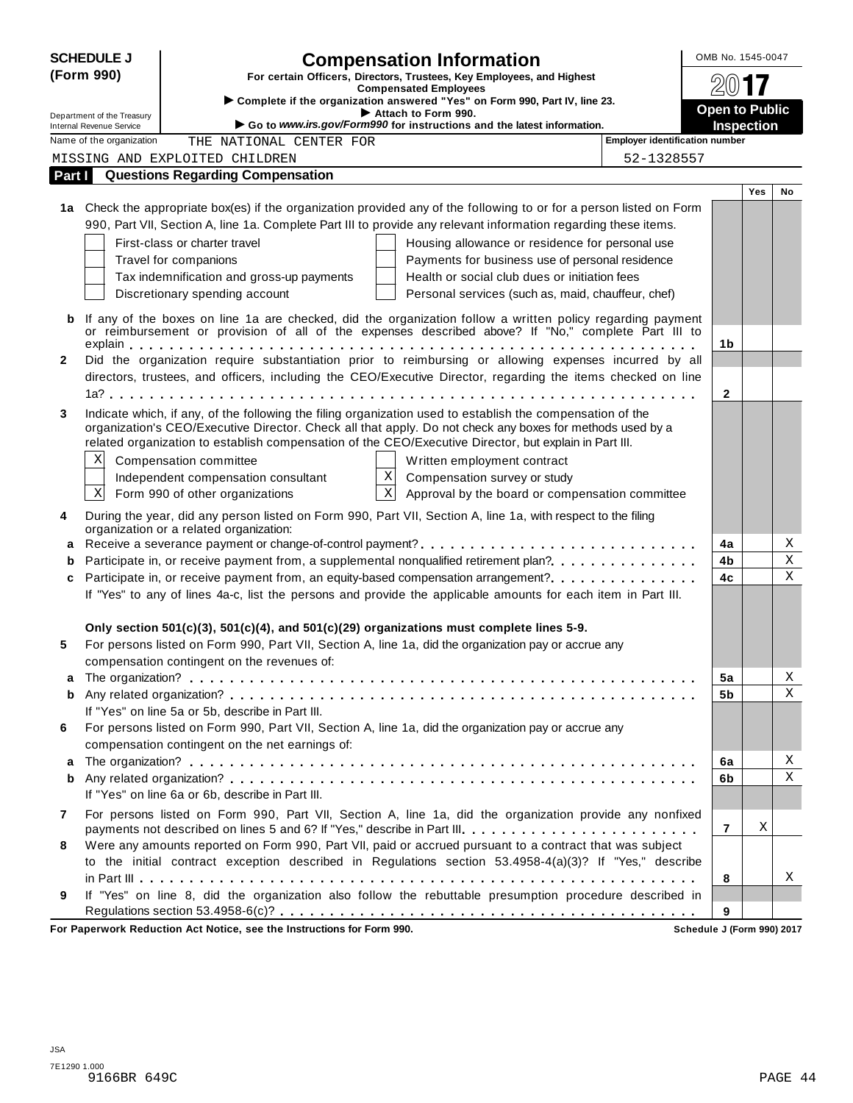| <b>SCHEDULE J</b><br>(Form 990) |                                                             | <b>Compensation Information</b>                                                                                                                                                                                     | OMB No. 1545-0047     |            |        |
|---------------------------------|-------------------------------------------------------------|---------------------------------------------------------------------------------------------------------------------------------------------------------------------------------------------------------------------|-----------------------|------------|--------|
|                                 |                                                             | For certain Officers, Directors, Trustees, Key Employees, and Highest                                                                                                                                               |                       |            |        |
|                                 |                                                             | <b>Compensated Employees</b><br>Complete if the organization answered "Yes" on Form 990, Part IV, line 23.                                                                                                          |                       |            |        |
|                                 | Department of the Treasury                                  | Attach to Form 990.                                                                                                                                                                                                 | <b>Open to Public</b> |            |        |
|                                 | <b>Internal Revenue Service</b><br>Name of the organization | Go to www.irs.gov/Form990 for instructions and the latest information.<br><b>Employer identification number</b><br>THE NATIONAL CENTER FOR                                                                          | <b>Inspection</b>     |            |        |
|                                 |                                                             | 52-1328557<br>MISSING AND EXPLOITED CHILDREN                                                                                                                                                                        |                       |            |        |
| Part I                          |                                                             | <b>Questions Regarding Compensation</b>                                                                                                                                                                             |                       |            |        |
|                                 |                                                             |                                                                                                                                                                                                                     |                       | <b>Yes</b> | No     |
|                                 |                                                             | 1a Check the appropriate box(es) if the organization provided any of the following to or for a person listed on Form                                                                                                |                       |            |        |
|                                 |                                                             | 990, Part VII, Section A, line 1a. Complete Part III to provide any relevant information regarding these items.                                                                                                     |                       |            |        |
|                                 |                                                             | First-class or charter travel<br>Housing allowance or residence for personal use                                                                                                                                    |                       |            |        |
|                                 |                                                             | Payments for business use of personal residence<br>Travel for companions                                                                                                                                            |                       |            |        |
|                                 |                                                             | Health or social club dues or initiation fees<br>Tax indemnification and gross-up payments                                                                                                                          |                       |            |        |
|                                 |                                                             | Discretionary spending account<br>Personal services (such as, maid, chauffeur, chef)                                                                                                                                |                       |            |        |
| b                               |                                                             | If any of the boxes on line 1a are checked, did the organization follow a written policy regarding payment                                                                                                          |                       |            |        |
|                                 |                                                             | or reimbursement or provision of all of the expenses described above? If "No," complete Part III to                                                                                                                 |                       |            |        |
|                                 |                                                             |                                                                                                                                                                                                                     | 1 <sub>b</sub>        |            |        |
| $\mathbf{2}$                    |                                                             | Did the organization require substantiation prior to reimbursing or allowing expenses incurred by all                                                                                                               |                       |            |        |
|                                 |                                                             | directors, trustees, and officers, including the CEO/Executive Director, regarding the items checked on line                                                                                                        |                       |            |        |
|                                 |                                                             |                                                                                                                                                                                                                     | $\mathbf{2}$          |            |        |
| 3                               |                                                             | Indicate which, if any, of the following the filing organization used to establish the compensation of the                                                                                                          |                       |            |        |
|                                 |                                                             | organization's CEO/Executive Director. Check all that apply. Do not check any boxes for methods used by a<br>related organization to establish compensation of the CEO/Executive Director, but explain in Part III. |                       |            |        |
|                                 | Χ                                                           | Compensation committee<br>Written employment contract                                                                                                                                                               |                       |            |        |
|                                 |                                                             | $\mathbf X$<br>Independent compensation consultant<br>Compensation survey or study                                                                                                                                  |                       |            |        |
|                                 | $\mathbf X$                                                 | $\overline{\mathbf{x}}$<br>Form 990 of other organizations<br>Approval by the board or compensation committee                                                                                                       |                       |            |        |
| 4                               |                                                             | During the year, did any person listed on Form 990, Part VII, Section A, line 1a, with respect to the filing                                                                                                        |                       |            |        |
|                                 |                                                             | organization or a related organization:                                                                                                                                                                             |                       |            |        |
| а                               |                                                             |                                                                                                                                                                                                                     | 4a                    |            | Χ      |
| b                               |                                                             | Participate in, or receive payment from, a supplemental nonqualified retirement plan?.                                                                                                                              | 4b                    |            | X      |
| c                               |                                                             | Participate in, or receive payment from, an equity-based compensation arrangement?                                                                                                                                  | 4c                    |            | X      |
|                                 |                                                             | If "Yes" to any of lines 4a-c, list the persons and provide the applicable amounts for each item in Part III.                                                                                                       |                       |            |        |
|                                 |                                                             |                                                                                                                                                                                                                     |                       |            |        |
|                                 |                                                             | Only section $501(c)(3)$ , $501(c)(4)$ , and $501(c)(29)$ organizations must complete lines 5-9.                                                                                                                    |                       |            |        |
| 5                               |                                                             | For persons listed on Form 990, Part VII, Section A, line 1a, did the organization pay or accrue any                                                                                                                |                       |            |        |
|                                 |                                                             | compensation contingent on the revenues of:                                                                                                                                                                         |                       |            |        |
| а                               |                                                             |                                                                                                                                                                                                                     | 5a                    |            | Χ<br>Χ |
| b                               |                                                             | If "Yes" on line 5a or 5b, describe in Part III.                                                                                                                                                                    | 5b                    |            |        |
| 6                               |                                                             | For persons listed on Form 990, Part VII, Section A, line 1a, did the organization pay or accrue any                                                                                                                |                       |            |        |
|                                 |                                                             | compensation contingent on the net earnings of:                                                                                                                                                                     |                       |            |        |
| а                               |                                                             |                                                                                                                                                                                                                     | 6a                    |            | X      |
| b                               |                                                             |                                                                                                                                                                                                                     | 6b                    |            | Χ      |
|                                 |                                                             | If "Yes" on line 6a or 6b, describe in Part III.                                                                                                                                                                    |                       |            |        |
| 7                               |                                                             | For persons listed on Form 990, Part VII, Section A, line 1a, did the organization provide any nonfixed                                                                                                             |                       |            |        |
|                                 |                                                             | payments not described on lines 5 and 6? If "Yes," describe in Part III.                                                                                                                                            | 7                     | Χ          |        |
| 8                               |                                                             | Were any amounts reported on Form 990, Part VII, paid or accrued pursuant to a contract that was subject                                                                                                            |                       |            |        |
|                                 |                                                             | to the initial contract exception described in Regulations section 53.4958-4(a)(3)? If "Yes," describe                                                                                                              |                       |            |        |
|                                 |                                                             |                                                                                                                                                                                                                     | 8                     |            | X      |
| 9                               |                                                             | If "Yes" on line 8, did the organization also follow the rebuttable presumption procedure described in                                                                                                              |                       |            |        |
|                                 |                                                             |                                                                                                                                                                                                                     | 9                     |            |        |

**For Paperwork Reduction Act Notice, see the Instructions for Form 990. Schedule J (Form 990) 2017**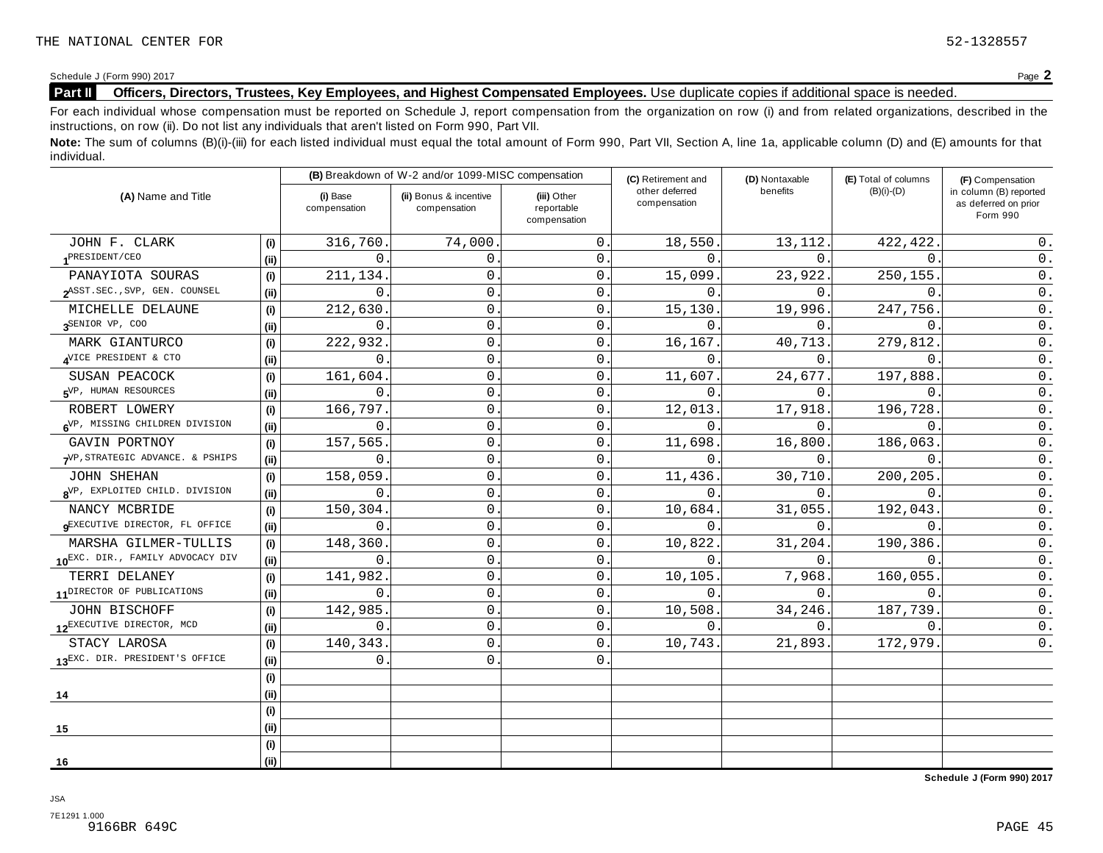Schedule <sup>J</sup> (Form 990) <sup>2017</sup> Page **2**

#### **Part II Officers, Directors, Trustees, Key Employees, and Highest Compensated Employees.** Use duplicate copies ifadditional space is needed.

For each individual whose compensation must be reported on Schedule J, report compensation from the organization on row (i) and from related organizations, described in the instructions, on row (ii). Do not list any individuals that aren't listed on Form 990, Part VII.

Note: The sum of columns (B)(i)-(iii) for each listed individual must equal the total amount of Form 990, Part VII, Section A, line 1a, applicable column (D) and (E) amounts for that individual.

| (A) Name and Title                     |      |                          | (B) Breakdown of W-2 and/or 1099-MISC compensation |                                           | (C) Retirement and             | (D) Nontaxable | (E) Total of columns | (F) Compensation                                           |  |
|----------------------------------------|------|--------------------------|----------------------------------------------------|-------------------------------------------|--------------------------------|----------------|----------------------|------------------------------------------------------------|--|
|                                        |      | (i) Base<br>compensation | (ii) Bonus & incentive<br>compensation             | (iii) Other<br>reportable<br>compensation | other deferred<br>compensation | benefits       | $(B)(i)-(D)$         | in column (B) reported<br>as deferred on prior<br>Form 990 |  |
| JOHN F. CLARK                          | (i)  | 316,760                  | 74,000                                             | $\mathbf{0}$ .                            | 18,550.                        | 13,112.        | 422,422              | 0.                                                         |  |
| PRESIDENT/CEO                          | (ii) | $\Omega$                 | $\Omega$ .                                         | $\mathbf{0}$ .                            | $\Omega$                       | $\Omega$ .     | $\Omega$             | $0$ .                                                      |  |
| PANAYIOTA SOURAS                       | (i)  | 211,134                  | $0$ .                                              | $\mathbf 0$                               | 15,099                         | 23,922.        | 250,155              | 0.                                                         |  |
| 2ASST.SEC., SVP, GEN. COUNSEL          | (ii) | 0                        | $\mathsf{O}$                                       | 0                                         | 0                              | $\Omega$ .     | 0                    | $\mathsf 0$ .                                              |  |
| MICHELLE DELAUNE                       | (i)  | 212,630                  | $\mathbf 0$                                        | 0                                         | 15,130                         | 19,996.        | 247,756              | 0.                                                         |  |
| SENIOR VP, COO                         | (i)  | $\Omega$                 | $\mathbf 0$                                        | $\overline{0}$                            | $\Omega$                       | $\Omega$ .     | $\Omega$             | 0.                                                         |  |
| MARK GIANTURCO                         | (i)  | 222,932.                 | 0                                                  | 0                                         | 16,167.                        | 40,713.        | 279,812.             | $\mathsf 0$ .                                              |  |
| <b>AVICE PRESIDENT &amp; CTO</b>       | (ii) | 0                        | 0                                                  | 0                                         | $0$ .                          | 0.             | $\mathbf{0}$ .       | $\mathsf{0}$ .                                             |  |
| SUSAN PEACOCK                          | (i)  | 161,604.                 | $\mathbf 0$                                        | 0                                         | 11,607                         | 24,677.        | 197,888.             | $0$ .                                                      |  |
| 5 <sup>VP, HUMAN RESOURCES</sup>       | (ii) | $\overline{0}$           | 0                                                  | 0                                         | 0                              | 0.             | $\mathbf{0}$ .       | $0$ .                                                      |  |
| ROBERT LOWERY                          | (i)  | 166,797.                 | 0                                                  | 0                                         | 12,013.                        | 17,918.        | 196,728.             | $0$ .                                                      |  |
| 6VP, MISSING CHILDREN DIVISION         | (ii) | $\Omega$                 | 0                                                  | $\mathsf{O}$ .                            | $\Omega$                       | 0.             | 0                    | $\mathsf{0}$ .                                             |  |
| GAVIN PORTNOY                          | (i)  | 157,565                  | $\mathsf{O}$                                       | $\mathbf{0}$ .                            | 11,698.                        | 16,800.        | 186,063.             | $0$ .                                                      |  |
| 7VP, STRATEGIC ADVANCE. & PSHIPS       | (ii) | $\Omega$                 | 0                                                  | 0                                         | $\Omega$                       | 0.             | $\Omega$             | $0$ .                                                      |  |
| <b>JOHN SHEHAN</b>                     | (i)  | 158,059                  | 0                                                  | 0                                         | 11,436.                        | 30,710.        | 200,205              | 0.                                                         |  |
| 8VP, EXPLOITED CHILD. DIVISION         | (i)  | $\Omega$                 | $\mathsf{O}$                                       | 0                                         | 0                              | $\Omega$ .     | $\Omega$             | $\mathsf 0$ .                                              |  |
| NANCY MCBRIDE                          | (i)  | 150,304                  | $\mathbf 0$                                        | $\overline{0}$                            | 10,684.                        | 31,055.        | 192,043              | $0$ .                                                      |  |
| QEXECUTIVE DIRECTOR, FL OFFICE         | (i)  | $\Omega$                 | $\mathbf 0$                                        | $\mathbf{0}$ .                            | $\Omega$                       | 0.             | $\Omega$             | $0$ .                                                      |  |
| MARSHA GILMER-TULLIS                   | (i)  | 148,360                  | 0                                                  | $\mathbf{0}$ .                            | 10,822.                        | 31,204.        | 190,386              | 0.                                                         |  |
| 10EXC. DIR., FAMILY ADVOCACY DIV       | (ii) | $\Omega$                 | 0                                                  | 0                                         | $\Omega$                       | 0.             | $\Omega$             | $\mathsf{0}$ .                                             |  |
| TERRI DELANEY                          | (i)  | 141,982                  | 0                                                  | 0                                         | 10,105.                        | 7,968.         | 160,055              | $0$ .                                                      |  |
| 11 <sup>DIRECTOR</sup> OF PUBLICATIONS | (ii) | 0                        | $\mathbf 0$                                        | $\mathbf 0$                               | $\Omega$                       | 0.             | $\Omega$ .           | $0$ .                                                      |  |
| <b>JOHN BISCHOFF</b>                   | (i)  | 142,985                  | $\mathsf{0}$ .                                     | 0                                         | 10,508                         | 34,246.        | 187,739.             | $0$ .                                                      |  |
| 12EXECUTIVE DIRECTOR, MCD              | (ii) | 0                        | 0                                                  | $\mathsf 0$ .                             | $\Omega$                       | 0.             | $\mathsf{O}$ .       | $0$ .                                                      |  |
| STACY LAROSA                           | (i)  | 140,343                  | 0                                                  | $\mathbf{0}$ .                            | 10,743.                        | 21,893.        | 172,979              | 0.                                                         |  |
| 13EXC. DIR. PRESIDENT'S OFFICE         | (ii) | 0                        | $\mathbf 0$ .                                      | 0.                                        |                                |                |                      |                                                            |  |
|                                        | (i)  |                          |                                                    |                                           |                                |                |                      |                                                            |  |
| 14                                     | (ii) |                          |                                                    |                                           |                                |                |                      |                                                            |  |
|                                        | (i)  |                          |                                                    |                                           |                                |                |                      |                                                            |  |
| 15                                     | (ii) |                          |                                                    |                                           |                                |                |                      |                                                            |  |
|                                        | (i)  |                          |                                                    |                                           |                                |                |                      |                                                            |  |
| 16                                     | (i)  |                          |                                                    |                                           |                                |                |                      |                                                            |  |

**Schedule J (Form 990) 2017**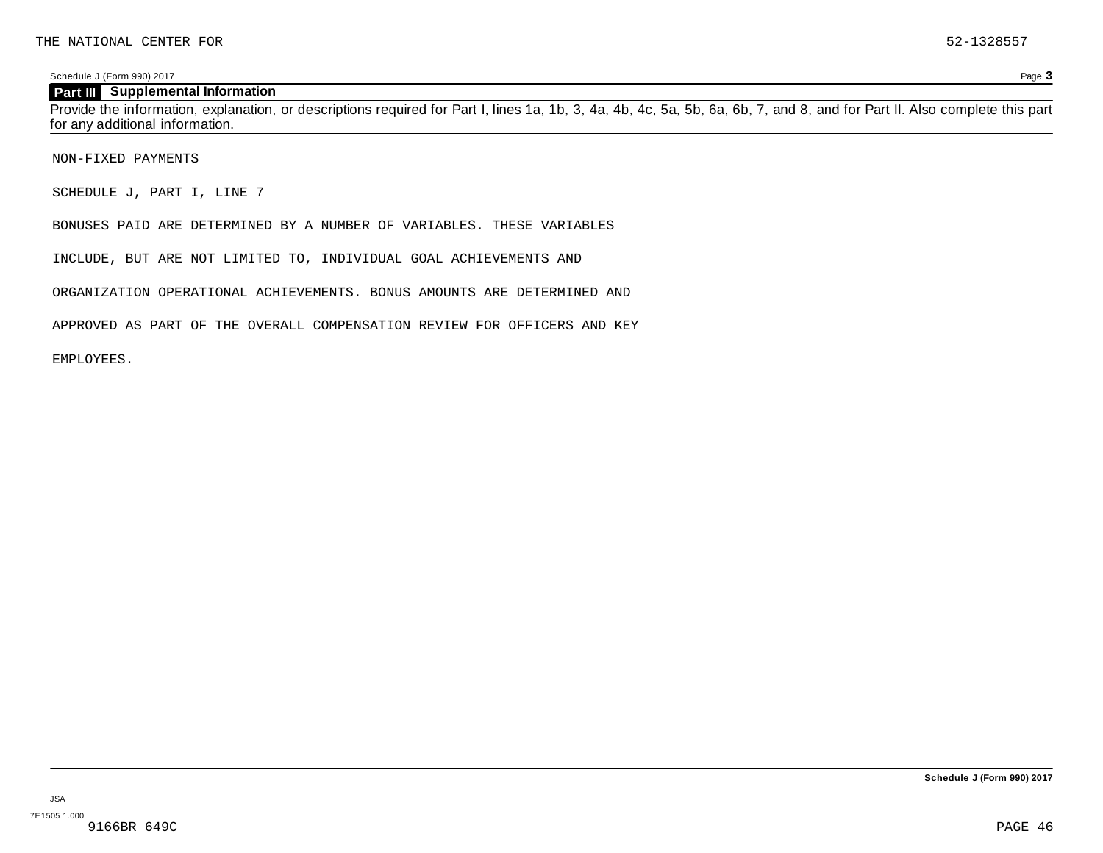Schedule J (Form 990) 2017 Page **3**

#### **Part III Supplemental Information**

Provide the information, explanation, or descriptions required for Part I, lines 1a, 1b, 3, 4a, 4b, 4c, 5a, 5b, 6a, 6b, 7, and 8, and for Part II. Also complete this part for any additional information.

NON-FIXED PAYMENTS

SCHEDULE J, PART I, LINE 7

BONUSES PAID ARE DETERMINED BY A NUMBER OF VARIABLES. THESE VARIABLES

INCLUDE, BUT ARE NOT LIMITED TO, INDIVIDUAL GOAL ACHIEVEMENTS AND

ORGANIZATION OPERATIONAL ACHIEVEMENTS. BONUS AMOUNTS ARE DETERMINED AND

APPROVED AS PART OF THE OVERALL COMPENSATION REVIEW FOR OFFICERS AND KEY

EMPLOYEES.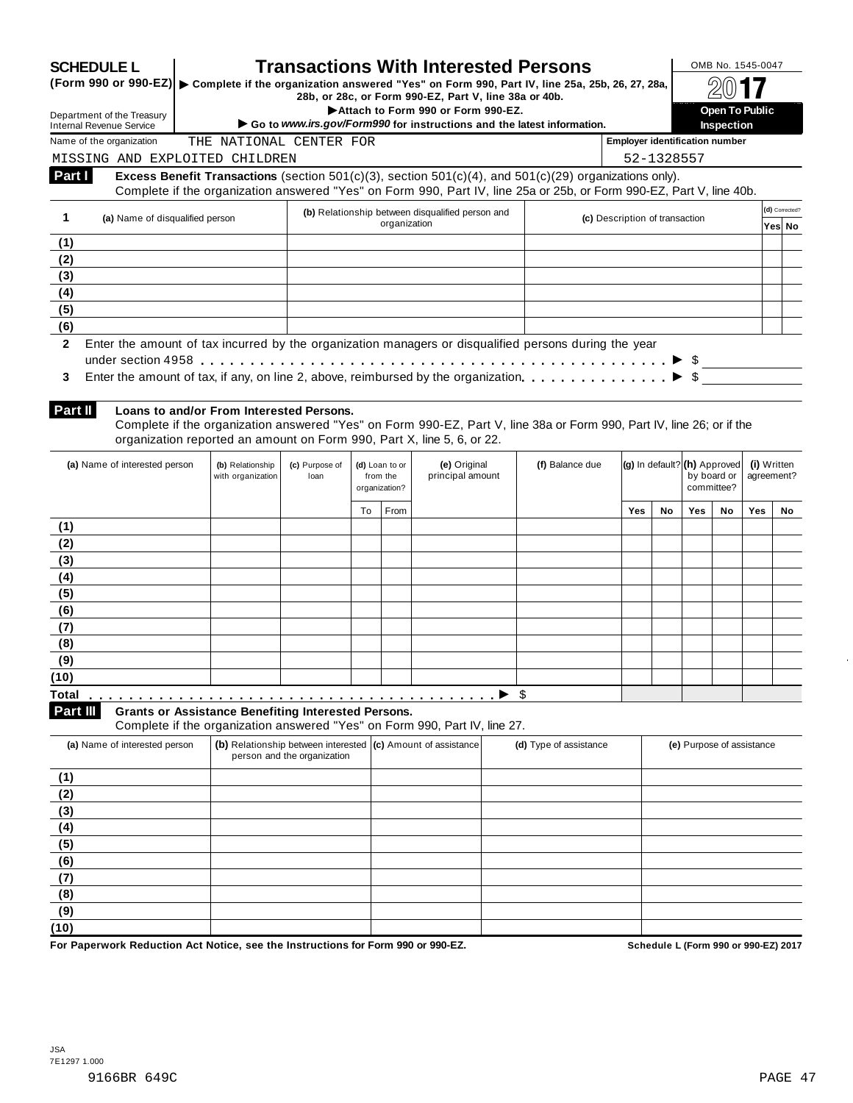|              | <b>SCHEDULE L</b>                                                                                                    |                                                                                                                                          |                                                                                  |    |                           |                                                       |  | <b>Transactions With Interested Persons</b>                                                                                                                                                                                            |                                       |                           |     |                                      | OMB No. 1545-0047         |                          |
|--------------|----------------------------------------------------------------------------------------------------------------------|------------------------------------------------------------------------------------------------------------------------------------------|----------------------------------------------------------------------------------|----|---------------------------|-------------------------------------------------------|--|----------------------------------------------------------------------------------------------------------------------------------------------------------------------------------------------------------------------------------------|---------------------------------------|---------------------------|-----|--------------------------------------|---------------------------|--------------------------|
|              | (Form 990 or 990-EZ)   Complete if the organization answered "Yes" on Form 990, Part IV, line 25a, 25b, 26, 27, 28a, |                                                                                                                                          |                                                                                  |    |                           | 28b, or 28c, or Form 990-EZ, Part V, line 38a or 40b. |  |                                                                                                                                                                                                                                        |                                       |                           |     |                                      |                           |                          |
|              | Department of the Treasury<br><b>Internal Revenue Service</b>                                                        |                                                                                                                                          |                                                                                  |    |                           | Attach to Form 990 or Form 990-EZ.                    |  | Go to www.irs.gov/Form990 for instructions and the latest information.                                                                                                                                                                 |                                       |                           |     | <b>Inspection</b>                    | <b>Open To Public</b>     |                          |
|              | Name of the organization                                                                                             | THE NATIONAL CENTER FOR                                                                                                                  |                                                                                  |    |                           |                                                       |  |                                                                                                                                                                                                                                        | <b>Employer identification number</b> |                           |     |                                      |                           |                          |
|              | MISSING AND EXPLOITED CHILDREN                                                                                       |                                                                                                                                          |                                                                                  |    |                           |                                                       |  |                                                                                                                                                                                                                                        |                                       | 52-1328557                |     |                                      |                           |                          |
| Part I       |                                                                                                                      |                                                                                                                                          |                                                                                  |    |                           |                                                       |  | Excess Benefit Transactions (section $501(c)(3)$ , section $501(c)(4)$ , and $501(c)(29)$ organizations only).<br>Complete if the organization answered "Yes" on Form 990, Part IV, line 25a or 25b, or Form 990-EZ, Part V, line 40b. |                                       |                           |     |                                      |                           |                          |
| 1            | (a) Name of disqualified person                                                                                      |                                                                                                                                          |                                                                                  |    | organization              | (b) Relationship between disqualified person and      |  |                                                                                                                                                                                                                                        | (c) Description of transaction        |                           |     |                                      |                           | (d) Corrected?<br>Yes No |
| (1)          |                                                                                                                      |                                                                                                                                          |                                                                                  |    |                           |                                                       |  |                                                                                                                                                                                                                                        |                                       |                           |     |                                      |                           |                          |
| (2)          |                                                                                                                      |                                                                                                                                          |                                                                                  |    |                           |                                                       |  |                                                                                                                                                                                                                                        |                                       |                           |     |                                      |                           |                          |
| (3)          |                                                                                                                      |                                                                                                                                          |                                                                                  |    |                           |                                                       |  |                                                                                                                                                                                                                                        |                                       |                           |     |                                      |                           |                          |
| (4)          |                                                                                                                      |                                                                                                                                          |                                                                                  |    |                           |                                                       |  |                                                                                                                                                                                                                                        |                                       |                           |     |                                      |                           |                          |
| (5)          |                                                                                                                      |                                                                                                                                          |                                                                                  |    |                           |                                                       |  |                                                                                                                                                                                                                                        |                                       |                           |     |                                      |                           |                          |
| (6)          |                                                                                                                      |                                                                                                                                          |                                                                                  |    |                           |                                                       |  |                                                                                                                                                                                                                                        |                                       |                           |     |                                      |                           |                          |
| $\mathbf{2}$ | Enter the amount of tax incurred by the organization managers or disqualified persons during the year                |                                                                                                                                          |                                                                                  |    |                           |                                                       |  |                                                                                                                                                                                                                                        |                                       |                           |     |                                      |                           |                          |
|              |                                                                                                                      |                                                                                                                                          |                                                                                  |    |                           |                                                       |  |                                                                                                                                                                                                                                        |                                       |                           |     |                                      |                           |                          |
| 3            | Enter the amount of tax, if any, on line 2, above, reimbursed by the organization. $\ldots$ , $\ldots$ , $\ldots$    |                                                                                                                                          |                                                                                  |    |                           |                                                       |  |                                                                                                                                                                                                                                        |                                       |                           |     |                                      |                           |                          |
|              |                                                                                                                      |                                                                                                                                          |                                                                                  |    |                           |                                                       |  |                                                                                                                                                                                                                                        |                                       |                           |     |                                      |                           |                          |
| Part II      |                                                                                                                      | Loans to and/or From Interested Persons.<br>organization reported an amount on Form 990, Part X, line 5, 6, or 22.                       |                                                                                  |    |                           |                                                       |  | Complete if the organization answered "Yes" on Form 990-EZ, Part V, line 38a or Form 990, Part IV, line 26; or if the                                                                                                                  |                                       |                           |     |                                      |                           |                          |
|              |                                                                                                                      |                                                                                                                                          |                                                                                  |    |                           |                                                       |  |                                                                                                                                                                                                                                        |                                       |                           |     |                                      |                           |                          |
|              | (a) Name of interested person                                                                                        | (b) Relationship                                                                                                                         | (c) Purpose of                                                                   |    | (d) Loan to or            | (e) Original                                          |  | (f) Balance due                                                                                                                                                                                                                        |                                       |                           |     | $(g)$ in default? $(h)$ Approved     | (i) Written               |                          |
|              |                                                                                                                      | with organization                                                                                                                        | loan                                                                             |    | from the<br>organization? | principal amount                                      |  |                                                                                                                                                                                                                                        |                                       | by board or<br>committee? |     | agreement?                           |                           |                          |
|              |                                                                                                                      |                                                                                                                                          |                                                                                  |    |                           |                                                       |  |                                                                                                                                                                                                                                        |                                       |                           |     |                                      |                           |                          |
|              |                                                                                                                      |                                                                                                                                          |                                                                                  | To | From                      |                                                       |  |                                                                                                                                                                                                                                        | <b>Yes</b>                            | No                        | Yes | No                                   | Yes                       | No                       |
| (1)          |                                                                                                                      |                                                                                                                                          |                                                                                  |    |                           |                                                       |  |                                                                                                                                                                                                                                        |                                       |                           |     |                                      |                           |                          |
| (2)          |                                                                                                                      |                                                                                                                                          |                                                                                  |    |                           |                                                       |  |                                                                                                                                                                                                                                        |                                       |                           |     |                                      |                           |                          |
| (3)          |                                                                                                                      |                                                                                                                                          |                                                                                  |    |                           |                                                       |  |                                                                                                                                                                                                                                        |                                       |                           |     |                                      |                           |                          |
| (4)          |                                                                                                                      |                                                                                                                                          |                                                                                  |    |                           |                                                       |  |                                                                                                                                                                                                                                        |                                       |                           |     |                                      |                           |                          |
| (5)          |                                                                                                                      |                                                                                                                                          |                                                                                  |    |                           |                                                       |  |                                                                                                                                                                                                                                        |                                       |                           |     |                                      |                           |                          |
| (6)          |                                                                                                                      |                                                                                                                                          |                                                                                  |    |                           |                                                       |  |                                                                                                                                                                                                                                        |                                       |                           |     |                                      |                           |                          |
| (7)          |                                                                                                                      |                                                                                                                                          |                                                                                  |    |                           |                                                       |  |                                                                                                                                                                                                                                        |                                       |                           |     |                                      |                           |                          |
| (8)          |                                                                                                                      |                                                                                                                                          |                                                                                  |    |                           |                                                       |  |                                                                                                                                                                                                                                        |                                       |                           |     |                                      |                           |                          |
| (9)          |                                                                                                                      |                                                                                                                                          |                                                                                  |    |                           |                                                       |  |                                                                                                                                                                                                                                        |                                       |                           |     |                                      |                           |                          |
| (10)         |                                                                                                                      |                                                                                                                                          |                                                                                  |    |                           |                                                       |  |                                                                                                                                                                                                                                        |                                       |                           |     |                                      |                           |                          |
| Total        |                                                                                                                      |                                                                                                                                          |                                                                                  |    |                           |                                                       |  | \$                                                                                                                                                                                                                                     |                                       |                           |     |                                      |                           |                          |
| Part III     |                                                                                                                      | <b>Grants or Assistance Benefiting Interested Persons.</b><br>Complete if the organization answered "Yes" on Form 990, Part IV, line 27. |                                                                                  |    |                           |                                                       |  |                                                                                                                                                                                                                                        |                                       |                           |     |                                      |                           |                          |
|              | (a) Name of interested person                                                                                        | (b) Relationship between interested (c) Amount of assistance                                                                             | person and the organization                                                      |    |                           |                                                       |  | (d) Type of assistance                                                                                                                                                                                                                 |                                       |                           |     |                                      | (e) Purpose of assistance |                          |
|              |                                                                                                                      |                                                                                                                                          |                                                                                  |    |                           |                                                       |  |                                                                                                                                                                                                                                        |                                       |                           |     |                                      |                           |                          |
| (1)<br>(2)   |                                                                                                                      |                                                                                                                                          |                                                                                  |    |                           |                                                       |  |                                                                                                                                                                                                                                        |                                       |                           |     |                                      |                           |                          |
| (3)          |                                                                                                                      |                                                                                                                                          |                                                                                  |    |                           |                                                       |  |                                                                                                                                                                                                                                        |                                       |                           |     |                                      |                           |                          |
| (4)          |                                                                                                                      |                                                                                                                                          |                                                                                  |    |                           |                                                       |  |                                                                                                                                                                                                                                        |                                       |                           |     |                                      |                           |                          |
| (5)          |                                                                                                                      |                                                                                                                                          |                                                                                  |    |                           |                                                       |  |                                                                                                                                                                                                                                        |                                       |                           |     |                                      |                           |                          |
| (6)          |                                                                                                                      |                                                                                                                                          |                                                                                  |    |                           |                                                       |  |                                                                                                                                                                                                                                        |                                       |                           |     |                                      |                           |                          |
| (7)          |                                                                                                                      |                                                                                                                                          |                                                                                  |    |                           |                                                       |  |                                                                                                                                                                                                                                        |                                       |                           |     |                                      |                           |                          |
| (8)          |                                                                                                                      |                                                                                                                                          |                                                                                  |    |                           |                                                       |  |                                                                                                                                                                                                                                        |                                       |                           |     |                                      |                           |                          |
| (9)          |                                                                                                                      |                                                                                                                                          |                                                                                  |    |                           |                                                       |  |                                                                                                                                                                                                                                        |                                       |                           |     |                                      |                           |                          |
| (10)         |                                                                                                                      |                                                                                                                                          |                                                                                  |    |                           |                                                       |  |                                                                                                                                                                                                                                        |                                       |                           |     |                                      |                           |                          |
|              |                                                                                                                      |                                                                                                                                          | For Paperwork Reduction Act Notice, see the Instructions for Form 990 or 990-EZ. |    |                           |                                                       |  |                                                                                                                                                                                                                                        |                                       |                           |     | Schedule L (Form 990 or 990-EZ) 2017 |                           |                          |

 $\ddot{\phantom{a}}$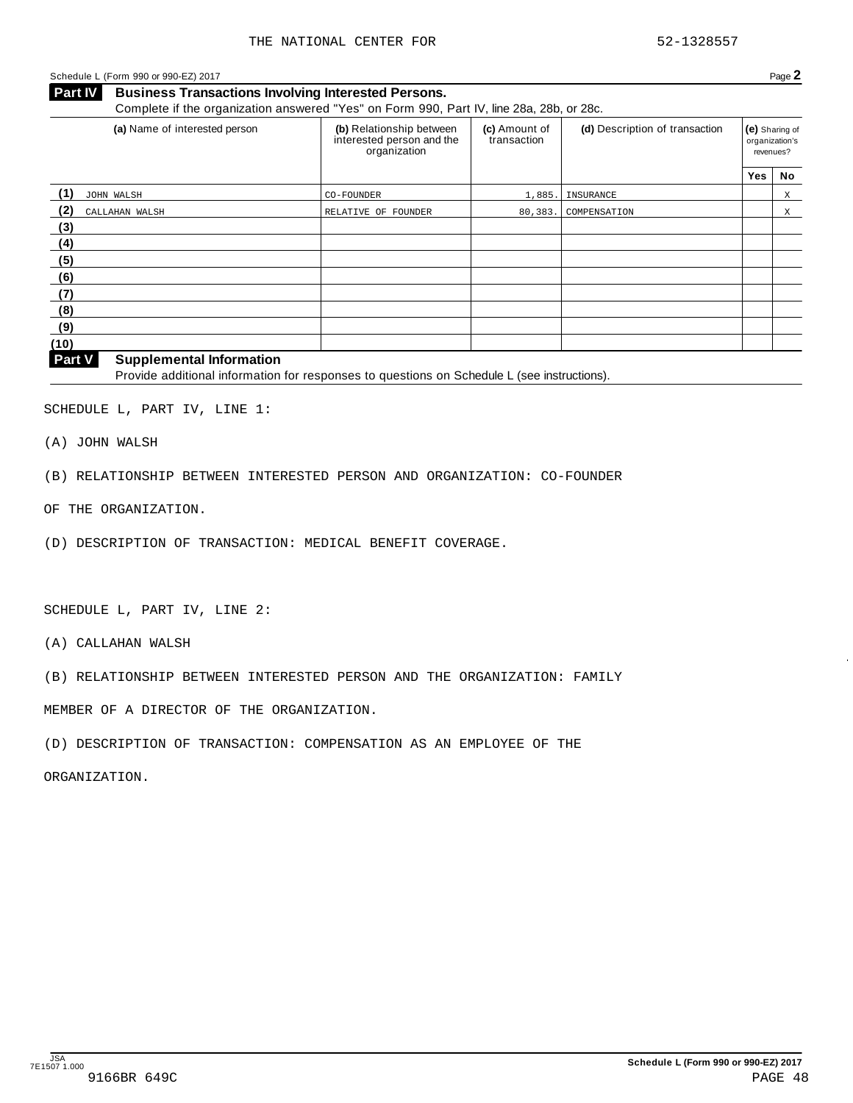Schedule <sup>L</sup> (Form <sup>990</sup> or 990-EZ) <sup>2017</sup> Page **2**

**Business Transactions Involving Interested Persons. Part IV** Business Transactions Involving Interested Persons.<br>Complete if the organization answered "Yes" on Form 990, Part IV, line 28a, 28b, or 28c.

| (a) Name of interested person                                      | (b) Relationship between<br>interested person and the<br>organization | (c) Amount of<br>transaction | (d) Description of transaction |     | (e) Sharing of<br>organization's<br>revenues? |
|--------------------------------------------------------------------|-----------------------------------------------------------------------|------------------------------|--------------------------------|-----|-----------------------------------------------|
|                                                                    |                                                                       |                              |                                | Yes | No                                            |
| (1)<br>JOHN WALSH                                                  | CO-FOUNDER                                                            | 1,885.                       | INSURANCE                      |     | X                                             |
| (2)<br>CALLAHAN WALSH                                              | RELATIVE OF FOUNDER                                                   | 80,383.                      | COMPENSATION                   |     | Χ                                             |
| (3)                                                                |                                                                       |                              |                                |     |                                               |
| (4)                                                                |                                                                       |                              |                                |     |                                               |
| (5)                                                                |                                                                       |                              |                                |     |                                               |
| (6)                                                                |                                                                       |                              |                                |     |                                               |
| (7)                                                                |                                                                       |                              |                                |     |                                               |
| (8)                                                                |                                                                       |                              |                                |     |                                               |
| (9)                                                                |                                                                       |                              |                                |     |                                               |
| (10)<br>$   -$<br>$\sim$ $\sim$ $\sim$ $\sim$ $\sim$ $\sim$ $\sim$ |                                                                       |                              |                                |     |                                               |

#### **Supplemental Information**

**Part V** Supplemental Information<br>Provide additional information for responses to questions on Schedule L (see instructions).

SCHEDULE L, PART IV, LINE 1:

(A) JOHN WALSH

(B) RELATIONSHIP BETWEEN INTERESTED PERSON AND ORGANIZATION: CO-FOUNDER

OF THE ORGANIZATION.

(D) DESCRIPTION OF TRANSACTION: MEDICAL BENEFIT COVERAGE.

SCHEDULE L, PART IV, LINE 2:

(A) CALLAHAN WALSH

(B) RELATIONSHIP BETWEEN INTERESTED PERSON AND THE ORGANIZATION: FAMILY

MEMBER OF A DIRECTOR OF THE ORGANIZATION.

(D) DESCRIPTION OF TRANSACTION: COMPENSATION AS AN EMPLOYEE OF THE

ORGANIZATION.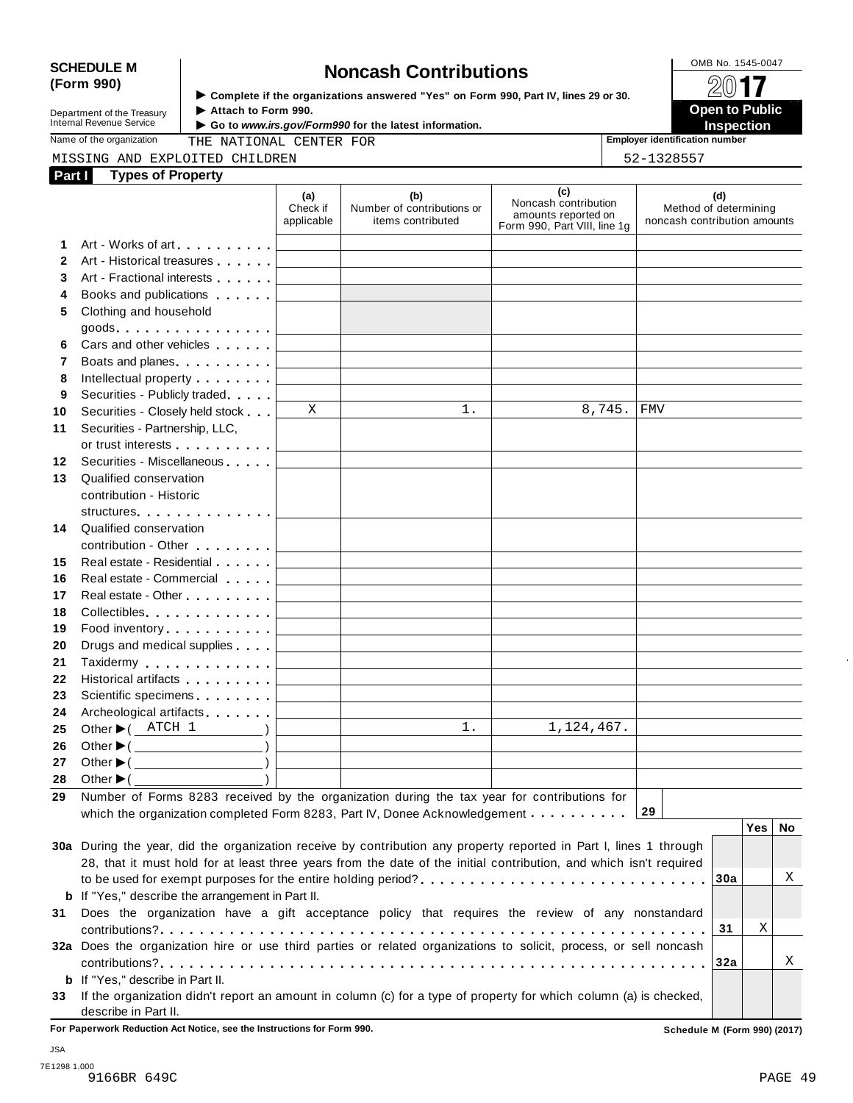# SCHEDULE M<br> **SCHEDULE M SCHEDULE M SCHEDULE M Noncash Contributions**<br> **SCHEDULE M None All <b>non- SCHEDULE M SCHEDULE M SCHEDULE M SCHEDULE M SCHEDULE M SCHEDULE M SCHEDULE M SC**

**Department of the Treasury<br>Internal Revenue Service** 

**Examplete** if the organizations answered "Yes" on Form 990, Part Ⅳ, lines 29 or 30. 
<br>● Attach to Form 990. **Department of the Treasury** ▶ Attach to Form 990.<br>Internal Revenue Service ▶ Go to *www.irs.gov/Form990* for the latest information.<br>Nome of the organization and an announcement of the latest information.

| Name of the organization | FOR<br>"ONA1.<br>THE.<br>CENTER<br>NATT | <b>Employer identification number</b> |
|--------------------------|-----------------------------------------|---------------------------------------|
| AND<br>MISSING           | <b>CUTT</b> .<br>EXPLOTTED<br>. DR EN   | 128557                                |

| Part I       | <b>Types of Property</b>                                                                                                                                                                                                      |                               |                                                        |                                                                                    |                                                              |
|--------------|-------------------------------------------------------------------------------------------------------------------------------------------------------------------------------------------------------------------------------|-------------------------------|--------------------------------------------------------|------------------------------------------------------------------------------------|--------------------------------------------------------------|
|              |                                                                                                                                                                                                                               | (a)<br>Check if<br>applicable | (b)<br>Number of contributions or<br>items contributed | (c)<br>Noncash contribution<br>amounts reported on<br>Form 990, Part VIII, line 1g | (d)<br>Method of determining<br>noncash contribution amounts |
| 1.           | Art - Works of art <b>Article 2018</b>                                                                                                                                                                                        |                               |                                                        |                                                                                    |                                                              |
| $\mathbf{2}$ | Art - Historical treasures                                                                                                                                                                                                    |                               |                                                        |                                                                                    |                                                              |
| 3            | Art - Fractional interests                                                                                                                                                                                                    |                               |                                                        |                                                                                    |                                                              |
| 4            | Books and publications [19]                                                                                                                                                                                                   |                               |                                                        |                                                                                    |                                                              |
| 5            | Clothing and household                                                                                                                                                                                                        |                               |                                                        |                                                                                    |                                                              |
|              | goods.                                                                                                                                                                                                                        |                               |                                                        |                                                                                    |                                                              |
| 6            | Cars and other vehicles <b>carefully</b>                                                                                                                                                                                      |                               |                                                        |                                                                                    |                                                              |
| 7            | Boats and planes experience and planes                                                                                                                                                                                        |                               |                                                        |                                                                                    |                                                              |
| 8            | Intellectual property entering the set of the set of the set of the set of the set of the set of the set of the set of the set of the set of the set of the set of the set of the set of the set of the set of the set of the |                               |                                                        |                                                                                    |                                                              |
| 9            | Securities - Publicly traded                                                                                                                                                                                                  |                               |                                                        |                                                                                    |                                                              |
| 10           | Securities - Closely held stock                                                                                                                                                                                               | X                             | $1$ .                                                  | 8,745.                                                                             | FMV                                                          |
| 11           | Securities - Partnership, LLC,                                                                                                                                                                                                |                               |                                                        |                                                                                    |                                                              |
|              | or trust interests experience that the set of the set of the set of the set of the set of the set of the set of the set of the set of the set of the set of the set of the set of the set of the set of the set of the set of |                               |                                                        |                                                                                    |                                                              |
| 12           | Securities - Miscellaneous                                                                                                                                                                                                    |                               |                                                        |                                                                                    |                                                              |
| 13           | Qualified conservation                                                                                                                                                                                                        |                               |                                                        |                                                                                    |                                                              |
|              | contribution - Historic                                                                                                                                                                                                       |                               |                                                        |                                                                                    |                                                              |
|              | structures                                                                                                                                                                                                                    |                               |                                                        |                                                                                    |                                                              |
| 14           | Qualified conservation                                                                                                                                                                                                        |                               |                                                        |                                                                                    |                                                              |
|              | contribution - Other <b>Canada American</b>                                                                                                                                                                                   |                               |                                                        |                                                                                    |                                                              |
| 15           | Real estate - Residential                                                                                                                                                                                                     |                               |                                                        |                                                                                    |                                                              |
| 16           | Real estate - Commercial                                                                                                                                                                                                      |                               |                                                        |                                                                                    |                                                              |
| 17           | Real estate - Other <b>Called Accord Figure 1.1 Accord Figure 1.1</b>                                                                                                                                                         |                               |                                                        |                                                                                    |                                                              |
| 18           | Collectibles.                                                                                                                                                                                                                 |                               |                                                        |                                                                                    |                                                              |
| 19           | Food inventory                                                                                                                                                                                                                |                               |                                                        |                                                                                    |                                                              |
| 20           | Drugs and medical supplies                                                                                                                                                                                                    |                               |                                                        |                                                                                    |                                                              |
| 21           | Taxidermy Taxidermy                                                                                                                                                                                                           |                               |                                                        |                                                                                    |                                                              |
| 22           | Historical artifacts <b>All Accords</b>                                                                                                                                                                                       |                               |                                                        |                                                                                    |                                                              |
| 23           | Scientific specimens <b>Scientific specimens</b>                                                                                                                                                                              |                               |                                                        |                                                                                    |                                                              |
| 24           | Archeological artifacts                                                                                                                                                                                                       |                               |                                                        |                                                                                    |                                                              |
| 25           | Other $\blacktriangleright$ ( ATCH 1                                                                                                                                                                                          |                               | $1$ .                                                  | 1,124,467.                                                                         |                                                              |
| 26           | Other $\blacktriangleright$ ( $\_\_\_\_\_\_\_\_$ )                                                                                                                                                                            |                               |                                                        |                                                                                    |                                                              |
| 27           | Other $\blacktriangleright$ (                                                                                                                                                                                                 |                               |                                                        |                                                                                    |                                                              |
| 28           | Other $\blacktriangleright$ (                                                                                                                                                                                                 |                               |                                                        |                                                                                    |                                                              |
| 29           | Number of Forms 8283 received by the organization during the tax year for contributions for                                                                                                                                   |                               |                                                        |                                                                                    |                                                              |
|              | which the organization completed Form 8283, Part IV, Donee Acknowledgement                                                                                                                                                    |                               |                                                        |                                                                                    | 29                                                           |
|              |                                                                                                                                                                                                                               |                               |                                                        |                                                                                    | <b>Yes</b><br>No                                             |
|              | 30a During the year, did the organization receive by contribution any property reported in Part I, lines 1 through                                                                                                            |                               |                                                        |                                                                                    |                                                              |
|              | 28, that it must hold for at least three years from the date of the initial contribution, and which isn't required                                                                                                            |                               |                                                        |                                                                                    |                                                              |
|              | to be used for exempt purposes for the entire holding period?                                                                                                                                                                 |                               |                                                        |                                                                                    | Χ<br>30a                                                     |
|              | <b>b</b> If "Yes," describe the arrangement in Part II.                                                                                                                                                                       |                               |                                                        |                                                                                    |                                                              |
| 31           | Does the organization have a gift acceptance policy that requires the review of any nonstandard                                                                                                                               |                               |                                                        |                                                                                    |                                                              |
|              |                                                                                                                                                                                                                               |                               |                                                        |                                                                                    | Χ<br>31                                                      |
|              | 32a Does the organization hire or use third parties or related organizations to solicit, process, or sell noncash                                                                                                             |                               |                                                        |                                                                                    |                                                              |
|              |                                                                                                                                                                                                                               |                               |                                                        |                                                                                    | Χ<br>32a                                                     |
|              | <b>b</b> If "Yes," describe in Part II.                                                                                                                                                                                       |                               |                                                        |                                                                                    |                                                              |
| 33           | If the organization didn't report an amount in column (c) for a type of property for which column (a) is checked,                                                                                                             |                               |                                                        |                                                                                    |                                                              |
|              | describe in Part II.                                                                                                                                                                                                          |                               |                                                        |                                                                                    |                                                              |

**For Paperwork Reduction Act Notice, see the Instructions for Form 990. Schedule M (Form 990) (2017)**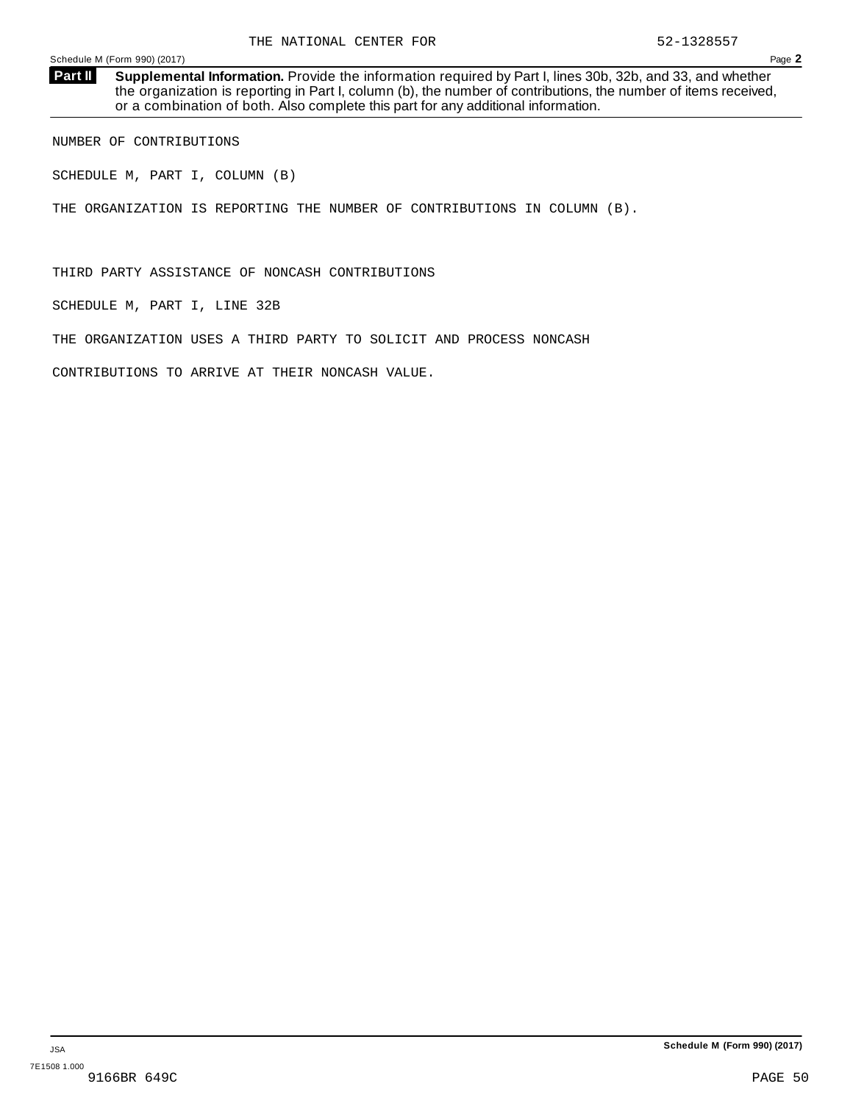**Supplemental Information.** Provide the information required by Part I, lines 30b, 32b, and 33, and whether the organization is reporting in Part I, column (b), the number of contributions, the number of items received, or a combination of both. Also complete this part for any additional information. **Part II**

NUMBER OF CONTRIBUTIONS

SCHEDULE M, PART I, COLUMN (B)

THE ORGANIZATION IS REPORTING THE NUMBER OF CONTRIBUTIONS IN COLUMN (B).

THIRD PARTY ASSISTANCE OF NONCASH CONTRIBUTIONS

SCHEDULE M, PART I, LINE 32B

THE ORGANIZATION USES A THIRD PARTY TO SOLICIT AND PROCESS NONCASH

CONTRIBUTIONS TO ARRIVE AT THEIR NONCASH VALUE.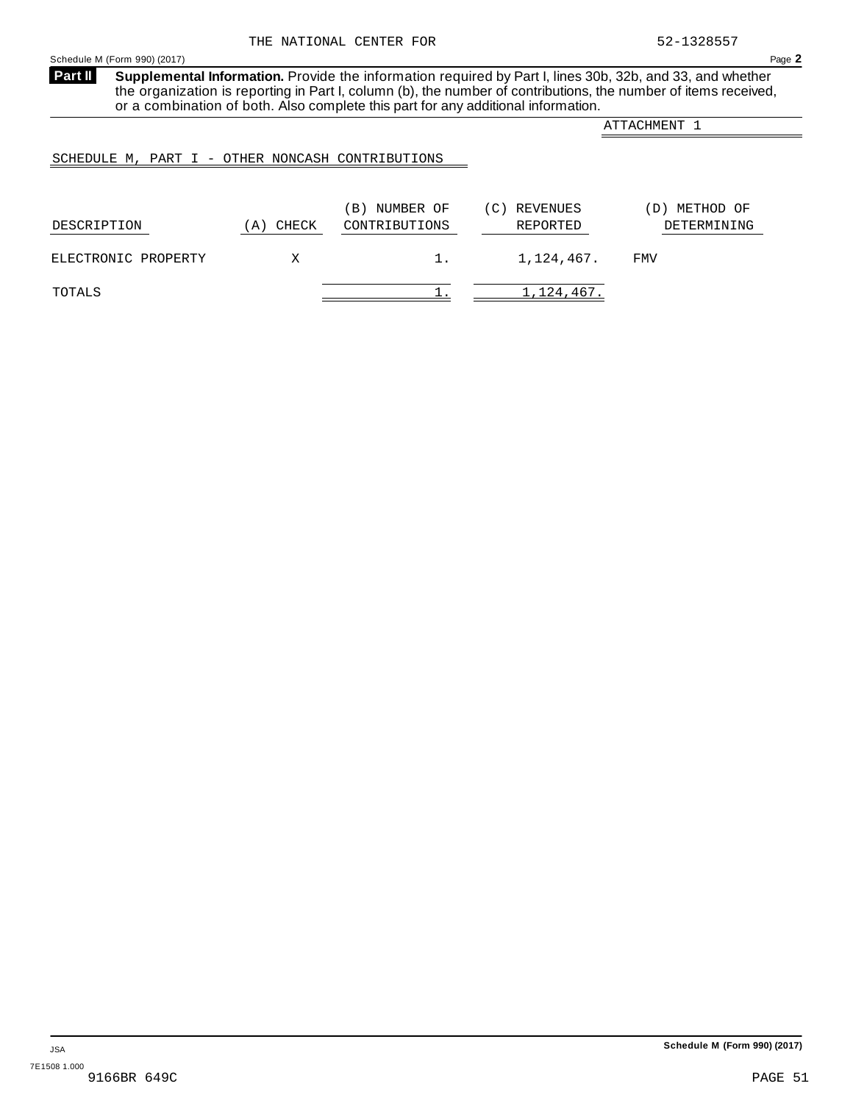<span id="page-49-0"></span>**Supplemental Information.** Provide the information required by Part I, lines 30b, 32b, and 33, and whether the organization is reporting in Part I, column (b), the number of contributions, the number of items received, or a combination of both. Also complete this part for any additional information. **Part II**

ATTACHMENT 1

SCHEDULE M, PART I - OTHER NONCASH CONTRIBUTIONS

| DESCRIPTION         | CHECK<br>A) | NUMBER OF<br>$\mathbf{B}$ )<br>CONTRIBUTIONS | REVENUES<br>$\subset$ )<br>REPORTED | METHOD OF<br>D)<br>DETERMINING |
|---------------------|-------------|----------------------------------------------|-------------------------------------|--------------------------------|
| ELECTRONIC PROPERTY |             |                                              | 1,124,467.                          | FMV                            |
| TOTALS              |             |                                              | 1,124,467.                          |                                |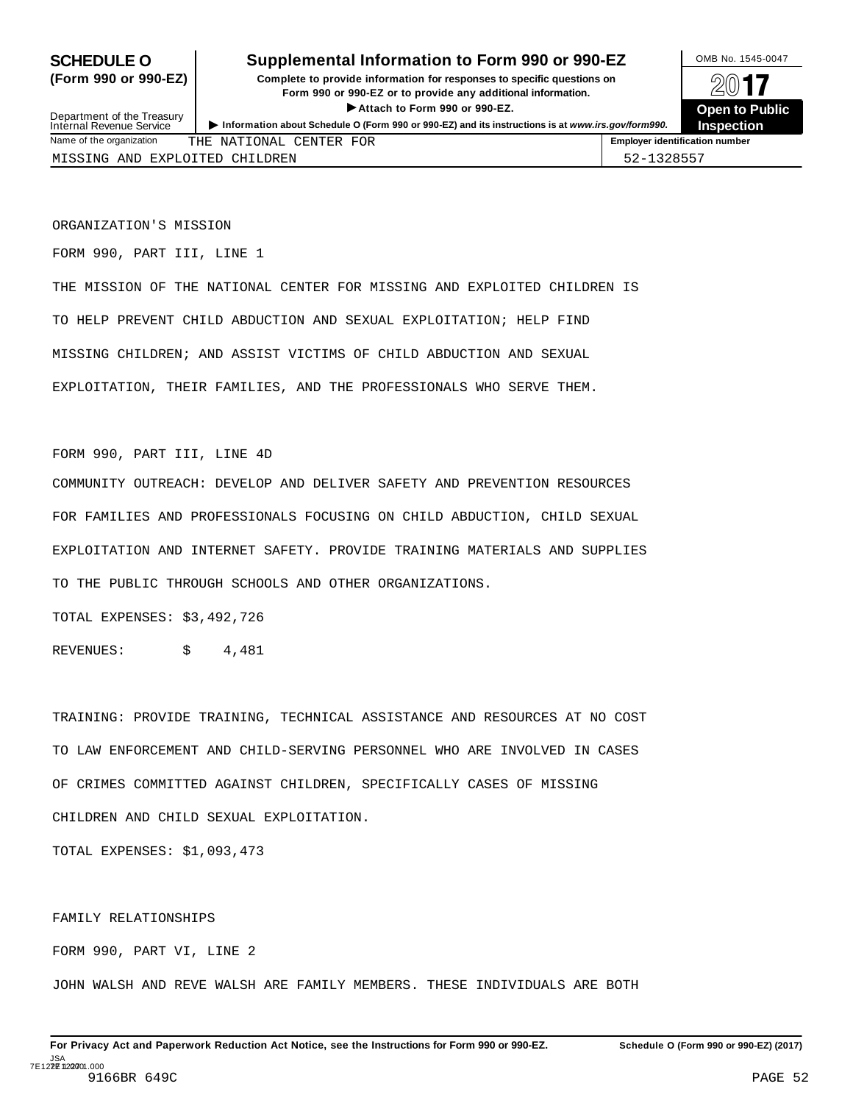#### **SCHEDULE O** Supplemental Information to Form 990 or 990-EZ DOMB No. 1545-0047

**(Form 990 or 990-EZ) Complete to provide information for responses to specific questions on** plete to provide information for responses to specific questions on  $\Box$   $\Box$   $\Box$ **EXECTED TO PUBLIC 2012 CONSIDER**<br> **EXECTED EXECTED CONSIDER**<br> **EXECUTED CONSIDERATION CONSIDERATION CONSIDERATION CONSIDERATION CONSIDERATION CONSIDERATION CONSIDERATION CONSIDERATION CONSIDERAT** 



Department of the Treasury<br>Internal Revenue Service Department of the Treasury<br>
Information about Schedule 0 (Form 990 or 990-EZ) and its instructions is at www.irs.gov/form990.<br>
Name of the organization THE NATTONAL CENTER FOR FOR FOR FOR FOR THE NATIONAL CENTER FOR MISSING AND EXPLOITED CHILDREN 60 CONTROL CONTROL S2-1328557

ORGANIZATION'S MISSION

FORM 990, PART III, LINE 1

THE MISSION OF THE NATIONAL CENTER FOR MISSING AND EXPLOITED CHILDREN IS TO HELP PREVENT CHILD ABDUCTION AND SEXUAL EXPLOITATION; HELP FIND MISSING CHILDREN; AND ASSIST VICTIMS OF CHILD ABDUCTION AND SEXUAL EXPLOITATION, THEIR FAMILIES, AND THE PROFESSIONALS WHO SERVE THEM.

FORM 990, PART III, LINE 4D

COMMUNITY OUTREACH: DEVELOP AND DELIVER SAFETY AND PREVENTION RESOURCES FOR FAMILIES AND PROFESSIONALS FOCUSING ON CHILD ABDUCTION, CHILD SEXUAL EXPLOITATION AND INTERNET SAFETY. PROVIDE TRAINING MATERIALS AND SUPPLIES TO THE PUBLIC THROUGH SCHOOLS AND OTHER ORGANIZATIONS.

TOTAL EXPENSES: \$3,492,726

REVENUES:  $\qquad \qquad$ \$ 4,481

TRAINING: PROVIDE TRAINING, TECHNICAL ASSISTANCE AND RESOURCES AT NO COST TO LAW ENFORCEMENT AND CHILD-SERVING PERSONNEL WHO ARE INVOLVED IN CASES OF CRIMES COMMITTED AGAINST CHILDREN, SPECIFICALLY CASES OF MISSING CHILDREN AND CHILD SEXUAL EXPLOITATION.

TOTAL EXPENSES: \$1,093,473

FAMILY RELATIONSHIPS

FORM 990, PART VI, LINE 2

JOHN WALSH AND REVE WALSH ARE FAMILY MEMBERS. THESE INDIVIDUALS ARE BOTH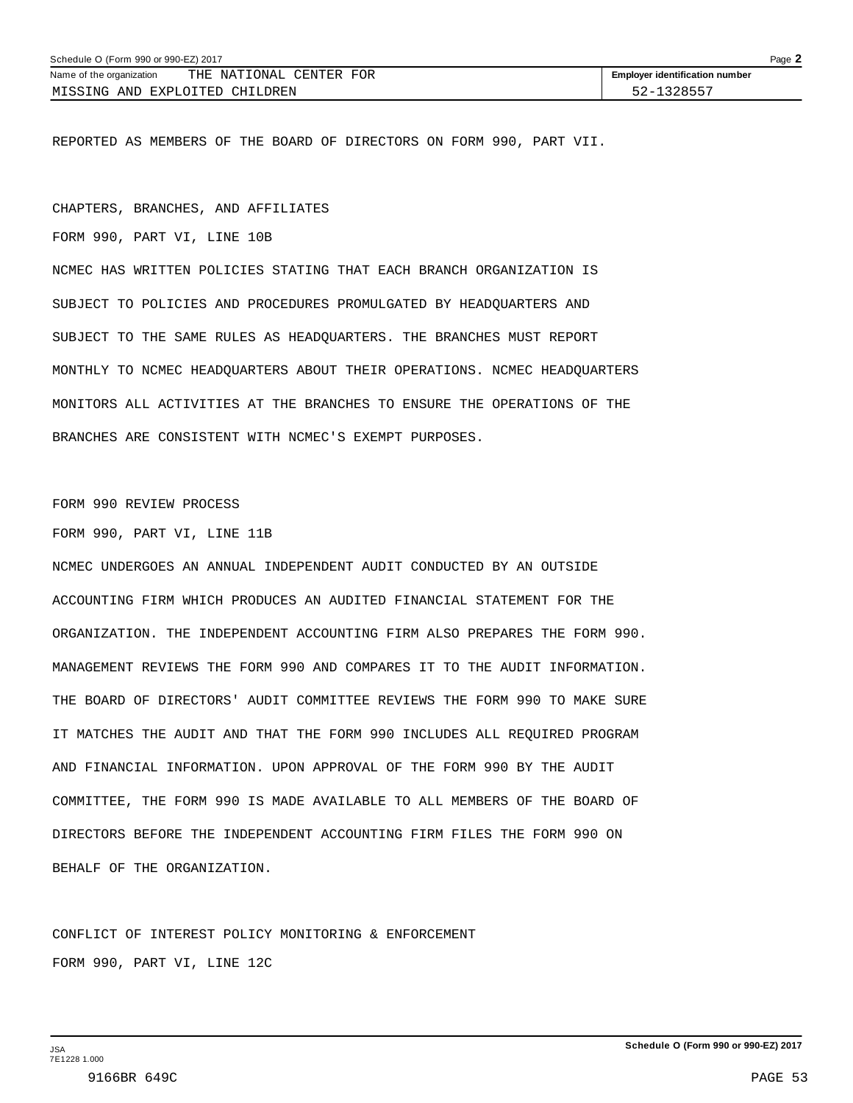| Schedule O (Form 990 or 990-EZ) 2017 |                         |                                       |
|--------------------------------------|-------------------------|---------------------------------------|
| Name of the organization             | THE NATIONAL CENTER FOR | <b>Employer identification number</b> |
| MISSING AND EXPLOITED CHILDREN       |                         | 52-1328557                            |

REPORTED AS MEMBERS OF THE BOARD OF DIRECTORS ON FORM 990, PART VII.

CHAPTERS, BRANCHES, AND AFFILIATES

FORM 990, PART VI, LINE 10B

NCMEC HAS WRITTEN POLICIES STATING THAT EACH BRANCH ORGANIZATION IS SUBJECT TO POLICIES AND PROCEDURES PROMULGATED BY HEADQUARTERS AND SUBJECT TO THE SAME RULES AS HEADQUARTERS. THE BRANCHES MUST REPORT MONTHLY TO NCMEC HEADQUARTERS ABOUT THEIR OPERATIONS. NCMEC HEADQUARTERS MONITORS ALL ACTIVITIES AT THE BRANCHES TO ENSURE THE OPERATIONS OF THE BRANCHES ARE CONSISTENT WITH NCMEC'S EXEMPT PURPOSES.

#### FORM 990 REVIEW PROCESS

FORM 990, PART VI, LINE 11B

NCMEC UNDERGOES AN ANNUAL INDEPENDENT AUDIT CONDUCTED BY AN OUTSIDE ACCOUNTING FIRM WHICH PRODUCES AN AUDITED FINANCIAL STATEMENT FOR THE ORGANIZATION. THE INDEPENDENT ACCOUNTING FIRM ALSO PREPARES THE FORM 990. MANAGEMENT REVIEWS THE FORM 990 AND COMPARES IT TO THE AUDIT INFORMATION. THE BOARD OF DIRECTORS' AUDIT COMMITTEE REVIEWS THE FORM 990 TO MAKE SURE IT MATCHES THE AUDIT AND THAT THE FORM 990 INCLUDES ALL REQUIRED PROGRAM AND FINANCIAL INFORMATION. UPON APPROVAL OF THE FORM 990 BY THE AUDIT COMMITTEE, THE FORM 990 IS MADE AVAILABLE TO ALL MEMBERS OF THE BOARD OF DIRECTORS BEFORE THE INDEPENDENT ACCOUNTING FIRM FILES THE FORM 990 ON BEHALF OF THE ORGANIZATION.

CONFLICT OF INTEREST POLICY MONITORING & ENFORCEMENT FORM 990, PART VI, LINE 12C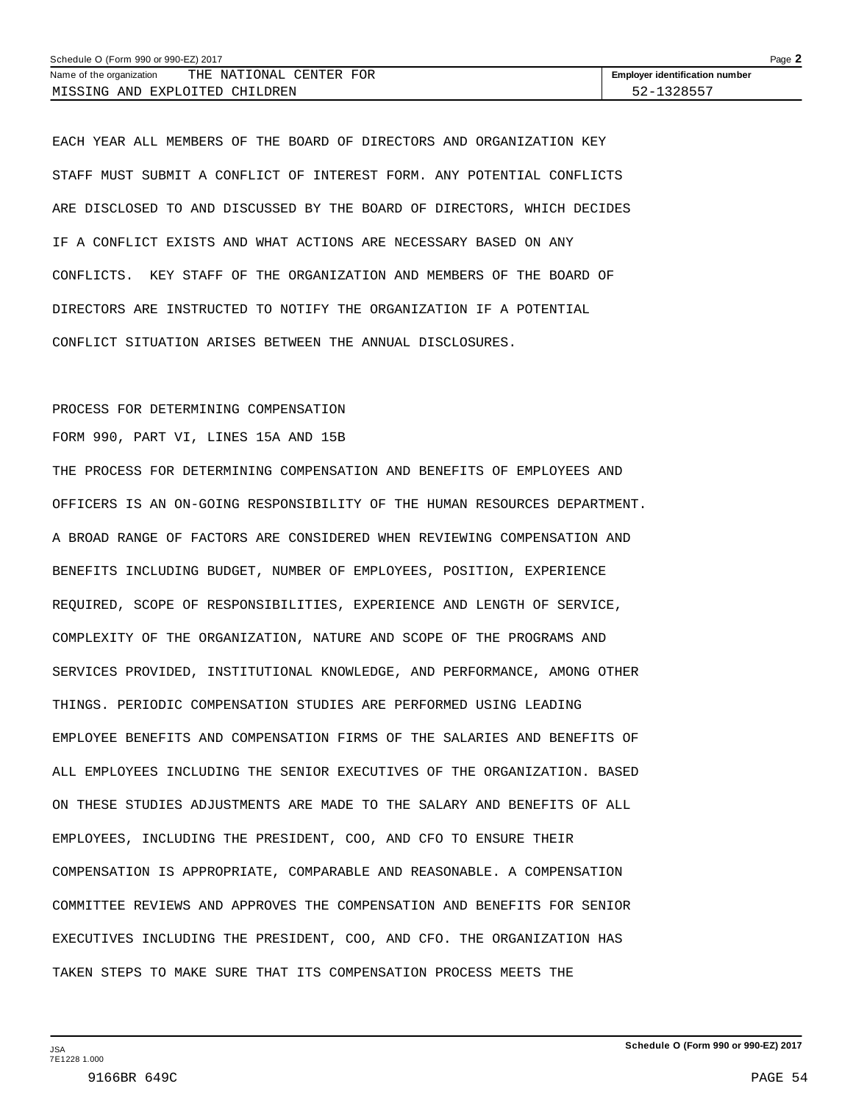| Schedule O (Form 990 or 990-EZ) 2017 |                         |                                       |  |
|--------------------------------------|-------------------------|---------------------------------------|--|
| Name of the organization             | THE NATIONAL CENTER FOR | <b>Employer identification number</b> |  |
| MISSING AND EXPLOITED CHILDREN       |                         | 52-1328557                            |  |

EACH YEAR ALL MEMBERS OF THE BOARD OF DIRECTORS AND ORGANIZATION KEY STAFF MUST SUBMIT A CONFLICT OF INTEREST FORM. ANY POTENTIAL CONFLICTS ARE DISCLOSED TO AND DISCUSSED BY THE BOARD OF DIRECTORS, WHICH DECIDES IF A CONFLICT EXISTS AND WHAT ACTIONS ARE NECESSARY BASED ON ANY CONFLICTS. KEY STAFF OF THE ORGANIZATION AND MEMBERS OF THE BOARD OF DIRECTORS ARE INSTRUCTED TO NOTIFY THE ORGANIZATION IF A POTENTIAL CONFLICT SITUATION ARISES BETWEEN THE ANNUAL DISCLOSURES.

#### PROCESS FOR DETERMINING COMPENSATION

FORM 990, PART VI, LINES 15A AND 15B

THE PROCESS FOR DETERMINING COMPENSATION AND BENEFITS OF EMPLOYEES AND OFFICERS IS AN ON-GOING RESPONSIBILITY OF THE HUMAN RESOURCES DEPARTMENT. A BROAD RANGE OF FACTORS ARE CONSIDERED WHEN REVIEWING COMPENSATION AND BENEFITS INCLUDING BUDGET, NUMBER OF EMPLOYEES, POSITION, EXPERIENCE REQUIRED, SCOPE OF RESPONSIBILITIES, EXPERIENCE AND LENGTH OF SERVICE, COMPLEXITY OF THE ORGANIZATION, NATURE AND SCOPE OF THE PROGRAMS AND SERVICES PROVIDED, INSTITUTIONAL KNOWLEDGE, AND PERFORMANCE, AMONG OTHER THINGS. PERIODIC COMPENSATION STUDIES ARE PERFORMED USING LEADING EMPLOYEE BENEFITS AND COMPENSATION FIRMS OF THE SALARIES AND BENEFITS OF ALL EMPLOYEES INCLUDING THE SENIOR EXECUTIVES OF THE ORGANIZATION. BASED ON THESE STUDIES ADJUSTMENTS ARE MADE TO THE SALARY AND BENEFITS OF ALL EMPLOYEES, INCLUDING THE PRESIDENT, COO, AND CFO TO ENSURE THEIR COMPENSATION IS APPROPRIATE, COMPARABLE AND REASONABLE. A COMPENSATION COMMITTEE REVIEWS AND APPROVES THE COMPENSATION AND BENEFITS FOR SENIOR EXECUTIVES INCLUDING THE PRESIDENT, COO, AND CFO. THE ORGANIZATION HAS TAKEN STEPS TO MAKE SURE THAT ITS COMPENSATION PROCESS MEETS THE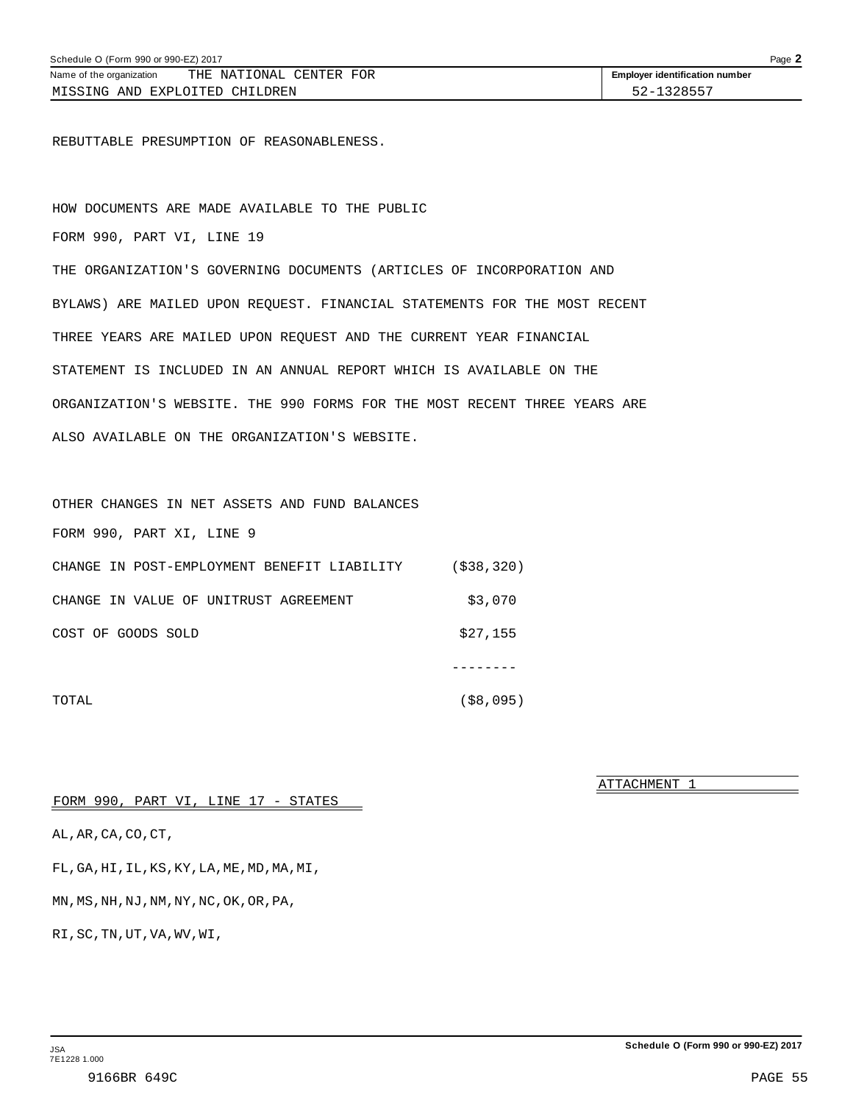REBUTTABLE PRESUMPTION OF REASONABLENESS.

FORM 990, PART VI, LINE 19 THE ORGANIZATION'S GOVERNING DOCUMENTS (ARTICLES OF INCORPORATION AND BYLAWS) ARE MAILED UPON REQUEST. FINANCIAL STATEMENTS FOR THE MOST RECENT THREE YEARS ARE MAILED UPON REQUEST AND THE CURRENT YEAR FINANCIAL STATEMENT IS INCLUDED IN AN ANNUAL REPORT WHICH IS AVAILABLE ON THE ORGANIZATION'S WEBSITE. THE 990 FORMS FOR THE MOST RECENT THREE YEARS ARE ALSO AVAILABLE ON THE ORGANIZATION'S WEBSITE.

<span id="page-53-0"></span>Schedule O (Form 990 or 990-EZ) 2017 Page **2**

OTHER CHANGES IN NET ASSETS AND FUND BALANCES FORM 990, PART XI, LINE 9 CHANGE IN POST-EMPLOYMENT BENEFIT LIABILITY (\$38,320) CHANGE IN VALUE OF UNITRUST AGREEMENT \$3,070  $COST OF GOODS SOLD$  \$27,155

FORM 990, PART VI, LINE 17 - STATES

AL,AR,CA,CO,CT,

FL,GA,HI,IL,KS,KY,LA,ME,MD,MA,MI,

MN,MS,NH,NJ,NM,NY,NC,OK,OR,PA,

RI,SC,TN,UT,VA,WV,WI,

| <b>TACH</b><br>.√IH: P |  |
|------------------------|--|
|                        |  |

# HOW DOCUMENTS ARE MADE AVAILABLE TO THE PUBLIC

 -------- TOTAL (\$8,095)